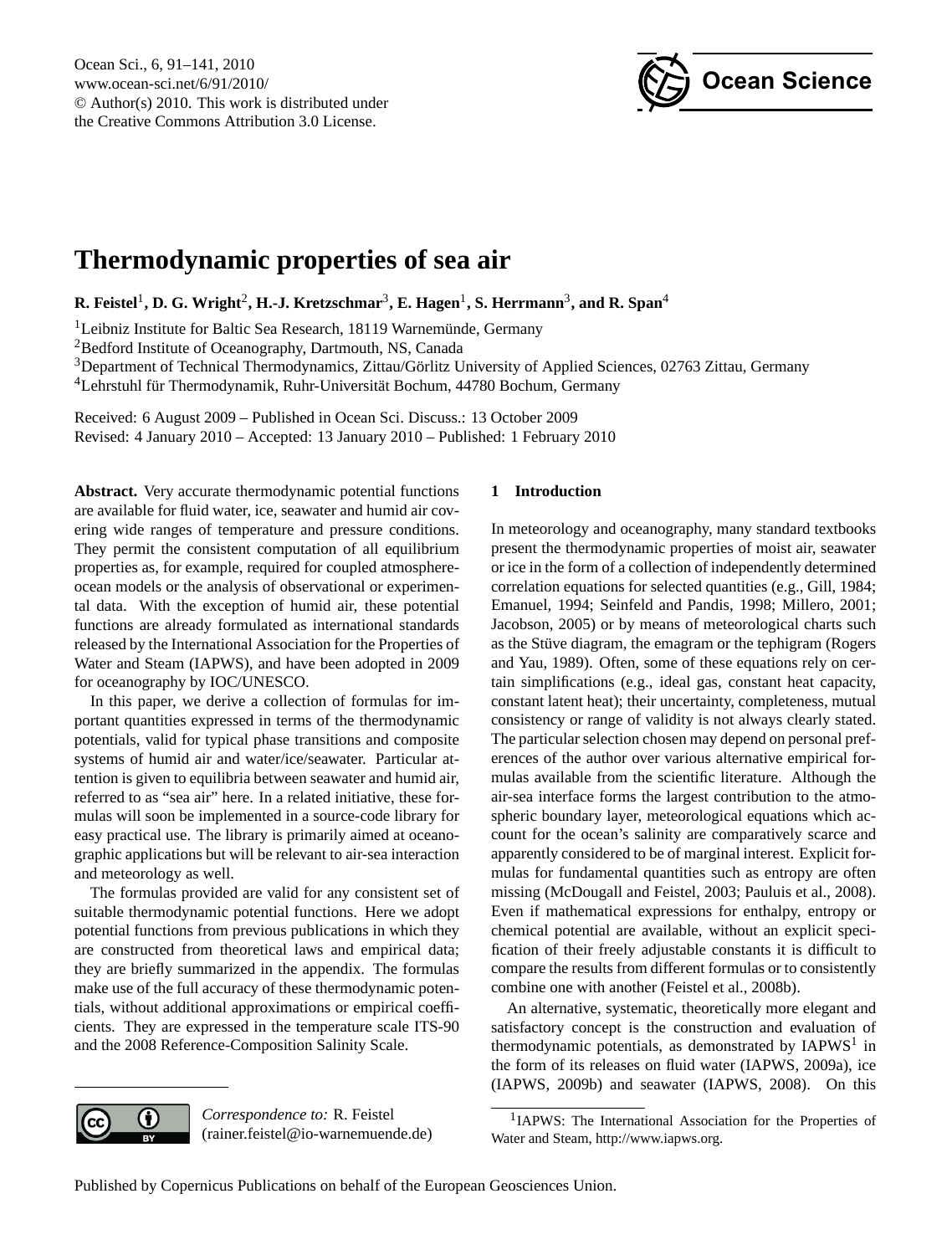

# <span id="page-0-1"></span>**Thermodynamic properties of sea air**

 $\mathbf{R}.$  Feistel<sup>1</sup>, D. G. Wright<sup>2</sup>, H.-J. Kretzschmar<sup>3</sup>, E. Hagen<sup>1</sup>, S. Herrmann<sup>3</sup>, and R. Span<sup>4</sup>

<sup>1</sup>Leibniz Institute for Baltic Sea Research, 18119 Warnemünde, Germany

<sup>2</sup>Bedford Institute of Oceanography, Dartmouth, NS, Canada

<sup>3</sup>Department of Technical Thermodynamics, Zittau/Görlitz University of Applied Sciences, 02763 Zittau, Germany  $4$ Lehrstuhl für Thermodynamik, Ruhr-Universität Bochum, 44780 Bochum, Germany

Received: 6 August 2009 – Published in Ocean Sci. Discuss.: 13 October 2009 Revised: 4 January 2010 – Accepted: 13 January 2010 – Published: 1 February 2010

**Abstract.** Very accurate thermodynamic potential functions are available for fluid water, ice, seawater and humid air covering wide ranges of temperature and pressure conditions. They permit the consistent computation of all equilibrium properties as, for example, required for coupled atmosphereocean models or the analysis of observational or experimental data. With the exception of humid air, these potential functions are already formulated as international standards released by the International Association for the Properties of Water and Steam (IAPWS), and have been adopted in 2009 for oceanography by IOC/UNESCO.

In this paper, we derive a collection of formulas for important quantities expressed in terms of the thermodynamic potentials, valid for typical phase transitions and composite systems of humid air and water/ice/seawater. Particular attention is given to equilibria between seawater and humid air, referred to as "sea air" here. In a related initiative, these formulas will soon be implemented in a source-code library for easy practical use. The library is primarily aimed at oceanographic applications but will be relevant to air-sea interaction and meteorology as well.

The formulas provided are valid for any consistent set of suitable thermodynamic potential functions. Here we adopt potential functions from previous publications in which they are constructed from theoretical laws and empirical data; they are briefly summarized in the appendix. The formulas make use of the full accuracy of these thermodynamic potentials, without additional approximations or empirical coefficients. They are expressed in the temperature scale ITS-90 and the 2008 Reference-Composition Salinity Scale.

# **1 Introduction**

In meteorology and oceanography, many standard textbooks present the thermodynamic properties of moist air, seawater or ice in the form of a collection of independently determined correlation equations for selected quantities (e.g., Gill, 1984; Emanuel, 1994; Seinfeld and Pandis, 1998; Millero, 2001; Jacobson, 2005) or by means of meteorological charts such as the Stüve diagram, the emagram or the tephigram (Rogers and Yau, 1989). Often, some of these equations rely on certain simplifications (e.g., ideal gas, constant heat capacity, constant latent heat); their uncertainty, completeness, mutual consistency or range of validity is not always clearly stated. The particular selection chosen may depend on personal preferences of the author over various alternative empirical formulas available from the scientific literature. Although the air-sea interface forms the largest contribution to the atmospheric boundary layer, meteorological equations which account for the ocean's salinity are comparatively scarce and apparently considered to be of marginal interest. Explicit formulas for fundamental quantities such as entropy are often missing (McDougall and Feistel, 2003; Pauluis et al., 2008). Even if mathematical expressions for enthalpy, entropy or chemical potential are available, without an explicit specification of their freely adjustable constants it is difficult to compare the results from different formulas or to consistently combine one with another (Feistel et al., 2008b).

An alternative, systematic, theoretically more elegant and satisfactory concept is the construction and evaluation of thermodynamic potentials, as demonstrated by  $IAPWS<sup>1</sup>$  $IAPWS<sup>1</sup>$  $IAPWS<sup>1</sup>$  in the form of its releases on fluid water (IAPWS, 2009a), ice (IAPWS, 2009b) and seawater (IAPWS, 2008). On this



*Correspondence to:* R. Feistel (rainer.feistel@io-warnemuende.de)

<span id="page-0-0"></span><sup>1</sup>IAPWS: The International Association for the Properties of Water and Steam, [http://www.iapws.org.](http://www.iapws.org)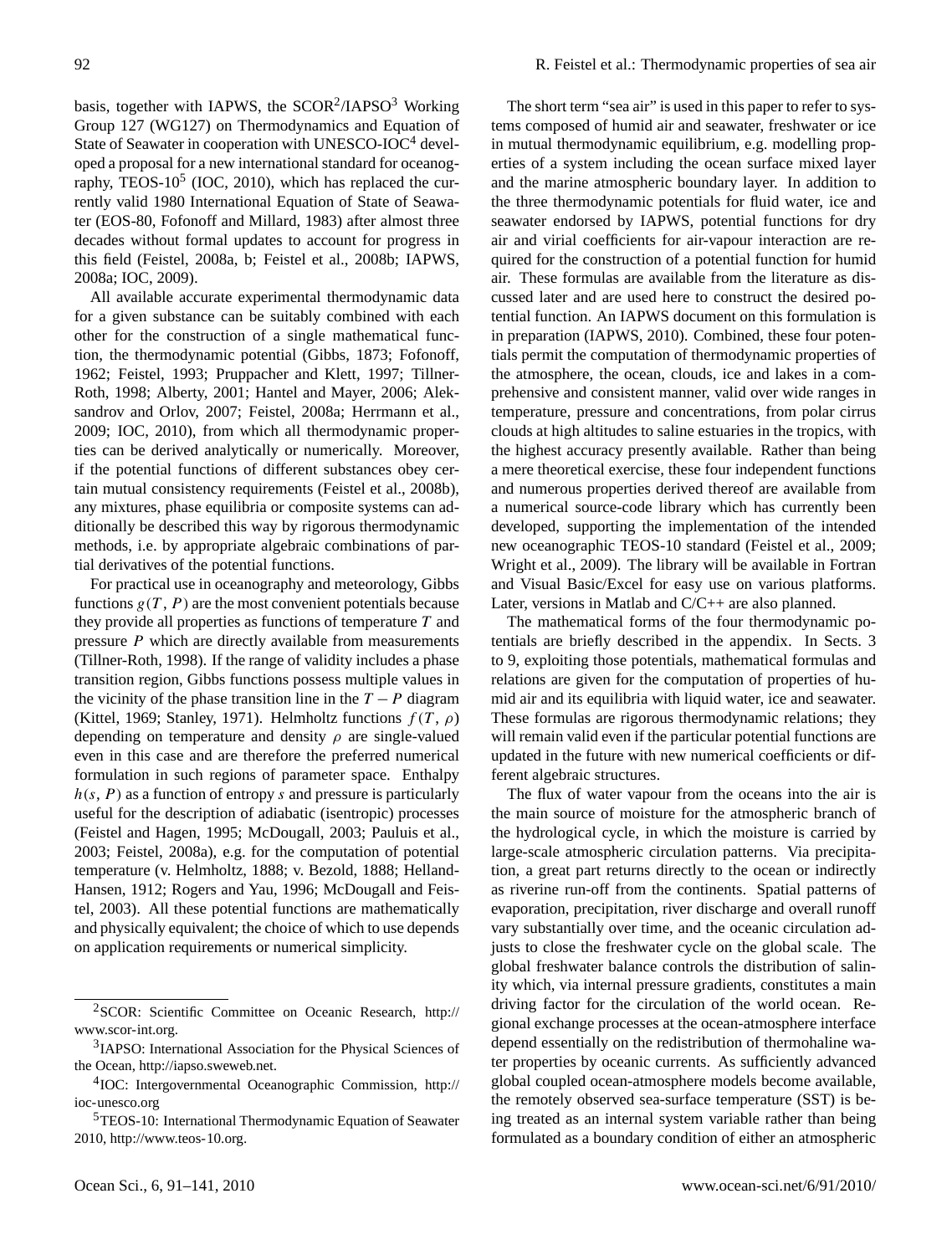basis, together with IAPWS, the SCOR<sup>[2](#page-1-0)</sup>/IAPSO<sup>[3](#page-1-1)</sup> Working Group 127 (WG127) on Thermodynamics and Equation of State of Seawater in cooperation with UNESCO-IOC $4$  developed a proposal for a new international standard for oceanography, TEOS- $10^5$  $10^5$  (IOC, 2010), which has replaced the currently valid 1980 International Equation of State of Seawater (EOS-80, Fofonoff and Millard, 1983) after almost three decades without formal updates to account for progress in this field (Feistel, 2008a, b; Feistel et al., 2008b; IAPWS, 2008a; IOC, 2009).

All available accurate experimental thermodynamic data for a given substance can be suitably combined with each other for the construction of a single mathematical function, the thermodynamic potential (Gibbs, 1873; Fofonoff, 1962; Feistel, 1993; Pruppacher and Klett, 1997; Tillner-Roth, 1998; Alberty, 2001; Hantel and Mayer, 2006; Aleksandrov and Orlov, 2007; Feistel, 2008a; Herrmann et al., 2009; IOC, 2010), from which all thermodynamic properties can be derived analytically or numerically. Moreover, if the potential functions of different substances obey certain mutual consistency requirements (Feistel et al., 2008b), any mixtures, phase equilibria or composite systems can additionally be described this way by rigorous thermodynamic methods, i.e. by appropriate algebraic combinations of partial derivatives of the potential functions.

For practical use in oceanography and meteorology, Gibbs functions  $g(T, P)$  are the most convenient potentials because they provide all properties as functions of temperature  $T$  and pressure P which are directly available from measurements (Tillner-Roth, 1998). If the range of validity includes a phase transition region, Gibbs functions possess multiple values in the vicinity of the phase transition line in the  $T - P$  diagram (Kittel, 1969; Stanley, 1971). Helmholtz functions  $f(T, \rho)$ depending on temperature and density  $\rho$  are single-valued even in this case and are therefore the preferred numerical formulation in such regions of parameter space. Enthalpy  $h(s, P)$  as a function of entropy s and pressure is particularly useful for the description of adiabatic (isentropic) processes (Feistel and Hagen, 1995; McDougall, 2003; Pauluis et al., 2003; Feistel, 2008a), e.g. for the computation of potential temperature (v. Helmholtz, 1888; v. Bezold, 1888; Helland-Hansen, 1912; Rogers and Yau, 1996; McDougall and Feistel, 2003). All these potential functions are mathematically and physically equivalent; the choice of which to use depends on application requirements or numerical simplicity.

The short term "sea air" is used in this paper to refer to systems composed of humid air and seawater, freshwater or ice in mutual thermodynamic equilibrium, e.g. modelling properties of a system including the ocean surface mixed layer and the marine atmospheric boundary layer. In addition to the three thermodynamic potentials for fluid water, ice and seawater endorsed by IAPWS, potential functions for dry air and virial coefficients for air-vapour interaction are required for the construction of a potential function for humid air. These formulas are available from the literature as discussed later and are used here to construct the desired potential function. An IAPWS document on this formulation is in preparation (IAPWS, 2010). Combined, these four potentials permit the computation of thermodynamic properties of the atmosphere, the ocean, clouds, ice and lakes in a comprehensive and consistent manner, valid over wide ranges in temperature, pressure and concentrations, from polar cirrus clouds at high altitudes to saline estuaries in the tropics, with the highest accuracy presently available. Rather than being a mere theoretical exercise, these four independent functions and numerous properties derived thereof are available from a numerical source-code library which has currently been developed, supporting the implementation of the intended new oceanographic TEOS-10 standard (Feistel et al., 2009; Wright et al., 2009). The library will be available in Fortran and Visual Basic/Excel for easy use on various platforms. Later, versions in Matlab and C/C++ are also planned.

The mathematical forms of the four thermodynamic potentials are briefly described in the appendix. In Sects. 3 to 9, exploiting those potentials, mathematical formulas and relations are given for the computation of properties of humid air and its equilibria with liquid water, ice and seawater. These formulas are rigorous thermodynamic relations; they will remain valid even if the particular potential functions are updated in the future with new numerical coefficients or different algebraic structures.

The flux of water vapour from the oceans into the air is the main source of moisture for the atmospheric branch of the hydrological cycle, in which the moisture is carried by large-scale atmospheric circulation patterns. Via precipitation, a great part returns directly to the ocean or indirectly as riverine run-off from the continents. Spatial patterns of evaporation, precipitation, river discharge and overall runoff vary substantially over time, and the oceanic circulation adjusts to close the freshwater cycle on the global scale. The global freshwater balance controls the distribution of salinity which, via internal pressure gradients, constitutes a main driving factor for the circulation of the world ocean. Regional exchange processes at the ocean-atmosphere interface depend essentially on the redistribution of thermohaline water properties by oceanic currents. As sufficiently advanced global coupled ocean-atmosphere models become available, the remotely observed sea-surface temperature (SST) is being treated as an internal system variable rather than being formulated as a boundary condition of either an atmospheric

<span id="page-1-0"></span><sup>2</sup>SCOR: Scientific Committee on Oceanic Research, [http://](http://www.scor-int.org) [www.scor-int.org.](http://www.scor-int.org)

<span id="page-1-1"></span><sup>&</sup>lt;sup>3</sup>IAPSO: International Association for the Physical Sciences of the Ocean, [http://iapso.sweweb.net.](http://iapso.sweweb.net)

<span id="page-1-2"></span><sup>4</sup> IOC: Intergovernmental Oceanographic Commission, [http://](http://ioc-unesco.org) [ioc-unesco.org](http://ioc-unesco.org)

<span id="page-1-3"></span><sup>&</sup>lt;sup>5</sup>TEOS-10: International Thermodynamic Equation of Seawater 2010, [http://www.teos-10.org.](http://www.teos-10.org)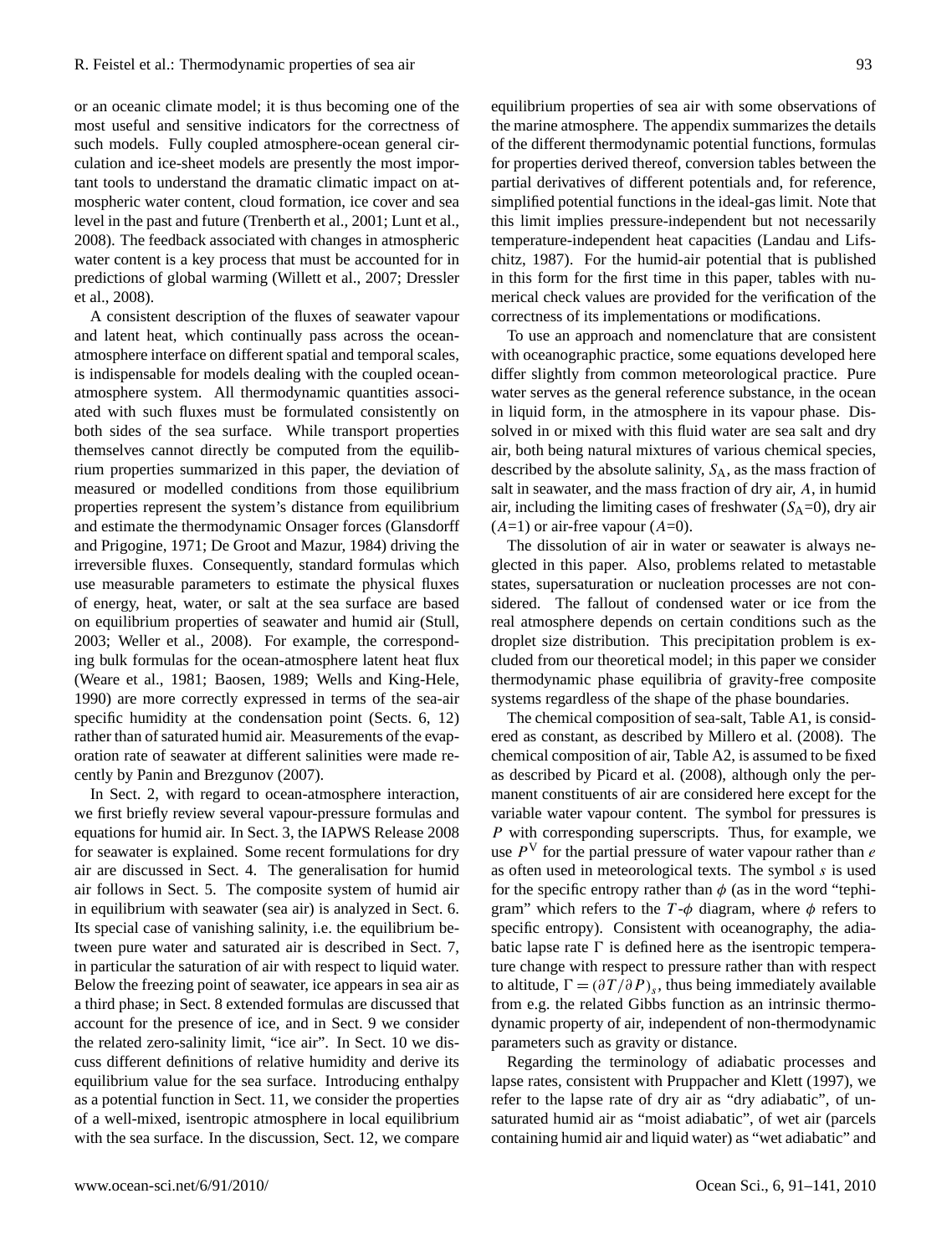or an oceanic climate model; it is thus becoming one of the most useful and sensitive indicators for the correctness of such models. Fully coupled atmosphere-ocean general circulation and ice-sheet models are presently the most important tools to understand the dramatic climatic impact on atmospheric water content, cloud formation, ice cover and sea level in the past and future (Trenberth et al., 2001; Lunt et al., 2008). The feedback associated with changes in atmospheric water content is a key process that must be accounted for in predictions of global warming (Willett et al., 2007; Dressler et al., 2008).

A consistent description of the fluxes of seawater vapour and latent heat, which continually pass across the oceanatmosphere interface on different spatial and temporal scales, is indispensable for models dealing with the coupled oceanatmosphere system. All thermodynamic quantities associated with such fluxes must be formulated consistently on both sides of the sea surface. While transport properties themselves cannot directly be computed from the equilibrium properties summarized in this paper, the deviation of measured or modelled conditions from those equilibrium properties represent the system's distance from equilibrium and estimate the thermodynamic Onsager forces (Glansdorff and Prigogine, 1971; De Groot and Mazur, 1984) driving the irreversible fluxes. Consequently, standard formulas which use measurable parameters to estimate the physical fluxes of energy, heat, water, or salt at the sea surface are based on equilibrium properties of seawater and humid air (Stull, 2003; Weller et al., 2008). For example, the corresponding bulk formulas for the ocean-atmosphere latent heat flux (Weare et al., 1981; Baosen, 1989; Wells and King-Hele, 1990) are more correctly expressed in terms of the sea-air specific humidity at the condensation point (Sects. 6, 12) rather than of saturated humid air. Measurements of the evaporation rate of seawater at different salinities were made recently by Panin and Brezgunov (2007).

In Sect. 2, with regard to ocean-atmosphere interaction, we first briefly review several vapour-pressure formulas and equations for humid air. In Sect. 3, the IAPWS Release 2008 for seawater is explained. Some recent formulations for dry air are discussed in Sect. 4. The generalisation for humid air follows in Sect. 5. The composite system of humid air in equilibrium with seawater (sea air) is analyzed in Sect. 6. Its special case of vanishing salinity, i.e. the equilibrium between pure water and saturated air is described in Sect. 7, in particular the saturation of air with respect to liquid water. Below the freezing point of seawater, ice appears in sea air as a third phase; in Sect. 8 extended formulas are discussed that account for the presence of ice, and in Sect. 9 we consider the related zero-salinity limit, "ice air". In Sect. 10 we discuss different definitions of relative humidity and derive its equilibrium value for the sea surface. Introducing enthalpy as a potential function in Sect. 11, we consider the properties of a well-mixed, isentropic atmosphere in local equilibrium with the sea surface. In the discussion, Sect. 12, we compare

equilibrium properties of sea air with some observations of the marine atmosphere. The appendix summarizes the details of the different thermodynamic potential functions, formulas for properties derived thereof, conversion tables between the partial derivatives of different potentials and, for reference, simplified potential functions in the ideal-gas limit. Note that this limit implies pressure-independent but not necessarily temperature-independent heat capacities (Landau and Lifschitz, 1987). For the humid-air potential that is published in this form for the first time in this paper, tables with numerical check values are provided for the verification of the correctness of its implementations or modifications.

To use an approach and nomenclature that are consistent with oceanographic practice, some equations developed here differ slightly from common meteorological practice. Pure water serves as the general reference substance, in the ocean in liquid form, in the atmosphere in its vapour phase. Dissolved in or mixed with this fluid water are sea salt and dry air, both being natural mixtures of various chemical species, described by the absolute salinity,  $S_A$ , as the mass fraction of salt in seawater, and the mass fraction of dry air, A, in humid air, including the limiting cases of freshwater  $(S_A=0)$ , dry air  $(A=1)$  or air-free vapour  $(A=0)$ .

The dissolution of air in water or seawater is always neglected in this paper. Also, problems related to metastable states, supersaturation or nucleation processes are not considered. The fallout of condensed water or ice from the real atmosphere depends on certain conditions such as the droplet size distribution. This precipitation problem is excluded from our theoretical model; in this paper we consider thermodynamic phase equilibria of gravity-free composite systems regardless of the shape of the phase boundaries.

The chemical composition of sea-salt, Table A1, is considered as constant, as described by Millero et al. (2008). The chemical composition of air, Table A2, is assumed to be fixed as described by Picard et al. (2008), although only the permanent constituents of air are considered here except for the variable water vapour content. The symbol for pressures is P with corresponding superscripts. Thus, for example, we use  $P<sup>V</sup>$  for the partial pressure of water vapour rather than e as often used in meteorological texts. The symbol  $s$  is used for the specific entropy rather than  $\phi$  (as in the word "tephigram" which refers to the  $T-\phi$  diagram, where  $\phi$  refers to specific entropy). Consistent with oceanography, the adiabatic lapse rate  $\Gamma$  is defined here as the isentropic temperature change with respect to pressure rather than with respect to altitude,  $\Gamma = (\partial T / \partial P)_s$ , thus being immediately available from e.g. the related Gibbs function as an intrinsic thermodynamic property of air, independent of non-thermodynamic parameters such as gravity or distance.

Regarding the terminology of adiabatic processes and lapse rates, consistent with Pruppacher and Klett (1997), we refer to the lapse rate of dry air as "dry adiabatic", of unsaturated humid air as "moist adiabatic", of wet air (parcels containing humid air and liquid water) as "wet adiabatic" and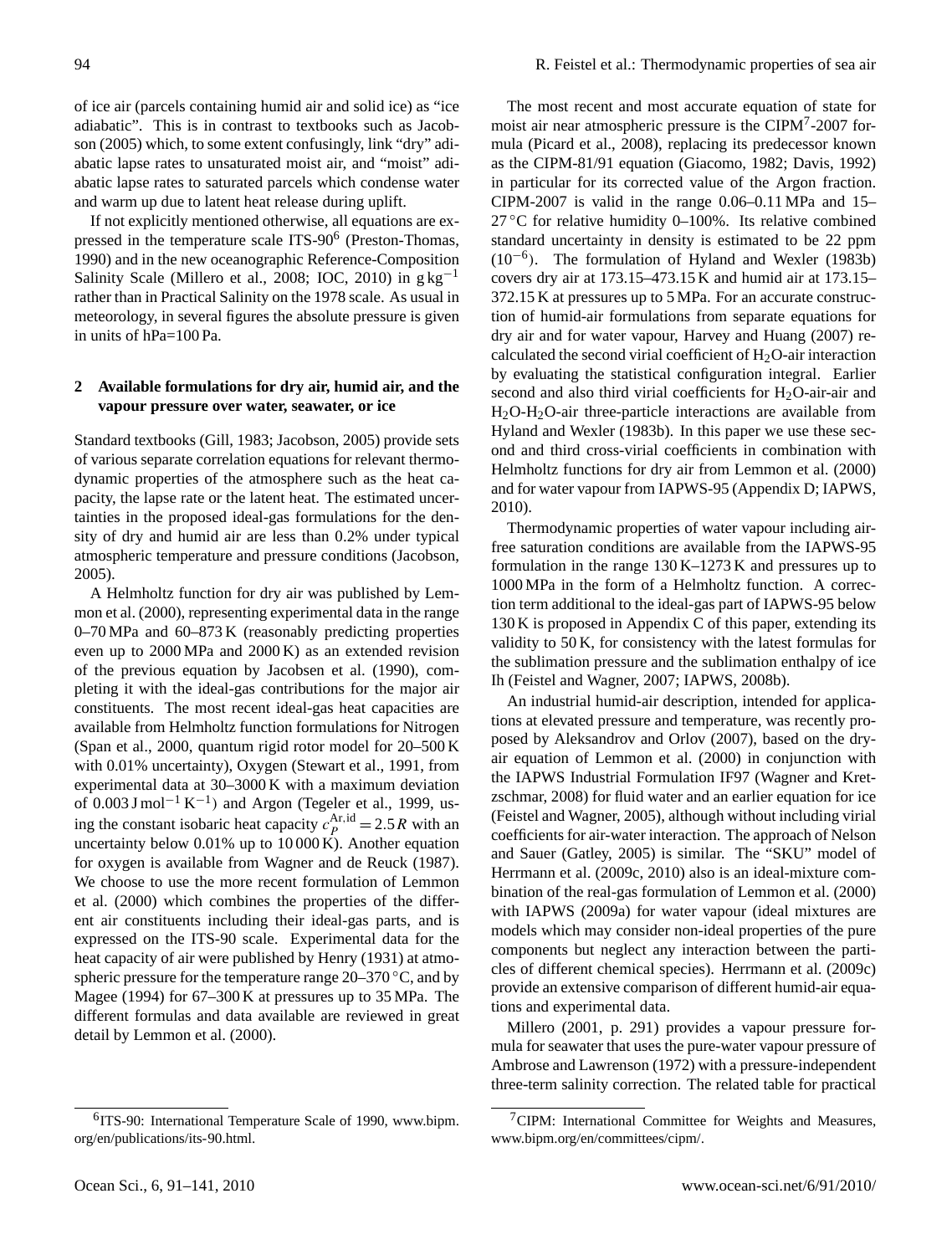of ice air (parcels containing humid air and solid ice) as "ice adiabatic". This is in contrast to textbooks such as Jacobson (2005) which, to some extent confusingly, link "dry" adiabatic lapse rates to unsaturated moist air, and "moist" adiabatic lapse rates to saturated parcels which condense water and warm up due to latent heat release during uplift.

If not explicitly mentioned otherwise, all equations are ex-pressed in the temperature scale ITS-90<sup>[6](#page-3-0)</sup> (Preston-Thomas, 1990) and in the new oceanographic Reference-Composition Salinity Scale (Millero et al., 2008; IOC, 2010) in  $g \, kg^{-1}$ rather than in Practical Salinity on the 1978 scale. As usual in meteorology, in several figures the absolute pressure is given in units of hPa=100 Pa.

# **2 Available formulations for dry air, humid air, and the vapour pressure over water, seawater, or ice**

Standard textbooks (Gill, 1983; Jacobson, 2005) provide sets of various separate correlation equations for relevant thermodynamic properties of the atmosphere such as the heat capacity, the lapse rate or the latent heat. The estimated uncertainties in the proposed ideal-gas formulations for the density of dry and humid air are less than 0.2% under typical atmospheric temperature and pressure conditions (Jacobson, 2005).

A Helmholtz function for dry air was published by Lemmon et al. (2000), representing experimental data in the range 0–70 MPa and 60–873 K (reasonably predicting properties even up to 2000 MPa and 2000 K) as an extended revision of the previous equation by Jacobsen et al. (1990), completing it with the ideal-gas contributions for the major air constituents. The most recent ideal-gas heat capacities are available from Helmholtz function formulations for Nitrogen (Span et al., 2000, quantum rigid rotor model for 20–500 K with 0.01% uncertainty), Oxygen (Stewart et al., 1991, from experimental data at 30–3000 K with a maximum deviation of 0.003 J mol<sup>-1</sup> K<sup>-1</sup>) and Argon (Tegeler et al., 1999, using the constant isobaric heat capacity  $c_P^{\text{Ar},\text{id}} = 2.5 R$  with an uncertainty below 0.01% up to 10 000 K). Another equation for oxygen is available from Wagner and de Reuck (1987). We choose to use the more recent formulation of Lemmon et al. (2000) which combines the properties of the different air constituents including their ideal-gas parts, and is expressed on the ITS-90 scale. Experimental data for the heat capacity of air were published by Henry (1931) at atmospheric pressure for the temperature range  $20-370$  °C, and by Magee (1994) for 67–300 K at pressures up to 35 MPa. The different formulas and data available are reviewed in great detail by Lemmon et al. (2000).

The most recent and most accurate equation of state for moist air near atmospheric pressure is the CIPM<sup>[7](#page-3-1)</sup>-2007 formula (Picard et al., 2008), replacing its predecessor known as the CIPM-81/91 equation (Giacomo, 1982; Davis, 1992) in particular for its corrected value of the Argon fraction. CIPM-2007 is valid in the range 0.06–0.11 MPa and 15– 27 °C for relative humidity 0–100%. Its relative combined standard uncertainty in density is estimated to be 22 ppm (10−<sup>6</sup> ). The formulation of Hyland and Wexler (1983b) covers dry air at 173.15–473.15 K and humid air at 173.15– 372.15 K at pressures up to 5 MPa. For an accurate construction of humid-air formulations from separate equations for dry air and for water vapour, Harvey and Huang (2007) recalculated the second virial coefficient of  $H_2O$ -air interaction by evaluating the statistical configuration integral. Earlier second and also third virial coefficients for  $H_2O$ -air-air and  $H_2O-H_2O$ -air three-particle interactions are available from Hyland and Wexler (1983b). In this paper we use these second and third cross-virial coefficients in combination with Helmholtz functions for dry air from Lemmon et al. (2000) and for water vapour from IAPWS-95 (Appendix D; IAPWS, 2010).

Thermodynamic properties of water vapour including airfree saturation conditions are available from the IAPWS-95 formulation in the range 130 K–1273 K and pressures up to 1000 MPa in the form of a Helmholtz function. A correction term additional to the ideal-gas part of IAPWS-95 below 130 K is proposed in Appendix C of this paper, extending its validity to 50 K, for consistency with the latest formulas for the sublimation pressure and the sublimation enthalpy of ice Ih (Feistel and Wagner, 2007; IAPWS, 2008b).

An industrial humid-air description, intended for applications at elevated pressure and temperature, was recently proposed by Aleksandrov and Orlov (2007), based on the dryair equation of Lemmon et al. (2000) in conjunction with the IAPWS Industrial Formulation IF97 (Wagner and Kretzschmar, 2008) for fluid water and an earlier equation for ice (Feistel and Wagner, 2005), although without including virial coefficients for air-water interaction. The approach of Nelson and Sauer (Gatley, 2005) is similar. The "SKU" model of Herrmann et al. (2009c, 2010) also is an ideal-mixture combination of the real-gas formulation of Lemmon et al. (2000) with IAPWS (2009a) for water vapour (ideal mixtures are models which may consider non-ideal properties of the pure components but neglect any interaction between the particles of different chemical species). Herrmann et al. (2009c) provide an extensive comparison of different humid-air equations and experimental data.

Millero (2001, p. 291) provides a vapour pressure formula for seawater that uses the pure-water vapour pressure of Ambrose and Lawrenson (1972) with a pressure-independent three-term salinity correction. The related table for practical

<span id="page-3-0"></span><sup>&</sup>lt;sup>6</sup>ITS-90: International Temperature Scale of 1990, [www.bipm.](www.bipm.org/en/publications/its-90.html) [org/en/publications/its-90.html.](www.bipm.org/en/publications/its-90.html)

<span id="page-3-1"></span> $7$ CIPM: International Committee for Weights and Measures, [www.bipm.org/en/committees/cipm/.](www.bipm.org/en/committees/cipm/)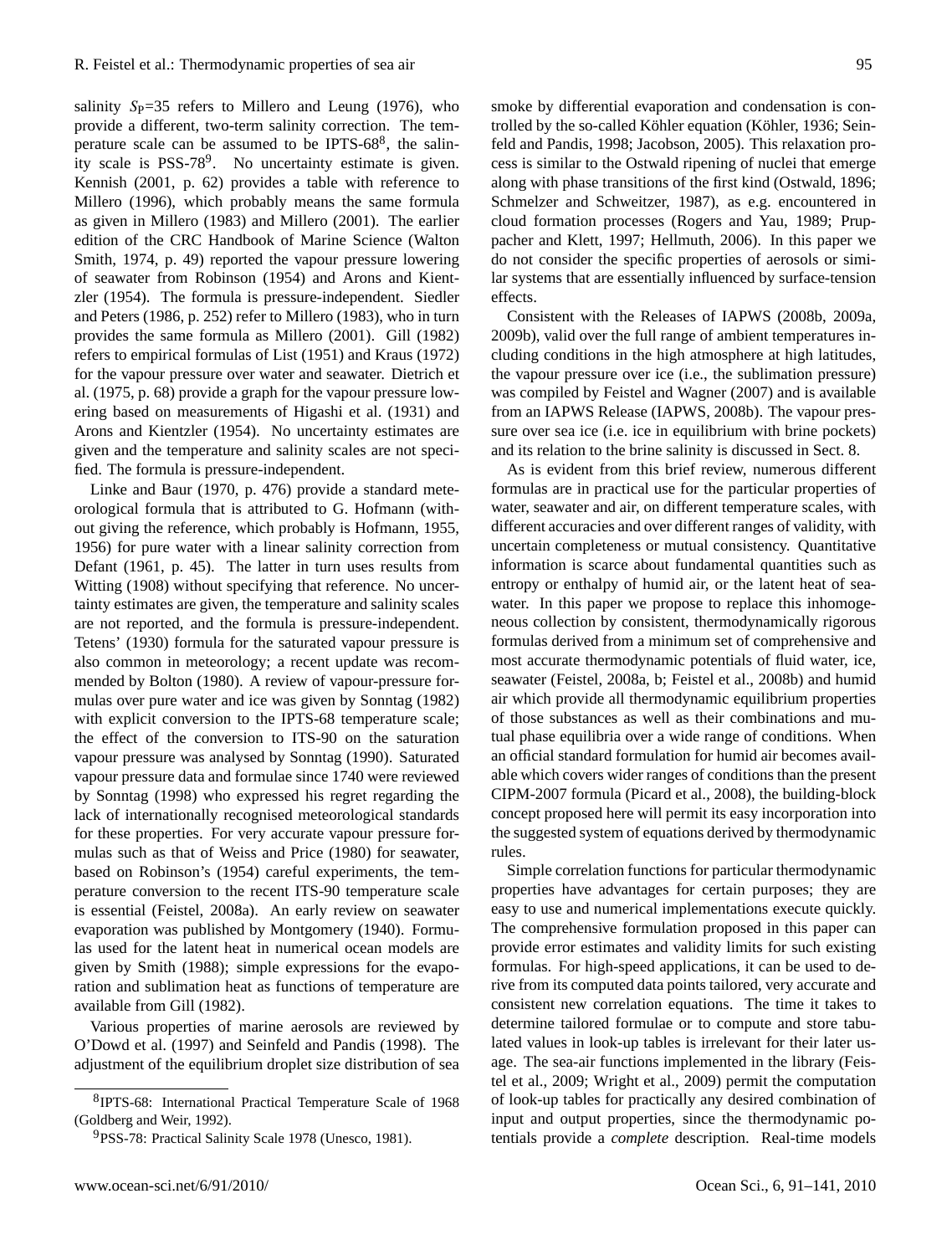salinity  $Sp=35$  refers to Millero and Leung (1976), who provide a different, two-term salinity correction. The temperature scale can be assumed to be IPTS- $68<sup>8</sup>$  $68<sup>8</sup>$  $68<sup>8</sup>$ , the salin-ity scale is PSS-78<sup>[9](#page-4-1)</sup>. No uncertainty estimate is given. Kennish (2001, p. 62) provides a table with reference to Millero (1996), which probably means the same formula as given in Millero (1983) and Millero (2001). The earlier edition of the CRC Handbook of Marine Science (Walton Smith, 1974, p. 49) reported the vapour pressure lowering of seawater from Robinson (1954) and Arons and Kientzler (1954). The formula is pressure-independent. Siedler and Peters (1986, p. 252) refer to Millero (1983), who in turn provides the same formula as Millero (2001). Gill (1982) refers to empirical formulas of List (1951) and Kraus (1972) for the vapour pressure over water and seawater. Dietrich et al. (1975, p. 68) provide a graph for the vapour pressure lowering based on measurements of Higashi et al. (1931) and Arons and Kientzler (1954). No uncertainty estimates are given and the temperature and salinity scales are not specified. The formula is pressure-independent.

Linke and Baur (1970, p. 476) provide a standard meteorological formula that is attributed to G. Hofmann (without giving the reference, which probably is Hofmann, 1955, 1956) for pure water with a linear salinity correction from Defant (1961, p. 45). The latter in turn uses results from Witting (1908) without specifying that reference. No uncertainty estimates are given, the temperature and salinity scales are not reported, and the formula is pressure-independent. Tetens' (1930) formula for the saturated vapour pressure is also common in meteorology; a recent update was recommended by Bolton (1980). A review of vapour-pressure formulas over pure water and ice was given by Sonntag (1982) with explicit conversion to the IPTS-68 temperature scale; the effect of the conversion to ITS-90 on the saturation vapour pressure was analysed by Sonntag (1990). Saturated vapour pressure data and formulae since 1740 were reviewed by Sonntag (1998) who expressed his regret regarding the lack of internationally recognised meteorological standards for these properties. For very accurate vapour pressure formulas such as that of Weiss and Price (1980) for seawater, based on Robinson's (1954) careful experiments, the temperature conversion to the recent ITS-90 temperature scale is essential (Feistel, 2008a). An early review on seawater evaporation was published by Montgomery (1940). Formulas used for the latent heat in numerical ocean models are given by Smith (1988); simple expressions for the evaporation and sublimation heat as functions of temperature are available from Gill (1982).

Various properties of marine aerosols are reviewed by O'Dowd et al. (1997) and Seinfeld and Pandis (1998). The adjustment of the equilibrium droplet size distribution of sea

smoke by differential evaporation and condensation is controlled by the so-called Köhler equation (Köhler, 1936; Seinfeld and Pandis, 1998; Jacobson, 2005). This relaxation process is similar to the Ostwald ripening of nuclei that emerge along with phase transitions of the first kind (Ostwald, 1896; Schmelzer and Schweitzer, 1987), as e.g. encountered in cloud formation processes (Rogers and Yau, 1989; Pruppacher and Klett, 1997; Hellmuth, 2006). In this paper we do not consider the specific properties of aerosols or similar systems that are essentially influenced by surface-tension effects.

Consistent with the Releases of IAPWS (2008b, 2009a, 2009b), valid over the full range of ambient temperatures including conditions in the high atmosphere at high latitudes, the vapour pressure over ice (i.e., the sublimation pressure) was compiled by Feistel and Wagner (2007) and is available from an IAPWS Release (IAPWS, 2008b). The vapour pressure over sea ice (i.e. ice in equilibrium with brine pockets) and its relation to the brine salinity is discussed in Sect. 8.

As is evident from this brief review, numerous different formulas are in practical use for the particular properties of water, seawater and air, on different temperature scales, with different accuracies and over different ranges of validity, with uncertain completeness or mutual consistency. Quantitative information is scarce about fundamental quantities such as entropy or enthalpy of humid air, or the latent heat of seawater. In this paper we propose to replace this inhomogeneous collection by consistent, thermodynamically rigorous formulas derived from a minimum set of comprehensive and most accurate thermodynamic potentials of fluid water, ice, seawater (Feistel, 2008a, b; Feistel et al., 2008b) and humid air which provide all thermodynamic equilibrium properties of those substances as well as their combinations and mutual phase equilibria over a wide range of conditions. When an official standard formulation for humid air becomes available which covers wider ranges of conditions than the present CIPM-2007 formula (Picard et al., 2008), the building-block concept proposed here will permit its easy incorporation into the suggested system of equations derived by thermodynamic rules.

Simple correlation functions for particular thermodynamic properties have advantages for certain purposes; they are easy to use and numerical implementations execute quickly. The comprehensive formulation proposed in this paper can provide error estimates and validity limits for such existing formulas. For high-speed applications, it can be used to derive from its computed data points tailored, very accurate and consistent new correlation equations. The time it takes to determine tailored formulae or to compute and store tabulated values in look-up tables is irrelevant for their later usage. The sea-air functions implemented in the library (Feistel et al., 2009; Wright et al., 2009) permit the computation of look-up tables for practically any desired combination of input and output properties, since the thermodynamic potentials provide a *complete* description. Real-time models

<span id="page-4-0"></span><sup>8</sup> IPTS-68: International Practical Temperature Scale of 1968 (Goldberg and Weir, 1992).

<span id="page-4-1"></span><sup>&</sup>lt;sup>9</sup>PSS-78: Practical Salinity Scale 1978 (Unesco, 1981).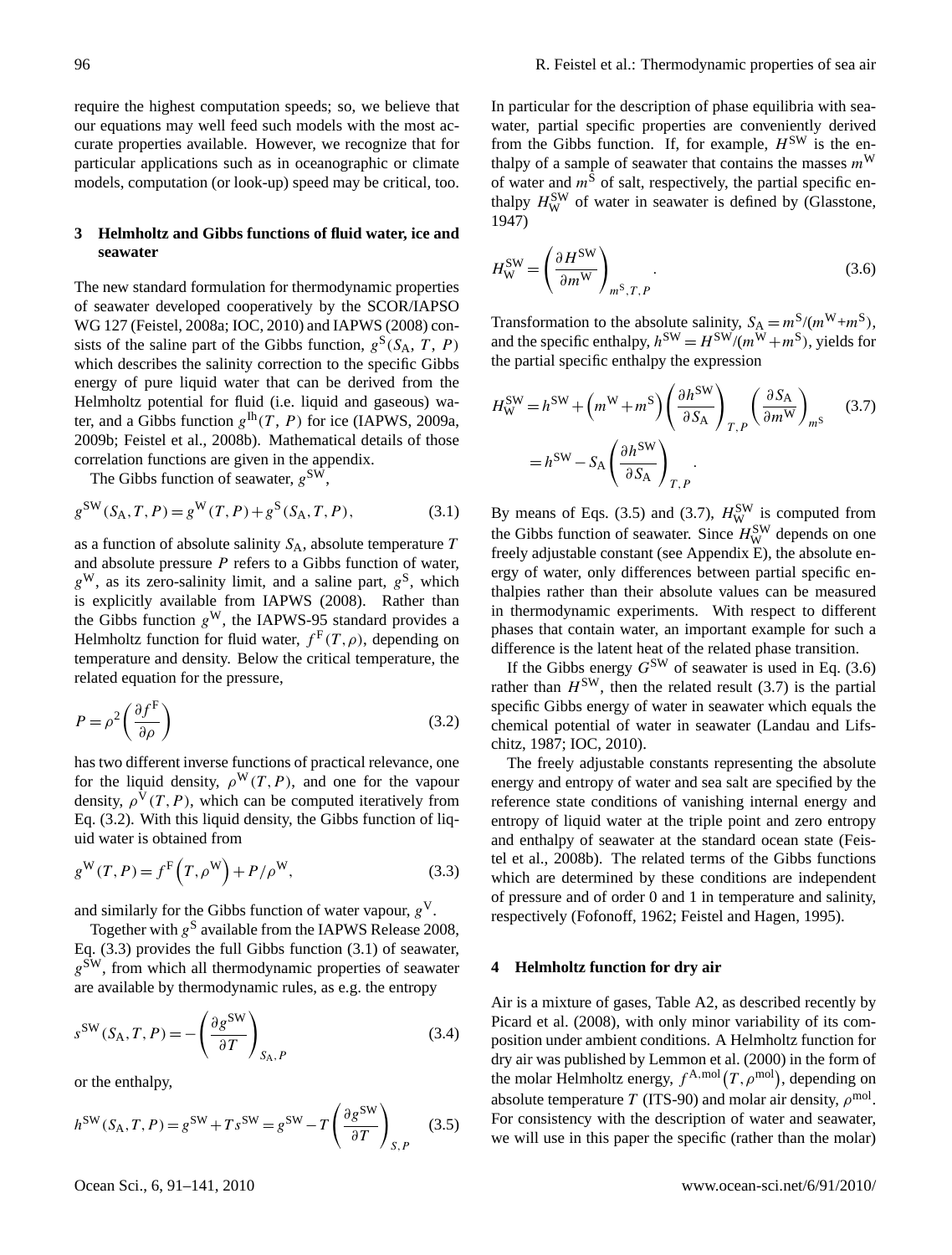require the highest computation speeds; so, we believe that our equations may well feed such models with the most accurate properties available. However, we recognize that for particular applications such as in oceanographic or climate models, computation (or look-up) speed may be critical, too.

# **3 Helmholtz and Gibbs functions of fluid water, ice and seawater**

The new standard formulation for thermodynamic properties of seawater developed cooperatively by the SCOR/IAPSO WG 127 (Feistel, 2008a; IOC, 2010) and IAPWS (2008) consists of the saline part of the Gibbs function,  $g^S(S_A, T, P)$ which describes the salinity correction to the specific Gibbs energy of pure liquid water that can be derived from the Helmholtz potential for fluid (i.e. liquid and gaseous) water, and a Gibbs function  $g^{\text{lh}}(T, P)$  for ice (IAPWS, 2009a, 2009b; Feistel et al., 2008b). Mathematical details of those correlation functions are given in the appendix.

The Gibbs function of seawater,  $g^{\text{SW}}$ ,

$$
g^{\text{SW}}(S_{\text{A}}, T, P) = g^{\text{W}}(T, P) + g^{\text{S}}(S_{\text{A}}, T, P), \tag{3.1}
$$

as a function of absolute salinity  $S_A$ , absolute temperature T and absolute pressure  $P$  refers to a Gibbs function of water,  $g^W$ , as its zero-salinity limit, and a saline part,  $g^S$ , which is explicitly available from IAPWS (2008). Rather than the Gibbs function  $g^W$ , the IAPWS-95 standard provides a Helmholtz function for fluid water,  $f^{\text{F}}(T,\rho)$ , depending on temperature and density. Below the critical temperature, the related equation for the pressure,

$$
P = \rho^2 \left(\frac{\partial f^{\text{F}}}{\partial \rho}\right) \tag{3.2}
$$

has two different inverse functions of practical relevance, one for the liquid density,  $\rho^{W}(T, P)$ , and one for the vapour density,  $\rho^V(T, P)$ , which can be computed iteratively from Eq. (3.2). With this liquid density, the Gibbs function of liquid water is obtained from

$$
g^{\mathbf{W}}(T,P) = f^{\mathbf{F}}(T,\rho^{\mathbf{W}}) + P/\rho^{\mathbf{W}},
$$
\n(3.3)

and similarly for the Gibbs function of water vapour,  $g<sup>V</sup>$ .

Together with  $g^{\rm S}$  available from the IAPWS Release 2008, Eq. (3.3) provides the full Gibbs function (3.1) of seawater,  $g^{\text{SW}}$ , from which all thermodynamic properties of seawater are available by thermodynamic rules, as e.g. the entropy

$$
s^{\text{SW}}(S_{\text{A}}, T, P) = -\left(\frac{\partial g^{\text{SW}}}{\partial T}\right)_{S_{\text{A}}, P} \tag{3.4}
$$

or the enthalpy,

$$
h^{\text{SW}}(S_{\text{A}}, T, P) = g^{\text{SW}} + T s^{\text{SW}} = g^{\text{SW}} - T \left( \frac{\partial g^{\text{SW}}}{\partial T} \right)_{S, P} \tag{3.5}
$$

In particular for the description of phase equilibria with seawater, partial specific properties are conveniently derived from the Gibbs function. If, for example,  $H^{\text{SW}}$  is the enthalpy of a sample of seawater that contains the masses  $m^W$ of water and  $m<sup>S</sup>$  of salt, respectively, the partial specific enthalpy  $H_{\text{W}}^{\text{SW}}$  of water in seawater is defined by (Glasstone, 1947)

$$
H_{\rm W}^{\rm SW} = \left(\frac{\partial H^{\rm SW}}{\partial m^{\rm W}}\right)_{m^{\rm S}, T, P}.
$$
\n(3.6)

Transformation to the absolute salinity,  $S_A = m^S/(m^W + m^S)$ , and the specific enthalpy,  $h^{\text{SW}} = H^{\text{SW}}/(m^{\text{W}} + m^{\text{S}})$ , yields for the partial specific enthalpy the expression

$$
H_{\rm W}^{\rm SW} = h^{\rm SW} + \left(m^{\rm W} + m^{\rm S}\right) \left(\frac{\partial h^{\rm SW}}{\partial S_{\rm A}}\right)_{T,P} \left(\frac{\partial S_{\rm A}}{\partial m^{\rm W}}\right)_{m^{\rm S}} \quad (3.7)
$$

$$
= h^{\rm SW} - S_{\rm A} \left(\frac{\partial h^{\rm SW}}{\partial S_{\rm A}}\right)_{T,P}.
$$

By means of Eqs. (3.5) and (3.7),  $H_{\text{W}}^{\text{SW}}$  is computed from the Gibbs function of seawater. Since  $H<sub>W</sub><sup>SW</sup>$  depends on one freely adjustable constant (see Appendix E), the absolute energy of water, only differences between partial specific enthalpies rather than their absolute values can be measured in thermodynamic experiments. With respect to different phases that contain water, an important example for such a difference is the latent heat of the related phase transition.

If the Gibbs energy  $G^{\text{SW}}$  of seawater is used in Eq. (3.6) rather than  $H^{\text{SW}}$ , then the related result (3.7) is the partial specific Gibbs energy of water in seawater which equals the chemical potential of water in seawater (Landau and Lifschitz, 1987; IOC, 2010).

The freely adjustable constants representing the absolute energy and entropy of water and sea salt are specified by the reference state conditions of vanishing internal energy and entropy of liquid water at the triple point and zero entropy and enthalpy of seawater at the standard ocean state (Feistel et al., 2008b). The related terms of the Gibbs functions which are determined by these conditions are independent of pressure and of order 0 and 1 in temperature and salinity, respectively (Fofonoff, 1962; Feistel and Hagen, 1995).

## **4 Helmholtz function for dry air**

Air is a mixture of gases, Table A2, as described recently by Picard et al. (2008), with only minor variability of its composition under ambient conditions. A Helmholtz function for dry air was published by Lemmon et al. (2000) in the form of the molar Helmholtz energy,  $f^{A, mol}(T, \rho^{mol})$ , depending on absolute temperature T (ITS-90) and molar air density,  $\rho^{\text{mol}}$ . For consistency with the description of water and seawater, we will use in this paper the specific (rather than the molar)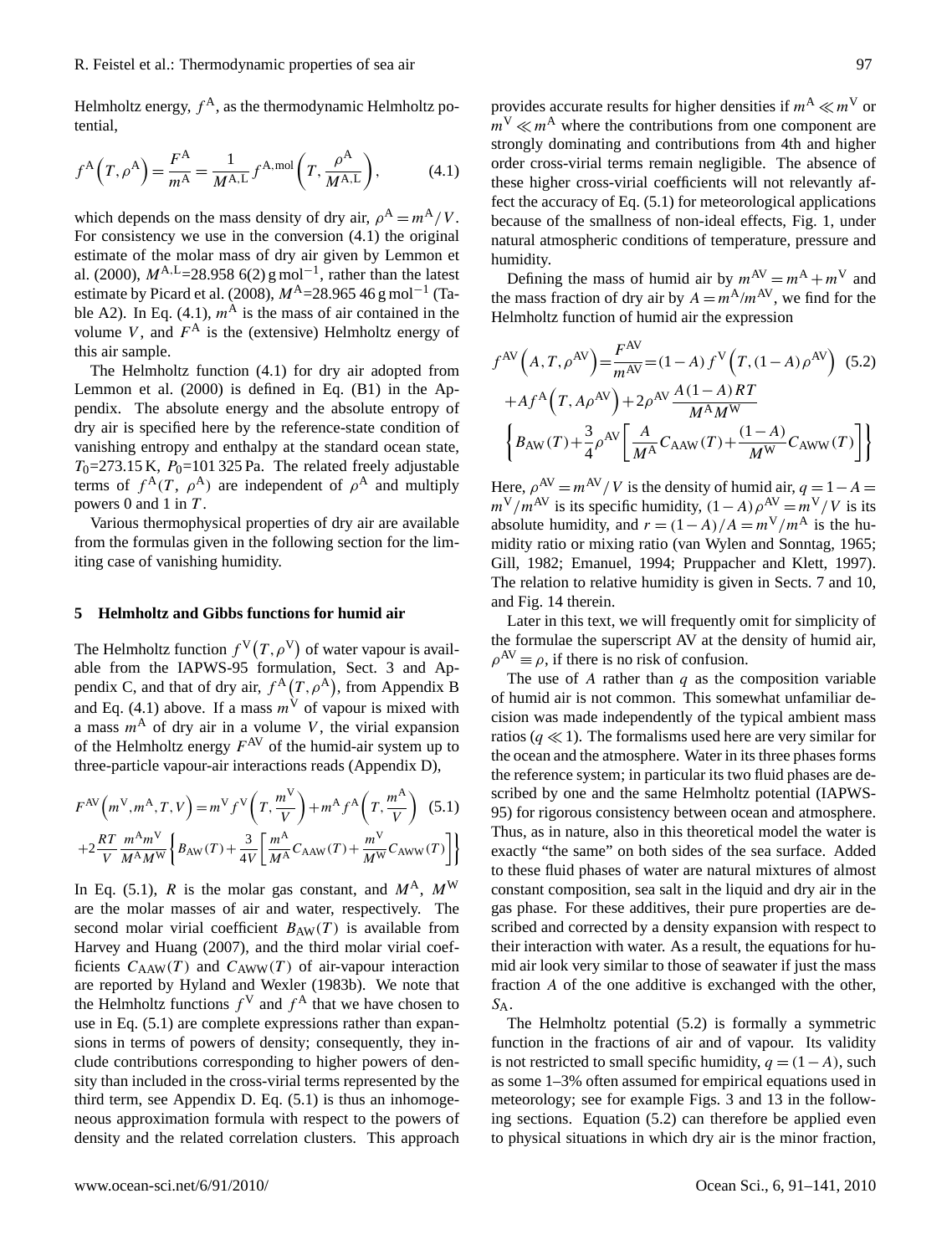Helmholtz energy,  $f^A$ , as the thermodynamic Helmholtz potential,

$$
f^{\mathcal{A}}\left(T,\rho^{\mathcal{A}}\right) = \frac{F^{\mathcal{A}}}{m^{\mathcal{A}}} = \frac{1}{M^{\mathcal{A},\mathcal{L}}} f^{\mathcal{A},\text{mol}}\left(T,\frac{\rho^{\mathcal{A}}}{M^{\mathcal{A},\mathcal{L}}}\right),\tag{4.1}
$$

which depends on the mass density of dry air,  $\rho^{A} = m^{A}/V$ . For consistency we use in the conversion (4.1) the original estimate of the molar mass of dry air given by Lemmon et al. (2000),  $M^{A,L}$ =28.958 6(2) g mol<sup>-1</sup>, rather than the latest estimate by Picard et al. (2008),  $M^{A}$ =28.965 46 g mol<sup>-1</sup> (Table A2). In Eq. (4.1),  $m<sup>A</sup>$  is the mass of air contained in the volume V, and  $F^A$  is the (extensive) Helmholtz energy of this air sample.

The Helmholtz function (4.1) for dry air adopted from Lemmon et al. (2000) is defined in Eq. (B1) in the Appendix. The absolute energy and the absolute entropy of dry air is specified here by the reference-state condition of vanishing entropy and enthalpy at the standard ocean state,  $T_0$ =273.15 K,  $P_0$ =101 325 Pa. The related freely adjustable terms of  $f^{\mathcal{A}}(T, \rho^{\mathcal{A}})$  are independent of  $\rho^{\mathcal{A}}$  and multiply powers 0 and 1 in  $T$ .

Various thermophysical properties of dry air are available from the formulas given in the following section for the limiting case of vanishing humidity.

## **5 Helmholtz and Gibbs functions for humid air**

The Helmholtz function  $f^V(T, \rho^V)$  of water vapour is available from the IAPWS-95 formulation, Sect. 3 and Appendix C, and that of dry air,  $f^{A}(T, \rho^{A})$ , from Appendix B and Eq. (4.1) above. If a mass  $m<sup>\gamma</sup>$  of vapour is mixed with a mass  $m<sup>A</sup>$  of dry air in a volume V, the virial expansion of the Helmholtz energy  $F^{AV}$  of the humid-air system up to three-particle vapour-air interactions reads (Appendix D),

$$
F^{\text{AV}}\left(m^{\text{V}}, m^{\text{A}}, T, V\right) = m^{\text{V}} f^{\text{V}}\left(T, \frac{m^{\text{V}}}{V}\right) + m^{\text{A}} f^{\text{A}}\left(T, \frac{m^{\text{A}}}{V}\right) \tag{5.1}
$$

$$
+ 2\frac{RT}{V} \frac{m^{\text{A}} m^{\text{V}}}{M^{\text{A}} M^{\text{W}}} \left\{B_{\text{AW}}(T) + \frac{3}{4V} \left[\frac{m^{\text{A}}}{M^{\text{A}}} C_{\text{AAW}}(T) + \frac{m^{\text{V}}}{M^{\text{W}}} C_{\text{AWW}}(T)\right]\right\}
$$

In Eq. (5.1), R is the molar gas constant, and  $M^A$ ,  $M^W$ are the molar masses of air and water, respectively. The second molar virial coefficient  $B_{AW}(T)$  is available from Harvey and Huang (2007), and the third molar virial coefficients  $C_{AAW}(T)$  and  $C_{AWW}(T)$  of air-vapour interaction are reported by Hyland and Wexler (1983b). We note that the Helmholtz functions  $f^V$  and  $f^A$  that we have chosen to use in Eq. (5.1) are complete expressions rather than expansions in terms of powers of density; consequently, they include contributions corresponding to higher powers of density than included in the cross-virial terms represented by the third term, see Appendix D. Eq. (5.1) is thus an inhomogeneous approximation formula with respect to the powers of density and the related correlation clusters. This approach

provides accurate results for higher densities if  $m^A \ll m^V$  or  $m^V \ll m^A$  where the contributions from one component are strongly dominating and contributions from 4th and higher order cross-virial terms remain negligible. The absence of these higher cross-virial coefficients will not relevantly affect the accuracy of Eq. (5.1) for meteorological applications because of the smallness of non-ideal effects, Fig. 1, under natural atmospheric conditions of temperature, pressure and humidity.

Defining the mass of humid air by  $m^{AV} = m^A + m^V$  and the mass fraction of dry air by  $A = m^{A}/m^{AV}$ , we find for the Helmholtz function of humid air the expression

$$
f^{AV}(A, T, \rho^{AV}) = \frac{F^{AV}}{m^{AV}} = (1 - A) f^{V}(T, (1 - A)\rho^{AV})
$$
 (5.2)  
+
$$
A f^{A}(T, A\rho^{AV}) + 2\rho^{AV} \frac{A(1 - A)RT}{M^{A}M^{W}}
$$

$$
\left\{ B_{AW}(T) + \frac{3}{4}\rho^{AV} \left[ \frac{A}{M^{A}} C_{AAW}(T) + \frac{(1 - A)}{M^{W}} C_{AWW}(T) \right] \right\}
$$

Here,  $\rho^{AV} = m^{AV}/V$  is the density of humid air,  $q = 1 - A =$  $m^V/m^{AV}$  is its specific humidity,  $(1-A)\rho^{AV} = m^V/V$  is its absolute humidity, and  $r = (1 - A)/A = m<sup>V</sup>/m<sup>A</sup>$  is the humidity ratio or mixing ratio (van Wylen and Sonntag, 1965; Gill, 1982; Emanuel, 1994; Pruppacher and Klett, 1997). The relation to relative humidity is given in Sects. 7 and 10, and Fig. 14 therein.

Later in this text, we will frequently omit for simplicity of the formulae the superscript AV at the density of humid air,  $\rho^{\text{AV}} \equiv \rho$ , if there is no risk of confusion.

The use of A rather than  $q$  as the composition variable of humid air is not common. This somewhat unfamiliar decision was made independently of the typical ambient mass ratios ( $q \ll 1$ ). The formalisms used here are very similar for the ocean and the atmosphere. Water in its three phases forms the reference system; in particular its two fluid phases are described by one and the same Helmholtz potential (IAPWS-95) for rigorous consistency between ocean and atmosphere. Thus, as in nature, also in this theoretical model the water is exactly "the same" on both sides of the sea surface. Added to these fluid phases of water are natural mixtures of almost constant composition, sea salt in the liquid and dry air in the gas phase. For these additives, their pure properties are described and corrected by a density expansion with respect to their interaction with water. As a result, the equations for humid air look very similar to those of seawater if just the mass fraction A of the one additive is exchanged with the other, SA.

The Helmholtz potential (5.2) is formally a symmetric function in the fractions of air and of vapour. Its validity is not restricted to small specific humidity,  $q = (1 - A)$ , such as some 1–3% often assumed for empirical equations used in meteorology; see for example Figs. 3 and 13 in the following sections. Equation (5.2) can therefore be applied even to physical situations in which dry air is the minor fraction,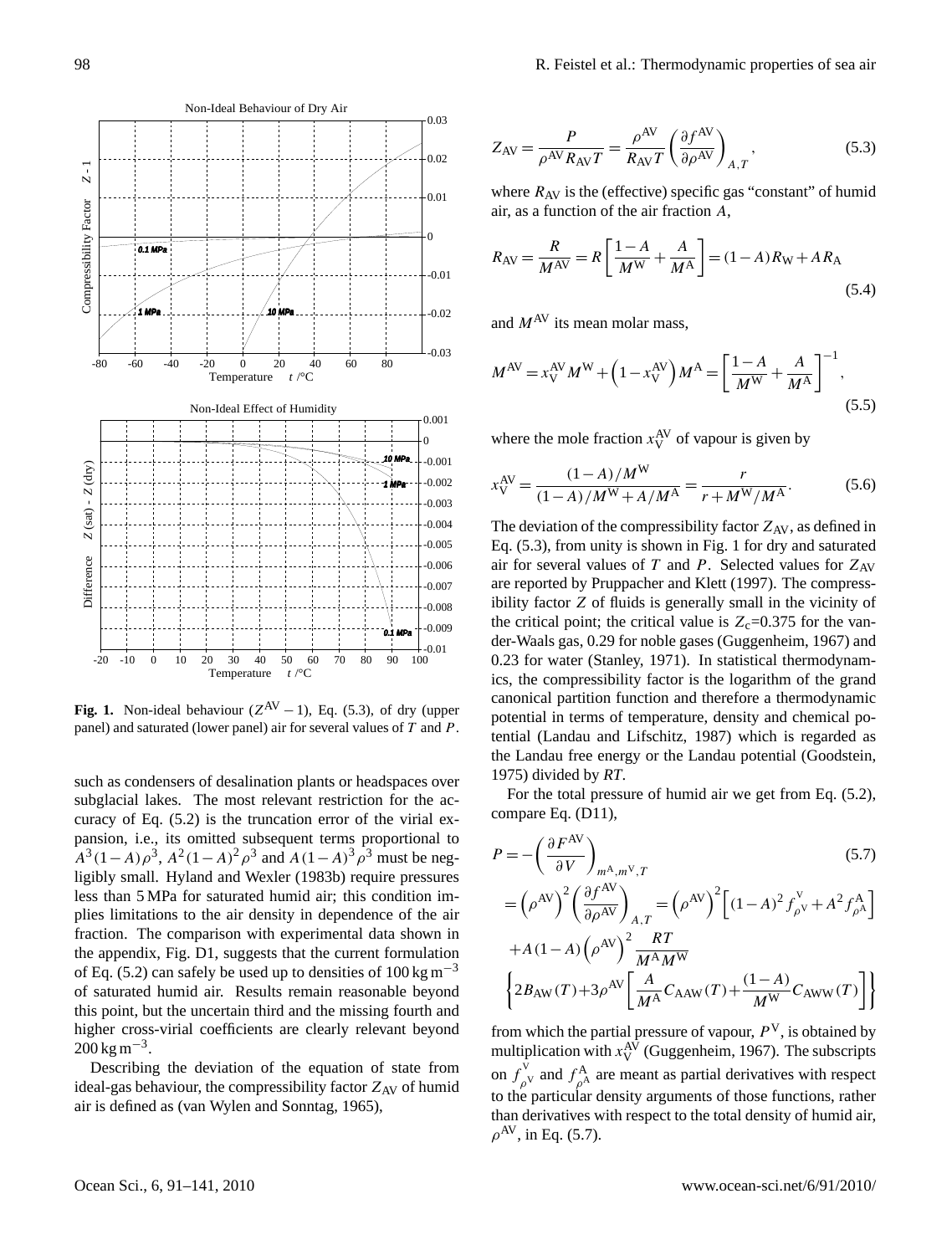

**Fig. 1.** Non-ideal behaviour  $(Z^{AV} - 1)$ , Eq. (5.3), of dry (upper panel) and saturated (lower panel) air for several values of T and P.

such as condensers of desalination plants or headspaces over subglacial lakes. The most relevant restriction for the accuracy of Eq.  $(5.2)$  is the truncation error of the virial expansion, i.e., its omitted subsequent terms proportional to  $A^3(1-A)\rho^3$ ,  $A^2(1-A)^2\rho^3$  and  $A(1-A)^3\rho^3$  must be neg $tan 5 MPa$  for saturated hu ligibly small. Hyland and Wexler (1983b) require pressures hydrogen pressures less than 5 MPa for saturated humid air; this condition imfraction. The comparison with experimental data shown in *m The comparison with experiments on the comparison with experiments.* of Eq. (5.2) can safely be used up to densities of  $100 \text{ kg m}^{-3}$ of saturated humid air. Results remain reasonable beyond the appendix, Fig. D1, suggests that the current formulation plies limitations to the air density in dependence of the air this point, but the uncertain third and the missing fourth and higher cross-virial coefficients are clearly relevant beyond  $200 \text{ kg m}^{-3}$ .

Describing the deviation of the equation of state from ideal-gas behaviour, the compressibility factor  $Z_{AV}$  of humid air is defined as (van Wylen and Sonntag, 1965),

$$
Z_{\rm AV} = \frac{P}{\rho^{\rm AV} R_{\rm AV} T} = \frac{\rho^{\rm AV}}{R_{\rm AV} T} \left(\frac{\partial f^{\rm AV}}{\partial \rho^{\rm AV}}\right)_{A,T},\tag{5.3}
$$

where  $R_{AV}$  is the (effective) specific gas "constant" of humid air, as a function of the air fraction A,

$$
R_{AV} = \frac{R}{M^{AV}} = R \left[ \frac{1 - A}{M^{W}} + \frac{A}{M^{A}} \right] = (1 - A)R_{W} + AR_{A}
$$
\n(5.4)

and  $M^{\text{AV}}$  its mean molar mass.

$$
M^{\rm AV} = x_{\rm V}^{\rm AV} M^{\rm W} + \left(1 - x_{\rm V}^{\rm AV}\right) M^{\rm A} = \left[\frac{1 - A}{M^{\rm W}} + \frac{A}{M^{\rm A}}\right]^{-1},\tag{5.5}
$$

where the mole fraction  $x_V^{\text{AV}}$  of vapour is given by

$$
x_{\rm V}^{\rm AV} = \frac{(1-A)/M^{\rm W}}{(1-A)/M^{\rm W} + A/M^{\rm A}} = \frac{r}{r + M^{\rm W}/M^{\rm A}}.\tag{5.6}
$$

The deviation of the compressibility factor  $Z_{AV}$ , as defined in Eq. (5.3), from unity is shown in Fig. 1 for dry and saturated air for several values of T and P. Selected values for  $Z_{AV}$ are reported by Pruppacher and Klett (1997). The compressibility factor Z of fluids is generally small in the vicinity of the critical point; the critical value is  $Z_c=0.375$  for the vander-Waals gas, 0.29 for noble gases (Guggenheim, 1967) and 0.23 for water (Stanley, 1971). In statistical thermodynamics, the compressibility factor is the logarithm of the grand canonical partition function and therefore a thermodynamic potential in terms of temperature, density and chemical potential (Landau and Lifschitz, 1987) which is regarded as the Landau free energy or the Landau potential (Goodstein, 1975) divided by *RT*.

For the total pressure of humid air we get from Eq. (5.2), compare Eq. (D11),

$$
P = -\left(\frac{\partial F^{AV}}{\partial V}\right)_{m^{\mathcal{A}}, m^{\mathcal{V}}, T}
$$
(5.7)  

$$
= \left(\rho^{AV}\right)^{2} \left(\frac{\partial f^{AV}}{\partial \rho^{AV}}\right)_{A, T} = \left(\rho^{AV}\right)^{2} \left[(1 - A)^{2} f_{\rho^{\mathcal{V}}}^{\mathcal{V}} + A^{2} f_{\rho^{\mathcal{A}}}^{\mathcal{A}}\right]
$$

$$
+ A(1 - A) \left(\rho^{AV}\right)^{2} \frac{RT}{M^{\mathcal{A}} M^{\mathcal{W}}}
$$

$$
\left\{2B_{AW}(T) + 3\rho^{AV} \left[\frac{A}{M^{\mathcal{A}}} C_{AAW}(T) + \frac{(1 - A)}{M^{\mathcal{W}}} C_{AWW}(T)\right]\right\}
$$

from which the partial pressure of vapour,  $P<sup>V</sup>$ , is obtained by multiplication with  $x_{\rm V}^{\rm AV}$  (Guggenheim, 1967). The subscripts on  $f_{\alpha}^{\vee}$  $\int_{\rho^V}^{\rho^V}$  and  $f_{\rho^A}^{\mathbf{A}}$  $\int_{\rho^A}^A$  are meant as partial derivatives with respect to the particular density arguments of those functions, rather than derivatives with respect to the total density of humid air,  $\rho^{\rm AV}$ , in Eq. (5.7).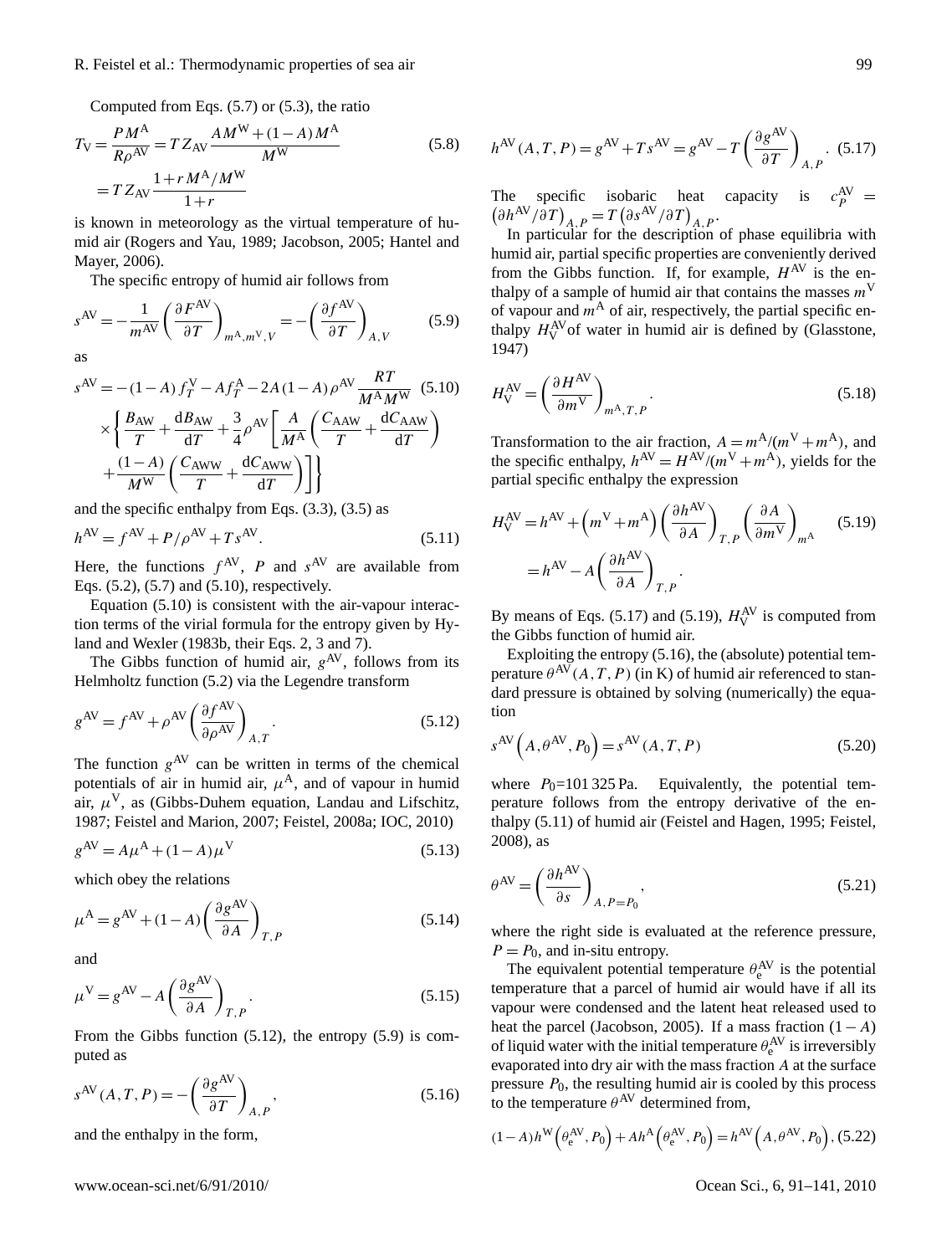# R. Feistel et al.: Thermodynamic properties of sea air 99

Computed from Eqs. (5.7) or (5.3), the ratio

$$
T_{\rm V} = \frac{PM^{\rm A}}{R\rho^{\rm AV}} = T Z_{\rm AV} \frac{AM^{\rm W} + (1 - A)M^{\rm A}}{M^{\rm W}}
$$
  
= 
$$
T Z_{\rm AV} \frac{1 + rM^{\rm A}/M^{\rm W}}{1 + r}
$$
 (5.8)

is known in meteorology as the virtual temperature of humid air (Rogers and Yau, 1989; Jacobson, 2005; Hantel and Mayer, 2006).

The specific entropy of humid air follows from

$$
s^{\text{AV}} = -\frac{1}{m^{\text{AV}}} \left( \frac{\partial F^{\text{AV}}}{\partial T} \right)_{m^{\text{A}}, m^{\text{V}}, V} = -\left( \frac{\partial f^{\text{AV}}}{\partial T} \right)_{A, V} \tag{5.9}
$$

as

$$
s^{AV} = -(1 - A) f_T^V - Af_T^A - 2A (1 - A) \rho^{AV} \frac{RT}{M^A M^W} \quad (5.10)
$$
  
 
$$
\times \left\{ \frac{B_{AW}}{T} + \frac{dB_{AW}}{dT} + \frac{3}{4} \rho^{AV} \left[ \frac{A}{M^A} \left( \frac{C_{AAW}}{T} + \frac{dC_{AAW}}{dT} \right) + \frac{(1 - A)}{M^W} \left( \frac{C_{AWW}}{T} + \frac{dC_{AWW}}{dT} \right) \right] \right\}
$$

and the specific enthalpy from Eqs. (3.3), (3.5) as

$$
h^{\text{AV}} = f^{\text{AV}} + P/\rho^{\text{AV}} + Ts^{\text{AV}}.
$$
 (5.11)

Here, the functions  $f^{AV}$ , P and  $s^{AV}$  are available from Eqs. (5.2), (5.7) and (5.10), respectively.

Equation (5.10) is consistent with the air-vapour interaction terms of the virial formula for the entropy given by Hyland and Wexler (1983b, their Eqs. 2, 3 and 7).

The Gibbs function of humid air,  $g^{AV}$ , follows from its Helmholtz function (5.2) via the Legendre transform

$$
g^{\text{AV}} = f^{\text{AV}} + \rho^{\text{AV}} \left( \frac{\partial f^{\text{AV}}}{\partial \rho^{\text{AV}}} \right)_{A,T}.
$$
 (5.12)

The function  $g^{AV}$  can be written in terms of the chemical potentials of air in humid air,  $\mu^{A}$ , and of vapour in humid air,  $\mu^{V}$ , as (Gibbs-Duhem equation, Landau and Lifschitz, 1987; Feistel and Marion, 2007; Feistel, 2008a; IOC, 2010)

$$
g^{\rm AV} = A\mu^{\rm A} + (1 - A)\mu^{\rm V} \tag{5.13}
$$

which obey the relations

$$
\mu^{\mathbf{A}} = g^{\mathbf{A}\mathbf{V}} + (1 - A) \left(\frac{\partial g^{\mathbf{A}\mathbf{V}}}{\partial A}\right)_{T,P}
$$
(5.14)

and

$$
\mu^{\text{V}} = g^{\text{AV}} - A \left( \frac{\partial g^{\text{AV}}}{\partial A} \right)_{T, P}.
$$
\n(5.15)

From the Gibbs function (5.12), the entropy (5.9) is computed as

$$
s^{\text{AV}}(A, T, P) = -\left(\frac{\partial g^{\text{AV}}}{\partial T}\right)_{A, P},\tag{5.16}
$$

and the enthalpy in the form,

$$
h^{\text{AV}}(A, T, P) = g^{\text{AV}} + Ts^{\text{AV}} = g^{\text{AV}} - T \left( \frac{\partial g^{\text{AV}}}{\partial T} \right)_{A, P}. (5.17)
$$

The specific isobaric heat capacity is  $c_P^{AV} = (\partial h^{AV}/\partial T)_{A_P} = T (\partial s^{AV}/\partial T)_{A_P}$ .  $\partial h^{\rm AV}/\partial T$ <sub>*A,P*</sub> =  $T(\partial s^{\rm AV}/\partial T)$ <sub>*A,P*</sub>.

In particular for the description of phase equilibria with humid air, partial specific properties are conveniently derived from the Gibbs function. If, for example,  $H^{AV}$  is the enthalpy of a sample of humid air that contains the masses  $m<sup>V</sup>$ of vapour and  $m<sup>A</sup>$  of air, respectively, the partial specific enthalpy  $H_V^{\text{AV}}$  of water in humid air is defined by (Glasstone, 1947)

$$
H_V^{\text{AV}} = \left(\frac{\partial H^{\text{AV}}}{\partial m^{\text{V}}}\right)_{m^{\text{A}}, T, P}.
$$
\n(5.18)

Transformation to the air fraction,  $A = m^A/(m^V + m^A)$ , and the specific enthalpy,  $h^{AV} = H^{AV}/(m^V + m^A)$ , yields for the partial specific enthalpy the expression

$$
H_V^{\text{AV}} = h^{\text{AV}} + \left( m^{\text{V}} + m^{\text{A}} \right) \left( \frac{\partial h^{\text{AV}}}{\partial A} \right)_{T,P} \left( \frac{\partial A}{\partial m^{\text{V}}} \right)_{m^{\text{A}}} \tag{5.19}
$$

$$
= h^{\text{AV}} - A \left( \frac{\partial h^{\text{AV}}}{\partial A} \right)_{T,P}.
$$

By means of Eqs. (5.17) and (5.19),  $H_V^{AV}$  is computed from the Gibbs function of humid air.

Exploiting the entropy (5.16), the (absolute) potential temperature  $\theta^{AV}(A, T, P)$  (in K) of humid air referenced to standard pressure is obtained by solving (numerically) the equation

$$
s^{\text{AV}}\left(A,\theta^{\text{AV}},P_0\right) = s^{\text{AV}}(A,T,P) \tag{5.20}
$$

where  $P_0$ =101 325 Pa. Equivalently, the potential temperature follows from the entropy derivative of the enthalpy (5.11) of humid air (Feistel and Hagen, 1995; Feistel, 2008), as

$$
\theta^{\text{AV}} = \left(\frac{\partial h^{\text{AV}}}{\partial s}\right)_{A, P = P_0},\tag{5.21}
$$

where the right side is evaluated at the reference pressure,  $P = P_0$ , and in-situ entropy.

The equivalent potential temperature  $\theta_e^{AV}$  is the potential temperature that a parcel of humid air would have if all its vapour were condensed and the latent heat released used to heat the parcel (Jacobson, 2005). If a mass fraction  $(1-A)$ of liquid water with the initial temperature  $\theta_e^{AV}$  is irreversibly evaporated into dry air with the mass fraction A at the surface pressure  $P_0$ , the resulting humid air is cooled by this process to the temperature  $\theta^{AV}$  determined from,

$$
(1-A)h^{\mathbf{W}}\left(\theta_e^{\mathbf{AV}}, P_0\right) + Ah^{\mathbf{A}}\left(\theta_e^{\mathbf{AV}}, P_0\right) = h^{\mathbf{AV}}\left(A, \theta^{\mathbf{AV}}, P_0\right), (5.22)
$$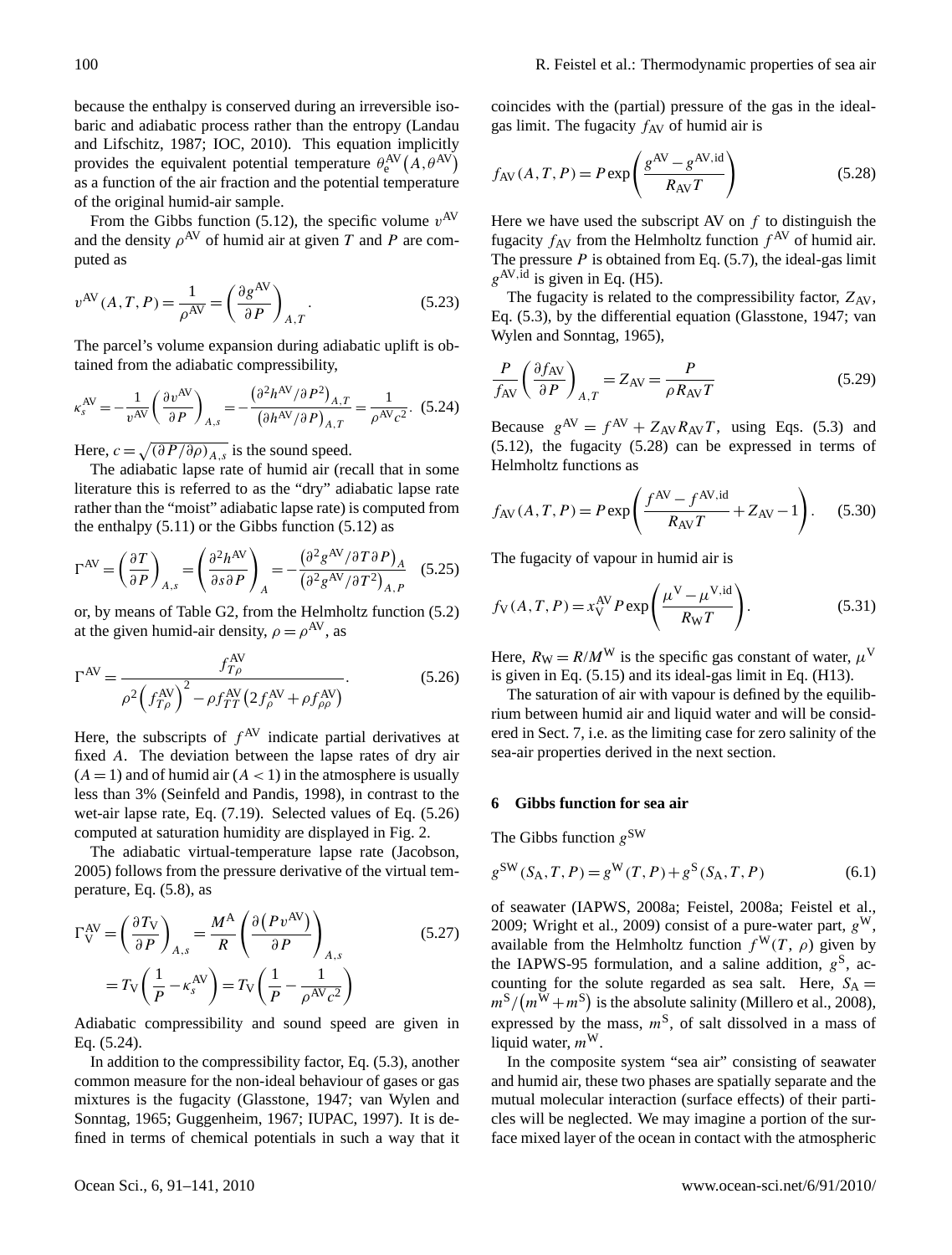because the enthalpy is conserved during an irreversible isobaric and adiabatic process rather than the entropy (Landau and Lifschitz, 1987; IOC, 2010). This equation implicitly provides the equivalent potential temperature  $\theta_e^{AV}(A, \theta^{AV})$ as a function of the air fraction and the potential temperature of the original humid-air sample.

From the Gibbs function (5.12), the specific volume  $v^{AV}$ and the density  $\rho^{AV}$  of humid air at given T and P are computed as

$$
v^{\text{AV}}(A, T, P) = \frac{1}{\rho^{\text{AV}}} = \left(\frac{\partial g^{\text{AV}}}{\partial P}\right)_{A, T}.
$$
 (5.23)

The parcel's volume expansion during adiabatic uplift is obtained from the adiabatic compressibility,

$$
\kappa_s^{\text{AV}} = -\frac{1}{v^{\text{AV}}} \left( \frac{\partial v^{\text{AV}}}{\partial P} \right)_{A,s} = -\frac{\left( \partial^2 h^{\text{AV}} / \partial P^2 \right)_{A,T}}{\left( \partial h^{\text{AV}} / \partial P \right)_{A,T}} = \frac{1}{\rho^{\text{AV}} c^2}.
$$
 (5.24)

Here,  $c = \sqrt{\left(\frac{\partial P}{\partial \rho}\right)_{A,s}}$  is the sound speed.

The adiabatic lapse rate of humid air (recall that in some literature this is referred to as the "dry" adiabatic lapse rate rather than the "moist" adiabatic lapse rate) is computed from the enthalpy  $(5.11)$  or the Gibbs function  $(5.12)$  as

$$
\Gamma^{\rm AV} = \left(\frac{\partial T}{\partial P}\right)_{A,s} = \left(\frac{\partial^2 h^{\rm AV}}{\partial s \partial P}\right)_A = -\frac{\left(\partial^2 g^{\rm AV}/\partial T \partial P\right)_A}{\left(\partial^2 g^{\rm AV}/\partial T^2\right)_{A,P}} \quad (5.25)
$$

or, by means of Table G2, from the Helmholtz function (5.2) at the given humid-air density,  $\rho = \rho^{AV}$ , as

AV

$$
\Gamma^{\rm AV} = \frac{f_{T\rho}^{\rm AV}}{\rho^2 \left(f_{T\rho}^{\rm AV}\right)^2 - \rho f_{TT}^{\rm AV} \left(2 f_{\rho}^{\rm AV} + \rho f_{\rho\rho}^{\rm AV}\right)}.\tag{5.26}
$$

Here, the subscripts of  $f^{AV}$  indicate partial derivatives at fixed A. The deviation between the lapse rates of dry air  $(A = 1)$  and of humid air  $(A < 1)$  in the atmosphere is usually less than 3% (Seinfeld and Pandis, 1998), in contrast to the wet-air lapse rate, Eq. (7.19). Selected values of Eq. (5.26) computed at saturation humidity are displayed in Fig. 2.

The adiabatic virtual-temperature lapse rate (Jacobson, 2005) follows from the pressure derivative of the virtual temperature, Eq. (5.8), as

$$
\Gamma_{\rm V}^{\rm AV} = \left(\frac{\partial T_{\rm V}}{\partial P}\right)_{A,s} = \frac{M^{\rm A}}{R} \left(\frac{\partial (P v^{\rm AV})}{\partial P}\right)_{A,s}
$$
(5.27)  
=  $T_{\rm V} \left(\frac{1}{P} - \kappa_s^{\rm AV}\right) = T_{\rm V} \left(\frac{1}{P} - \frac{1}{\rho^{\rm AV} c^2}\right)$ 

Adiabatic compressibility and sound speed are given in Eq. (5.24).

In addition to the compressibility factor, Eq. (5.3), another common measure for the non-ideal behaviour of gases or gas mixtures is the fugacity (Glasstone, 1947; van Wylen and Sonntag, 1965; Guggenheim, 1967; IUPAC, 1997). It is defined in terms of chemical potentials in such a way that it coincides with the (partial) pressure of the gas in the idealgas limit. The fugacity  $f_{AV}$  of humid air is

$$
f_{AV}(A, T, P) = P \exp\left(\frac{g^{AV} - g^{AV,id}}{R_{AV}T}\right)
$$
 (5.28)

Here we have used the subscript AV on  $f$  to distinguish the fugacity  $f_{AV}$  from the Helmholtz function  $f^{AV}$  of humid air. The pressure  $P$  is obtained from Eq. (5.7), the ideal-gas limit  $g^{\text{AV},\text{id}}$  is given in Eq. (H5).

The fugacity is related to the compressibility factor,  $Z_{AV}$ , Eq. (5.3), by the differential equation (Glasstone, 1947; van Wylen and Sonntag, 1965),

$$
\frac{P}{f_{AV}} \left( \frac{\partial f_{AV}}{\partial P} \right)_{A,T} = Z_{AV} = \frac{P}{\rho R_{AV} T}
$$
\n(5.29)

Because  $g^{AV} = f^{AV} + Z_{AV}R_{AV}T$ , using Eqs. (5.3) and (5.12), the fugacity (5.28) can be expressed in terms of Helmholtz functions as

$$
f_{AV}(A, T, P) = P \exp\left(\frac{f^{AV} - f^{AV, id}}{R_{AV}T} + Z_{AV} - 1\right).
$$
 (5.30)

The fugacity of vapour in humid air is

$$
f_{V}(A, T, P) = x_{V}^{\text{AV}} P \exp\left(\frac{\mu^{V} - \mu^{V, \text{id}}}{R_{W}T}\right).
$$
 (5.31)

Here,  $R_W = R/M^W$  is the specific gas constant of water,  $\mu^V$ is given in Eq. (5.15) and its ideal-gas limit in Eq. (H13).

The saturation of air with vapour is defined by the equilibrium between humid air and liquid water and will be considered in Sect. 7, i.e. as the limiting case for zero salinity of the sea-air properties derived in the next section.

## **6 Gibbs function for sea air**

The Gibbs function  $g^{\text{SW}}$ 

$$
g^{\text{SW}}(S_{\text{A}}, T, P) = g^{\text{W}}(T, P) + g^{\text{S}}(S_{\text{A}}, T, P) \tag{6.1}
$$

of seawater (IAPWS, 2008a; Feistel, 2008a; Feistel et al., 2009; Wright et al., 2009) consist of a pure-water part,  $g^W$ , available from the Helmholtz function  $f^{W}(T, \rho)$  given by the IAPWS-95 formulation, and a saline addition,  $g<sup>S</sup>$ , accounting for the solute regarded as sea salt. Here,  $S_A$  =  $m^S/(m^W+m^S)$  is the absolute salinity (Millero et al., 2008), expressed by the mass,  $m<sup>S</sup>$ , of salt dissolved in a mass of liquid water,  $m^{\text{W}}$ .

In the composite system "sea air" consisting of seawater and humid air, these two phases are spatially separate and the mutual molecular interaction (surface effects) of their particles will be neglected. We may imagine a portion of the surface mixed layer of the ocean in contact with the atmospheric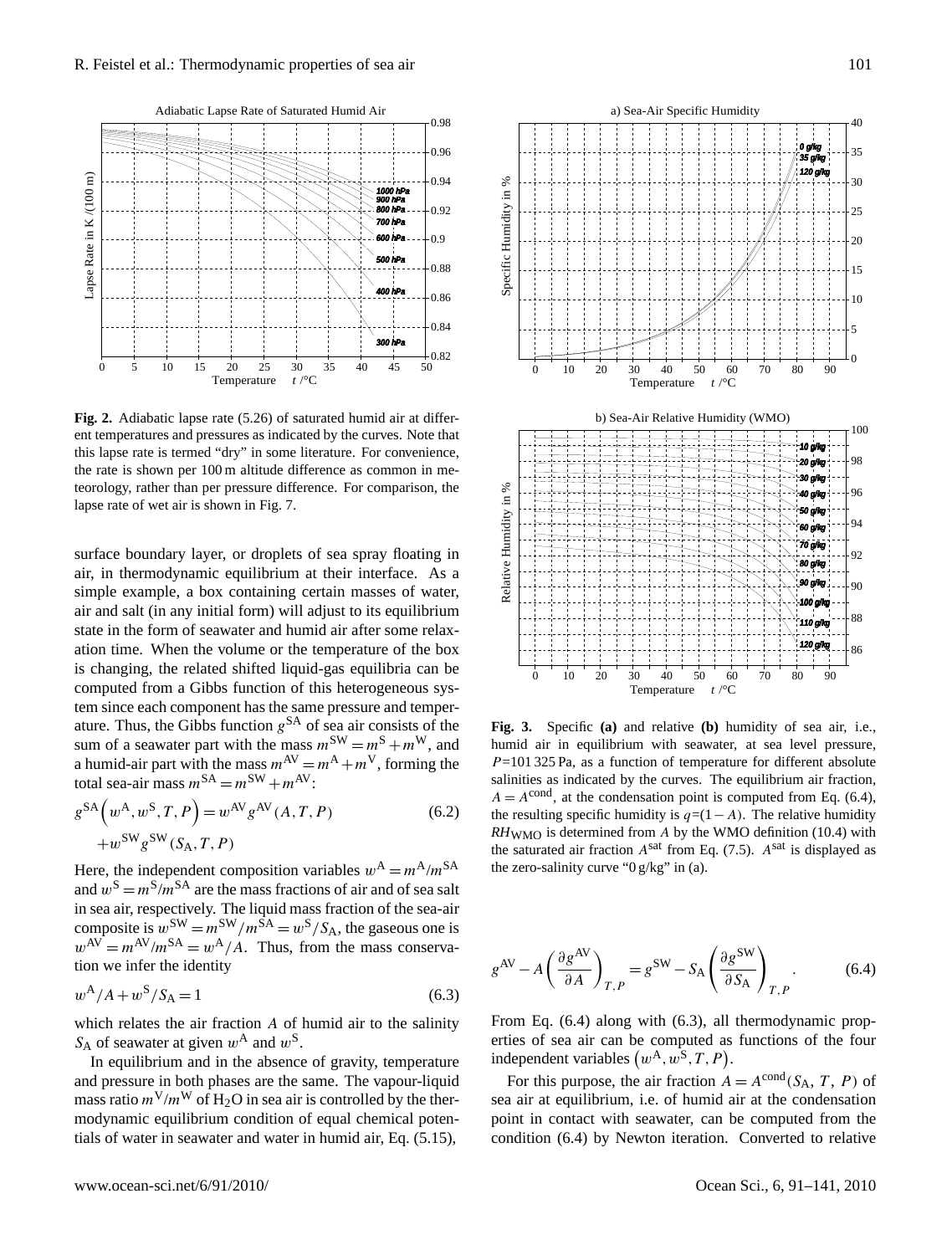

Fig. 2. Adiabatic lapse rate (5.26) of saturated humid air at different temperatures and pressures as indicated by the curves. Note that this lapse rate is termed "dry" in some literature. For convenience, teorology, rather than per pressure difference. For comparison, the lapse rate of wet air is shown in Fig. 7. the rate is shown per 100 m altitude difference as common in me-

 <sup>=</sup> <sup>−</sup> ∂ ∂ v , , v *P c P P R P s <sup>A</sup> <sup>s</sup> <sup>A</sup> <sup>s</sup>* ρ surface boundary layer, or droplets of sea spray floating in air, in thermodynamic equilibrium at their interface. As a simple example, a box containing certain masses of water, air and salt (in any initial form) will adjust to its equilibrium state in the form of seawater and humid air after some relaxation time. When the volume or the temperature of the box Is changing, the related sinited riquid-gas equinoria can be computed from a Gibbs function of this heterogeneous sysis changing, the related shifted liquid-gas equilibria can be tem since each component has the same pressure and temperature. Thus, the Gibbs function  $g<sup>SA</sup>$  of sea air consists of the sum of a seawater part with the mass  $m^{\text{SW}} = m^{\text{S}} + m^{\text{W}}$ , and a humid-air part with the mass  $m^{AV} = m^A + m^V$ , forming the total sea-air mass  $m^{SA} = m^{SW} + m^{AV}$ :

$$
g^{SA}\left(w^{A}, w^{S}, T, P\right) = w^{AV} g^{AV}(A, T, P)
$$
  
+
$$
w^{SW} g^{SW}(S_{A}, T, P)
$$
 (6.2)

Here, the independent composition variables  $w^A = m^A/m^{SA}$ and  $w^S = m^S/m^{SA}$  are the mass fractions of air and of sea salt in sea air, respectively. The liquid mass fraction of the sea-air composite is  $w^{\text{SW}} = m^{\text{SW}}/m^{\text{SA}} = w^{\text{S}}/S_A$ , the gaseous one is  $w^{AV} = m^{AV}/m^{SA} = w^{A}/A$ . Thus, from the mass conservation we infer the identity

$$
w^A/A + w^S/S_A = 1\tag{6.3}
$$

which relates the air fraction A of humid air to the salinity  $S_A$  of seawater at given  $w^A$  and  $w^S$ .

In equilibrium and in the absence of gravity, temperature and pressure in both phases are the same. The vapour-liquid mass ratio  $m^V/m^W$  of H<sub>2</sub>O in sea air is controlled by the thermodynamic equilibrium condition of equal chemical potentials of water in seawater and water in humid air, Eq. (5.15),



**Fig. 3.** Specific **(a)** and relative **(b)** humidity of sea air, i.e., humid air in equilibrium with seawater, at sea level pressure,  $P=101$  325 Pa, as a function of temperature for different absolute salinities as indicated by the curves. The equilibrium air fraction,  $A = A^{\text{cond}}$ , at the condensation point is computed from Eq. (6.4), the resulting specific humidity is  $q=(1-A)$ . The relative humidity  $RH_{WMO}$  is determined from A by the WMO definition (10.4) with the saturated air fraction  $A<sup>sat</sup>$  from Eq. (7.5).  $A<sup>sat</sup>$  is displayed as the zero-salinity curve "0 g/kg" in (a).

$$
g^{\rm AV} - A \left( \frac{\partial g^{\rm AV}}{\partial A} \right)_{T,P} = g^{\rm SW} - S_{\rm A} \left( \frac{\partial g^{\rm SW}}{\partial S_{\rm A}} \right)_{T,P} . \tag{6.4}
$$

From Eq. (6.4) along with (6.3), all thermodynamic properties of sea air can be computed as functions of the four independent variables  $(w^A, w^S, T, P)$ .

For this purpose, the air fraction  $A = A^{\text{cond}}(S_A, T, P)$  of sea air at equilibrium, i.e. of humid air at the condensation point in contact with seawater, can be computed from the condition (6.4) by Newton iteration. Converted to relative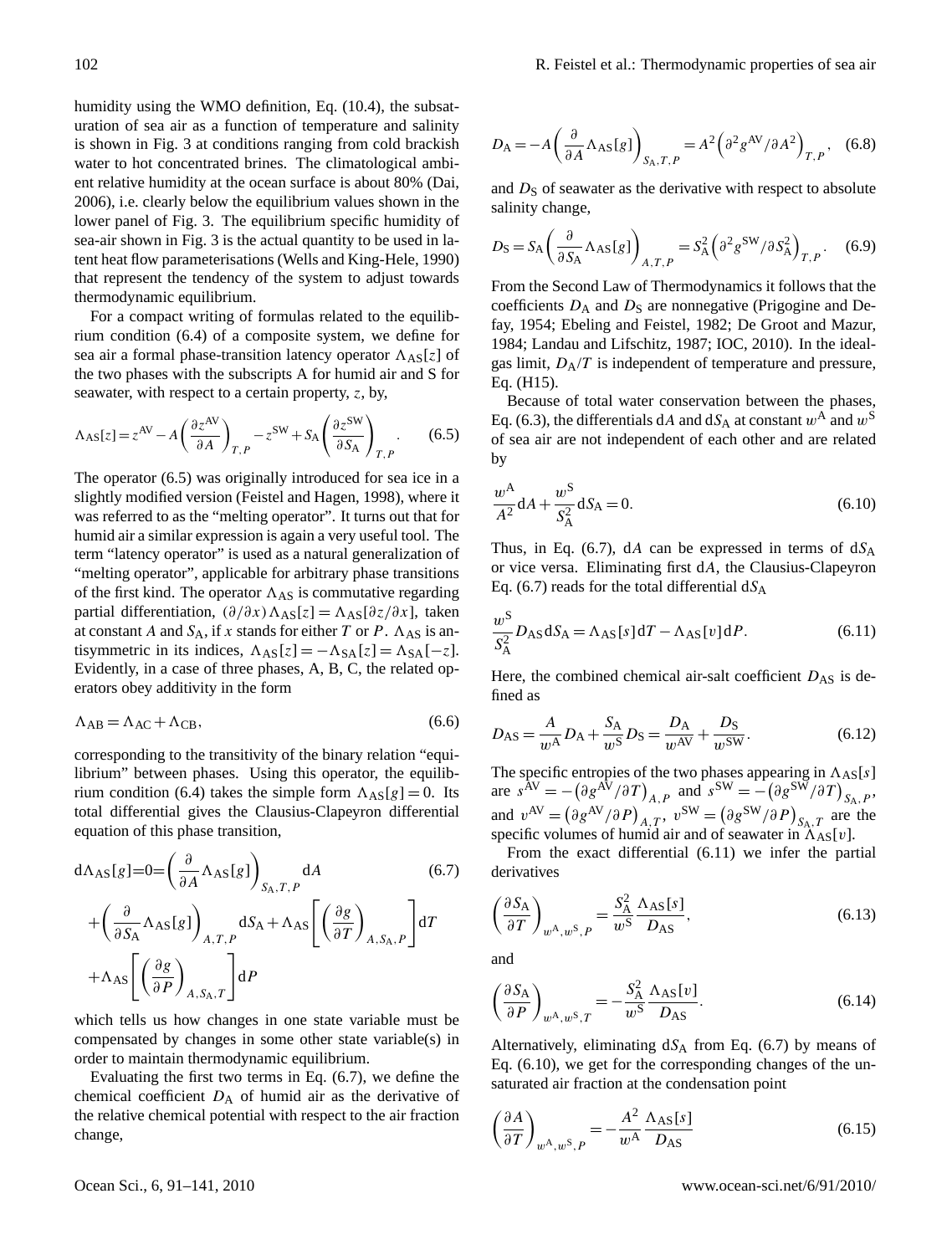humidity using the WMO definition, Eq. (10.4), the subsaturation of sea air as a function of temperature and salinity is shown in Fig. 3 at conditions ranging from cold brackish water to hot concentrated brines. The climatological ambient relative humidity at the ocean surface is about 80% (Dai, 2006), i.e. clearly below the equilibrium values shown in the lower panel of Fig. 3. The equilibrium specific humidity of sea-air shown in Fig. 3 is the actual quantity to be used in latent heat flow parameterisations (Wells and King-Hele, 1990) that represent the tendency of the system to adjust towards thermodynamic equilibrium.

For a compact writing of formulas related to the equilibrium condition (6.4) of a composite system, we define for sea air a formal phase-transition latency operator  $\Lambda_{AS}[z]$  of the two phases with the subscripts A for humid air and S for seawater, with respect to a certain property, z, by,

$$
\Lambda_{AS}[z] = z^{AV} - A \left( \frac{\partial z^{AV}}{\partial A} \right)_{T,P} - z^{SW} + S_A \left( \frac{\partial z^{SW}}{\partial S_A} \right)_{T,P}. \tag{6.5}
$$

The operator (6.5) was originally introduced for sea ice in a slightly modified version (Feistel and Hagen, 1998), where it was referred to as the "melting operator". It turns out that for humid air a similar expression is again a very useful tool. The term "latency operator" is used as a natural generalization of "melting operator", applicable for arbitrary phase transitions of the first kind. The operator  $\Lambda_{AS}$  is commutative regarding partial differentiation,  $(\partial/\partial x)\Lambda_{AS}[z] = \Lambda_{AS}[\partial z/\partial x]$ , taken at constant A and  $S_A$ , if x stands for either T or P.  $\Lambda_{AS}$  is antisymmetric in its indices,  $\Lambda_{AS}[z] = -\Lambda_{SA}[z] = \Lambda_{SA}[-z]$ . Evidently, in a case of three phases, A, B, C, the related operators obey additivity in the form

$$
\Lambda_{AB} = \Lambda_{AC} + \Lambda_{CB},\tag{6.6}
$$

corresponding to the transitivity of the binary relation "equilibrium" between phases. Using this operator, the equilibrium condition (6.4) takes the simple form  $\Lambda_{AS}[g] = 0$ . Its total differential gives the Clausius-Clapeyron differential equation of this phase transition,

$$
d\Lambda_{AS}[g] = 0 = \left(\frac{\partial}{\partial A} \Lambda_{AS}[g]\right)_{S_A, T, P} dA
$$
\n
$$
+ \left(\frac{\partial}{\partial S_A} \Lambda_{AS}[g]\right)_{A, T, P} dS_A + \Lambda_{AS} \left[\left(\frac{\partial g}{\partial T}\right)_{A, S_A, P}\right] dT
$$
\n
$$
+ \Lambda_{AS} \left[\left(\frac{\partial g}{\partial P}\right)_{A, S_A, T}\right] dP
$$
\n(6.7)

which tells us how changes in one state variable must be compensated by changes in some other state variable(s) in order to maintain thermodynamic equilibrium.

Evaluating the first two terms in Eq. (6.7), we define the chemical coefficient  $D_A$  of humid air as the derivative of the relative chemical potential with respect to the air fraction change,

$$
D_A = -A \left( \frac{\partial}{\partial A} \Lambda_{AS} [g] \right)_{S_A, T, P} = A^2 \left( \partial^2 g^{AV} / \partial A^2 \right)_{T, P}, \quad (6.8)
$$

and  $D<sub>S</sub>$  of seawater as the derivative with respect to absolute salinity change,

$$
D_{\rm S} = S_{\rm A} \left( \frac{\partial}{\partial S_{\rm A}} \Lambda_{\rm AS}[g] \right)_{A,T,P} = S_{\rm A}^2 \left( \partial^2 g^{\rm SW} / \partial S_{\rm A}^2 \right)_{T,P}. \tag{6.9}
$$

From the Second Law of Thermodynamics it follows that the coefficients  $D_A$  and  $D_S$  are nonnegative (Prigogine and Defay, 1954; Ebeling and Feistel, 1982; De Groot and Mazur, 1984; Landau and Lifschitz, 1987; IOC, 2010). In the idealgas limit,  $D_A/T$  is independent of temperature and pressure, Eq. (H15).

Because of total water conservation between the phases, Eq. (6.3), the differentials dA and  $dS_A$  at constant  $w^A$  and  $w^S$ of sea air are not independent of each other and are related by

$$
\frac{w^A}{A^2} dA + \frac{w^S}{S_A^2} dS_A = 0.
$$
 (6.10)

Thus, in Eq. (6.7), dA can be expressed in terms of  $dS_A$ or vice versa. Eliminating first dA, the Clausius-Clapeyron Eq. (6.7) reads for the total differential  $dS_A$ 

$$
\frac{w^S}{S_A^2} D_{AS} dS_A = \Lambda_{AS} [s] dT - \Lambda_{AS} [v] dP.
$$
 (6.11)

Here, the combined chemical air-salt coefficient  $D_{AS}$  is defined as

$$
D_{AS} = \frac{A}{w^A} D_A + \frac{S_A}{w^S} D_S = \frac{D_A}{w^{AV}} + \frac{D_S}{w^{SW}}.
$$
 (6.12)

The specific entropies of the two phases appearing in  $\Lambda_{AS}[s]$ are  $s^{AV} = -(\partial g^{AV}/\partial T)_{A,P}$  and  $s^{SW} = -(\partial g^{SW}/\partial T)_{S_A,P}$ , and  $v^{AV} = (\partial g^{AV}/\partial P)_{A,T}$ ,  $v^{SW} = (\partial g^{SW}/\partial P)_{S_{A,T}}$  are the specific volumes of humid air and of seawater in  $\Lambda_{AS}[v]$ .

From the exact differential (6.11) we infer the partial derivatives

$$
\left(\frac{\partial S_{\mathbf{A}}}{\partial T}\right)_{w^{\mathbf{A}}, w^{\mathbf{S}}, P} = \frac{S_{\mathbf{A}}^2}{w^{\mathbf{S}}} \frac{\Lambda_{\mathbf{A}\mathbf{S}}[s]}{D_{\mathbf{A}\mathbf{S}}},\tag{6.13}
$$

and

$$
\left(\frac{\partial S_{\mathcal{A}}}{\partial P}\right)_{w^{\mathcal{A}},w^{\mathcal{S}},T} = -\frac{S_{\mathcal{A}}^2}{w^{\mathcal{S}}} \frac{\Lambda_{\mathcal{A}\mathcal{S}}[v]}{D_{\mathcal{A}\mathcal{S}}}.\tag{6.14}
$$

Alternatively, eliminating  $dS_A$  from Eq. (6.7) by means of Eq. (6.10), we get for the corresponding changes of the unsaturated air fraction at the condensation point

$$
\left(\frac{\partial A}{\partial T}\right)_{w^{\mathcal{A}}, w^{\mathcal{S}}, P} = -\frac{A^2}{w^{\mathcal{A}}} \frac{\Lambda_{\mathcal{A}\mathcal{S}}[s]}{D_{\mathcal{A}\mathcal{S}}}
$$
(6.15)

Ocean Sci., 6, 91[–141,](#page-0-1) 2010 www.ocean-sci.net/6/91/2010/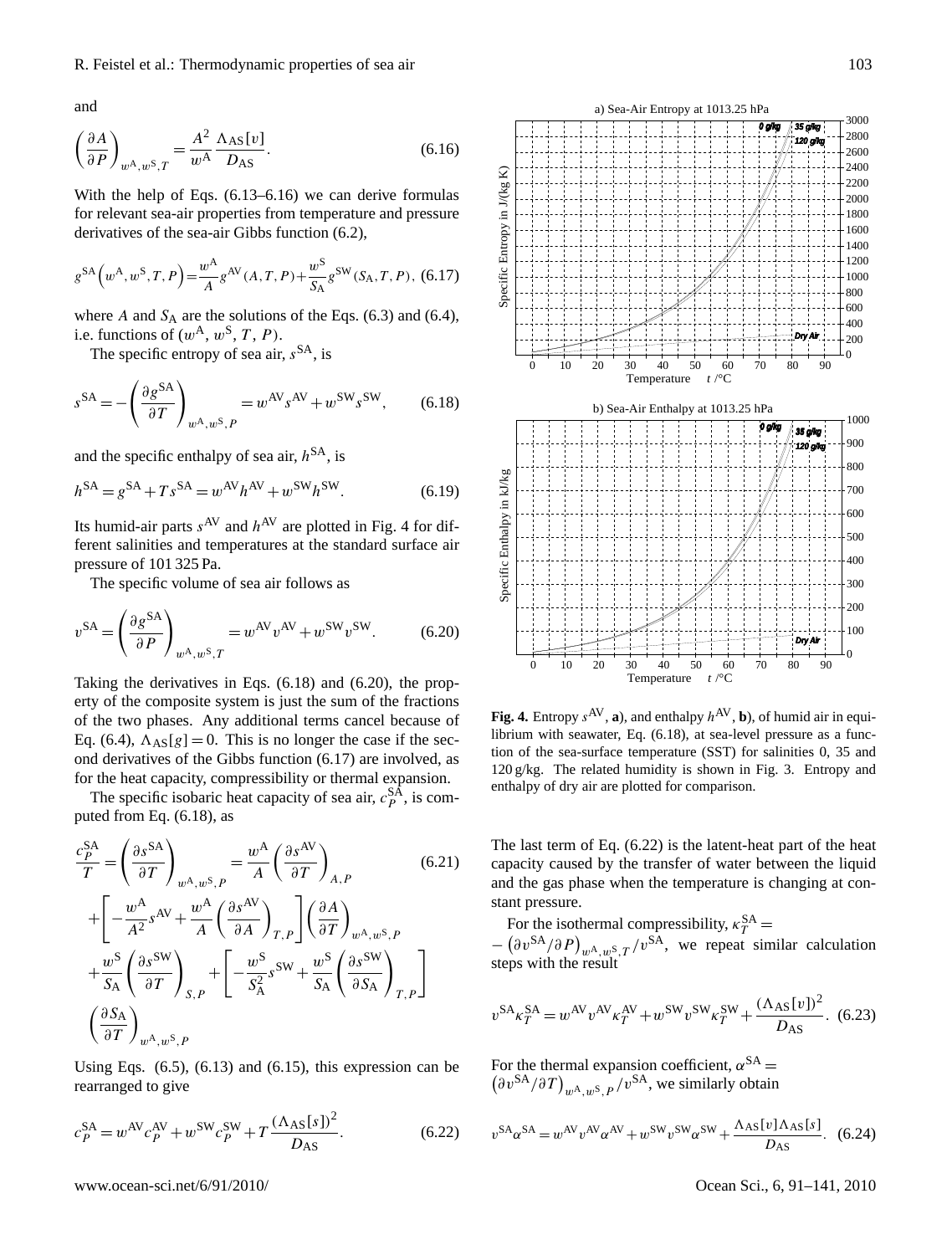and

$$
\left(\frac{\partial A}{\partial P}\right)_{w^{\mathcal{A}}, w^{\mathcal{S}}, T} = \frac{A^2}{w^{\mathcal{A}}} \frac{\Lambda_{\mathcal{A}\mathcal{S}}[v]}{D_{\mathcal{A}\mathcal{S}}}.\tag{6.16}
$$

With the help of Eqs. (6.13–6.16) we can derive formulas for relevant sea-air properties from temperature and pressure derivatives of the sea-air Gibbs function (6.2),

$$
g^{SA}\left(w^{A}, w^{S}, T, P\right) = \frac{w^{A}}{A} g^{AV}(A, T, P) + \frac{w^{S}}{S_{A}} g^{SW}(S_{A}, T, P), (6.17)
$$

where A and  $S_A$  are the solutions of the Eqs. (6.3) and (6.4), i.e. functions of  $(w^{\mathcal{A}}, w^{\mathcal{S}}, T, P)$ .

The specific entropy of sea air,  $s<sup>SA</sup>$ , is

$$
s^{SA} = -\left(\frac{\partial g^{SA}}{\partial T}\right)_{w^A, w^S, P} = w^{AV} s^{AV} + w^{SW} s^{SW}, \quad (6.18)
$$

and the specific enthalpy of sea air,  $h^{SA}$ , is

$$
h^{\text{SA}} = g^{\text{SA}} + T s^{\text{SA}} = w^{\text{AV}} h^{\text{AV}} + w^{\text{SW}} h^{\text{SW}}.
$$
 (6.19)

Its humid-air parts  $s^{AV}$  and  $h^{AV}$  are plotted in Fig. 4 for different salinities and temperatures at the standard surface air pressure of 101 325 Pa.

The specific volume of sea air follows as

$$
v^{SA} = \left(\frac{\partial g^{SA}}{\partial P}\right)_{w^A, w^S, T} = w^{AV} v^{AV} + w^{SW} v^{SW}.
$$
 (6.20)

Taking the derivatives in Eqs. (6.18) and (6.20), the property of the composite system is just the sum of the fractions of the two phases. Any additional terms cancel because of Eq. (6.4),  $\Lambda_{AS}[g] = 0$ . This is no longer the case if the second derivatives of the Gibbs function (6.17) are involved, as for the heat capacity, compressibility or thermal expansion.

The specific isobaric heat capacity of sea air,  $c_p^{\text{SA}}$ , is computed from Eq. (6.18), as

$$
\frac{c_P^{SA}}{T} = \left(\frac{\partial s^{SA}}{\partial T}\right)_{w^{\text{A}},w^{\text{S}},P} = \frac{w^{\text{A}}}{A} \left(\frac{\partial s^{\text{AV}}}{\partial T}\right)_{A,P} \tag{6.21}
$$
\n
$$
+ \left[ -\frac{w^{\text{A}}}{A^2} s^{\text{AV}} + \frac{w^{\text{A}}}{A} \left(\frac{\partial s^{\text{AV}}}{\partial A}\right)_{T,P} \right] \left(\frac{\partial A}{\partial T}\right)_{w^{\text{A}},w^{\text{S}},P} + \frac{w^{\text{S}}}{S_{\text{A}}} \left(\frac{\partial s^{\text{SW}}}{\partial T}\right)_{S,P} + \left[ -\frac{w^{\text{S}}}{S_{\text{A}}^2} s^{\text{SW}} + \frac{w^{\text{S}}}{S_{\text{A}}} \left(\frac{\partial s^{\text{SW}}}{\partial S_{\text{A}}}\right)_{T,P} \right]
$$
\n
$$
\left(\frac{\partial S_{\text{A}}}{\partial T}\right)_{w^{\text{A}},w^{\text{S}},P} \tag{6.21}
$$

Using Eqs.  $(6.5)$ ,  $(6.13)$  and  $(6.15)$ , this expression can be rearranged to give

$$
c_P^{SA} = w^{AV} c_P^{AV} + w^{SW} c_P^{SW} + T \frac{(\Lambda_{AS}[s])^2}{D_{AS}}.
$$
 (6.22)



Fig. 4. Entropy  $s^{AV}$ , a), and enthalpy  $h^{AV}$ , b), of humid air in equilibrium with seawater, Eq. (6.18), at sea-level pressure as a function of the sea-surface temperature (SST) for salinities 0, 35 and enthalpy of dry air are plotted for comparison. 120 g/kg. The related humidity is shown in Fig. 3. Entropy and

The last term of Eq.  $(6.22)$  is the latent-heat part of the heat capacity caused by the transfer of water between the liquid and the gas phase when the temperature is changing at constant pressure.

For the isothermal compressibility,  $\kappa_T^{SA}$  = steps with the result  $P^{\text{DT}}(p)$   $p_{\text{A}}$ ,  $p_{\text{S}}$ ,  $T$  /  $v^{\text{DT}}$ , we repeat similar ca  $\cdot$ a<sup>1</sup> *s*  $re$ *peat w s A T s c* repeat simi  $(A \cup \neg A)$   $(A \cup \neg A)$  $w^A, w^S, T \neq V^{(A)}$ , we repeat similar calcul cal i. ∂  $\ddot{ }$  $\boldsymbol{v}$  $\mathbf{I}$ simila  $\overline{a}$  $A$ , we repeat sin  $/v^{\text{SA}}$  $\overline{\phantom{a}}$  $(\partial P)_{w^{\mathcal{A}},w^{\mathcal{S}},T}/v^{\mathcal{A}}$  $-\left(\partial v^{\text{SA}}/\partial P\right)_{w^{\text{A}},w^{\text{S}},T}/v^{\text{SA}}$ , we repeat similar calculation

$$
v^{SA} \kappa_T^{SA} = w^{AV} v^{AV} \kappa_T^{AV} + w^{SW} v^{SW} \kappa_T^{SW} + \frac{(\Lambda_{AS} [v])^2}{D_{AS}}.
$$
 (6.23)

For the thermal expansion coefficient,  $\alpha^{SA}$  =  $(\partial v^{\text{SA}}/\partial T)_{w^{\text{A}},w^{\text{S}},P}/v^{\text{SA}},$  we similarly obtain

$$
v^{SA}\alpha^{SA} = w^{AV}v^{AV}\alpha^{AV} + w^{SW}v^{SW}\alpha^{SW} + \frac{\Lambda_{AS}[v]\Lambda_{AS}[s]}{D_{AS}}.\tag{6.24}
$$

www.ocean-sci.net/6/91/2010/ Ocean Sci., 6, 91[–141,](#page-0-1) 2010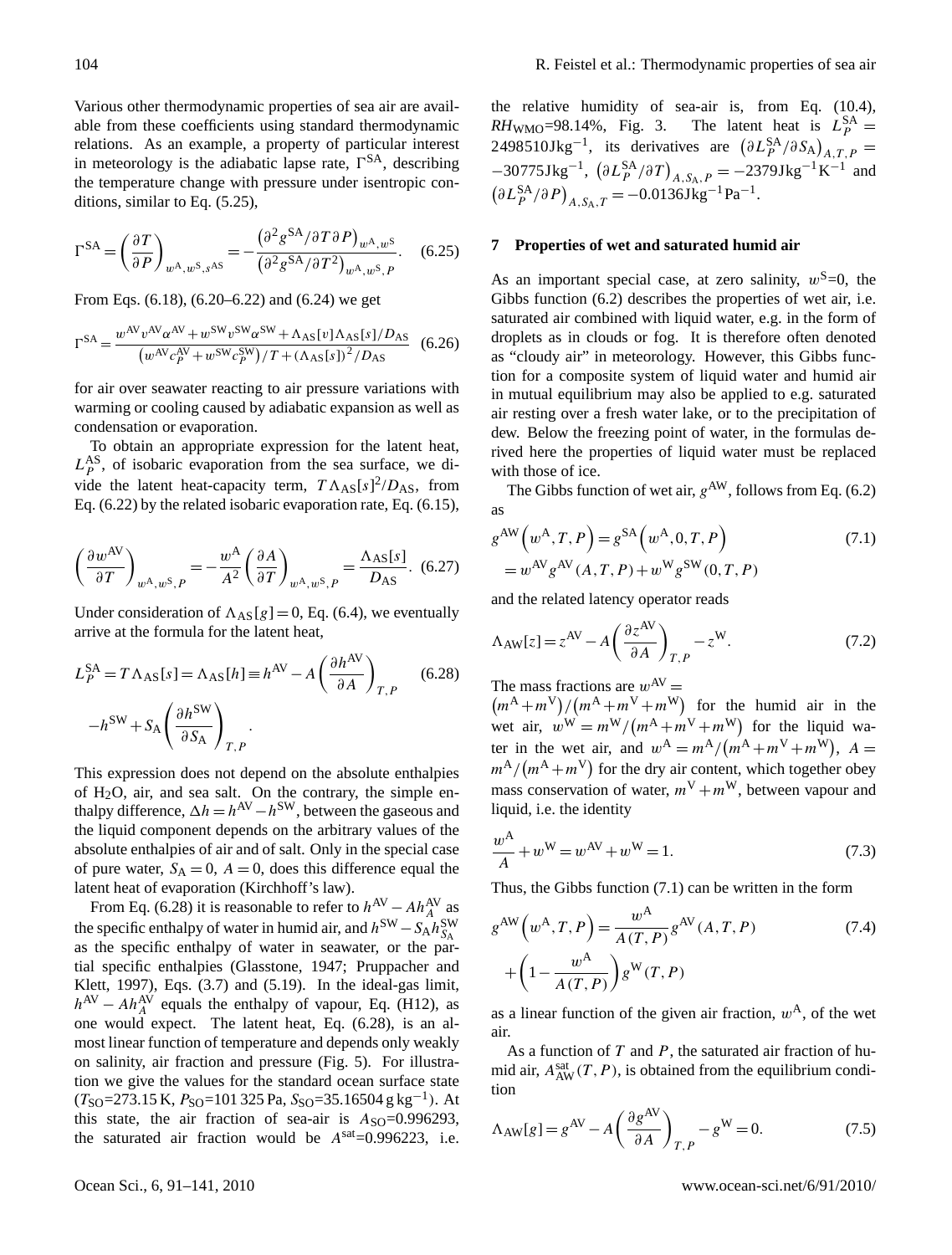Various other thermodynamic properties of sea air are available from these coefficients using standard thermodynamic relations. As an example, a property of particular interest in meteorology is the adiabatic lapse rate,  $\Gamma^{SA}$ , describing the temperature change with pressure under isentropic conditions, similar to Eq. (5.25),

$$
\Gamma^{SA} = \left(\frac{\partial T}{\partial P}\right)_{w^{\mathcal{A}}, w^{\mathcal{S}}, s^{\mathcal{A}\mathcal{S}}} = -\frac{\left(\partial^2 g^{\mathcal{S}\mathcal{A}} / \partial T \partial P\right)_{w^{\mathcal{A}}, w^{\mathcal{S}}}}{\left(\partial^2 g^{\mathcal{S}\mathcal{A}} / \partial T^2\right)_{w^{\mathcal{A}}, w^{\mathcal{S}}, P}}.\tag{6.25}
$$

From Eqs. (6.18), (6.20–6.22) and (6.24) we get

$$
\Gamma^{SA} = \frac{w^{AV} v^{AV} \alpha^{AV} + w^{SW} v^{SW} \alpha^{SW} + \Lambda_{AS} [v] \Lambda_{AS} [s] / D_{AS}}{(w^{AV} c_P^{AV} + w^{SW} c_P^{SW}) / T + (\Lambda_{AS} [s])^2 / D_{AS}} \tag{6.26}
$$

for air over seawater reacting to air pressure variations with warming or cooling caused by adiabatic expansion as well as condensation or evaporation.

To obtain an appropriate expression for the latent heat,  $L_P^{\text{AS}}$ , of isobaric evaporation from the sea surface, we divide the latent heat-capacity term,  $T \Lambda_{AS}[s]^2/D_{AS}$ , from Eq. (6.22) by the related isobaric evaporation rate, Eq. (6.15),

$$
\left(\frac{\partial w^{AV}}{\partial T}\right)_{w^{\mathcal{A}},w^{\mathcal{S}},P} = -\frac{w^{\mathcal{A}}}{A^2} \left(\frac{\partial A}{\partial T}\right)_{w^{\mathcal{A}},w^{\mathcal{S}},P} = \frac{\Lambda_{\mathcal{A}\mathcal{S}}[s]}{D_{\mathcal{A}\mathcal{S}}}.\tag{6.27}
$$

Under consideration of  $\Lambda_{AS}[g] = 0$ , Eq. (6.4), we eventually arrive at the formula for the latent heat,

$$
L_P^{SA} = T \Lambda_{AS}[s] = \Lambda_{AS}[h] \equiv h^{AV} - A \left(\frac{\partial h^{AV}}{\partial A}\right)_{T,P}
$$
 (6.28)  

$$
-h^{SW} + S_A \left(\frac{\partial h^{SW}}{\partial S_A}\right)_{T,P}.
$$

This expression does not depend on the absolute enthalpies of  $H<sub>2</sub>O$ , air, and sea salt. On the contrary, the simple enthalpy difference,  $\Delta h = h^{\text{AV}} - h^{\text{SW}}$ , between the gaseous and the liquid component depends on the arbitrary values of the absolute enthalpies of air and of salt. Only in the special case of pure water,  $S_A = 0$ ,  $A = 0$ , does this difference equal the latent heat of evaporation (Kirchhoff's law).

From Eq. (6.28) it is reasonable to refer to  $h^{\text{AV}} - Ah^{\text{AV}}_A$  as the specific enthalpy of water in humid air, and  $h^{\text{SW}} - S_A h^{\text{SW}}_{S_A}$ as the specific enthalpy of water in seawater, or the partial specific enthalpies (Glasstone, 1947; Pruppacher and Klett, 1997), Eqs. (3.7) and (5.19). In the ideal-gas limit,  $h^{AV} - Ah_A^{AV}$  equals the enthalpy of vapour, Eq. (H12), as one would expect. The latent heat, Eq. (6.28), is an almost linear function of temperature and depends only weakly on salinity, air fraction and pressure (Fig. 5). For illustration we give the values for the standard ocean surface state  $(T<sub>SO</sub>=273.15 \text{ K}, P<sub>SO</sub>=101 325 \text{ Pa}, S<sub>SO</sub>=35.16504 \text{ g kg}^{-1})$ . At this state, the air fraction of sea-air is  $A_{\text{SO}}=0.996293$ , the saturated air fraction would be  $A^{sat}=0.996223$ , i.e.

the relative humidity of sea-air is, from Eq. (10.4),  $RH_{\text{WMO}} = 98.14\%$ , Fig. 3. The latent heat is  $L_P^{\text{SA}} =$ 2498510Jkg<sup>-1</sup>, its derivatives are  $(\partial L_P^{\text{SA}} / \partial S_{\text{A}})_{A,T,P}$  =  $-30775 \text{Jkg}^{-1}$ ,  $(\partial L_P^{\text{SA}} / \partial T)_{A, S_A, P} = -2379 \text{Jkg}^{-1} \text{K}^{-1}$  and  $(\partial L_P^{\text{SA}} / \partial P)_{A, S_A, T} = -0.0136 \text{Jkg}^{-1} \text{Pa}^{-1}.$ 

## **7 Properties of wet and saturated humid air**

As an important special case, at zero salinity,  $w^S=0$ , the Gibbs function  $(6.2)$  describes the properties of wet air, i.e. saturated air combined with liquid water, e.g. in the form of droplets as in clouds or fog. It is therefore often denoted as "cloudy air" in meteorology. However, this Gibbs function for a composite system of liquid water and humid air in mutual equilibrium may also be applied to e.g. saturated air resting over a fresh water lake, or to the precipitation of dew. Below the freezing point of water, in the formulas derived here the properties of liquid water must be replaced with those of ice.

The Gibbs function of wet air,  $g^{AW}$ , follows from Eq. (6.2) as

$$
g^{\text{AW}}(w^{\text{A}}, T, P) = g^{\text{SA}}(w^{\text{A}}, 0, T, P)
$$
  
=  $w^{\text{AV}} g^{\text{AV}}(A, T, P) + w^{\text{W}} g^{\text{SW}}(0, T, P)$  (7.1)

and the related latency operator reads

$$
\Lambda_{AW}[z] = z^{AV} - A \left( \frac{\partial z^{AV}}{\partial A} \right)_{T,P} - z^{W}.
$$
 (7.2)

The mass fractions are  $w^{AV} =$ 

 $(m^{\rm A} + m^{\rm V})/(m^{\rm A} + m^{\rm V} + m^{\rm W})$  for the humid air in the wet air,  $w^W = m^W/(m^A + m^V + m^W)$  for the liquid water in the wet air, and  $w^A = m^A/(m^A + m^V + m^W)$ ,  $A =$  $m^{A}/(m^{A}+m^{V})$  for the dry air content, which together obey mass conservation of water,  $m^V + m^W$ , between vapour and liquid, i.e. the identity

$$
\frac{w^{A}}{A} + w^{W} = w^{AV} + w^{W} = 1.
$$
 (7.3)

Thus, the Gibbs function (7.1) can be written in the form

$$
g^{\text{AW}}\left(w^{\text{A}},T,P\right) = \frac{w^{\text{A}}}{A(T,P)}g^{\text{AV}}(A,T,P) \tag{7.4}
$$

$$
+\left(1-\frac{w^{\text{A}}}{A(T,P)}\right)g^{\text{W}}(T,P)
$$

as a linear function of the given air fraction,  $w^A$ , of the wet air.

As a function of  $T$  and  $P$ , the saturated air fraction of humid air,  $A_{AW}^{sat}(T, P)$ , is obtained from the equilibrium condition

$$
\Lambda_{AW}[g] = g^{AV} - A \left(\frac{\partial g^{AV}}{\partial A}\right)_{T,P} - g^W = 0.
$$
 (7.5)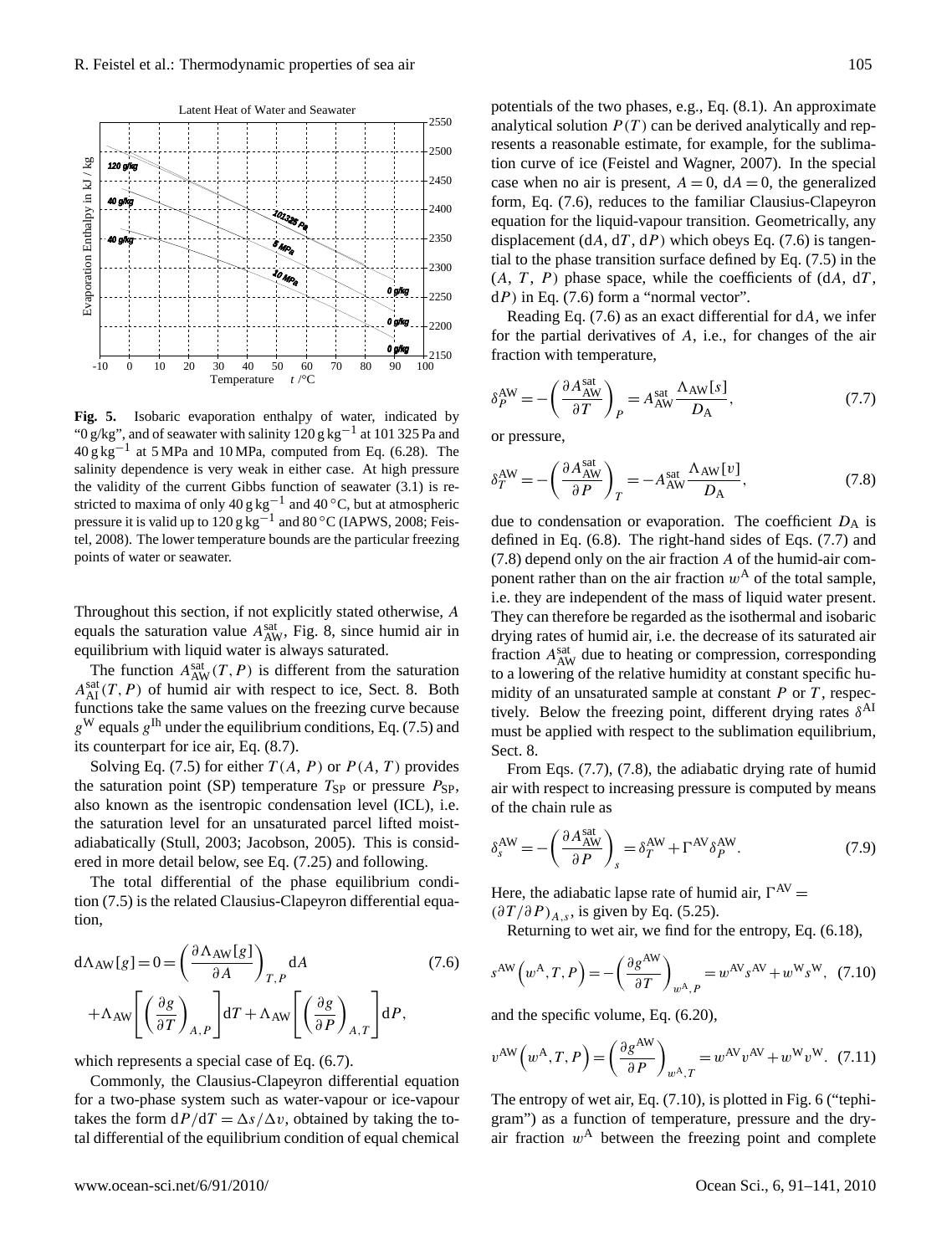

Fig. 5. Isobaric evaporation enthalpy of water, indicated by " $0$  g/kg", and of seawater with salinity 120 g kg<sup>-1</sup> at 101 325 Pa and  $40 \text{ g kg}^{-1}$  at 5 MPa and 10 MPa, computed from Eq. (6.28). The salinity dependence is very weak in either case. At high pressure the validity of the current Gibbs function of seawater  $(3.1)$  is repressure it is valid up to 120 g kg<sup>-1</sup> and 80 °C (IAPWS, 2008; Feistel, 2008). The lower temperature bounds are the particular freezing points of water or seawater. stricted to maxima of only  $40 \text{ g kg}^{-1}$  and  $40 \degree \text{C}$ , but at atmospheric

Throughout this section, if not explicitly stated otherwise, A equals the saturation value  $A_{AW}^{sat}$ , Fig. 8, since humid air in equilibrium with liquid water is always saturated.

The function  $A_{AW}^{sat}(T, P)$  is different from the saturation  $A_{\rm AI}^{\rm sat}(T, P)$  of humid air with respect to ice, Sect. 8. Both functions take the same values on the freezing curve because  $g^{\rm W}$  equals  $g^{\rm lh}$  under the equilibrium conditions, Eq. (7.5) and its counterpart for ice air, Eq. (8.7).

Solving Eq. (7.5) for either  $T(A, P)$  or  $P(A, T)$  provides the saturation point (SP) temperature  $T_{SP}$  or pressure  $P_{SP}$ , also known as the isentropic condensation level (ICL), i.e. the saturation level for an unsaturated parcel lifted moistadiabatically (Stull, 2003; Jacobson, 2005). This is considered in more detail below, see Eq. (7.25) and following.

The total differential of the phase equilibrium condition (7.5) is the related Clausius-Clapeyron differential equation,

$$
d\Lambda_{AW}[g] = 0 = \left(\frac{\partial \Lambda_{AW}[g]}{\partial A}\right)_{T,P} dA
$$
\n
$$
+ \Lambda_{AW} \left[ \left(\frac{\partial g}{\partial T}\right)_{A,P} \right] dT + \Lambda_{AW} \left[ \left(\frac{\partial g}{\partial P}\right)_{A,T} \right] dP,
$$
\n(7.6)

which represents a special case of Eq. (6.7).

Commonly, the Clausius-Clapeyron differential equation for a two-phase system such as water-vapour or ice-vapour takes the form  $dP/dT = \Delta s/\Delta v$ , obtained by taking the total differential of the equilibrium condition of equal chemical potentials of the two phases, e.g., Eq. (8.1). An approximate analytical solution  $P(T)$  can be derived analytically and represents a reasonable estimate, for example, for the sublimation curve of ice (Feistel and Wagner, 2007). In the special case when no air is present,  $A = 0$ ,  $dA = 0$ , the generalized form, Eq. (7.6), reduces to the familiar Clausius-Clapeyron equation for the liquid-vapour transition. Geometrically, any displacement  $(dA, dT, dP)$  which obeys Eq. (7.6) is tangential to the phase transition surface defined by Eq. (7.5) in the  $(A, T, P)$  phase space, while the coefficients of  $(dA, dT, dT)$  $dP$ ) in Eq. (7.6) form a "normal vector".

Reading Eq.  $(7.6)$  as an exact differential for dA, we infer for the partial derivatives of A, i.e., for changes of the air fraction with temperature,

$$
\delta_P^{\text{AW}} = -\left(\frac{\partial A_{\text{AW}}^{\text{sat}}}{\partial T}\right)_P = A_{\text{AW}}^{\text{sat}} \frac{\Lambda_{\text{AW}}[s]}{D_{\text{A}}},\tag{7.7}
$$

or pressure,

$$
\delta_T^{\text{AW}} = -\left(\frac{\partial A_{\text{AW}}^{\text{sat}}}{\partial P}\right)_T = -A_{\text{AW}}^{\text{sat}} \frac{\Lambda_{\text{AW}}[v]}{D_{\text{A}}},\tag{7.8}
$$

due to condensation or evaporation. The coefficient  $D_A$  is defined in Eq. (6.8). The right-hand sides of Eqs. (7.7) and (7.8) depend only on the air fraction A of the humid-air component rather than on the air fraction  $w^A$  of the total sample, i.e. they are independent of the mass of liquid water present. They can therefore be regarded as the isothermal and isobaric drying rates of humid air, i.e. the decrease of its saturated air fraction  $A_{AW}^{sat}$  due to heating or compression, corresponding to a lowering of the relative humidity at constant specific humidity of an unsaturated sample at constant  $P$  or  $T$ , respectively. Below the freezing point, different drying rates  $\delta^{Al}$ must be applied with respect to the sublimation equilibrium, Sect. 8.

From Eqs. (7.7), (7.8), the adiabatic drying rate of humid air with respect to increasing pressure is computed by means of the chain rule as

$$
\delta_s^{\text{AW}} = -\left(\frac{\partial A_{\text{AW}}^{\text{sat}}}{\partial P}\right)_s = \delta_T^{\text{AW}} + \Gamma^{\text{AV}} \delta_P^{\text{AW}}.\tag{7.9}
$$

Here, the adiabatic lapse rate of humid air,  $\Gamma^{AV}$  =

 $(\partial T / \partial P)_{A,s}$ , is given by Eq. (5.25).

Returning to wet air, we find for the entropy, Eq. (6.18),

$$
c^{\text{AW}}\left(w^{\text{A}},T,P\right) = -\left(\frac{\partial g^{\text{AW}}}{\partial T}\right)_{w^{\text{A}},P} = w^{\text{AV}}s^{\text{AV}} + w^{\text{W}}s^{\text{W}},\tag{7.10}
$$

and the specific volume, Eq. (6.20),

s

$$
v^{\text{AW}}\left(w^{\text{A}},T,P\right) = \left(\frac{\partial g^{\text{AW}}}{\partial P}\right)_{w^{\text{A}},T} = w^{\text{AV}}v^{\text{AV}} + w^{\text{W}}v^{\text{W}}.\tag{7.11}
$$

The entropy of wet air, Eq. (7.10), is plotted in Fig. 6 ("tephigram") as a function of temperature, pressure and the dryair fraction  $w<sup>A</sup>$  between the freezing point and complete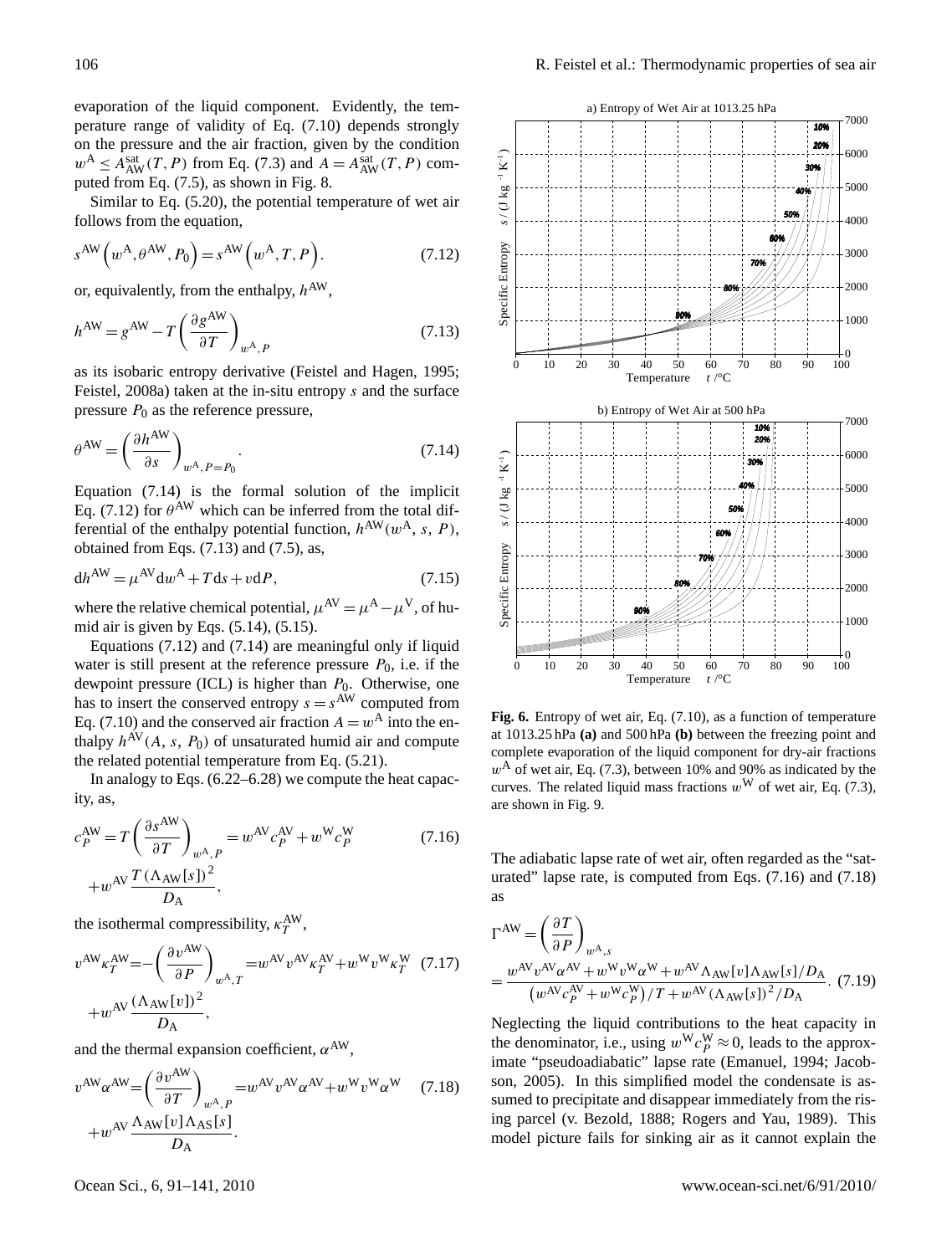evaporation of the liquid component. Evidently, the temperature range of validity of Eq. (7.10) depends strongly on the pressure and the air fraction, given by the condition  $w^A \leq A_{AW}^{sat}(T, P)$  from Eq. (7.3) and  $A = A_{AW}^{sat}(T, P)$  computed from Eq. (7.5), as shown in Fig. 8.

Similar to Eq. (5.20), the potential temperature of wet air follows from the equation,

$$
s^{\text{AW}}\left(w^{\text{A}}, \theta^{\text{AW}}, P_0\right) = s^{\text{AW}}\left(w^{\text{A}}, T, P\right). \tag{7.12}
$$

or, equivalently, from the enthalpy,  $h^{AW}$ ,

$$
h^{\text{AW}} = g^{\text{AW}} - T \left( \frac{\partial g^{\text{AW}}}{\partial T} \right)_{w^{\text{A}}, P} \tag{7.13}
$$

as its isobaric entropy derivative (Feistel and Hagen, 1995; Feistel, 2008a) taken at the in-situ entropy s and the surface pressure  $P_0$  as the reference pressure,

$$
\theta^{\text{AW}} = \left(\frac{\partial h^{\text{AW}}}{\partial s}\right)_{w^{\text{A}}, P = P_0}.
$$
\n(7.14)

Equation (7.14) is the formal solution of the implicit Eq. (7.12) for  $\theta^{AW}$  which can be inferred from the total differential of the enthalpy potential function,  $h^{\text{AW}}(w^{\text{A}}, s, P)$ , obtained from Eqs. (7.13) and (7.5), as,

$$
dh^{AW} = \mu^{AV} dw^A + T ds + v dP, \qquad (7.15)
$$

where the relative chemical potential,  $\mu^{AV} = \mu^{A} - \mu^{V}$ , of humid air is given by Eqs. (5.14), (5.15).

Equations (7.12) and (7.14) are meaningful only if liquid water is still present at the reference pressure  $P_0$ , i.e. if the dewpoint pressure (ICL) is higher than  $P_0$ . Otherwise, one has to insert the conserved entropy  $s = s^{AW}$  computed from Eq. (7.10) and the conserved air fraction  $A = w^A$  into the enthalpy  $h^{\text{AV}}(A, s, P_0)$  of unsaturated humid air and compute the related potential temperature from Eq. (5.21).

In analogy to Eqs. (6.22–6.28) we compute the heat capacity, as,

$$
c_P^{\text{AW}} = T \left( \frac{\partial s^{\text{AW}}}{\partial T} \right)_{w^{\text{A}}, P} = w^{\text{AV}} c_P^{\text{AV}} + w^{\text{W}} c_P^{\text{W}} \tag{7.16}
$$

$$
+ w^{\text{AV}} \frac{T (\Lambda_{\text{AW}}[s])^2}{D_{\text{A}}},
$$

the isothermal compressibility,  $\kappa_T^{\text{AW}},$ 

$$
v^{\text{AW}} \kappa_T^{\text{AW}} = -\left(\frac{\partial v^{\text{AW}}}{\partial P}\right)_{w^{\text{A}},T} = w^{\text{AV}} v^{\text{AV}} \kappa_T^{\text{AV}} + w^{\text{W}} v^{\text{W}} \kappa_T^{\text{W}} \quad (7.17)
$$

$$
+ w^{\text{AV}} \frac{(\Lambda_{\text{AW}}[v])^2}{D_{\text{A}}},
$$

and the thermal expansion coefficient,  $\alpha^{AW}$ ,

$$
v^{\text{AW}} \alpha^{\text{AW}} = \left(\frac{\partial v^{\text{AW}}}{\partial T}\right)_{w^{\text{A}}, P} = w^{\text{AV}} v^{\text{AV}} \alpha^{\text{AV}} + w^{\text{W}} v^{\text{W}} \alpha^{\text{W}} \quad (7.18)
$$

$$
+ w^{\text{AV}} \frac{\Lambda_{\text{AW}}[v] \Lambda_{\text{AS}}[s]}{D_{\text{A}}}.
$$



Fig. 6. Entropy of wet air, Eq. (7.10), as a function of temperature at 1013.25 hPa (a) and 500 hPa (b) between the freezing point and  $\alpha$  complete evaporation of the liquid component for dry-air fractions are shown in Fig. 9.  $w<sup>A</sup>$  of wet air, Eq. (7.3), between 10% and 90% as indicated by the curves. The related liquid mass fractions  $w^W$  of wet air, Eq. (7.3),

The adiabatic lapse rate of wet air, often regarded as the "saturated" lapse rate, is computed from Eqs.  $(7.16)$  and  $(7.18)$ as

$$
\Gamma^{\rm AW} = \left(\frac{\partial T}{\partial P}\right)_{w^{\rm A},s}
$$
  
= 
$$
\frac{w^{\rm AV}v^{\rm AV}\alpha^{\rm AV} + w^{\rm W}v^{\rm W}\alpha^{\rm W} + w^{\rm AV}\Lambda_{\rm AW}[v]\Lambda_{\rm AW}[s]/D_{\rm A}}{(w^{\rm AV}c_P^{\rm AV} + w^{\rm W}c_P^{\rm W})/T + w^{\rm AV}(\Lambda_{\rm AW}[s])^2/D_{\rm A}}.
$$
 (7.19)

Neglecting the liquid contributions to the heat capacity in the denominator, i.e., using  $w^{\mathbf{W}} c_p^{\mathbf{W}} \approx 0$ , leads to the approximate "pseudoadiabatic" lapse rate (Emanuel, 1994; Jacobson, 2005). In this simplified model the condensate is assumed to precipitate and disappear immediately from the rising parcel (v. Bezold, 1888; Rogers and Yau, 1989). This model picture fails for sinking air as it cannot explain the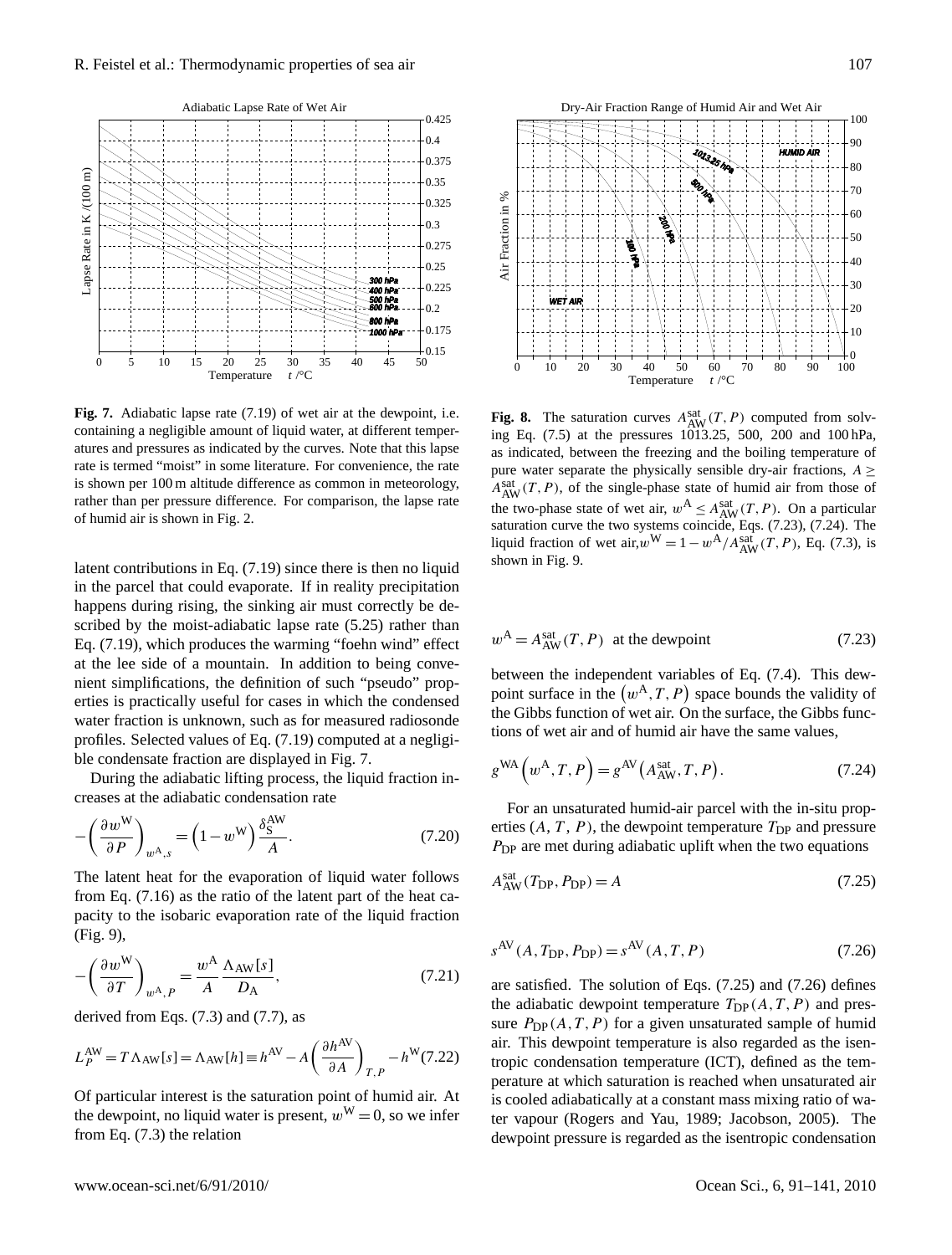

Fig. 7. Adiabatic lapse rate (7.19) of wet air at the dewpoint, i.e. containing a negligible amount of liquid water, at different temperatures and pressures as indicated by the curves. Note that this lapse is shown per 100 m altitude difference as common in meteorology, rather than per pressure difference. For comparison, the lapse rate of humid air is shown in Fig. 2.  $\frac{1}{20}$  and  $\frac{1}{20}$   $\frac{1}{20}$   $\frac{1}{20}$   $\frac{1}{20}$   $\frac{1}{20}$   $\frac{1}{20}$   $\frac{1}{20}$   $\frac{1}{20}$   $\frac{1}{20}$   $\frac{1}{20}$   $\frac{1}{20}$   $\frac{1}{20}$   $\frac{1}{20}$   $\frac{1}{20}$   $\frac{1}{20}$   $\frac{1}{20}$   $\frac{1}{20}$   $\frac{1}{20}$   $\frac{1}{20$ rate is termed "moist" in some literature. For convenience, the rate

latent contributions in Eq.  $(7.19)$  since there is then no liquid in the parcel that could evaporate. If in reality precipitation happens during rising, the sinking air must correctly be described by the moist-adiabatic lapse rate (5.25) rather than Eq. (7.19), which produces the warming "foehn wind" effect at the lee side of a mountain. In addition to being convenient simplifications, the definition of such "pseudo" properties is practically useful for cases in which the condensed water fraction is unknown, such as for measured radiosonde profiles. Selected values of Eq. (7.19) computed at a negligible condensate fraction are displayed in Fig. 7.

During the adiabatic lifting process, the liquid fraction increases at the adiabatic condensation rate

$$
-\left(\frac{\partial w^{\mathbf{W}}}{\partial P}\right)_{w^{\mathbf{A}},s} = \left(1 - w^{\mathbf{W}}\right)\frac{\delta_{\mathbf{S}}^{\mathbf{A}\mathbf{W}}}{A}.\tag{7.20}
$$

The latent heat for the evaporation of liquid water follows from Eq. (7.16) as the ratio of the latent part of the heat capacity to the isobaric evaporation rate of the liquid fraction (Fig. 9),

$$
-\left(\frac{\partial w^{\mathbf{W}}}{\partial T}\right)_{w^{\mathbf{A}},P} = \frac{w^{\mathbf{A}}}{A} \frac{\Lambda_{\mathbf{A}\mathbf{W}}[s]}{D_{\mathbf{A}}},\tag{7.21}
$$

derived from Eqs.  $(7.3)$  and  $(7.7)$ , as

$$
L_P^{\text{AW}} = T \Lambda_{\text{AW}}[s] = \Lambda_{\text{AW}}[h] \equiv h^{\text{AV}} - A \left(\frac{\partial h^{\text{AV}}}{\partial A}\right)_{T,P} - h^{\text{W}}(7.22)
$$

Of particular interest is the saturation point of humid air. At the dewpoint, no liquid water is present,  $w^W = 0$ , so we infer from Eq. (7.3) the relation



**R** The saturation curves  $A^{Sat}$  (*T*, *P*) computed from so Fig. 8. The saturation curves  $A_{AW}^{sat}(T, P)$  computed from solving Eq.  $(7.5)$  at the pressures 1013.25, 500, 200 and 100 hPa, as indicated, between the freezing and the boiling temperature of pure water separate the physically sensible dry-air fractions,  $A \geq$  $A_{AW}^{sat}(T, P)$ , of the single-phase state of humid air from those of the two-phase state of wet air,  $w^A \leq A_{AW}^{\text{sat}}(T, P)$ . On a particular saturation curve the two systems coincide, Eqs. (7.23), (7.24). The liquid fraction of wet air,  $w^W = 1 - w^A / A_{AW}^{sat}(T, P)$ , Eq. (7.3), is shown in Fig. 9.

$$
w^{\mathcal{A}} = A_{\text{AW}}^{\text{sat}}(T, P) \quad \text{at the dewpoint} \tag{7.23}
$$

between the independent variables of Eq. (7.4). This dewpoint surface in the  $(w^A, T, P)$  space bounds the validity of the Gibbs function of wet air. On the surface, the Gibbs functions of wet air and of humid air have the same values,

$$
g^{\text{WA}}\left(w^{\text{A}},T,P\right) = g^{\text{AV}}\left(A_{\text{AW}}^{\text{sat}},T,P\right). \tag{7.24}
$$

For an unsaturated humid-air parcel with the in-situ properties  $(A, T, P)$ , the dewpoint temperature  $T_{\text{DP}}$  and pressure  $P_{\text{DP}}$  are met during adiabatic uplift when the two equations

$$
A_{\rm AW}^{\rm sat}(T_{\rm DP}, P_{\rm DP}) = A \tag{7.25}
$$

$$
s^{\text{AV}}(A, T_{\text{DP}}, P_{\text{DP}}) = s^{\text{AV}}(A, T, P) \tag{7.26}
$$

are satisfied. The solution of Eqs. (7.25) and (7.26) defines the adiabatic dewpoint temperature  $T_{\text{DP}}(A, T, P)$  and pressure  $P_{\text{DP}}(A, T, P)$  for a given unsaturated sample of humid air. This dewpoint temperature is also regarded as the isentropic condensation temperature (ICT), defined as the temperature at which saturation is reached when unsaturated air is cooled adiabatically at a constant mass mixing ratio of water vapour (Rogers and Yau, 1989; Jacobson, 2005). The dewpoint pressure is regarded as the isentropic condensation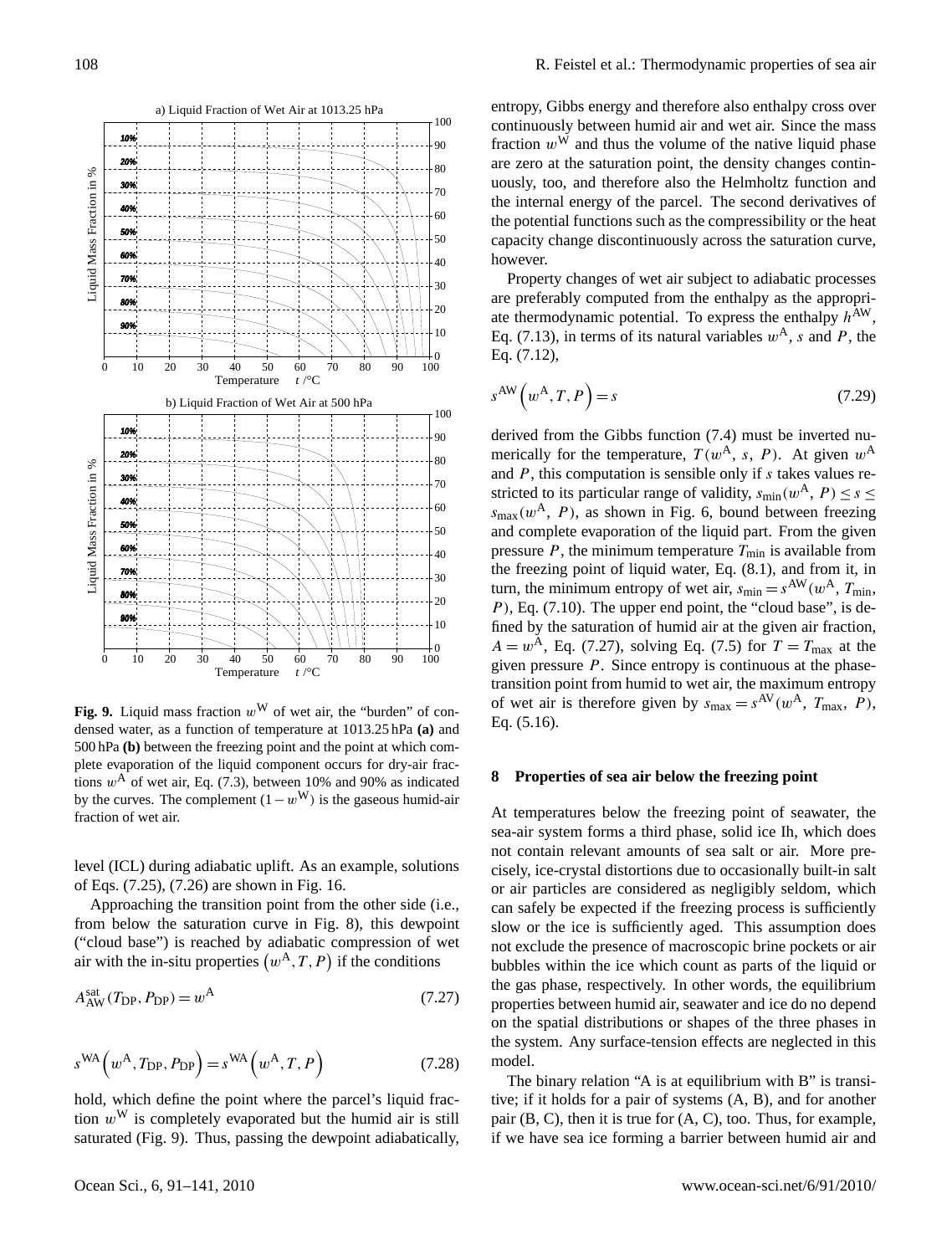

**Fig. 9.** Liquid mass fraction  $w^W$  of wet air, the "burden" of condensed water, as a function of temperature at 1013.25 hPa **(a)** and 500 hPa **(b)** between the freezing point and the point at which complete evaporation of the liquid component occurs for dry-air fractions  $w^A$  of wet air, Eq. (7.3), between 10% and 90% as indicated by the curves. The complement  $(1-w^{\rm W})$  is the gaseous humid-air fraction of wet air.

level (ICL) during adiabatic uplift. As an example, solutions of Eqs. (7.25), (7.26) are shown in Fig. 16.

Approaching the transition point from the other side (i.e., from below the saturation curve in Fig. 8), this dewpoint ("cloud base") is reached by adiabatic compression of wet air with the in-situ properties  $(w^A, T, P)$  if the conditions

$$
A_{\text{AW}}^{\text{sat}}(T_{\text{DP}}, P_{\text{DP}}) = w^{\text{A}}
$$
\n
$$
(7.27)
$$

$$
s^{\text{WA}}(w^{\text{A}}, T_{\text{DP}}, P_{\text{DP}}) = s^{\text{WA}}(w^{\text{A}}, T, P)
$$
 (7.28)

hold, which define the point where the parcel's liquid fraction  $w^W$  is completely evaporated but the humid air is still saturated (Fig. 9). Thus, passing the dewpoint adiabatically, entropy, Gibbs energy and therefore also enthalpy cross over continuously between humid air and wet air. Since the mass fraction  $w^W$  and thus the volume of the native liquid phase are zero at the saturation point, the density changes continuously, too, and therefore also the Helmholtz function and the internal energy of the parcel. The second derivatives of the potential functions such as the compressibility or the heat capacity change discontinuously across the saturation curve, however.

Property changes of wet air subject to adiabatic processes are preferably computed from the enthalpy as the appropriate thermodynamic potential. To express the enthalpy  $h^{AW}$ , Eq. (7.13), in terms of its natural variables  $w^{A}$ , s and P, the Eq. (7.12),

$$
s^{\text{AW}}\left(w^{\text{A}}, T, P\right) = s\tag{7.29}
$$

derived from the Gibbs function (7.4) must be inverted numerically for the temperature,  $T(w^{\mathcal{A}}, s, P)$ . At given  $w^{\mathcal{A}}$ and  $P$ , this computation is sensible only if  $s$  takes values restricted to its particular range of validity,  $s_{\text{min}}(w^{\mathbf{A}}, P) \leq s \leq$  $s_{\text{max}}(w^{\text{A}}, P)$ , as shown in Fig. 6, bound between freezing and complete evaporation of the liquid part. From the given pressure  $P$ , the minimum temperature  $T_{\text{min}}$  is available from the freezing point of liquid water, Eq. (8.1), and from it, in turn, the minimum entropy of wet air,  $s_{\text{min}} = s^{\text{AW}}(w^{\text{A}}, T_{\text{min}},$  $P$ ), Eq. (7.10). The upper end point, the "cloud base", is defined by the saturation of humid air at the given air fraction,  $A = w<sup>A</sup>$ , Eq. (7.27), solving Eq. (7.5) for  $T = T<sub>max</sub>$  at the given pressure  $P$ . Since entropy is continuous at the phasetransition point from humid to wet air, the maximum entropy of wet air is therefore given by  $s_{\text{max}} = s^{\text{AV}}(w^{\text{A}}, T_{\text{max}}, P)$ , Eq. (5.16).

#### **8 Properties of sea air below the freezing point**

At temperatures below the freezing point of seawater, the sea-air system forms a third phase, solid ice Ih, which does not contain relevant amounts of sea salt or air. More precisely, ice-crystal distortions due to occasionally built-in salt or air particles are considered as negligibly seldom, which can safely be expected if the freezing process is sufficiently slow or the ice is sufficiently aged. This assumption does not exclude the presence of macroscopic brine pockets or air bubbles within the ice which count as parts of the liquid or the gas phase, respectively. In other words, the equilibrium properties between humid air, seawater and ice do no depend on the spatial distributions or shapes of the three phases in the system. Any surface-tension effects are neglected in this model.

The binary relation "A is at equilibrium with B" is transitive; if it holds for a pair of systems (A, B), and for another pair  $(B, C)$ , then it is true for  $(A, C)$ , too. Thus, for example, if we have sea ice forming a barrier between humid air and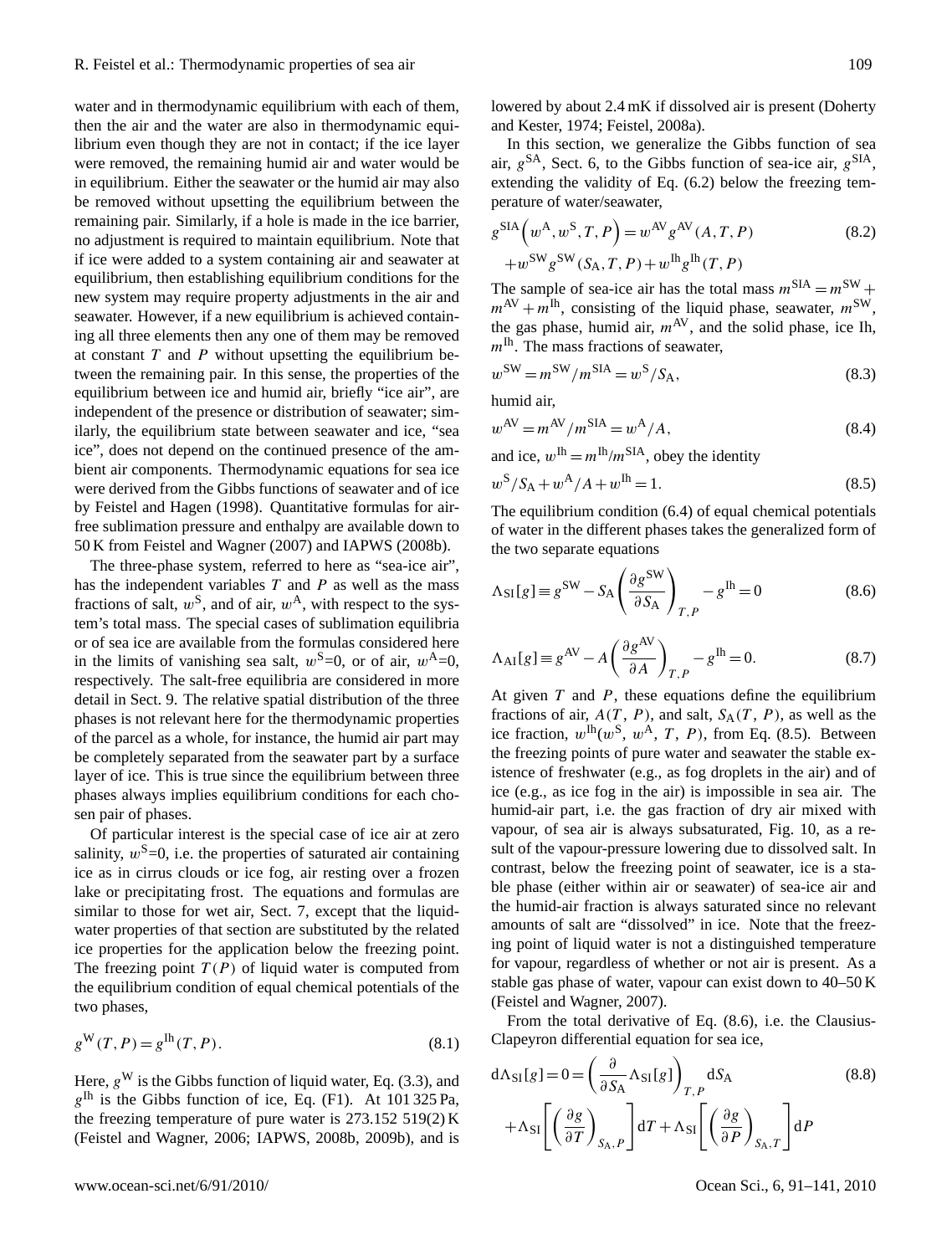water and in thermodynamic equilibrium with each of them, then the air and the water are also in thermodynamic equilibrium even though they are not in contact; if the ice layer were removed, the remaining humid air and water would be in equilibrium. Either the seawater or the humid air may also be removed without upsetting the equilibrium between the remaining pair. Similarly, if a hole is made in the ice barrier, no adjustment is required to maintain equilibrium. Note that if ice were added to a system containing air and seawater at equilibrium, then establishing equilibrium conditions for the new system may require property adjustments in the air and seawater. However, if a new equilibrium is achieved containing all three elements then any one of them may be removed at constant  $T$  and  $P$  without upsetting the equilibrium between the remaining pair. In this sense, the properties of the equilibrium between ice and humid air, briefly "ice air", are independent of the presence or distribution of seawater; similarly, the equilibrium state between seawater and ice, "sea ice", does not depend on the continued presence of the ambient air components. Thermodynamic equations for sea ice were derived from the Gibbs functions of seawater and of ice by Feistel and Hagen (1998). Quantitative formulas for airfree sublimation pressure and enthalpy are available down to 50 K from Feistel and Wagner (2007) and IAPWS (2008b).

The three-phase system, referred to here as "sea-ice air", has the independent variables  $T$  and  $P$  as well as the mass fractions of salt,  $w^S$ , and of air,  $w^A$ , with respect to the system's total mass. The special cases of sublimation equilibria or of sea ice are available from the formulas considered here in the limits of vanishing sea salt,  $w^S=0$ , or of air,  $w^A=0$ , respectively. The salt-free equilibria are considered in more detail in Sect. 9. The relative spatial distribution of the three phases is not relevant here for the thermodynamic properties of the parcel as a whole, for instance, the humid air part may be completely separated from the seawater part by a surface layer of ice. This is true since the equilibrium between three phases always implies equilibrium conditions for each chosen pair of phases.

Of particular interest is the special case of ice air at zero salinity,  $w^{\text{S}}=0$ , i.e. the properties of saturated air containing ice as in cirrus clouds or ice fog, air resting over a frozen lake or precipitating frost. The equations and formulas are similar to those for wet air, Sect. 7, except that the liquidwater properties of that section are substituted by the related ice properties for the application below the freezing point. The freezing point  $T(P)$  of liquid water is computed from the equilibrium condition of equal chemical potentials of the two phases,

$$
g^{\mathbf{W}}(T, P) = g^{\mathbf{lh}}(T, P). \tag{8.1}
$$

Here,  $g^W$  is the Gibbs function of liquid water, Eq. (3.3), and  $g^{\text{lh}}$  is the Gibbs function of ice, Eq. (F1). At 101 325 Pa, the freezing temperature of pure water is 273.152 519(2) K (Feistel and Wagner, 2006; IAPWS, 2008b, 2009b), and is lowered by about 2.4 mK if dissolved air is present (Doherty and Kester, 1974; Feistel, 2008a).

In this section, we generalize the Gibbs function of sea air,  $g^{SA}$ , Sect. 6, to the Gibbs function of sea-ice air,  $g^{SIA}$ , extending the validity of Eq. (6.2) below the freezing temperature of water/seawater,

$$
g^{\text{SIA}}(w^{\text{A}}, w^{\text{S}}, T, P) = w^{\text{AV}} g^{\text{AV}}(A, T, P) + w^{\text{SW}} g^{\text{SW}}(S_{\text{A}}, T, P) + w^{\text{Ih}} g^{\text{Ih}}(T, P)
$$
(8.2)

The sample of sea-ice air has the total mass  $m<sup>SIA</sup> = m<sup>SW</sup> +$  $m^{AV} + m^{Ih}$ , consisting of the liquid phase, seawater,  $m^{SW}$ , the gas phase, humid air,  $m^{AV}$ , and the solid phase, ice Ih,  $m<sup>lh</sup>$ . The mass fractions of seawater,

$$
w^{\text{SW}} = m^{\text{SW}} / m^{\text{SIA}} = w^{\text{S}} / \text{S}_{\text{A}},\tag{8.3}
$$

humid air,

$$
w^{\text{AV}} = m^{\text{AV}} / m^{\text{SIA}} = w^{\text{A}} / A,\tag{8.4}
$$

and ice,  $w^{\text{Ih}} = m^{\text{Ih}}/m^{\text{SIA}}$ , obey the identity

$$
w^S/S_A + w^A/A + w^{Ih} = 1.
$$
\n(8.5)

The equilibrium condition (6.4) of equal chemical potentials of water in the different phases takes the generalized form of the two separate equations

$$
\Lambda_{SI}[g] \equiv g^{SW} - S_A \left(\frac{\partial g^{SW}}{\partial S_A}\right)_{T,P} - g^{Ih} = 0
$$
\n(8.6)

$$
\Lambda_{\text{AI}}[g] \equiv g^{\text{AV}} - A \left(\frac{\partial g^{\text{AV}}}{\partial A}\right)_{T,P} - g^{\text{Ih}} = 0. \tag{8.7}
$$

At given  $T$  and  $P$ , these equations define the equilibrium fractions of air,  $A(T, P)$ , and salt,  $S_A(T, P)$ , as well as the ice fraction,  $w^{\text{lh}}(w^{\text{S}}, w^{\text{A}}, T, P)$ , from Eq. (8.5). Between the freezing points of pure water and seawater the stable existence of freshwater (e.g., as fog droplets in the air) and of ice (e.g., as ice fog in the air) is impossible in sea air. The humid-air part, i.e. the gas fraction of dry air mixed with vapour, of sea air is always subsaturated, Fig. 10, as a result of the vapour-pressure lowering due to dissolved salt. In contrast, below the freezing point of seawater, ice is a stable phase (either within air or seawater) of sea-ice air and the humid-air fraction is always saturated since no relevant amounts of salt are "dissolved" in ice. Note that the freezing point of liquid water is not a distinguished temperature for vapour, regardless of whether or not air is present. As a stable gas phase of water, vapour can exist down to 40–50 K (Feistel and Wagner, 2007).

From the total derivative of Eq. (8.6), i.e. the Clausius-Clapeyron differential equation for sea ice,

$$
d\Lambda_{SI}[g] = 0 = \left(\frac{\partial}{\partial S_A} \Lambda_{SI}[g]\right)_{T,P} dS_A
$$
\n
$$
+ \Lambda_{SI} \left[ \left(\frac{\partial g}{\partial T}\right)_{S_A,P} \right] dT + \Lambda_{SI} \left[ \left(\frac{\partial g}{\partial P}\right)_{S_A,T} \right] dP
$$
\n(8.8)

www.ocean-sci.net/6/91/2010/ Ocean Sci., 6, 91[–141,](#page-0-1) 2010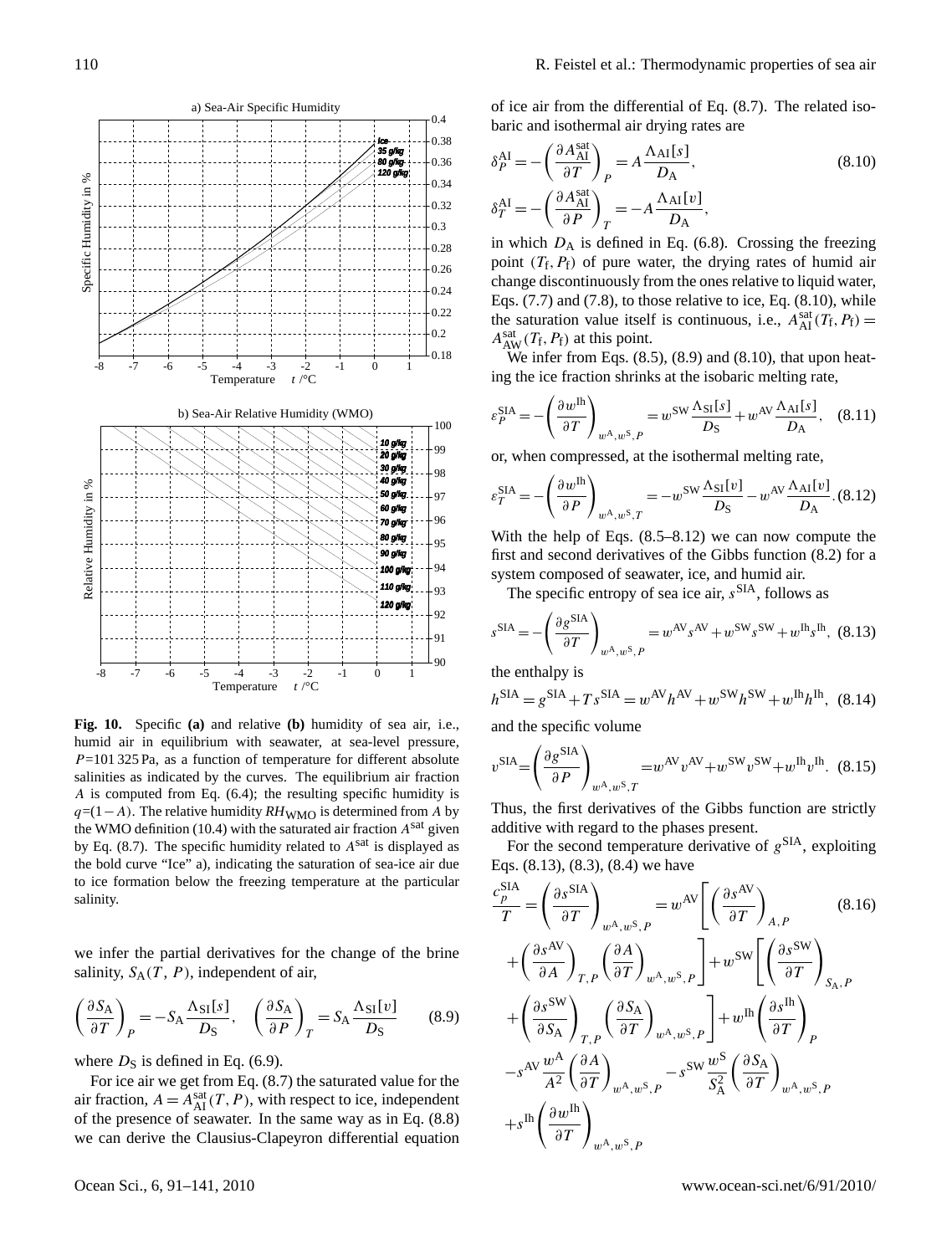

Fig. 10. Specific (a) and relative (b) humidity of sea air, i.e., humid air in equilibrium with seawater, at sea-level pressure,  $P=101325$  Pa, as a function of temperature for different absolute salinities as indicated by the curves. The equilibrium air fraction A is computed from Eq. (6.4); the resulting specific humidity is by Eq. (8.7). The specific humidity related to  $A<sup>sat</sup>$  is displayed as the bold curve "Ice" a), indicating the saturation of sea-ice air due to ice formation below the freezing temperature at the particular<br>salinity d de la construction de la construction de la construction de la construction de la construction de la construction<br>De la construction de la construction de la construction de la construction de la construction de la const r. + Λ  $q=(1-A)$ . The relative humidity  $RH_{WMO}$  is determined from A by the WMO definition (10.4) with the saturated air fraction  $A<sup>sat</sup>$  given salinity.

we infer the partial derivatives for the change of the brine  $S_A(T, P)$ , in  $S_A(T, P)$ ,  $y, S_A$  $\overline{1}$  $S_A(T, P)$ , independent of *<sup>v</sup> <sup>S</sup>* of air, nt of a .<br>+ salinity,  $S_A(T, P)$ , independent of air,

$$
\left(\frac{\partial S_{\rm A}}{\partial T}\right)_P = -S_{\rm A} \frac{\Lambda_{\rm SI}[s]}{D_{\rm S}}, \quad \left(\frac{\partial S_{\rm A}}{\partial P}\right)_T = S_{\rm A} \frac{\Lambda_{\rm SI}[\nu]}{D_{\rm S}}\tag{8.9}
$$

where  $D<sub>S</sub>$  is defined in Eq. (6.9).

For ice air we get from Eq. (8.7) the saturated value for the air fraction,  $A = A_{\text{AI}}^{\text{sat}}(T, P)$ , with respect to ice, independent of the presence of seawater. In the same way as in Eq. (8.8) we can derive the Clausius-Clapeyron differential equation of ice air from the differential of Eq. (8.7). The related isobaric and isothermal air drying rates are

$$
\delta_P^{\text{AI}} = -\left(\frac{\partial A_{\text{AI}}^{\text{sat}}}{\partial T}\right)_P = A \frac{\Lambda_{\text{AI}}[s]}{D_{\text{A}}},
$$
\n
$$
\delta_T^{\text{AI}} = -\left(\frac{\partial A_{\text{AI}}^{\text{sat}}}{\partial P}\right)_T = -A \frac{\Lambda_{\text{AI}}[v]}{D_{\text{A}}},
$$
\n(8.10)

in which  $D_A$  is defined in Eq. (6.8). Crossing the freezing point  $(T_f, P_f)$  of pure water, the drying rates of humid air change discontinuously from the ones relative to liquid water, Eqs.  $(7.7)$  and  $(7.8)$ , to those relative to ice, Eq.  $(8.10)$ , while the saturation value itself is continuous, i.e.,  $A_{\text{AI}}^{\text{sat}}(T_{\text{f}}, P_{\text{f}}) =$  $A_{AW}^{sat}(T_f, P_f)$  at this point.

We infer from Eqs.  $(8.5)$ ,  $(8.9)$  and  $(8.10)$ , that upon heating the ice fraction shrinks at the isobaric melting rate,

$$
\varepsilon_P^{\text{SIA}} = -\left(\frac{\partial w^{\text{In}}}{\partial T}\right)_{w^{\text{A}}, w^{\text{S}}, P} = w^{\text{SW}} \frac{\Lambda_{\text{SI}}[s]}{D_{\text{S}}} + w^{\text{AV}} \frac{\Lambda_{\text{AI}}[s]}{D_{\text{A}}}, \quad (8.11)
$$

or, when compressed, at the isothermal melting rate,

$$
\varepsilon_T^{\text{SIA}} = -\left(\frac{\partial w^{\text{In}}}{\partial P}\right)_{w^{\text{A}},w^{\text{S}},T} = -w^{\text{SW}}\frac{\Lambda_{\text{SI}}[v]}{D_{\text{S}}} - w^{\text{AV}}\frac{\Lambda_{\text{AI}}[v]}{D_{\text{A}}}.\text{(8.12)}
$$

With the help of Eqs. (8.5–8.12) we can now compute the first and second derivatives of the Gibbs function (8.2) for a system composed of seawater, ice, and humid air.

The specific entropy of sea ice air,  $s^{\text{SIA}}$ , follows as

$$
s^{\text{SIA}} = -\left(\frac{\partial g^{\text{SIA}}}{\partial T}\right)_{w^{\text{A}}, w^{\text{S}}, P} = w^{\text{AV}} s^{\text{AV}} + w^{\text{SW}} s^{\text{SW}} + w^{\text{Ih}} s^{\text{Ih}}, \tag{8.13}
$$

the enthalpy is

$$
h^{\text{SIA}} = g^{\text{SIA}} + T s^{\text{SIA}} = w^{\text{AV}} h^{\text{AV}} + w^{\text{SW}} h^{\text{SW}} + w^{\text{Ih}} h^{\text{Ih}}, \tag{8.14}
$$

and the specific volume

$$
v^{\text{SIA}} = \left(\frac{\partial g^{\text{SIA}}}{\partial P}\right)_{w^{\text{A}},w^{\text{S}},T} = w^{\text{AV}} v^{\text{AV}} + w^{\text{SW}} v^{\text{SW}} + w^{\text{Ih}} v^{\text{Ih}}.
$$
 (8.15)

Thus, the first derivatives of the Gibbs function are strictly additive with regard to the phases present.

For the second temperature derivative of  $g<sup>SIA</sup>$ , exploiting Eqs. (8.13), (8.3), (8.4) we have

$$
\frac{c_p^{\text{SIA}}}{T} = \left(\frac{\partial s^{\text{SIA}}}{\partial T}\right)_{w^{\text{A}},w^{\text{S}},P} = w^{\text{AV}} \left[ \left(\frac{\partial s^{\text{AV}}}{\partial T}\right)_{A,P} (8.16) + \left(\frac{\partial s^{\text{AV}}}{\partial A}\right)_{T,P} \left(\frac{\partial A}{\partial T}\right)_{w^{\text{A}},w^{\text{S}},P} \right] + w^{\text{SW}} \left[ \left(\frac{\partial s^{\text{SW}}}{\partial T}\right)_{S_{\text{A}},P} + \left(\frac{\partial s^{\text{SW}}}{\partial S_{\text{A}}}\right)_{T,P} \left(\frac{\partial S_{\text{A}}}{\partial T}\right)_{w^{\text{A}},w^{\text{S}},P} \right] + w^{\text{In}} \left(\frac{\partial s^{\text{In}}}{\partial T}\right)_{P}
$$

$$
-s^{\text{AV}} \frac{w^{\text{A}}}{A^2} \left(\frac{\partial A}{\partial T}\right)_{w^{\text{A}},w^{\text{S}},P} - s^{\text{SW}} \frac{w^{\text{S}}}{S_{\text{A}}^2} \left(\frac{\partial S_{\text{A}}}{\partial T}\right)_{w^{\text{A}},w^{\text{S}},P}
$$

$$
+s^{\text{In}} \left(\frac{\partial w^{\text{In}}}{\partial T}\right)_{w^{\text{A}},w^{\text{S}},P}
$$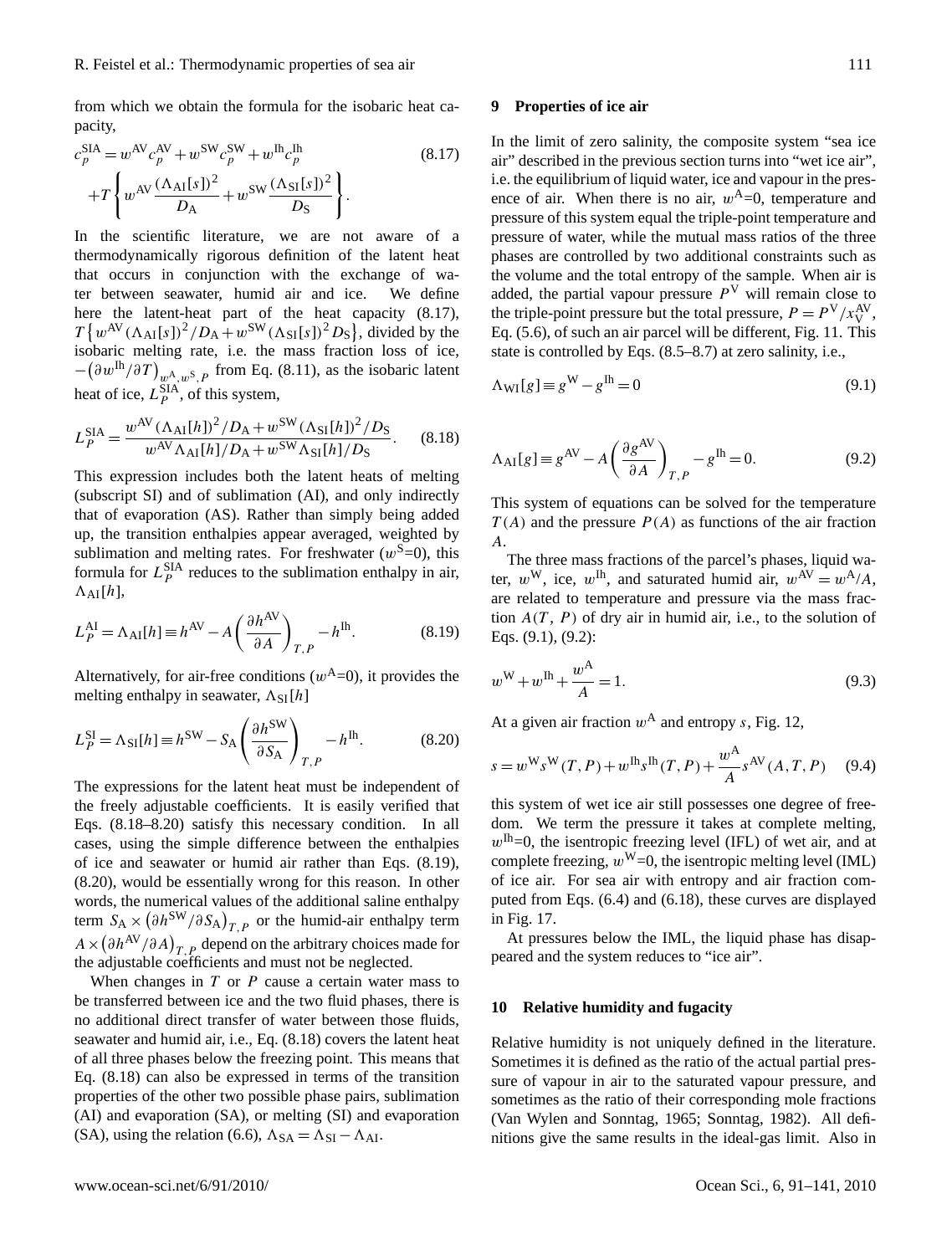from which we obtain the formula for the isobaric heat capacity,

$$
c_p^{\text{SIA}} = w^{\text{AV}} c_p^{\text{AV}} + w^{\text{SW}} c_p^{\text{SW}} + w^{\text{Ih}} c_p^{\text{Ih}} + T \left\{ w^{\text{AV}} \frac{(\Lambda_{\text{AI}}[s])^2}{D_{\text{A}}} + w^{\text{SW}} \frac{(\Lambda_{\text{SI}}[s])^2}{D_{\text{S}}} \right\}.
$$
\n(8.17)

In the scientific literature, we are not aware of a thermodynamically rigorous definition of the latent heat that occurs in conjunction with the exchange of water between seawater, humid air and ice. We define here the latent-heat part of the heat capacity  $(8.17)$ ,  $T\left\{w^{\text{AV}}\left(\Lambda_{\text{AI}}[s]\right)^2/D_{\text{A}}+w^{\text{SW}}\left(\Lambda_{\text{SI}}[s]\right)^2D_{\text{S}}\right\}$ , divided by the isobaric melting rate, i.e. the mass fraction loss of ice,  $-(\partial w^{\text{lh}}/\partial T)_{w^{\text{A}},w^{\text{S}},P}$  from Eq. (8.11), as the isobaric latent heat of ice,  $L_P^{\text{SIA}}$ , of this system,

$$
L_P^{\text{SIA}} = \frac{w^{\text{AV}} (\Lambda_{\text{AI}}[h])^2 / D_{\text{A}} + w^{\text{SW}} (\Lambda_{\text{SI}}[h])^2 / D_{\text{S}}}{w^{\text{AV}} \Lambda_{\text{AI}}[h] / D_{\text{A}} + w^{\text{SW}} \Lambda_{\text{SI}}[h] / D_{\text{S}}}. \tag{8.18}
$$

This expression includes both the latent heats of melting (subscript SI) and of sublimation (AI), and only indirectly that of evaporation (AS). Rather than simply being added up, the transition enthalpies appear averaged, weighted by sublimation and melting rates. For freshwater  $(w^S=0)$ , this formula for  $L_P^{\text{SIA}}$  reduces to the sublimation enthalpy in air,  $\Lambda_{AI}[h],$ 

$$
L_P^{\text{AI}} = \Lambda_{\text{AI}}[h] \equiv h^{\text{AV}} - A \left(\frac{\partial h^{\text{AV}}}{\partial A}\right)_{T,P} - h^{\text{Ih}}.\tag{8.19}
$$

Alternatively, for air-free conditions  $(w<sup>A</sup>=0)$ , it provides the melting enthalpy in seawater,  $\Lambda_{SI}[h]$ 

$$
L_P^{\text{SI}} = \Lambda_{\text{SI}}[h] \equiv h^{\text{SW}} - S_A \left(\frac{\partial h^{\text{SW}}}{\partial S_A}\right)_{T,P} - h^{\text{Ih}}.\tag{8.20}
$$

The expressions for the latent heat must be independent of the freely adjustable coefficients. It is easily verified that Eqs. (8.18–8.20) satisfy this necessary condition. In all cases, using the simple difference between the enthalpies of ice and seawater or humid air rather than Eqs. (8.19), (8.20), would be essentially wrong for this reason. In other words, the numerical values of the additional saline enthalpy term  $S_A \times (\partial h^{\rm SW}/\partial S_A)_{T,P}$  or the humid-air enthalpy term  $A \times (\partial h^{AV}/\partial A)_{T, P}$  depend on the arbitrary choices made for the adjustable coefficients and must not be neglected.

When changes in  $T$  or  $P$  cause a certain water mass to be transferred between ice and the two fluid phases, there is no additional direct transfer of water between those fluids, seawater and humid air, i.e., Eq. (8.18) covers the latent heat of all three phases below the freezing point. This means that Eq. (8.18) can also be expressed in terms of the transition properties of the other two possible phase pairs, sublimation (AI) and evaporation (SA), or melting (SI) and evaporation (SA), using the relation (6.6),  $\Lambda_{SA} = \Lambda_{SI} - \Lambda_{AI}$ .

## **9 Properties of ice air**

In the limit of zero salinity, the composite system "sea ice air" described in the previous section turns into "wet ice air", i.e. the equilibrium of liquid water, ice and vapour in the presence of air. When there is no air,  $w^A=0$ , temperature and pressure of this system equal the triple-point temperature and pressure of water, while the mutual mass ratios of the three phases are controlled by two additional constraints such as the volume and the total entropy of the sample. When air is added, the partial vapour pressure  $P<sup>V</sup>$  will remain close to the triple-point pressure but the total pressure,  $P = P<sup>V</sup>/x<sub>V</sub><sup>AV</sup>$ , Eq. (5.6), of such an air parcel will be different, Fig. 11. This state is controlled by Eqs. (8.5–8.7) at zero salinity, i.e.,

$$
\Lambda_{\rm WI}[g] \equiv g^{\rm W} - g^{\rm lh} = 0 \tag{9.1}
$$

$$
\Lambda_{\text{AI}}[g] \equiv g^{\text{AV}} - A \left( \frac{\partial g^{\text{AV}}}{\partial A} \right)_{T,P} - g^{\text{Ih}} = 0. \tag{9.2}
$$

This system of equations can be solved for the temperature  $T(A)$  and the pressure  $P(A)$  as functions of the air fraction A.

The three mass fractions of the parcel's phases, liquid water,  $w^W$ , ice,  $w^{\text{th}}$ , and saturated humid air,  $w^{\text{AV}} = w^{\text{A}}/A$ , are related to temperature and pressure via the mass fraction  $A(T, P)$  of dry air in humid air, i.e., to the solution of Eqs. (9.1), (9.2):

$$
w^{\mathbf{W}} + w^{\mathbf{Ih}} + \frac{w^{\mathbf{A}}}{A} = 1.
$$
\n(9.3)

At a given air fraction  $w^A$  and entropy s, Fig. 12,

$$
s = w^{\mathcal{W}} s^{\mathcal{W}}(T, P) + w^{\mathcal{H}} s^{\mathcal{H}}(T, P) + \frac{w^{\mathcal{A}}}{A} s^{\mathcal{A}\mathcal{V}}(A, T, P) \tag{9.4}
$$

this system of wet ice air still possesses one degree of freedom. We term the pressure it takes at complete melting,  $w^{\text{In}}=0$ , the isentropic freezing level (IFL) of wet air, and at complete freezing,  $w^W=0$ , the isentropic melting level (IML) of ice air. For sea air with entropy and air fraction computed from Eqs. (6.4) and (6.18), these curves are displayed in Fig. 17.

At pressures below the IML, the liquid phase has disappeared and the system reduces to "ice air".

# **10 Relative humidity and fugacity**

Relative humidity is not uniquely defined in the literature. Sometimes it is defined as the ratio of the actual partial pressure of vapour in air to the saturated vapour pressure, and sometimes as the ratio of their corresponding mole fractions (Van Wylen and Sonntag, 1965; Sonntag, 1982). All definitions give the same results in the ideal-gas limit. Also in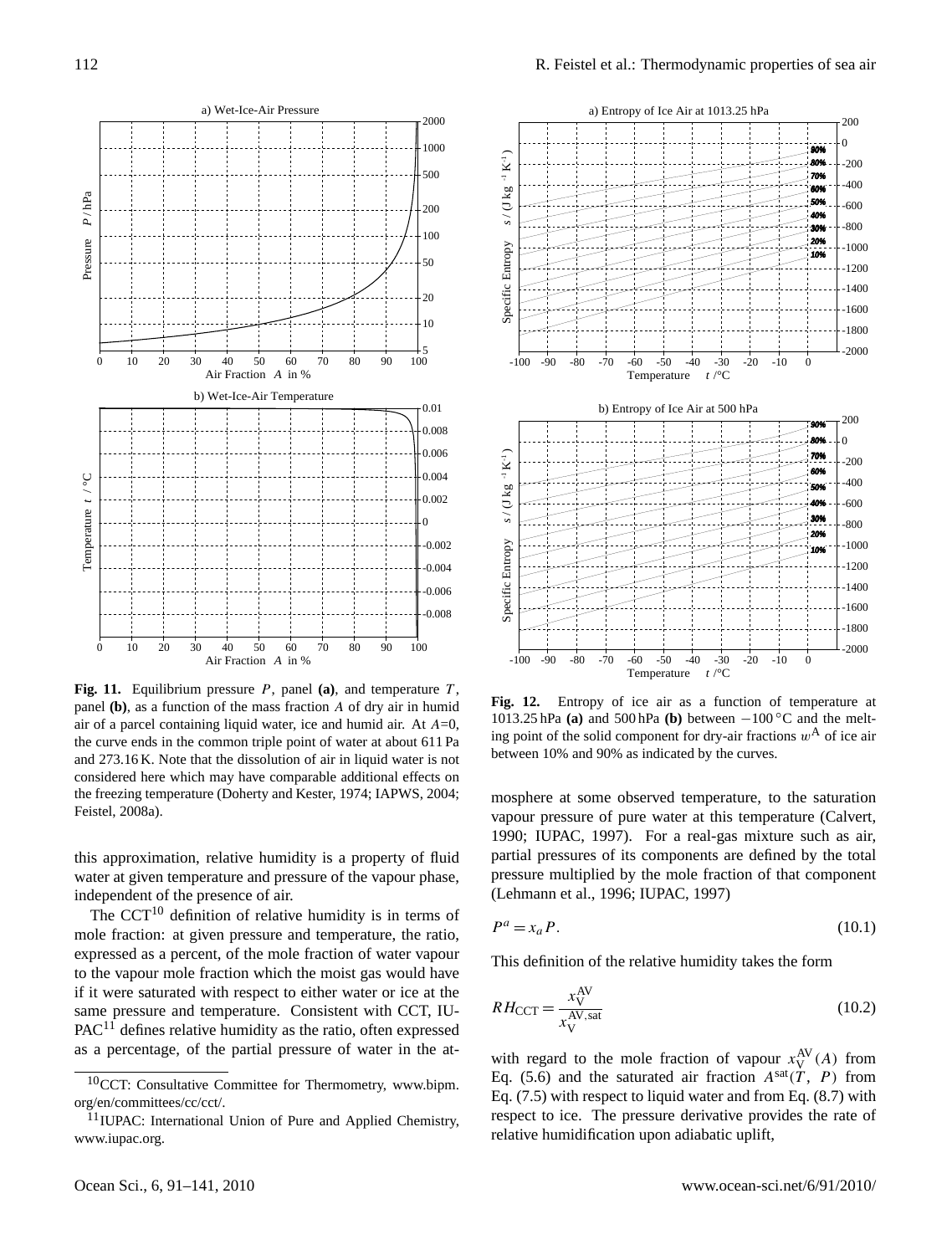

**Fig. 11.** Equilibrium pressure P, panel **(a)**, and temperature T , panel **(b)**, as a function of the mass fraction A of dry air in humid air of a parcel containing liquid water, ice and humid air. At  $A=0$ , the curve ends in the common triple point of water at about 611 Pa and 273.16 K. Note that the dissolution of air in liquid water is not considered here which may have comparable additional effects on the freezing temperature (Doherty and Kester, 1974; IAPWS, 2004; Feistel, 2008a).

this approximation, relative humidity is a property of fluid water at given temperature and pressure of the vapour phase, independent of the presence of air.

The CCT $^{10}$  $^{10}$  $^{10}$  definition of relative humidity is in terms of mole fraction: at given pressure and temperature, the ratio, expressed as a percent, of the mole fraction of water vapour to the vapour mole fraction which the moist gas would have if it were saturated with respect to either water or ice at the same pressure and temperature. Consistent with CCT, IU- $PAC<sup>11</sup>$  $PAC<sup>11</sup>$  $PAC<sup>11</sup>$  defines relative humidity as the ratio, often expressed as a percentage, of the partial pressure of water in the at-



**Fig. 12.** Entropy of ice air as a function of temperature at 1013.25 hPa **(a)** and 500 hPa **(b)** between −100 ◦C and the melting point of the solid component for dry-air fractions  $w<sup>A</sup>$  of ice air between 10% and 90% as indicated by the curves.

mosphere at some observed temperature, to the saturation vapour pressure of pure water at this temperature (Calvert, 1990; IUPAC, 1997). For a real-gas mixture such as air, partial pressures of its components are defined by the total pressure multiplied by the mole fraction of that component (Lehmann et al., 1996; IUPAC, 1997)

$$
P^a = x_a P. \tag{10.1}
$$

This definition of the relative humidity takes the form

$$
RH_{\text{CCT}} = \frac{x_{\text{V}}^{\text{AV}}}{x_{\text{V}}^{\text{AV,sat}}} \tag{10.2}
$$

with regard to the mole fraction of vapour  $x_V^{\text{AV}}(A)$  from Eq. (5.6) and the saturated air fraction  $A<sup>sat</sup>(T, P)$  from Eq. (7.5) with respect to liquid water and from Eq. (8.7) with respect to ice. The pressure derivative provides the rate of relative humidification upon adiabatic uplift,

<span id="page-21-0"></span><sup>10</sup>CCT: Consultative Committee for Thermometry, [www.bipm.](www.bipm.org/en/committees/cc/cct/) [org/en/committees/cc/cct/.](www.bipm.org/en/committees/cc/cct/)

<span id="page-21-1"></span><sup>&</sup>lt;sup>11</sup>IUPAC: International Union of Pure and Applied Chemistry, [www.iupac.org.](www.iupac.org)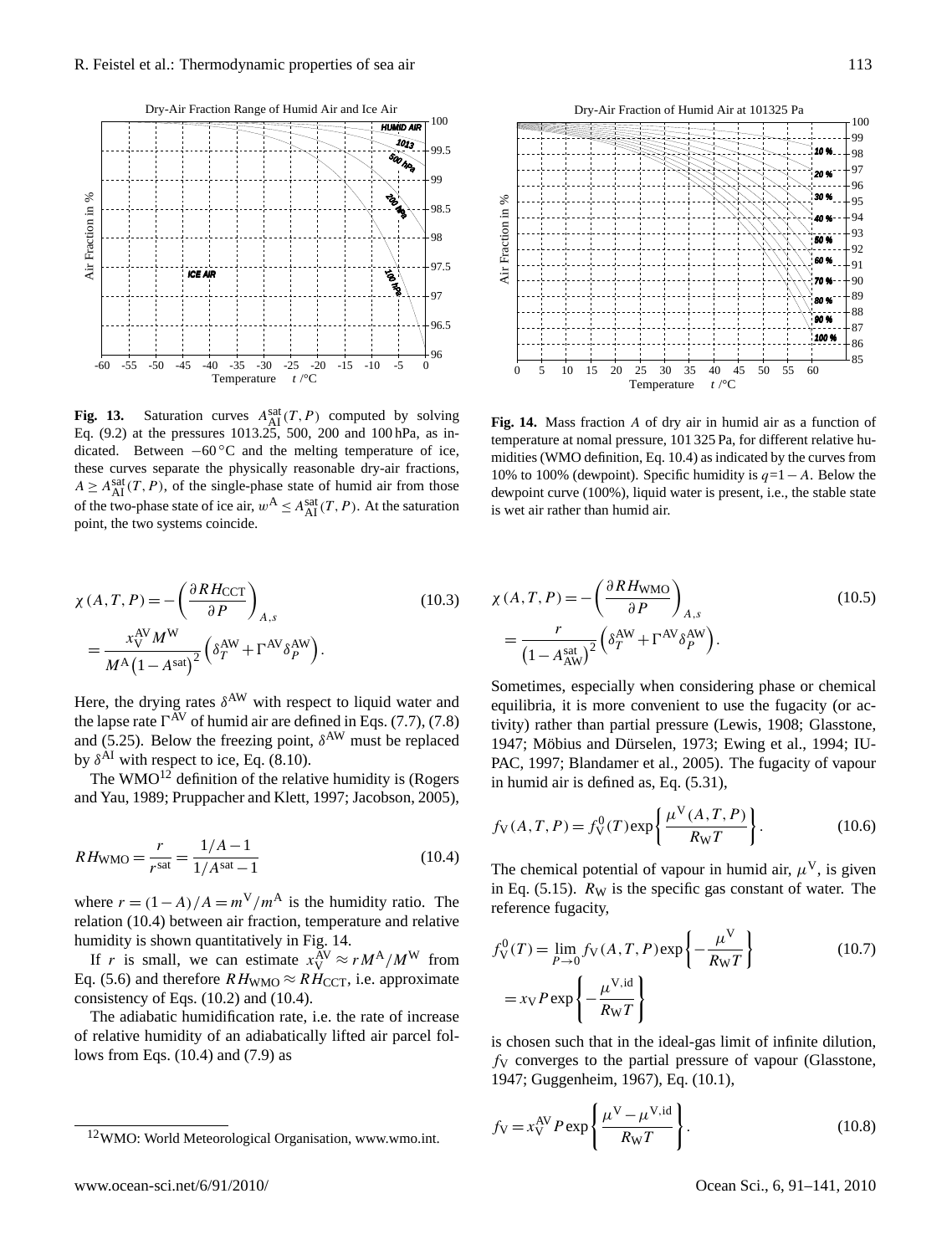

Fig. 13. Saturation curves  $A_{\text{AI}}^{\text{sat}}(T, P)$  computed by solving Eq.  $(9.2)$  at the pressures 1013.25, 500, 200 and 100 hPa, as indicated. Between −60 °C and the melting temperature of ice,  $A \geq A_{\text{AI}}^{\text{sat}}(T, P)$ , of the single-phase state of humid air from those of the two-phase state of ice air,  $w^A \leq A_{\text{AI}}^{\text{sat}}(T, P)$ . At the saturation point, the two systems coincide. these curves separate the physically reasonable dry-air fractions,

$$
\chi(A, T, P) = -\left(\frac{\partial R H_{\text{CCT}}}{\partial P}\right)_{A, s}
$$
\n
$$
= \frac{x_{\text{V}}^{\text{AV}} M^{\text{W}}}{M^{\text{A}} \left(1 - A^{\text{sat}}\right)^{2}} \left(\delta_T^{\text{AW}} + \Gamma^{\text{AV}} \delta_P^{\text{AW}}\right). \tag{10.3}
$$

Here, the drying rates  $\delta^{AW}$  with respect to liquid water and the lapse rate  $\Gamma^{\text{AV}}$  of humid air are defined in Eqs. (7.7), (7.8) and (5.25). Below the freezing point,  $\delta^{\text{AW}}$  must be replaced by  $\delta^{AI}$  with respect to ice, Eq. (8.10).

The WMO<sup>[12](#page-22-0)</sup> definition of the relative humidity is (Rogers and Yau, 1989; Pruppacher and Klett, 1997; Jacobson, 2005),

$$
RH_{\text{WMO}} = \frac{r}{r^{\text{sat}}} = \frac{1/A - 1}{1/A^{\text{sat}} - 1}
$$
 (10.4)

where  $r = (1 - A)/A = m^V/m^A$  is the humidity ratio. The relation (10.4) between air fraction, temperature and relative humidity is shown quantitatively in Fig. 14.

If r is small, we can estimate  $x_V^{\text{AV}} \approx r M^{\text{A}}/M^{\text{W}}$  from Eq. (5.6) and therefore  $RH_{\text{WMO}} \approx RH_{\text{CCT}}$ , i.e. approximate consistency of Eqs. (10.2) and (10.4).

The adiabatic humidification rate, i.e. the rate of increase of relative humidity of an adiabatically lifted air parcel follows from Eqs. (10.4) and (7.9) as



Fig. 14. Mass fraction A of dry air in humid air as a function of temperature at nomal pressure, 101 325 Pa, for different relative humidities (WMO definition, Eq. 10.4) as indicated by the curves from dewpoint curve (100%), liquid water is present, i.e., the stable state is wet air rather than humid air. 10% to 100% (dewpoint). Specific humidity is  $q=1-A$ . Below the

$$
\chi(A, T, P) = -\left(\frac{\partial R H_{\text{WMO}}}{\partial P}\right)_{A, s}
$$
\n
$$
= \frac{r}{\left(1 - A_{\text{AW}}^{\text{sat}}\right)^2} \left(\delta_T^{\text{AW}} + \Gamma^{\text{AV}} \delta_P^{\text{AW}}\right). \tag{10.5}
$$

Sometimes, especially when considering phase or chemical equilibria, it is more convenient to use the fugacity (or activity) rather than partial pressure (Lewis, 1908; Glasstone, 1947; Möbius and Dürselen, 1973; Ewing et al., 1994; IU-PAC, 1997; Blandamer et al., 2005). The fugacity of vapour in humid air is defined as, Eq. (5.31),

$$
f_{V}(A, T, P) = f_{V}^{0}(T) \exp\left\{\frac{\mu^{V}(A, T, P)}{R_{W}T}\right\}.
$$
 (10.6)

The chemical potential of vapour in humid air,  $\mu^{V}$ , is given in Eq.  $(5.15)$ .  $R_W$  is the specific gas constant of water. The reference fugacity,

$$
f_V^0(T) = \lim_{P \to 0} f_V(A, T, P) \exp\left\{-\frac{\mu^V}{R_W T}\right\}
$$
 (10.7)  
=  $x_V P \exp\left\{-\frac{\mu^{V, id}}{R_W T}\right\}$ 

is chosen such that in the ideal-gas limit of infinite dilution,  $f<sub>V</sub>$  converges to the partial pressure of vapour (Glasstone, 1947; Guggenheim, 1967), Eq. (10.1),

$$
f_{\rm V} = x_{\rm V}^{\rm AV} P \exp\left\{\frac{\mu^{\rm V} - \mu^{\rm V,id}}{R_{\rm W}T}\right\}.
$$
 (10.8)

<span id="page-22-0"></span><sup>12</sup>WMO: World Meteorological Organisation, [www.wmo.int.](www.wmo.int)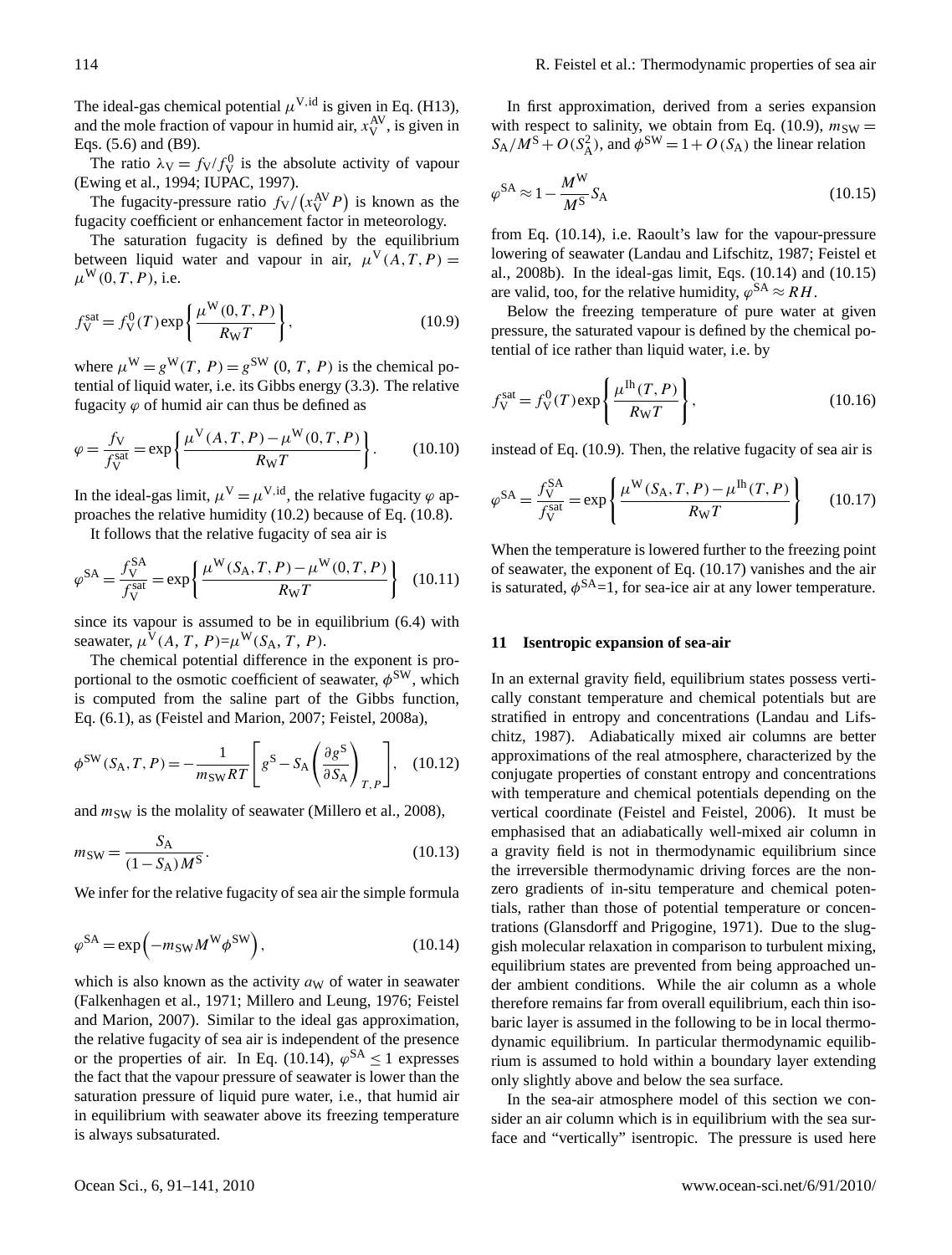The ideal-gas chemical potential  $\mu^{V,id}$  is given in Eq. (H13), and the mole fraction of vapour in humid air,  $x_V^{\text{AV}}$ , is given in Eqs. (5.6) and (B9).

The ratio  $\lambda \mathbf{v} = f\mathbf{v}/f_{\mathbf{V}}^0$  is the absolute activity of vapour (Ewing et al., 1994; IUPAC, 1997).

The fugacity-pressure ratio  $f_V/(x_V^{\text{AV}}P)$  is known as the fugacity coefficient or enhancement factor in meteorology.

The saturation fugacity is defined by the equilibrium between liquid water and vapour in air,  $\mu^V(A, T, P) =$  $\mu^{\mathbf{W}}(0,T,P)$ , i.e.

$$
f_{\rm V}^{\rm sat} = f_{\rm V}^0(T) \exp\left\{\frac{\mu^{\rm W}(0, T, P)}{R_{\rm W}T}\right\},\tag{10.9}
$$

where  $\mu^{\mathbf{W}} = g^{\mathbf{W}}(T, P) = g^{\mathbf{SW}}(0, T, P)$  is the chemical potential of liquid water, i.e. its Gibbs energy (3.3). The relative fugacity  $\varphi$  of humid air can thus be defined as

$$
\varphi = \frac{f_V}{f_V^{\text{sat}}} = \exp\left\{ \frac{\mu^V(A, T, P) - \mu^W(0, T, P)}{R_W T} \right\}.
$$
 (10.10)

In the ideal-gas limit,  $\mu^V = \mu^{V,id}$ , the relative fugacity  $\varphi$  approaches the relative humidity (10.2) because of Eq. (10.8).

It follows that the relative fugacity of sea air is

$$
\varphi^{SA} = \frac{f_{V}^{SA}}{f_{V}^{sat}} = \exp\left\{\frac{\mu^{W}(S_{A}, T, P) - \mu^{W}(0, T, P)}{R_{W}T}\right\}
$$
(10.11)

since its vapour is assumed to be in equilibrium (6.4) with seawater,  $\mu^V(A, T, P) = \mu^W(S_A, T, P)$ .

The chemical potential difference in the exponent is proportional to the osmotic coefficient of seawater,  $\phi^{\text{SW}}$ , which is computed from the saline part of the Gibbs function, Eq. (6.1), as (Feistel and Marion, 2007; Feistel, 2008a),

$$
\phi^{\text{SW}}(S_{\text{A}}, T, P) = -\frac{1}{m_{\text{SW}}RT} \left[ g^{\text{S}} - S_{\text{A}} \left( \frac{\partial g^{\text{S}}}{\partial S_{\text{A}}} \right)_{T, P} \right], \quad (10.12)
$$

and  $m_{SW}$  is the molality of seawater (Millero et al., 2008),

$$
m_{\rm SW} = \frac{S_{\rm A}}{(1 - S_{\rm A})M^{\rm S}}.\tag{10.13}
$$

We infer for the relative fugacity of sea air the simple formula

$$
\varphi^{\text{SA}} = \exp\left(-m_{\text{SW}}M^{\text{W}}\phi^{\text{SW}}\right),\tag{10.14}
$$

which is also known as the activity  $a<sub>W</sub>$  of water in seawater (Falkenhagen et al., 1971; Millero and Leung, 1976; Feistel and Marion, 2007). Similar to the ideal gas approximation, the relative fugacity of sea air is independent of the presence or the properties of air. In Eq. (10.14),  $\varphi^{SA} \le 1$  expresses the fact that the vapour pressure of seawater is lower than the saturation pressure of liquid pure water, i.e., that humid air in equilibrium with seawater above its freezing temperature is always subsaturated.

In first approximation, derived from a series expansion with respect to salinity, we obtain from Eq. (10.9),  $m_{SW} =$  $S_A/M^S + O(S_A^2)$ , and  $\phi^{SW} = 1 + O(S_A)$  the linear relation

$$
\varphi^{\text{SA}} \approx 1 - \frac{M^{\text{W}}}{M^{\text{S}}} S_{\text{A}} \tag{10.15}
$$

from Eq. (10.14), i.e. Raoult's law for the vapour-pressure lowering of seawater (Landau and Lifschitz, 1987; Feistel et al., 2008b). In the ideal-gas limit, Eqs. (10.14) and (10.15) are valid, too, for the relative humidity,  $\varphi^{SA} \approx RH$ .

Below the freezing temperature of pure water at given pressure, the saturated vapour is defined by the chemical potential of ice rather than liquid water, i.e. by

$$
f_{\rm V}^{\rm sat} = f_{\rm V}^0(T) \exp\left\{\frac{\mu^{\rm Th}(T, P)}{R_{\rm W}T}\right\},\tag{10.16}
$$

instead of Eq. (10.9). Then, the relative fugacity of sea air is

$$
\varphi^{\text{SA}} = \frac{f_{\text{V}}^{\text{SA}}}{f_{\text{V}}^{\text{sat}}} = \exp\left\{\frac{\mu^{\text{W}}(S_{\text{A}}, T, P) - \mu^{\text{lh}}(T, P)}{R_{\text{W}}T}\right\}
$$
(10.17)

When the temperature is lowered further to the freezing point of seawater, the exponent of Eq. (10.17) vanishes and the air is saturated,  $\phi^{SA}$ =1, for sea-ice air at any lower temperature.

#### **11 Isentropic expansion of sea-air**

In an external gravity field, equilibrium states possess vertically constant temperature and chemical potentials but are stratified in entropy and concentrations (Landau and Lifschitz, 1987). Adiabatically mixed air columns are better approximations of the real atmosphere, characterized by the conjugate properties of constant entropy and concentrations with temperature and chemical potentials depending on the vertical coordinate (Feistel and Feistel, 2006). It must be emphasised that an adiabatically well-mixed air column in a gravity field is not in thermodynamic equilibrium since the irreversible thermodynamic driving forces are the nonzero gradients of in-situ temperature and chemical potentials, rather than those of potential temperature or concentrations (Glansdorff and Prigogine, 1971). Due to the sluggish molecular relaxation in comparison to turbulent mixing, equilibrium states are prevented from being approached under ambient conditions. While the air column as a whole therefore remains far from overall equilibrium, each thin isobaric layer is assumed in the following to be in local thermodynamic equilibrium. In particular thermodynamic equilibrium is assumed to hold within a boundary layer extending only slightly above and below the sea surface.

In the sea-air atmosphere model of this section we consider an air column which is in equilibrium with the sea surface and "vertically" isentropic. The pressure is used here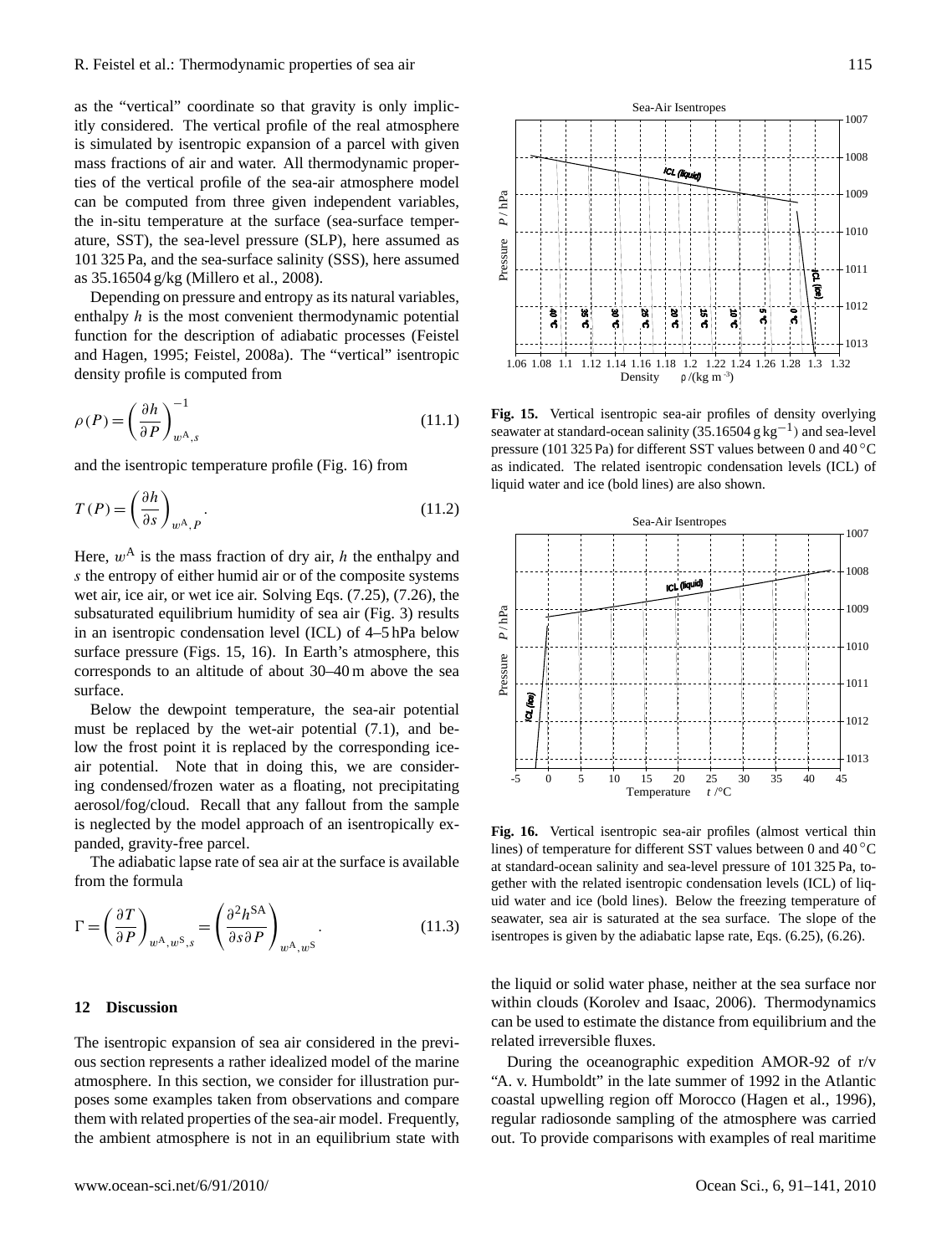as the "vertical" coordinate so that gravity is only implicitly considered. The vertical profile of the real atmosphere is simulated by isentropic expansion of a parcel with given mass fractions of air and water. All thermodynamic properties of the vertical profile of the sea-air atmosphere model can be computed from three given independent variables, the in-situ temperature at the surface (sea-surface temperature, SST), the sea-level pressure (SLP), here assumed as 101 325 Pa, and the sea-surface salinity (SSS), here assumed as 35.16504 g/kg (Millero et al., 2008).

Depending on pressure and entropy as its natural variables, enthalpy  $h$  is the most convenient thermodynamic potential function for the description of adiabatic processes (Feistel and Hagen, 1995; Feistel, 2008a). The "vertical" isentropic density profile is computed from

$$
\rho(P) = \left(\frac{\partial h}{\partial P}\right)_{w^{\mathcal{A}},s}^{-1} \tag{11.1}
$$

and the isentropic temperature profile (Fig. 16) from

$$
T(P) = \left(\frac{\partial h}{\partial s}\right)_{w^{\mathcal{A}}, P}.
$$
\n(11.2)

Here,  $w^A$  is the mass fraction of dry air, h the enthalpy and s the entropy of either humid air or of the composite systems wet air, ice air, or wet ice air. Solving Eqs. (7.25), (7.26), the subsaturated equilibrium humidity of sea air (Fig. 3) results in an isentropic condensation level (ICL) of 4–5 hPa below surface pressure (Figs. 15, 16). In Earth's atmosphere, this corresponds to an altitude of about 30–40 m above the sea surface.

Below the dewpoint temperature, the sea-air potential must be replaced by the wet-air potential (7.1), and below the frost point it is replaced by the corresponding iceair potential. Note that in doing this, we are considering condensed/frozen water as a floating, not precipitating aerosol/fog/cloud. Recall that any fallout from the sample is neglected by the model approach of an isentropically expanded, gravity-free parcel.

The adiabatic lapse rate of sea air at the surface is available from the formula

$$
\Gamma = \left(\frac{\partial T}{\partial P}\right)_{w^{\mathcal{A}}, w^{\mathcal{S}}, s} = \left(\frac{\partial^2 h^{\mathcal{S}\mathcal{A}}}{\partial s \partial P}\right)_{w^{\mathcal{A}}, w^{\mathcal{S}}}.
$$
\n(11.3)

# **12 Discussion**

The isentropic expansion of sea air considered in the previous section represents a rather idealized model of the marine atmosphere. In this section, we consider for illustration purposes some examples taken from observations and compare them with related properties of the sea-air model. Frequently, the ambient atmosphere is not in an equilibrium state with



Fig. 15. Vertical isentropic sea-air profiles of density overlying seawater at standard-ocean salinity (35.16504 g kg<sup>-1</sup>) and sea-level pressure (101 325 Pa) for different SST values between 0 and 40 °C as indicated. The related isentropic condensation levels (ICL) of liquid water and ice (bold lines) are also shown.



Fig. 16. Vertical isentropic sea-air profiles (almost vertical thin lines) of temperature for different SST values between 0 and 40 °C at standard-ocean salinity and sea-level pressure of 101 325 Pa, together with the related isentropic condensation levels (ICL) of liquid water and ice (bold lines). Below the freezing temperature of seawater, sea air is saturated at the sea surface. The slope of the isentropes is given by the adiabatic lapse rate, Eqs. (6.25), (6.26).

the liquid or solid water phase, neither at the sea surface nor within clouds (Korolev and Isaac, 2006). Thermodynamics can be used to estimate the distance from equilibrium and the related irreversible fluxes.

During the oceanographic expedition AMOR-92 of r/v "A. v. Humboldt" in the late summer of 1992 in the Atlantic coastal upwelling region off Morocco (Hagen et al., 1996), regular radiosonde sampling of the atmosphere was carried out. To provide comparisons with examples of real maritime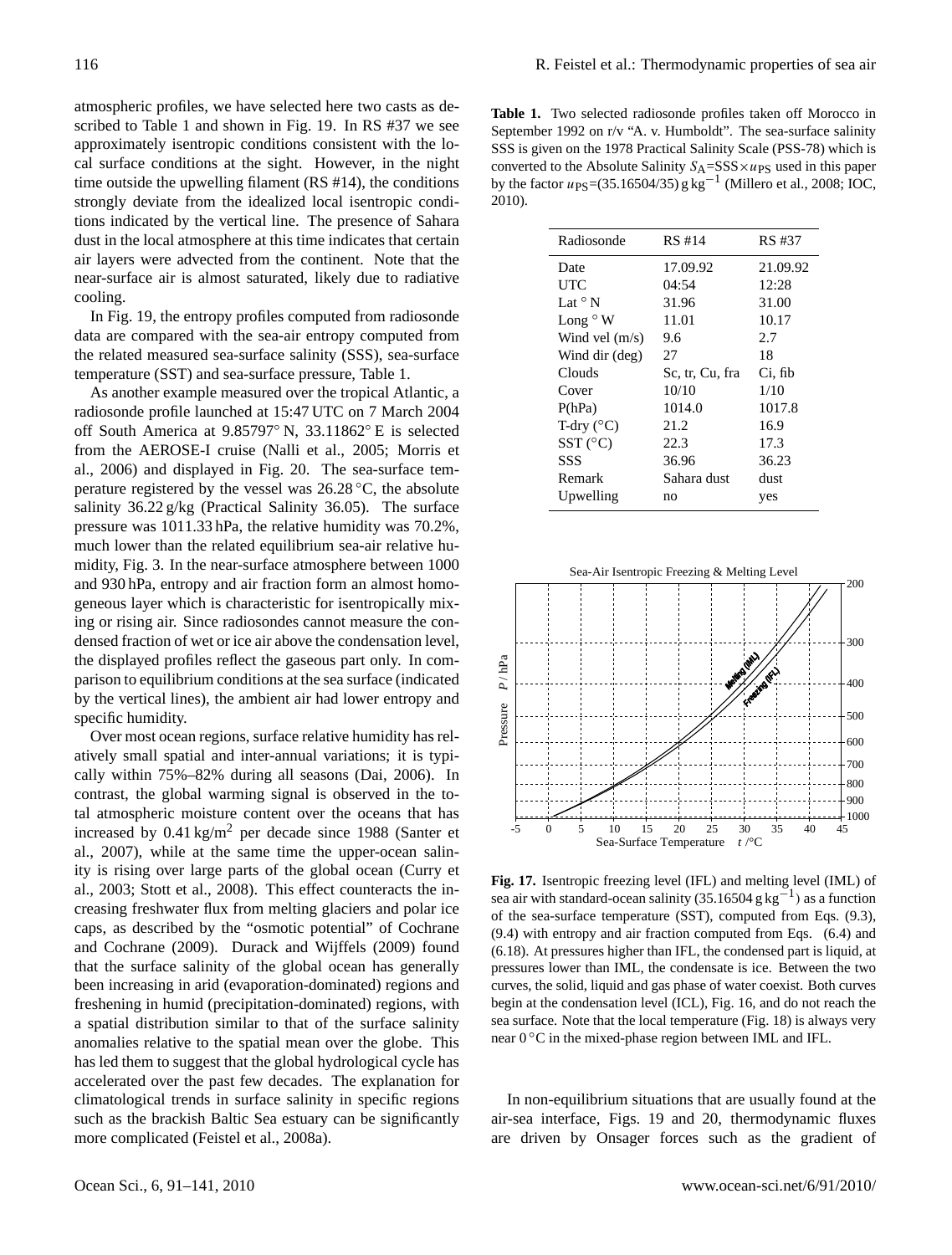atmospheric profiles, we have selected here two casts as described to Table 1 and shown in Fig. 19. In RS #37 we see approximately isentropic conditions consistent with the local surface conditions at the sight. However, in the night time outside the upwelling filament (RS #14), the conditions strongly deviate from the idealized local isentropic conditions indicated by the vertical line. The presence of Sahara dust in the local atmosphere at this time indicates that certain air layers were advected from the continent. Note that the near-surface air is almost saturated, likely due to radiative cooling.

In Fig. 19, the entropy profiles computed from radiosonde data are compared with the sea-air entropy computed from the related measured sea-surface salinity (SSS), sea-surface temperature (SST) and sea-surface pressure, Table 1.

As another example measured over the tropical Atlantic, a radiosonde profile launched at 15:47 UTC on 7 March 2004 off South America at 9.85797◦ N, 33.11862◦ E is selected from the AEROSE-I cruise (Nalli et al., 2005; Morris et al., 2006) and displayed in Fig. 20. The sea-surface temperature registered by the vessel was  $26.28\degree C$ , the absolute salinity 36.22 g/kg (Practical Salinity 36.05). The surface pressure was 1011.33 hPa, the relative humidity was 70.2%, much lower than the related equilibrium sea-air relative humidity, Fig. 3. In the near-surface atmosphere between 1000 and 930 hPa, entropy and air fraction form an almost homogeneous layer which is characteristic for isentropically mixing or rising air. Since radiosondes cannot measure the condensed fraction of wet or ice air above the condensation level, the displayed profiles reflect the gaseous part only. In comparison to equilibrium conditions at the sea surface (indicated by the vertical lines), the ambient air had lower entropy and specific humidity.

Over most ocean regions, surface relative humidity has relatively small spatial and inter-annual variations; it is typically within 75%–82% during all seasons (Dai, 2006). In contrast, the global warming signal is observed in the total atmospheric moisture content over the oceans that has increased by  $0.41 \text{ kg/m}^2$  per decade since 1988 (Santer et al., 2007), while at the same time the upper-ocean salinity is rising over large parts of the global ocean (Curry et al., 2003; Stott et al., 2008). This effect counteracts the increasing freshwater flux from melting glaciers and polar ice caps, as described by the "osmotic potential" of Cochrane and Cochrane (2009). Durack and Wijffels (2009) found that the surface salinity of the global ocean has generally been increasing in arid (evaporation-dominated) regions and freshening in humid (precipitation-dominated) regions, with a spatial distribution similar to that of the surface salinity anomalies relative to the spatial mean over the globe. This has led them to suggest that the global hydrological cycle has accelerated over the past few decades. The explanation for climatological trends in surface salinity in specific regions such as the brackish Baltic Sea estuary can be significantly more complicated (Feistel et al., 2008a).

**Table 1.** Two selected radiosonde profiles taken off Morocco in September 1992 on r/v "A. v. Humboldt". The sea-surface salinity SSS is given on the 1978 Practical Salinity Scale (PSS-78) which is converted to the Absolute Salinity  $S_A = SSS \times u_{PS}$  used in this paper by the factor  $u_{PS} = (35.16504/35)$  g kg<sup>-1</sup> (Millero et al., 2008; IOC, 2010).

| Radiosonde            | RS #14          | RS #37   |
|-----------------------|-----------------|----------|
| Date                  | 17.09.92        | 21.09.92 |
| UTC                   | 04:54           | 12:28    |
| Lat $\circ$ N         | 31.96           | 31.00    |
| Long $\circ$ W        | 11.01           | 10.17    |
| Wind vel $(m/s)$      | 9.6             | 2.7      |
| Wind dir (deg)        | 27              | 18       |
| Clouds                | Sc. tr. Cu. fra | Ci, fib  |
| Cover                 | 10/10           | 1/10     |
| P(hPa)                | 1014.0          | 1017.8   |
| T-dry $(^{\circ}C)$   | 21.2            | 16.9     |
| $SST$ ( $^{\circ}$ C) | 22.3            | 17.3     |
| SSS                   | 36.96           | 36.23    |
| Remark                | Sahara dust     | dust     |
| Upwelling             | no              | yes      |
|                       |                 |          |



Fig. 17. Isentropic freezing level (IFL) and melting level (IML) of sea air with standard-ocean salinity (35.16504 g kg<sup>-1</sup>) as a function of the sea-surface temperature (SST), computed from Eqs. (9.3),  $(9.4)$  with entropy and air fraction computed from Eqs.  $(6.4)$  and (6.18). At pressures higher than IFL, the condensed part is liquid, at pressures lower than IML, the condensate is ice. Between the two curves, the solid, liquid and gas phase of water coexist. Both curves begin at the condensation level (ICL), Fig. 16, and do not reach the sea surface. Note that the local temperature (Fig. 18) is always very near 0 °C in the mixed-phase region between IML and IFL.

In non-equilibrium situations that are usually found at the air-sea interface, Figs. 19 and 20, thermodynamic fluxes are driven by Onsager forces such as the gradient of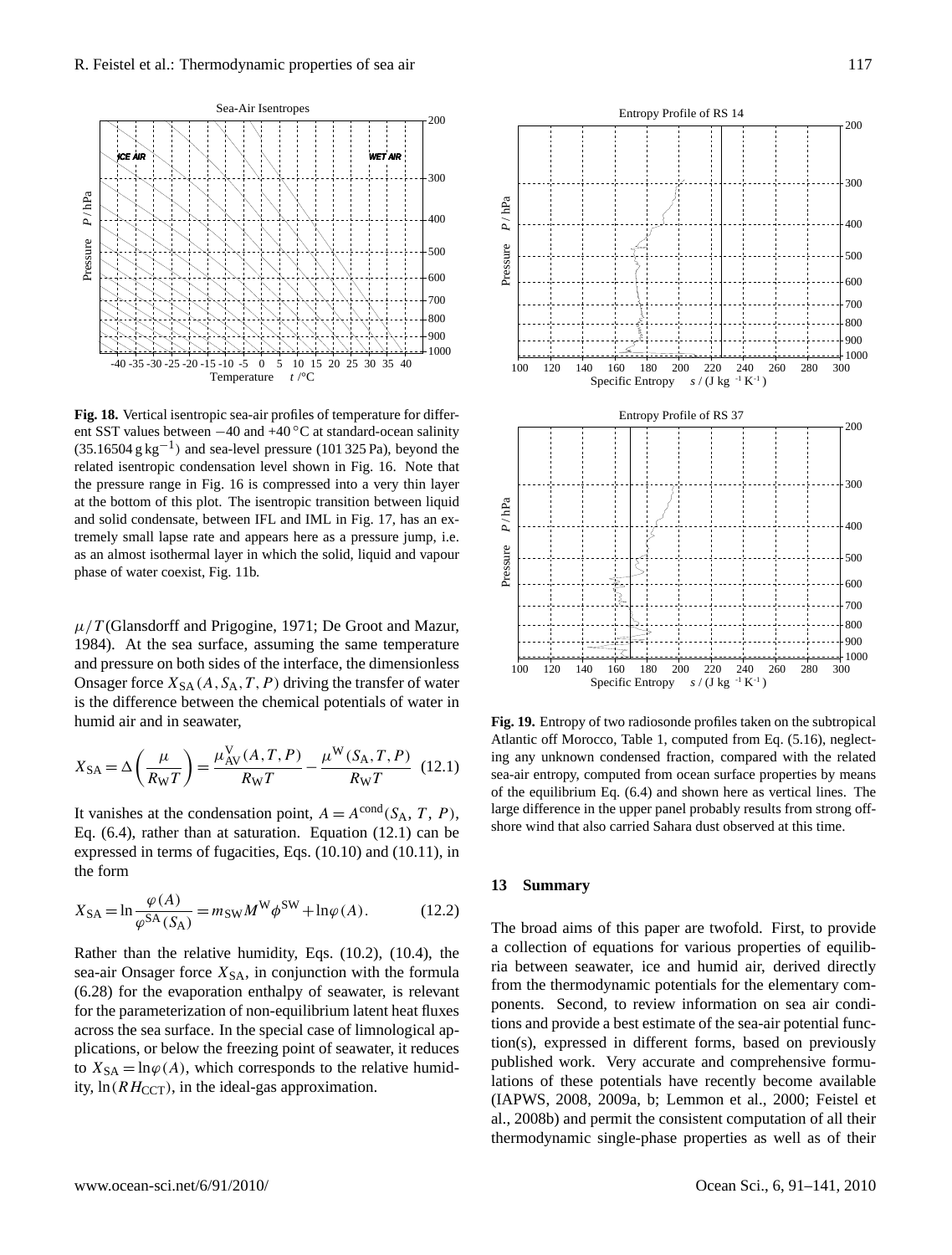

Fig. 18. Vertical isentropic sea-air profiles of temperature for different SST values between −40 and +40 °C at standard-ocean salinity  $(35.16504 \text{ g kg}^{-1})$  and sea-level pressure (101 325 Pa), beyond the related isentropic condensation level shown in Fig. 16. Note that the pressure range in Fig. 16 is compressed into a very thin layer and solid condensate, between IFL and IML in Fig. 17, has an exas an almost isothermal layer in which the solid, liquid and vapour phase of water coexist, Fig. 11b. of the sea-air model. Frequently, the ambient atmosphere is not in an equilibrium state with at the bottom of this plot. The isentropic transition between liquid tremely small lapse rate and appears here as a pressure jump, i.e.

 $\mu/T$  (Glansdorff and Prigogine, 1971; De Groot and Mazur, 1984). At the sea surface, assuming the same temperature and pressure on both sides of the interface, the dimensionless Onsager force  $X_{SA}(A, S_A, T, P)$  driving the transfer of water is the difference between the chemical potentials of water in humid air and in seawater,

$$
X_{SA} = \Delta \left(\frac{\mu}{R_{W}T}\right) = \frac{\mu_{AV}^{V}(A, T, P)}{R_{W}T} - \frac{\mu^{W}(S_{A}, T, P)}{R_{W}T}
$$
(12.1)

It vanishes at the condensation point,  $A = A^{\text{cond}}(S_A, T, P)$ , Eq. (6.4), rather than at saturation. Equation (12.1) can be expressed in terms of fugacities, Eqs. (10.10) and (10.11), in the form

$$
X_{SA} = \ln \frac{\varphi(A)}{\varphi^{SA}(S_A)} = m_{SW} M^{W} \phi^{SW} + \ln \varphi(A). \tag{12.2}
$$

Rather than the relative humidity, Eqs. (10.2), (10.4), the sea-air Onsager force  $X_{SA}$ , in conjunction with the formula (6.28) for the evaporation enthalpy of seawater, is relevant for the parameterization of non-equilibrium latent heat fluxes across the sea surface. In the special case of limnological applications, or below the freezing point of seawater, it reduces to  $X_{SA} = \ln \varphi(A)$ , which corresponds to the relative humidity,  $\ln(RH_{CCT})$ , in the ideal-gas approximation.



**Fig. 19.** Entropy of two radiosonde profiles taken on the subtropical Atlantic off Morocco, Table 1, computed from Eq. (5.16), neglecting any unknown condensed fraction, compared with the related sea-air entropy, computed from ocean surface properties by means of the equilibrium Eq. (6.4) and shown here as vertical lines. The large difference in the upper panel probably results from strong offshore wind that also carried Sahara dust observed at this time.

## **13 Summary**

The broad aims of this paper are twofold. First, to provide a collection of equations for various properties of equilibria between seawater, ice and humid air, derived directly from the thermodynamic potentials for the elementary components. Second, to review information on sea air conditions and provide a best estimate of the sea-air potential function(s), expressed in different forms, based on previously published work. Very accurate and comprehensive formulations of these potentials have recently become available (IAPWS, 2008, 2009a, b; Lemmon et al., 2000; Feistel et al., 2008b) and permit the consistent computation of all their thermodynamic single-phase properties as well as of their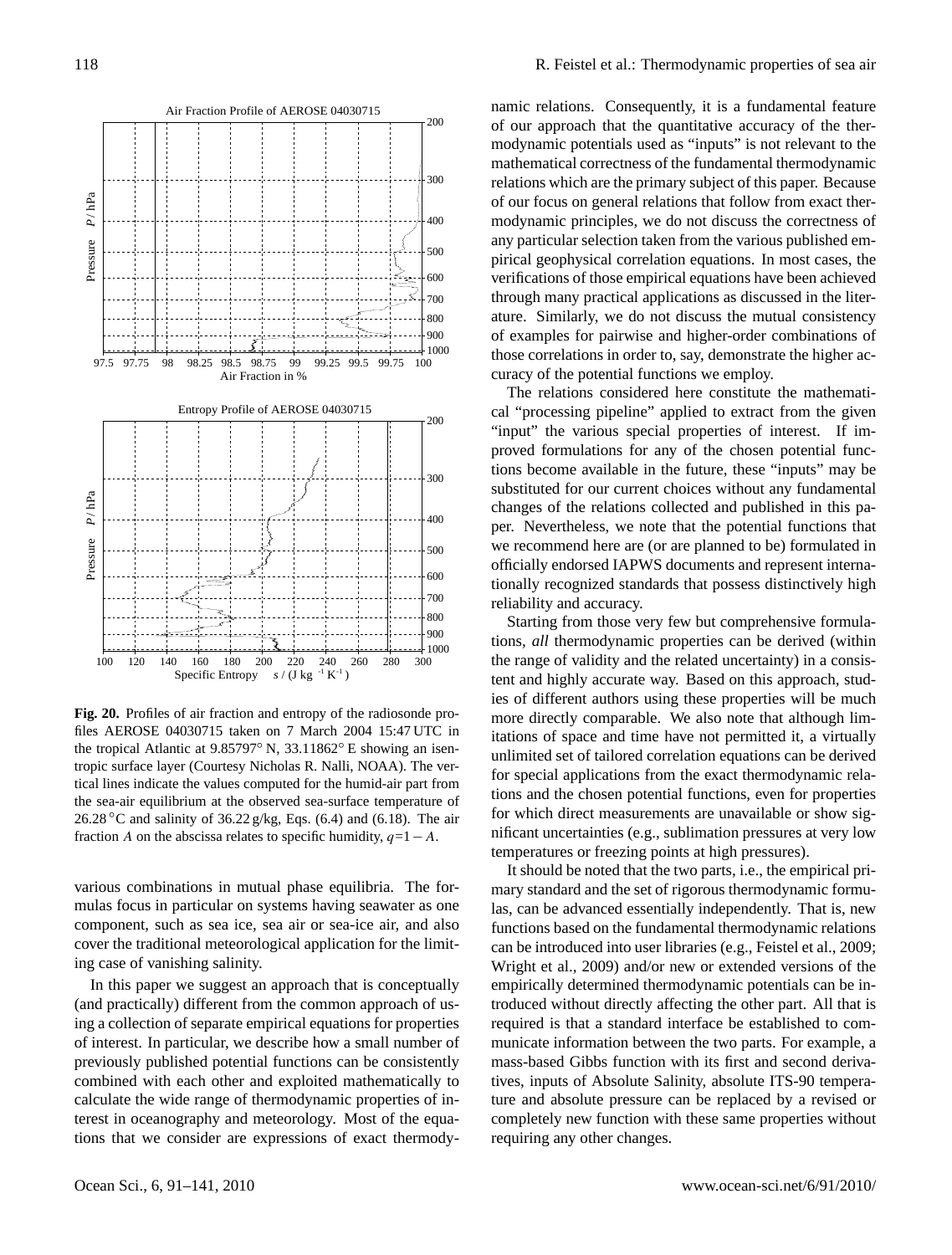

**Fig. 20.** Profiles of air fraction and entropy of the radiosonde profiles AEROSE 04030715 taken on 7 March 2004 15:47 UTC in the tropical Atlantic at 9.85797◦ N, 33.11862◦ E showing an isentropic surface layer (Courtesy Nicholas R. Nalli, NOAA). The vertical lines indicate the values computed for the humid-air part from the sea-air equilibrium at the observed sea-surface temperature of 26.28 °C and salinity of 36.22 g/kg, Eqs. (6.4) and (6.18). The air fraction A on the abscissa relates to specific humidity,  $q=1-A$ .

various combinations in mutual phase equilibria. The formulas focus in particular on systems having seawater as one component, such as sea ice, sea air or sea-ice air, and also cover the traditional meteorological application for the limiting case of vanishing salinity.

In this paper we suggest an approach that is conceptually (and practically) different from the common approach of using a collection of separate empirical equations for properties of interest. In particular, we describe how a small number of previously published potential functions can be consistently combined with each other and exploited mathematically to calculate the wide range of thermodynamic properties of interest in oceanography and meteorology. Most of the equations that we consider are expressions of exact thermodynamic relations. Consequently, it is a fundamental feature of our approach that the quantitative accuracy of the thermodynamic potentials used as "inputs" is not relevant to the mathematical correctness of the fundamental thermodynamic relations which are the primary subject of this paper. Because of our focus on general relations that follow from exact thermodynamic principles, we do not discuss the correctness of any particular selection taken from the various published empirical geophysical correlation equations. In most cases, the verifications of those empirical equations have been achieved through many practical applications as discussed in the literature. Similarly, we do not discuss the mutual consistency of examples for pairwise and higher-order combinations of those correlations in order to, say, demonstrate the higher accuracy of the potential functions we employ.

The relations considered here constitute the mathematical "processing pipeline" applied to extract from the given "input" the various special properties of interest. If improved formulations for any of the chosen potential functions become available in the future, these "inputs" may be substituted for our current choices without any fundamental changes of the relations collected and published in this paper. Nevertheless, we note that the potential functions that we recommend here are (or are planned to be) formulated in officially endorsed IAPWS documents and represent internationally recognized standards that possess distinctively high reliability and accuracy.

Starting from those very few but comprehensive formulations, *all* thermodynamic properties can be derived (within the range of validity and the related uncertainty) in a consistent and highly accurate way. Based on this approach, studies of different authors using these properties will be much more directly comparable. We also note that although limitations of space and time have not permitted it, a virtually unlimited set of tailored correlation equations can be derived for special applications from the exact thermodynamic relations and the chosen potential functions, even for properties for which direct measurements are unavailable or show significant uncertainties (e.g., sublimation pressures at very low temperatures or freezing points at high pressures).

It should be noted that the two parts, i.e., the empirical primary standard and the set of rigorous thermodynamic formulas, can be advanced essentially independently. That is, new functions based on the fundamental thermodynamic relations can be introduced into user libraries (e.g., Feistel et al., 2009; Wright et al., 2009) and/or new or extended versions of the empirically determined thermodynamic potentials can be introduced without directly affecting the other part. All that is required is that a standard interface be established to communicate information between the two parts. For example, a mass-based Gibbs function with its first and second derivatives, inputs of Absolute Salinity, absolute ITS-90 temperature and absolute pressure can be replaced by a revised or completely new function with these same properties without requiring any other changes.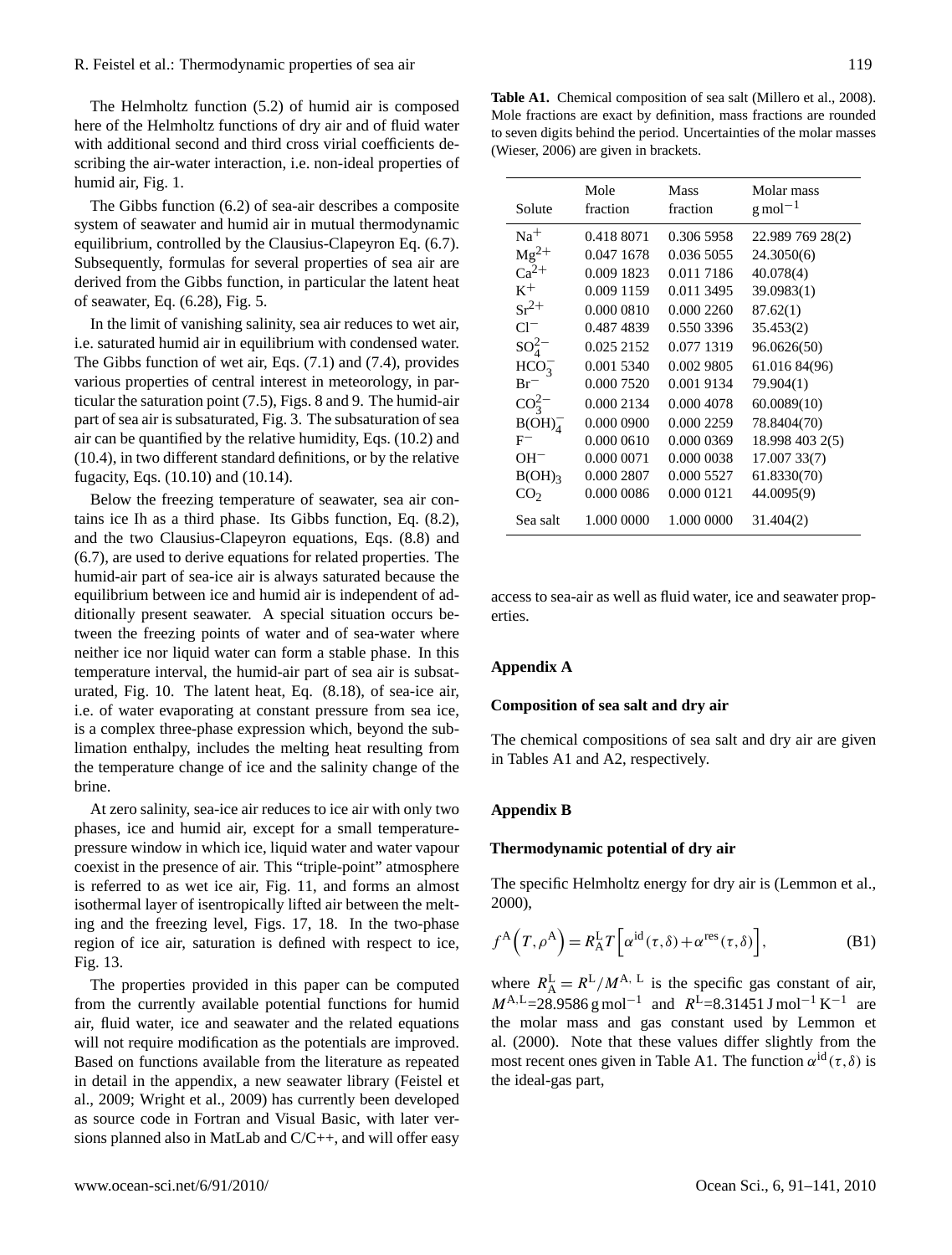The Helmholtz function (5.2) of humid air is composed here of the Helmholtz functions of dry air and of fluid water with additional second and third cross virial coefficients describing the air-water interaction, i.e. non-ideal properties of humid air, Fig. 1.

The Gibbs function (6.2) of sea-air describes a composite system of seawater and humid air in mutual thermodynamic equilibrium, controlled by the Clausius-Clapeyron Eq. (6.7). Subsequently, formulas for several properties of sea air are derived from the Gibbs function, in particular the latent heat of seawater, Eq. (6.28), Fig. 5.

In the limit of vanishing salinity, sea air reduces to wet air, i.e. saturated humid air in equilibrium with condensed water. The Gibbs function of wet air, Eqs. (7.1) and (7.4), provides various properties of central interest in meteorology, in particular the saturation point (7.5), Figs. 8 and 9. The humid-air part of sea air is subsaturated, Fig. 3. The subsaturation of sea air can be quantified by the relative humidity, Eqs. (10.2) and (10.4), in two different standard definitions, or by the relative fugacity, Eqs. (10.10) and (10.14).

Below the freezing temperature of seawater, sea air contains ice Ih as a third phase. Its Gibbs function, Eq. (8.2), and the two Clausius-Clapeyron equations, Eqs. (8.8) and (6.7), are used to derive equations for related properties. The humid-air part of sea-ice air is always saturated because the equilibrium between ice and humid air is independent of additionally present seawater. A special situation occurs between the freezing points of water and of sea-water where neither ice nor liquid water can form a stable phase. In this temperature interval, the humid-air part of sea air is subsaturated, Fig. 10. The latent heat, Eq. (8.18), of sea-ice air, i.e. of water evaporating at constant pressure from sea ice, is a complex three-phase expression which, beyond the sublimation enthalpy, includes the melting heat resulting from the temperature change of ice and the salinity change of the brine.

At zero salinity, sea-ice air reduces to ice air with only two phases, ice and humid air, except for a small temperaturepressure window in which ice, liquid water and water vapour coexist in the presence of air. This "triple-point" atmosphere is referred to as wet ice air, Fig. 11, and forms an almost isothermal layer of isentropically lifted air between the melting and the freezing level, Figs. 17, 18. In the two-phase region of ice air, saturation is defined with respect to ice, Fig. 13.

The properties provided in this paper can be computed from the currently available potential functions for humid air, fluid water, ice and seawater and the related equations will not require modification as the potentials are improved. Based on functions available from the literature as repeated in detail in the appendix, a new seawater library (Feistel et al., 2009; Wright et al., 2009) has currently been developed as source code in Fortran and Visual Basic, with later versions planned also in MatLab and C/C++, and will offer easy

**Table A1.** Chemical composition of sea salt (Millero et al., 2008). Mole fractions are exact by definition, mass fractions are rounded to seven digits behind the period. Uncertainties of the molar masses (Wieser, 2006) are given in brackets.

| Solute             | Mole<br>fraction | Mass<br>fraction | Molar mass<br>$\rm g$ mol <sup>-1</sup> |
|--------------------|------------------|------------------|-----------------------------------------|
|                    |                  |                  |                                         |
| $Na+$              | 0.418 8071       | 0.306 5958       | 22.989 769 28(2)                        |
| $Mg^{2+}$          | 0.047 1678       | 0.036 5055       | 24.3050(6)                              |
| $Ca^{2+}$          | 0.009 1823       | 0.011 7186       | 40.078(4)                               |
| $K^+$              | 0.009 1159       | 0.011 3495       | 39.0983(1)                              |
| $\rm Sr^{2+}$      | 0.000 0810       | 0.000 2260       | 87.62(1)                                |
| $Cl^-$             | 0.487 4839       | 0.550 3396       | 35.453(2)                               |
| $SO_4^{2-}$        | 0.025 2152       | 0.077 1319       | 96.0626(50)                             |
| $HCO_3^-$          | 0.001 5340       | 0.002 9805       | 61.016 84(96)                           |
| $Br^-$             | 0.000 7520       | 0.001 9134       | 79.904(1)                               |
| $CO_3^{2-}$        | 0.000 2134       | 0.000 4078       | 60.0089(10)                             |
| B(OH) <sub>4</sub> | 0.000 0900       | 0.000 2259       | 78.8404(70)                             |
| $_{\rm F^-}$       | 0.000 0610       | 0.000 0369       | 18.998 403 2(5)                         |
| $OH^-$             | 0.000 0071       | 0.000 0038       | 17.007 33(7)                            |
| $B(OH)_3$          | 0.000 2807       | 0.000 5527       | 61.8330(70)                             |
| CO <sub>2</sub>    | 0.000 0086       | 0.000 0121       | 44.0095(9)                              |
| Sea salt           | 1.000 0000       | 1.000 0000       | 31.404(2)                               |

access to sea-air as well as fluid water, ice and seawater properties.

## **Appendix A**

#### **Composition of sea salt and dry air**

The chemical compositions of sea salt and dry air are given in Tables A1 and A2, respectively.

## **Appendix B**

#### **Thermodynamic potential of dry air**

The specific Helmholtz energy for dry air is (Lemmon et al., 2000),

$$
f^{A}(T, \rho^{A}) = R_{A}^{L} T\left[\alpha^{id}(\tau, \delta) + \alpha^{res}(\tau, \delta)\right],
$$
 (B1)

where  $R_A^{\text{L}} = R^{\text{L}} / M^{\text{A}}$ , L is the specific gas constant of air,  $M^{A,L}$ =28.9586 g mol<sup>-1</sup> and  $R^{L}$ =8.31451 J mol<sup>-1</sup> K<sup>-1</sup> are the molar mass and gas constant used by Lemmon et al. (2000). Note that these values differ slightly from the most recent ones given in Table A1. The function  $\alpha^{id}(\tau,\delta)$  is the ideal-gas part,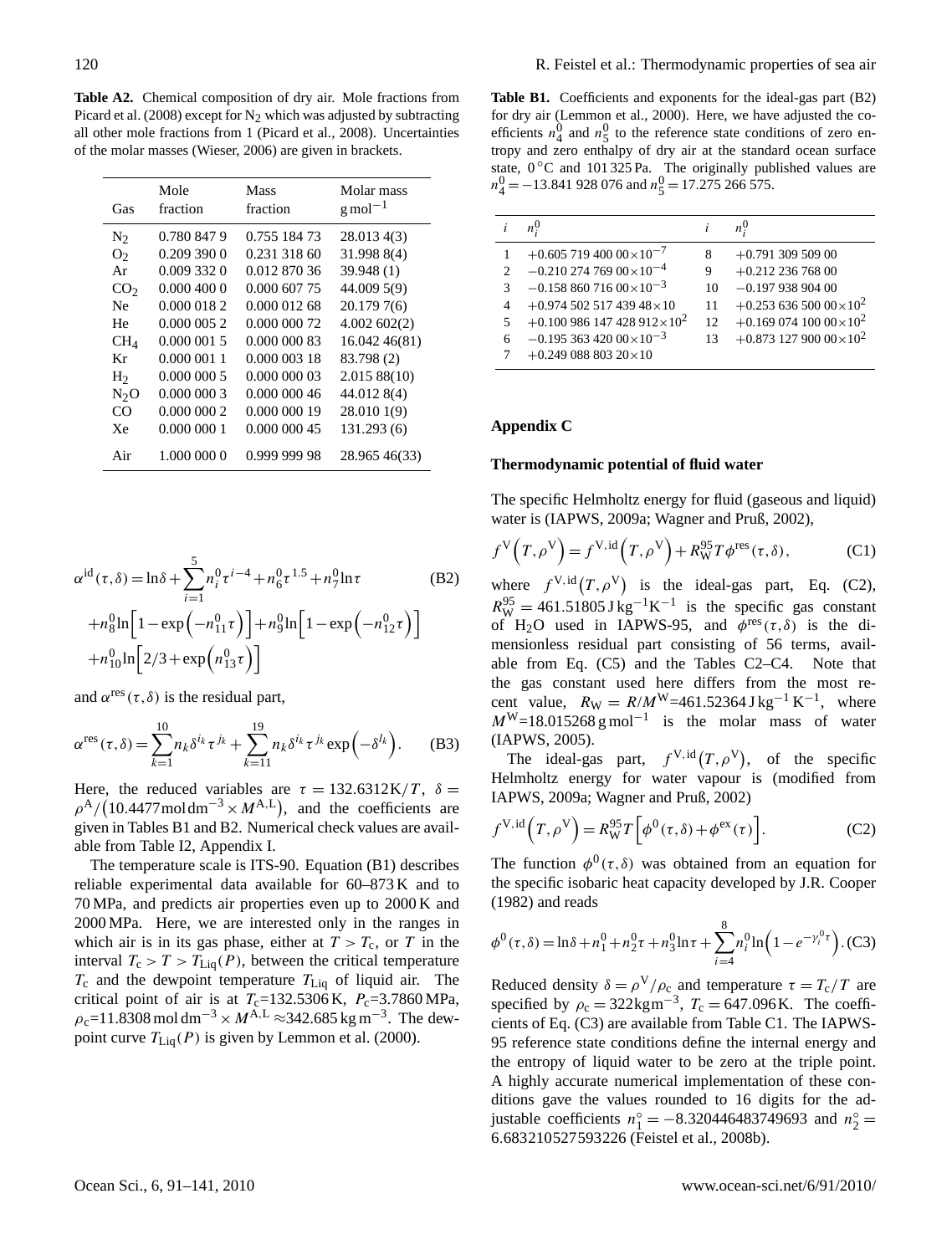**Table A2.** Chemical composition of dry air. Mole fractions from Picard et al. (2008) except for  $N_2$  which was adjusted by subtracting all other mole fractions from 1 (Picard et al., 2008). Uncertainties of the molar masses (Wieser, 2006) are given in brackets.

| Gas             | Mole<br>fraction | Mass<br>fraction | Molar mass<br>$\rm g$ mol <sup>-1</sup> |
|-----------------|------------------|------------------|-----------------------------------------|
| N <sub>2</sub>  | 0.780 847 9      | 0.755 184 73     | 28.013 4(3)                             |
| O <sub>2</sub>  | 0.2093900        | 0.231 318 60     | 31.998 8(4)                             |
| Ar              | 0.009 332 0      | 0.012 870 36     | 39.948(1)                               |
| CO <sub>2</sub> | 0.0004000        | 0.000 607 75     | 44.009 5(9)                             |
| Ne.             | 0.000 018 2      | 0.000 012 68     | 20.1797(6)                              |
| He              | 0.0000052        | 0.000 000 72     | 4.002602(2)                             |
| CH <sub>4</sub> | 0.0000015        | 0.000 000 83     | 16.042 46(81)                           |
| Кr              | 0.0000011        | 0.000 003 18     | 83.798 (2)                              |
| H <sub>2</sub>  | 0.000 000 5      | 0.000 000 03     | 2.01588(10)                             |
| $N_2O$          | 0.000 000 3      | 0.000 000 46     | 44.012 8(4)                             |
| CO              | 0.0000002        | 0.000 000 19     | 28.010 1(9)                             |
| Xe              | 0.000 000 1      | 0.000 000 45     | 131.293(6)                              |
| Air             | 1.000 000 0      | 0.999 999 98     | 28.965 46(33)                           |

$$
\alpha^{\text{id}}(\tau,\delta) = \ln \delta + \sum_{i=1}^{5} n_i^0 \tau^{i-4} + n_6^0 \tau^{1.5} + n_7^0 \ln \tau
$$
 (B2)  
+
$$
n_8^0 \ln \left[ 1 - \exp\left( -n_{11}^0 \tau \right) \right] + n_9^0 \ln \left[ 1 - \exp\left( -n_{12}^0 \tau \right) \right]
$$
  
+
$$
n_{10}^0 \ln \left[ 2/3 + \exp\left( n_{13}^0 \tau \right) \right]
$$

and  $\alpha^{\text{res}}(\tau,\delta)$  is the residual part,

$$
\alpha^{\text{res}}(\tau,\delta) = \sum_{k=1}^{10} n_k \delta^{i_k} \tau^{j_k} + \sum_{k=11}^{19} n_k \delta^{i_k} \tau^{j_k} \exp\left(-\delta^{l_k}\right). \tag{B3}
$$

Here, the reduced variables are  $\tau = 132.6312 \text{K}/T$ ,  $\delta =$  $\rho^{\rm A}/(10.4477 \text{mol dm}^{-3} \times M^{\rm A,L})$ , and the coefficients are given in Tables B1 and B2. Numerical check values are available from Table I2, Appendix I.

The temperature scale is ITS-90. Equation (B1) describes reliable experimental data available for 60–873 K and to 70 MPa, and predicts air properties even up to 2000 K and 2000 MPa. Here, we are interested only in the ranges in which air is in its gas phase, either at  $T > T_c$ , or T in the interval  $T_c > T > T_{\text{Liq}}(P)$ , between the critical temperature  $T_c$  and the dewpoint temperature  $T_{Liq}$  of liquid air. The critical point of air is at  $T_c=132.5306 \text{ K}$ ,  $P_c=3.7860 \text{ MPa}$ ,  $\rho_c$ =11.8308 mol dm<sup>-3</sup> ×  $M^{A,L}$  ≈342.685 kg m<sup>-3</sup>. The dewpoint curve  $T_{\text{Liq}}(P)$  is given by Lemmon et al. (2000).

**Table B1.** Coefficients and exponents for the ideal-gas part (B2) for dry air (Lemmon et al., 2000). Here, we have adjusted the coefficients  $n_4^0$  and  $n_5^0$  to the reference state conditions of zero entropy and zero enthalpy of dry air at the standard ocean surface state,  $0^{\circ}$ C and 101 325 Pa. The originally published values are  $n_4^0 = -13.841928076$  and  $n_5^0 = 17.275266575$ .

|                          | $n_{i}^{0}$                      |    | $n_{i}^{0}$                                  |
|--------------------------|----------------------------------|----|----------------------------------------------|
|                          | $+0.60571940000\times10^{-7}$    | 8  | $+0.791$ 309 509 00                          |
| $\mathcal{D}$            | $-0.21027476900\times10^{-4}$    | 9  | $+0.212$ 236 768 00                          |
| $\mathcal{R}$            | $-0.15886071600\times10^{-3}$    | 10 | $-0.19793890400$                             |
| 4                        | $+0.974$ 502 517 439 48 × 10     | 11 | $+0.2536560000\times10^{2}$                  |
| $\overline{\mathcal{L}}$ | $+0.100986147428912\times10^{2}$ | 12 | $+0.16907410000\times10^{2}$                 |
| 6                        | $-0.19536342000\times10^{-3}$    | 13 | $+0.873$ 127 900 00 $\times$ 10 <sup>2</sup> |
|                          | $+0.24908880320\times10$         |    |                                              |

# **Appendix C**

#### **Thermodynamic potential of fluid water**

The specific Helmholtz energy for fluid (gaseous and liquid) water is (IAPWS, 2009a; Wagner and Pruß, 2002),

$$
f^{V}\left(T,\rho^{V}\right) = f^{V,\mathrm{id}}\left(T,\rho^{V}\right) + R_{W}^{95}T\phi^{\mathrm{res}}(\tau,\delta),\tag{C1}
$$

where  $f^{\text{V},\text{id}}(T,\rho^{\text{V}})$  is the ideal-gas part, Eq. (C2),  $R_{\text{W}}^{95} = 461.51805 \,\text{J}\,\text{kg}^{-1}\text{K}^{-1}$  is the specific gas constant of H<sub>2</sub>O used in IAPWS-95, and  $\phi^{res}(\tau, \delta)$  is the dimensionless residual part consisting of 56 terms, available from Eq. (C5) and the Tables C2–C4. Note that the gas constant used here differs from the most recent value,  $R_{\rm W} = R/M^{\rm W} = 461.52364 \,\rm J\,kg^{-1}\,K^{-1}$ , where  $M^{W}$ =18.015268 g mol<sup>-1</sup> is the molar mass of water (IAPWS, 2005).

The ideal-gas part,  $f^{\text{V},\text{id}}(T,\rho^{\text{V}})$ , of the specific Helmholtz energy for water vapour is (modified from IAPWS, 2009a; Wagner and Pruß, 2002)

$$
f^{V,id}(T,\rho^V) = R_W^{95} T \left[ \phi^0(\tau,\delta) + \phi^{ex}(\tau) \right].
$$
 (C2)

The function  $\phi^0(\tau,\delta)$  was obtained from an equation for the specific isobaric heat capacity developed by J.R. Cooper (1982) and reads

$$
\phi^{0}(\tau,\delta) = \ln \delta + n_{1}^{0} + n_{2}^{0}\tau + n_{3}^{0}\ln \tau + \sum_{i=4}^{8} n_{i}^{0}\ln \left(1 - e^{-\gamma_{i}^{0}\tau}\right). (C3)
$$

Reduced density  $\delta = \rho^V / \rho_c$  and temperature  $\tau = T_c / T$  are specified by  $\rho_c = 322 \text{kgm}^{-3}$ ,  $T_c = 647.096 \text{K}$ . The coefficients of Eq. (C3) are available from Table C1. The IAPWS-95 reference state conditions define the internal energy and the entropy of liquid water to be zero at the triple point. A highly accurate numerical implementation of these conditions gave the values rounded to 16 digits for the adjustable coefficients  $n_1^\circ = -8.320446483749693$  and  $n_2^\circ =$ 6.683210527593226 (Feistel et al., 2008b).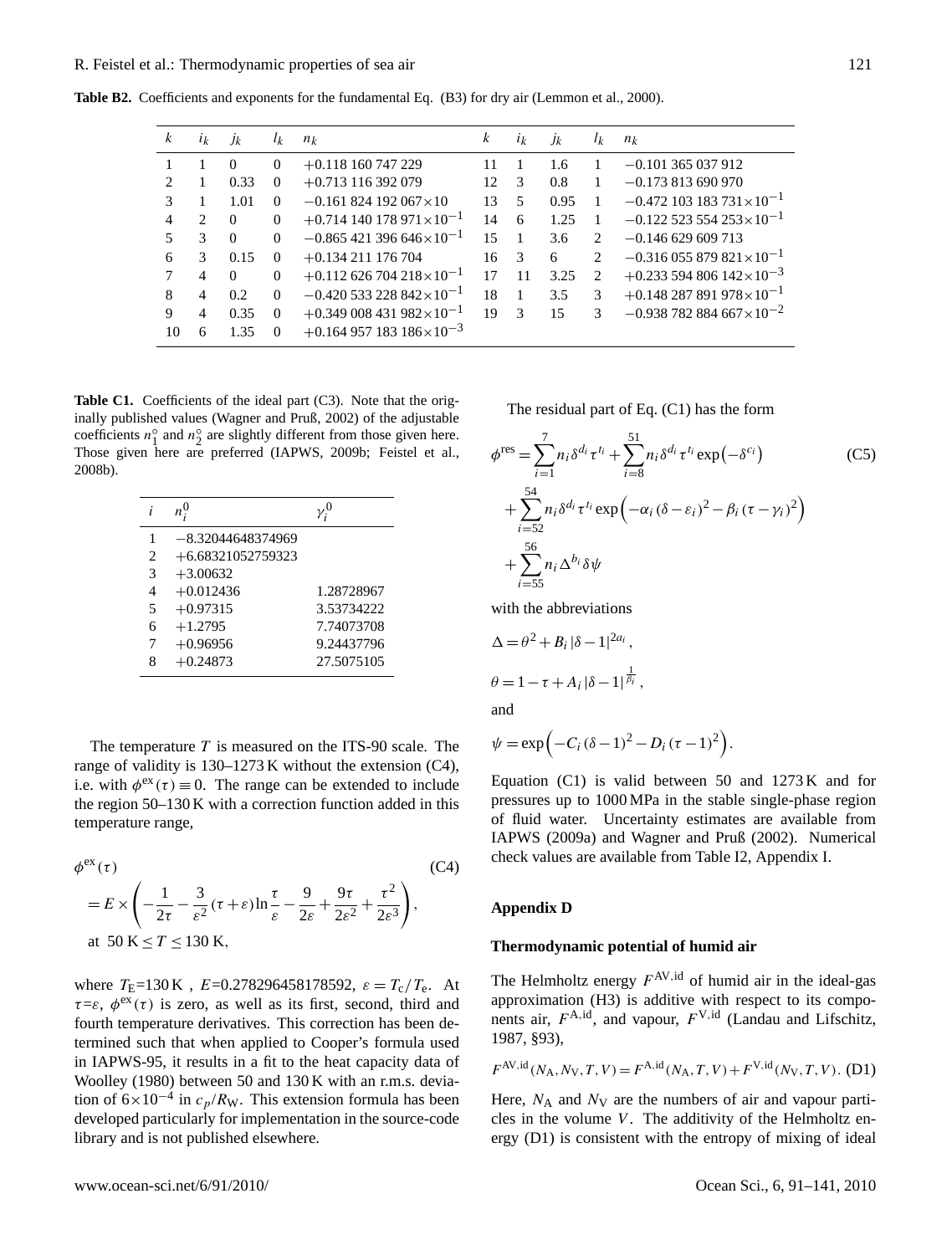| k              | $i_k$          | $J_k$    | $l_k$    | $n_k$                                          | k  | $i_k$ | Jk   | $l_k$                         | $n_k$                                          |
|----------------|----------------|----------|----------|------------------------------------------------|----|-------|------|-------------------------------|------------------------------------------------|
|                |                | $\Omega$ | $\Omega$ | $+0.118160747229$                              | 11 |       | 1.6  |                               | $-0.101$ 365 037 912                           |
| 2              |                | 0.33     | 0        | $+0.713116392079$                              | 12 | 3     | 0.8  |                               | $-0.173813690970$                              |
| 3              |                | 1.01     | 0        | $-0.161824192067\times10$                      | 13 | 5     | 0.95 |                               | $-0.472$ 103 183 731 $\times$ 10 <sup>-1</sup> |
| $\overline{4}$ | $\mathfrak{D}$ | $\Omega$ | $\Omega$ | $+0.714140178971\times10^{-1}$                 | 14 | 6     | 1.25 |                               | $-0.122$ 523 554 253 $\times$ 10 <sup>-1</sup> |
| 5              | 3              | $\Omega$ | $\Omega$ | $-0.865421396646 \times 10^{-1}$               | 15 |       | 3.6  | $\mathfrak{D}_{\mathfrak{p}}$ | $-0.146629609713$                              |
| 6              | 3              | 0.15     | $\theta$ | $+0.134211176704$                              | 16 | 3     | 6    | 2                             | $-0.316\,055\,879\,821\times10^{-1}$           |
| 7              | 4              | $\Omega$ | $\Omega$ | $+0.112$ 626 704 218 $\times$ 10 <sup>-1</sup> | 17 | 11    | 3.25 | $\mathfrak{D}_{\mathfrak{p}}$ | $+0.233594806142\times10^{-3}$                 |
| 8              | 4              | 0.2      | $\Omega$ | $-0.420533228842\times10^{-1}$                 | 18 |       | 3.5  | 3                             | $+0.148287891978\times10^{-1}$                 |
| 9              | 4              | 0.35     | $\Omega$ | $+0.349\,008\,431\,982\times10^{-1}$           | 19 | 3     | 15   | 3                             | $-0.938782884667\times10^{-2}$                 |
| 10             | 6              | 1.35     | $\Omega$ | $+0.164957183186\times10^{-3}$                 |    |       |      |                               |                                                |
|                |                |          |          |                                                |    |       |      |                               |                                                |

**Table B2.** Coefficients and exponents for the fundamental Eq. (B3) for dry air (Lemmon et al., 2000).

Table C1. Coefficients of the ideal part (C3). Note that the originally published values (Wagner and Pruß, 2002) of the adjustable coefficients  $n_1^{\circ}$  and  $n_2^{\circ}$  are slightly different from those given here. Those given here are preferred (IAPWS, 2009b; Feistel et al., 2008b).

| i              |                     |            |
|----------------|---------------------|------------|
| 1              | -8.32044648374969   |            |
| $\overline{c}$ | $+6.68321052759323$ |            |
| 3              | $+3.00632$          |            |
| $\overline{4}$ | $+0.012436$         | 1.28728967 |
| 5              | $+0.97315$          | 3.53734222 |
| 6              | $+1.2795$           | 7.74073708 |
| 7              | $+0.96956$          | 9.24437796 |
| 8              | $+0.24873$          | 27.5075105 |

The temperature  $T$  is measured on the ITS-90 scale. The range of validity is 130–1273 K without the extension (C4), i.e. with  $\phi^{\text{ex}}(\tau) \equiv 0$ . The range can be extended to include the region 50–130 K with a correction function added in this temperature range,

$$
\phi^{\text{ex}}(\tau) \tag{C4}
$$
\n
$$
= E \times \left( -\frac{1}{2\tau} - \frac{3}{\varepsilon^2} (\tau + \varepsilon) \ln \frac{\tau}{\varepsilon} - \frac{9}{2\varepsilon} + \frac{9\tau}{2\varepsilon^2} + \frac{\tau^2}{2\varepsilon^3} \right),
$$
\nat 50 K \le T \le 130 K,

where  $T_E=130 \text{ K}$ ,  $E=0.278296458178592$ ,  $\varepsilon = T_c/T_e$ . At  $\tau = \varepsilon$ ,  $\phi^{\text{ex}}(\tau)$  is zero, as well as its first, second, third and fourth temperature derivatives. This correction has been determined such that when applied to Cooper's formula used in IAPWS-95, it results in a fit to the heat capacity data of Woolley (1980) between 50 and 130 K with an r.m.s. deviation of  $6 \times 10^{-4}$  in  $c_p/R_w$ . This extension formula has been developed particularly for implementation in the source-code library and is not published elsewhere.

The residual part of Eq. (C1) has the form

$$
\phi^{\text{res}} = \sum_{i=1}^{7} n_i \delta^{d_i} \tau^{t_i} + \sum_{i=8}^{51} n_i \delta^{d_i} \tau^{t_i} \exp\left(-\delta^{c_i}\right)
$$
\n
$$
+ \sum_{i=52}^{54} n_i \delta^{d_i} \tau^{t_i} \exp\left(-\alpha_i (\delta - \varepsilon_i)^2 - \beta_i (\tau - \gamma_i)^2\right)
$$
\n
$$
+ \sum_{i=55}^{56} n_i \Delta^{b_i} \delta \psi
$$
\n(C5)

with the abbreviations

$$
\Delta = \theta^2 + B_i |\delta - 1|^{2a_i},
$$
  

$$
\theta = 1 - \tau + A_i |\delta - 1|^{2i}.
$$

and

$$
\psi = \exp\left(-C_i(\delta - 1)^2 - D_i(\tau - 1)^2\right).
$$

Equation  $(C1)$  is valid between 50 and 1273 K and for pressures up to 1000 MPa in the stable single-phase region of fluid water. Uncertainty estimates are available from IAPWS (2009a) and Wagner and Pruß (2002). Numerical check values are available from Table I2, Appendix I.

## **Appendix D**

## **Thermodynamic potential of humid air**

The Helmholtz energy  $F^{AV,id}$  of humid air in the ideal-gas approximation (H3) is additive with respect to its components air,  $F^{A,id}$ , and vapour,  $F^{V,id}$  (Landau and Lifschitz, 1987, §93),

$$
F^{\text{AV},\text{id}}(N_{\text{A}}, N_{\text{V}}, T, V) = F^{\text{A},\text{id}}(N_{\text{A}}, T, V) + F^{\text{V},\text{id}}(N_{\text{V}}, T, V). \text{ (D1)}
$$

Here,  $N_A$  and  $N_V$  are the numbers of air and vapour particles in the volume  $V$ . The additivity of the Helmholtz energy (D1) is consistent with the entropy of mixing of ideal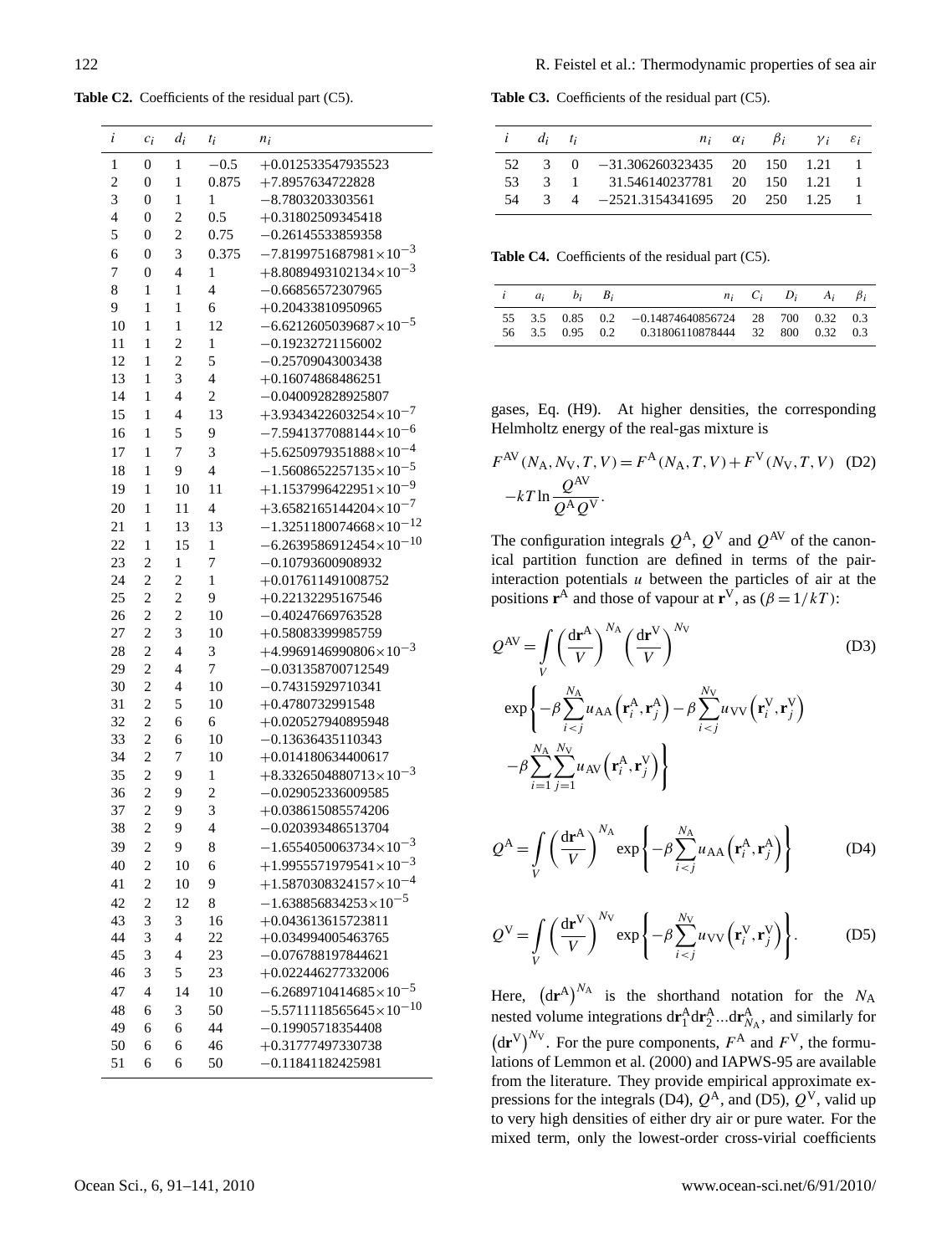Table C2. Coefficients of the residual part (C5).

| i              | $c_i$                   | $d_i$                    | $t_i$          | $n_i$                                |
|----------------|-------------------------|--------------------------|----------------|--------------------------------------|
| 1              | $\mathbf{0}$            | 1                        | $-0.5$         | +0.012533547935523                   |
| $\overline{c}$ | 0                       | $\mathbf{1}$             | 0.875          | +7.8957634722828                     |
| 3              | $\overline{0}$          | $\mathbf{1}$             | 1              | $-8.7803203303561$                   |
| $\overline{4}$ | $\overline{0}$          | $\overline{c}$           | 0.5            | +0.31802509345418                    |
| 5              | $\overline{0}$          | $\overline{c}$           | 0.75           | $-0.26145533859358$                  |
| 6              | $\overline{0}$          | 3                        | 0.375          | $-7.8199751687981\times10^{-3}$      |
| 7              | $\boldsymbol{0}$        | $\overline{4}$           | 1              | $+8.8089493102134\times10^{-3}$      |
| 8              | $\mathbf{1}$            | $\mathbf{1}$             | $\overline{4}$ | $-0.66856572307965$                  |
| 9              | $\mathbf{1}$            | $\mathbf{1}$             | 6              | +0.20433810950965                    |
| 10             | $\mathbf{1}$            | $\mathbf{1}$             | 12             | $-6.6212605039687\times10^{-5}$      |
| 11             | $\mathbf{1}$            | $\overline{c}$           | $\mathbf{1}$   | $-0.19232721156002$                  |
| 12             | $\,1$                   | $\overline{c}$           | 5              | $-0.25709043003438$                  |
| 13             | 1                       | 3                        | $\overline{4}$ | $+0.16074868486251$                  |
| 14             | $\mathbf{1}$            | $\overline{4}$           | $\overline{c}$ | $-0.040092828925807$                 |
| 15             | 1                       | $\overline{4}$           | 13             | $+3.9343422603254\times10^{-7}$      |
| 16             | $\,1$                   | 5                        | 9              | $-7.5941377088144\times10^{-6}$      |
| 17             | $\mathbf{1}$            | 7                        | 3              | $+5.6250979351888\times10^{-4}$      |
| 18             | $\mathbf{1}$            | 9                        | $\overline{4}$ | $-1.5608652257135\times10^{-5}$      |
| 19             | $\mathbf{1}$            | 10                       | 11             | $+1.1537996422951\times10^{-9}$      |
| 20             | $\mathbf{1}$            | 11                       | $\overline{4}$ | $+3.6582165144204\times10^{-7}$      |
| 21             | $\mathbf{1}$            | 13                       | 13             | $-1.3251180074668\times10^{-12}$     |
| 22             | 1                       | 15                       | 1              | $-6.2639586912454\times10^{-10}$     |
| 23             | $\overline{2}$          | 1                        | 7              | $-0.10793600908932$                  |
| 24             | $\overline{c}$          | $\overline{c}$           | 1              | $+0.017611491008752$                 |
| 25             | $\overline{c}$          | $\overline{c}$           | 9              | +0.22132295167546                    |
| 26             | $\overline{c}$          | $\overline{c}$           | 10             | $-0.40247669763528$                  |
| 27             | $\overline{c}$          | 3                        | 10             | +0.58083399985759                    |
| 28             | $\overline{c}$          | $\overline{4}$           | 3              | $+4.9969146990806\times10^{-3}$      |
| 29             | $\overline{c}$          | $\overline{4}$           | 7              | $-0.031358700712549$                 |
| 30             | $\overline{c}$          | $\overline{4}$           | 10             | $-0.74315929710341$                  |
| 31             | $\overline{c}$          | 5                        | 10             | +0.4780732991548                     |
| 32             | $\overline{c}$          | 6                        | 6              | +0.020527940895948                   |
| 33             | $\overline{c}$          | 6                        | 10             | $-0.13636435110343$                  |
| 34             | $\overline{c}$          | 7                        | 10             | $+0.014180634400617$                 |
| 35             | $\overline{c}$          | 9                        | 1              | $+8.3326504880713\times10^{-3}$      |
| 36             | $\overline{c}$          | 9                        | $\overline{c}$ | $-0.029052336009585$                 |
| 37             | $\overline{c}$          | 9                        | 3              | $+0.038615085574206$                 |
| 38             | $\overline{c}$          | 9                        | $\overline{4}$ | $-0.020393486513704$                 |
| 39             | $\overline{\mathbf{c}}$ | 9.                       | 8              | .3<br>$-1.6554050063734\times10^{-}$ |
| 40             | $\overline{c}$          | 10                       | 6              | $+1.9955571979541\times10^{-3}$      |
| 41             | $\overline{c}$          | 10                       | 9              | $+1.5870308324157\times10^{-4}$      |
| 42             | $\overline{c}$          | 12                       | 8              | $-1.638856834253\times10^{-5}$       |
| 43             | 3                       | 3                        | 16             | +0.043613615723811                   |
| 44             | 3                       | $\overline{\mathcal{L}}$ | 22             | $+0.034994005463765$                 |
| 45             | 3                       | $\overline{\mathcal{L}}$ | 23             | $-0.076788197844621$                 |
| 46             | 3                       | 5                        | 23             | +0.022446277332006                   |
| 47             | $\overline{4}$          | 14                       | 10             | $-6.2689710414685\times10^{-5}$      |
| 48             | 6                       | 3                        | 50             | $-5.5711118565645\times10^{-10}$     |
| 49             | 6                       | 6                        | 44             | $-0.19905718354408$                  |
| 50             | 6                       | 6                        | 46             | +0.31777497330738                    |
| 51             | 6                       | 6                        | 50             | $-0.11841182425981$                  |
|                |                         |                          |                |                                      |

Table C3. Coefficients of the residual part (C5).

| $i \t d_i \t t_i$ |  |                                                                  |  | $n_i$ $\alpha_i$ $\beta_i$ $\gamma_i$ $\varepsilon_i$ |  |
|-------------------|--|------------------------------------------------------------------|--|-------------------------------------------------------|--|
|                   |  | 52 3 0 -31.306260323435 20 150 1.21 1                            |  |                                                       |  |
| 53.               |  | 3 1 31.546140237781 20 150 1.21                                  |  |                                                       |  |
| 54                |  | $3 \quad 4 \quad -2521.3154341695 \quad 20 \quad 250 \quad 1.25$ |  |                                                       |  |

Table C4. Coefficients of the residual part (C5).

|  | $i \quad a_i \quad b_i \quad B_i$ |                                                                                                       |  | $n_i$ $C_i$ $D_i$ $A_i$ $\beta_i$ |  |
|--|-----------------------------------|-------------------------------------------------------------------------------------------------------|--|-----------------------------------|--|
|  |                                   | 55 3.5 0.85 0.2 -0.14874640856724 28 700 0.32 0.3<br>56 3.5 0.95 0.2 0.31806110878444 32 800 0.32 0.3 |  |                                   |  |

gases, Eq. (H9). At higher densities, the corresponding Helmholtz energy of the real-gas mixture is

$$
F^{AV}(N_A, N_V, T, V) = F^{A}(N_A, T, V) + F^{V}(N_V, T, V)
$$
 (D2)  
-
$$
-kT \ln \frac{Q^{AV}}{Q^{A} Q^{V}}.
$$

The configuration integrals  $Q^{A}$ ,  $Q^{V}$  and  $Q^{AV}$  of the canonical partition function are defined in terms of the pairinteraction potentials  $u$  between the particles of air at the positions **r**<sup>A</sup> and those of vapour at **r**<sup>V</sup>, as ( $\beta = 1/kT$ ):

$$
Q^{AV} = \int_{V} \left(\frac{dr^{A}}{V}\right)^{N_{A}} \left(\frac{dr^{V}}{V}\right)^{N_{V}} \qquad (D3)
$$
  
\n
$$
\exp\left\{-\beta \sum_{i  
\n
$$
-\beta \sum_{i=1}^{N_{A}} \sum_{j=1}^{N_{V}} u_{AV} \left(\mathbf{r}_{i}^{A}, \mathbf{r}_{j}^{V}\right) \right\}
$$
$$

$$
Q^{\mathcal{A}} = \int\limits_V \left( \frac{\mathrm{d}\mathbf{r}^{\mathcal{A}}}{V} \right)^{N_{\mathcal{A}}} \exp\left\{ -\beta \sum_{i
$$

$$
Q^{\text{V}} = \int\limits_V \left(\frac{\text{d}\mathbf{r}^{\text{V}}}{V}\right)^{N_{\text{V}}} \exp\left\{-\beta \sum_{i (D5)
$$

Here,  $(d\mathbf{r}^{\mathbf{A}})^{N_{\mathbf{A}}}$  is the shorthand notation for the  $N_{\mathbf{A}}$ nested volume integrations  $d\mathbf{r}_1^A d\mathbf{r}_2^A ... d\mathbf{r}_{N_A}^A$ , and similarly for  $(d\mathbf{r}^V)^{N_V}$ . For the pure components,  $F^A$  and  $F^V$ , the formulations of Lemmon et al. (2000) and IAPWS-95 are available from the literature. They provide empirical approximate expressions for the integrals (D4),  $Q^{A}$ , and (D5),  $Q^{V}$ , valid up to very high densities of either dry air or pure water. For the mixed term, only the lowest-order cross-virial coefficients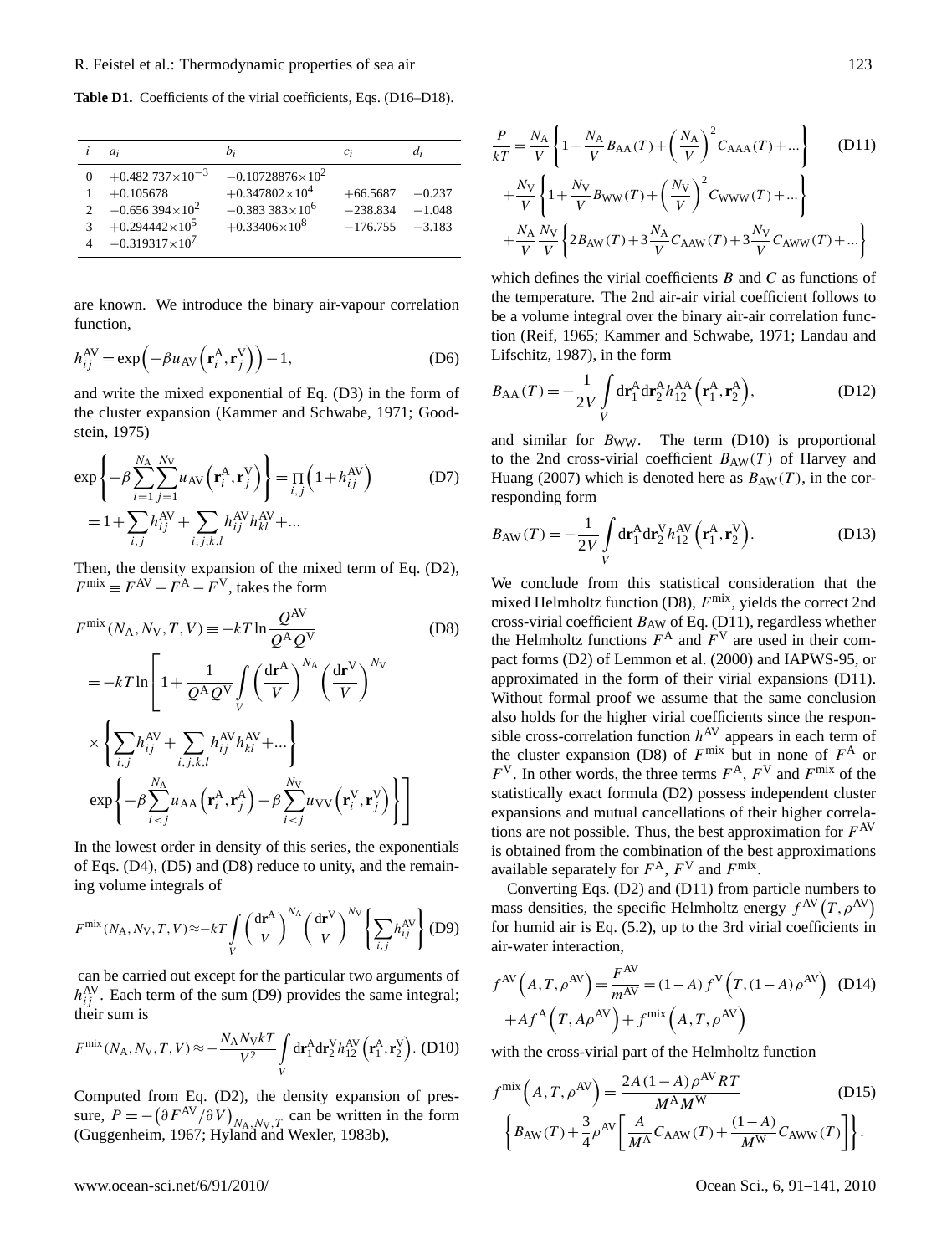Table D1. Coefficients of the virial coefficients, Eqs. (D16–D18).

|                                     | $a_i$                                                                                                                    | $b_i$                                                                                                     | $c_i$                                  | $d_i$                            |
|-------------------------------------|--------------------------------------------------------------------------------------------------------------------------|-----------------------------------------------------------------------------------------------------------|----------------------------------------|----------------------------------|
| 0<br>$\mathcal{D}$<br>$\mathcal{R}$ | $+0.482737\times10^{-3}$<br>$+0.105678$<br>$-0.656394\times10^{2}$<br>$+0.294442\times10^{5}$<br>$-0.319317\times10^{7}$ | $-0.10728876\times10^{2}$<br>$+0.347802\times10^{4}$<br>$-0.383383 \times 10^6$<br>$+0.33406\times10^{8}$ | $+66.5687$<br>$-238.834$<br>$-176.755$ | $-0.237$<br>$-1.048$<br>$-3,183$ |

are known. We introduce the binary air-vapour correlation function,

$$
h_{ij}^{\text{AV}} = \exp\left(-\beta u_{\text{AV}}\left(\mathbf{r}_i^{\text{A}}, \mathbf{r}_j^{\text{V}}\right)\right) - 1,\tag{D6}
$$

and write the mixed exponential of Eq. (D3) in the form of the cluster expansion (Kammer and Schwabe, 1971; Goodstein, 1975)

$$
\exp\left\{-\beta \sum_{i=1}^{N_{\rm A}} \sum_{j=1}^{N_{\rm V}} u_{\rm AV}\left(\mathbf{r}_{i}^{\rm A}, \mathbf{r}_{j}^{\rm V}\right)\right\} = \prod_{i,j} \left(1 + h_{ij}^{\rm AV}\right) \tag{D7}
$$

$$
= 1 + \sum_{i,j} h_{ij}^{\rm AV} + \sum_{i,j,k,l} h_{ij}^{\rm AV} h_{kl}^{\rm AV} + \dots
$$

Then, the density expansion of the mixed term of Eq. (D2),  $F^{\text{mix}} \equiv F^{\text{AV}} - F^{\text{A}} - F^{\text{V}}$ , takes the form

$$
F^{\text{mix}}(N_{\text{A}}, N_{\text{V}}, T, V) \equiv -kT \ln \frac{Q^{\text{AV}}}{Q^{\text{A}} Q^{\text{V}}}
$$
(D8)  

$$
= -kT \ln \left[ 1 + \frac{1}{Q^{\text{A}} Q^{\text{V}}} \int_{V} \left( \frac{\text{d} \mathbf{r}^{\text{A}}}{V} \right)^{N_{\text{A}}} \left( \frac{\text{d} \mathbf{r}^{\text{V}}}{V} \right)^{N_{\text{V}}}
$$

$$
\times \left\{ \sum_{i,j} h_{ij}^{\text{AV}} + \sum_{i,j,k,l} h_{ij}^{\text{AV}} h_{kl}^{\text{AV}} + \dots \right\}
$$

$$
\exp \left\{ -\beta \sum_{i
$$

In the lowest order in density of this series, the exponentials of Eqs. (D4), (D5) and (D8) reduce to unity, and the remaining volume integrals of

$$
F^{\text{mix}}(N_{\text{A}}, N_{\text{V}}, T, V) \approx -kT \int\limits_V \left(\frac{\text{d} \mathbf{r}^{\text{A}}}{V}\right)^{N_{\text{A}}} \left(\frac{\text{d} \mathbf{r}^{\text{V}}}{V}\right)^{N_{\text{V}}} \left\{\sum_{i,j} h_{ij}^{\text{AV}}\right\} (\text{D9})
$$

can be carried out except for the particular two arguments of  $h_{ij}^{\text{AV}}$ . Each term of the sum (D9) provides the same integral; their sum is

$$
F^{\text{mix}}(N_{\text{A}}, N_{\text{V}}, T, V) \approx -\frac{N_{\text{A}}N_{\text{V}}kT}{V^2} \int\limits_{V} d\mathbf{r}_{1}^{\text{A}} d\mathbf{r}_{2}^{\text{V}} h_{12}^{\text{AV}} (\mathbf{r}_{1}^{\text{A}}, \mathbf{r}_{2}^{\text{V}}). (D10)
$$

Computed from Eq. (D2), the density expansion of pressure,  $P = -\left(\frac{\partial F^{AV}}{\partial V}\right)_{N_A, N_V, T}$  can be written in the form (Guggenheim, 1967; Hyland and Wexler, 1983b),

$$
\frac{P}{kT} = \frac{N_{\rm A}}{V} \left\{ 1 + \frac{N_{\rm A}}{V} B_{\rm AA}(T) + \left(\frac{N_{\rm A}}{V}\right)^2 C_{\rm AAA}(T) + \dots \right\} \tag{D11}
$$
\n
$$
+ \frac{N_{\rm V}}{V} \left\{ 1 + \frac{N_{\rm V}}{V} B_{\rm WW}(T) + \left(\frac{N_{\rm V}}{V}\right)^2 C_{\rm WWW}(T) + \dots \right\}
$$
\n
$$
+ \frac{N_{\rm A}}{V} \frac{N_{\rm V}}{V} \left\{ 2B_{\rm AW}(T) + 3\frac{N_{\rm A}}{V} C_{\rm AAW}(T) + 3\frac{N_{\rm V}}{V} C_{\rm AWW}(T) + \dots \right\}
$$

which defines the virial coefficients  $B$  and  $C$  as functions of the temperature. The 2nd air-air virial coefficient follows to be a volume integral over the binary air-air correlation function (Reif, 1965; Kammer and Schwabe, 1971; Landau and Lifschitz, 1987), in the form

$$
B_{AA}(T) = -\frac{1}{2V} \int_{V} d\mathbf{r}_{1}^{A} d\mathbf{r}_{2}^{A} h_{12}^{AA} (\mathbf{r}_{1}^{A}, \mathbf{r}_{2}^{A}), \qquad (D12)
$$

and similar for  $B_{WW}$ . The term (D10) is proportional to the 2nd cross-virial coefficient  $B_{AW}(T)$  of Harvey and Huang (2007) which is denoted here as  $B_{AW}(T)$ , in the corresponding form

$$
B_{\rm AW}(T) = -\frac{1}{2V} \int\limits_V \mathrm{d} \mathbf{r}_1^{\rm A} \mathrm{d} \mathbf{r}_2^{\rm V} h_{12}^{\rm AV} \left( \mathbf{r}_1^{\rm A}, \mathbf{r}_2^{\rm V} \right). \tag{D13}
$$

We conclude from this statistical consideration that the mixed Helmholtz function (D8),  $F^{\text{mix}}$ , yields the correct 2nd cross-virial coefficient  $B_{AW}$  of Eq. (D11), regardless whether the Helmholtz functions  $F^A$  and  $F^V$  are used in their compact forms (D2) of Lemmon et al. (2000) and IAPWS-95, or approximated in the form of their virial expansions (D11). Without formal proof we assume that the same conclusion also holds for the higher virial coefficients since the responsible cross-correlation function  $h^{AV}$  appears in each term of the cluster expansion (D8) of  $F^{\text{mix}}$  but in none of  $F^{\text{A}}$  or  $F<sup>V</sup>$ . In other words, the three terms  $F<sup>A</sup>$ ,  $F<sup>V</sup>$  and  $F<sup>mix</sup>$  of the statistically exact formula (D2) possess independent cluster expansions and mutual cancellations of their higher correlations are not possible. Thus, the best approximation for  $F^{AV}$ is obtained from the combination of the best approximations available separately for  $F^A$ ,  $F^V$  and  $F^{mix}$ .

Converting Eqs. (D2) and (D11) from particle numbers to mass densities, the specific Helmholtz energy  $f^{\text{AV}}(T, \rho^{\text{AV}})$ for humid air is Eq. (5.2), up to the 3rd virial coefficients in air-water interaction,

$$
f^{AV}(A, T, \rho^{AV}) = \frac{F^{AV}}{m^{AV}} = (1 - A) f^{V}(T, (1 - A)\rho^{AV})
$$
 (D14)  
+
$$
A f^{A}(T, A\rho^{AV}) + f^{\text{mix}}(A, T, \rho^{AV})
$$

with the cross-virial part of the Helmholtz function

$$
f^{\text{mix}}\left(A, T, \rho^{\text{AV}}\right) = \frac{2A(1-A)\rho^{\text{AV}}RT}{M^{\text{A}}M^{\text{W}}}
$$
(D15)  

$$
\left\{B_{\text{AW}}(T) + \frac{3}{4}\rho^{\text{AV}}\left[\frac{A}{M^{\text{A}}}C_{\text{AAW}}(T) + \frac{(1-A)}{M^{\text{W}}}C_{\text{AWW}}(T)\right]\right\}.
$$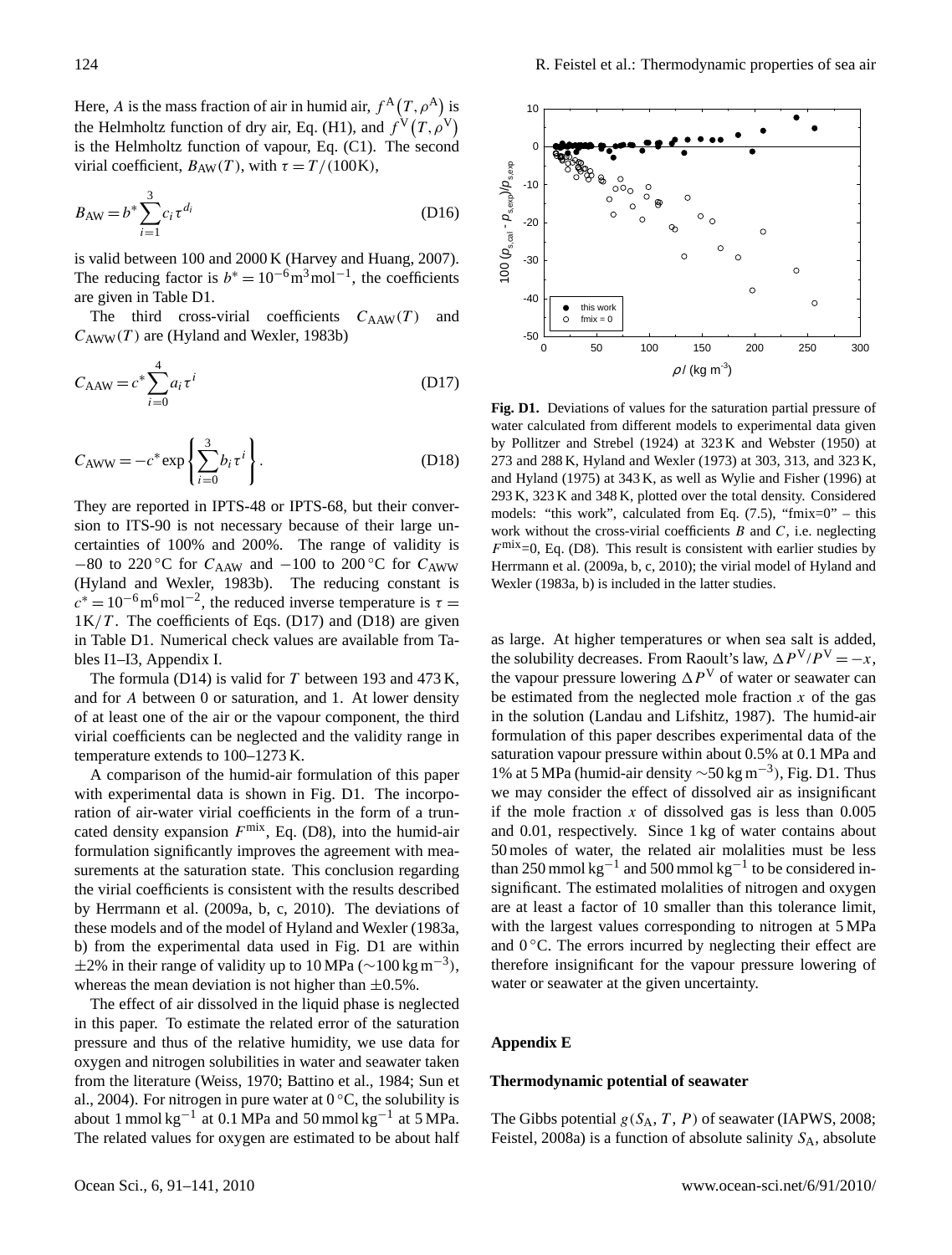Here, A is the mass fraction of air in humid air,  $f^{\mathcal{A}}(T, \rho^{\mathcal{A}})$  is the Helmholtz function of dry air, Eq. (H1), and  $f^V(T, \rho^V)$ is the Helmholtz function of vapour, Eq. (C1). The second virial coefficient,  $B_{AW}(T)$ , with  $\tau = T/(100K)$ ,

$$
B_{\rm AW} = b^* \sum_{i=1}^{3} c_i \tau^{d_i}
$$
 (D16)

is valid between 100 and 2000 K (Harvey and Huang, 2007). The reducing factor is  $b^* = 10^{-6} \text{m}^3 \text{mol}^{-1}$ , the coefficients are given in Table D1.

The third cross-virial coefficients  $C_{\rm AAW}(T)$  and  $C_{\text{AWW}}(T)$  are (Hyland and Wexler, 1983b)

$$
C_{\text{AAW}} = c^* \sum_{i=0}^{4} a_i \tau^i
$$
 (D17)

$$
C_{\text{AWW}} = -c^* \exp\left\{ \sum_{i=0}^3 b_i \tau^i \right\}.
$$
 (D18)

They are reported in IPTS-48 or IPTS-68, but their conversion to ITS-90 is not necessary because of their large uncertainties of 100% and 200%. The range of validity is −80 to 220 °C for  $C_{\text{AAW}}$  and −100 to 200 °C for  $C_{\text{AWW}}$ (Hyland and Wexler, 1983b). The reducing constant is  $c^* = 10^{-6}$  m<sup>6</sup> mol<sup>-2</sup>, the reduced inverse temperature is  $\tau =$  $1K/T$ . The coefficients of Eqs. (D17) and (D18) are given in Table D1. Numerical check values are available from Tables I1–I3, Appendix I.

The formula (D14) is valid for  $T$  between 193 and 473 K, and for A between 0 or saturation, and 1. At lower density of at least one of the air or the vapour component, the third virial coefficients can be neglected and the validity range in temperature extends to 100–1273 K.

A comparison of the humid-air formulation of this paper with experimental data is shown in Fig. D1. The incorporation of air-water virial coefficients in the form of a truncated density expansion  $F^{\text{mix}}$ , Eq. (D8), into the humid-air formulation significantly improves the agreement with measurements at the saturation state. This conclusion regarding the virial coefficients is consistent with the results described by Herrmann et al. (2009a, b, c, 2010). The deviations of these models and of the model of Hyland and Wexler (1983a, b) from the experimental data used in Fig. D1 are within  $\pm 2\%$  in their range of validity up to 10 MPa (~100 kg m<sup>-3</sup>), whereas the mean deviation is not higher than  $\pm 0.5\%$ .

The effect of air dissolved in the liquid phase is neglected in this paper. To estimate the related error of the saturation pressure and thus of the relative humidity, we use data for oxygen and nitrogen solubilities in water and seawater taken from the literature (Weiss, 1970; Battino et al., 1984; Sun et al., 2004). For nitrogen in pure water at  $0^{\circ}$ C, the solubility is about 1 mmol kg<sup>-1</sup> at 0.1 MPa and 50 mmol kg<sup>-1</sup> at 5 MPa. The related values for oxygen are estimated to be about half



Fig. D1. Deviations of values for the saturation partial pressure of water calculated from different models to experimental data given by Pollitzer and Strebel (1924) at  $323 K$  and Webster (1950) at  $273$  and  $288$  K, Hyland and Wexler (1973) at 303, 313, and 323 K, and Hyland (1975) at 343 K, as well as Wylie and Fisher (1996) at 293 K, 323 K and 348 K, plotted over the total density. Considered work without the cross-virial coefficients  $B$  and  $C$ , i.e. neglecting  $F^{\text{mix}}=0$ , Eq. (D8). This result is consistent with earlier studies by Herrmann et al. (2009a, b, c, 2010); the virial model of Hyland and Wexler (1983a, b) is included in the latter studies. models: "this work", calculated from Eq.  $(7.5)$ , "fmix=0" – this

as large. At higher temperatures or when sea salt is added, the solubility decreases. From Raoult's law,  $\Delta P^{V}/P^{V} = -x$ , the vapour pressure lowering  $\Delta P^V$  of water or seawater can be estimated from the neglected mole fraction  $x$  of the gas in the solution (Landau and Lifshitz, 1987). The humid-air formulation of this paper describes experimental data of the saturation vapour pressure within about 0.5% at 0.1 MPa and 1% at 5 MPa (humid-air density ∼50 kg m−<sup>3</sup> ), Fig. D1. Thus we may consider the effect of dissolved air as insignificant if the mole fraction  $x$  of dissolved gas is less than  $0.005$ and 0.01, respectively. Since 1 kg of water contains about 50 moles of water, the related air molalities must be less than 250 mmol  $kg^{-1}$  and 500 mmol  $kg^{-1}$  to be considered insignificant. The estimated molalities of nitrogen and oxygen are at least a factor of 10 smaller than this tolerance limit, with the largest values corresponding to nitrogen at 5 MPa and  $0^{\circ}$ C. The errors incurred by neglecting their effect are therefore insignificant for the vapour pressure lowering of water or seawater at the given uncertainty.

## **Appendix E**

# **Thermodynamic potential of seawater**

The Gibbs potential  $g(S_A, T, P)$  of seawater (IAPWS, 2008; Feistel, 2008a) is a function of absolute salinity  $S_A$ , absolute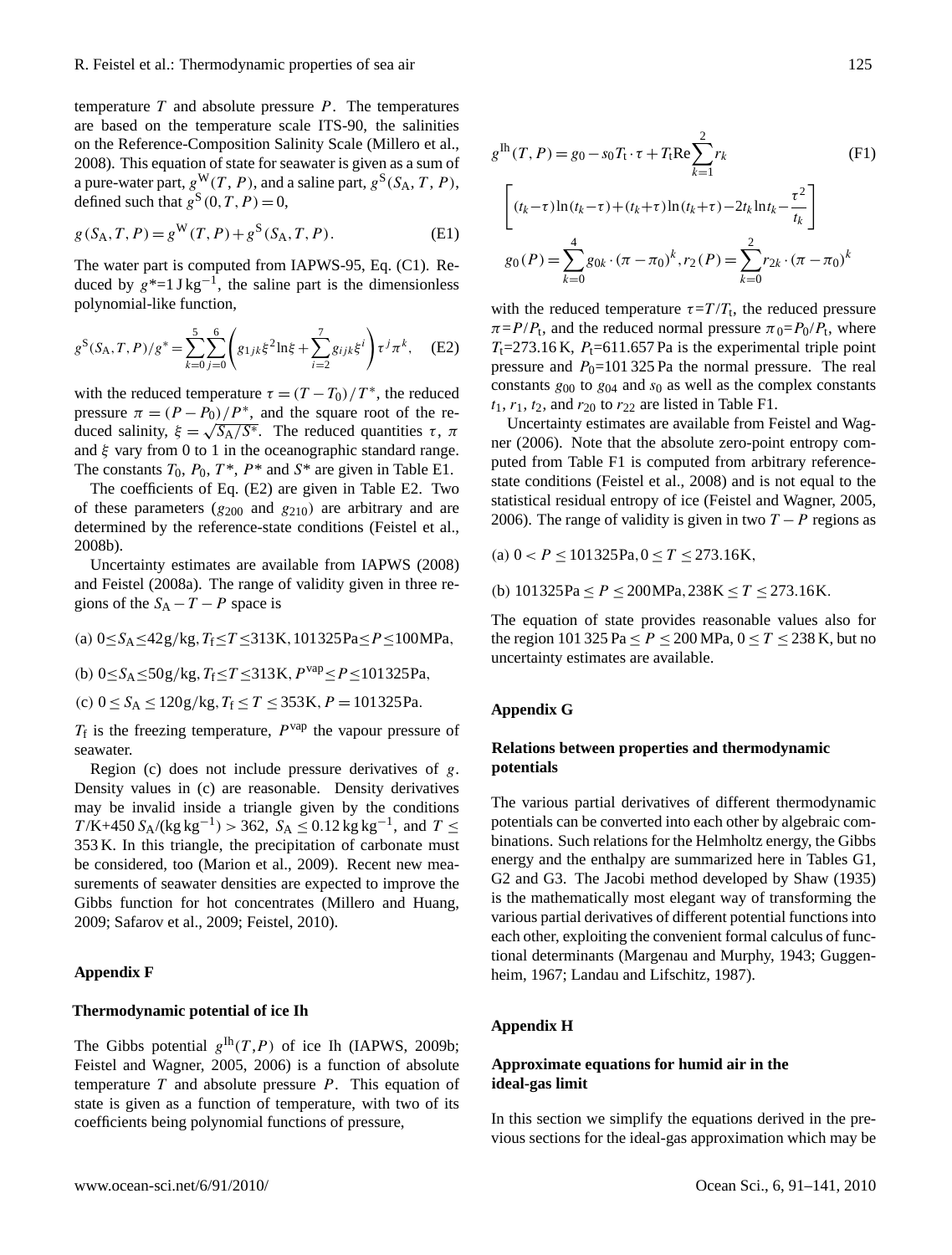temperature  $T$  and absolute pressure  $P$ . The temperatures are based on the temperature scale ITS-90, the salinities on the Reference-Composition Salinity Scale (Millero et al., 2008). This equation of state for seawater is given as a sum of a pure-water part,  $g^{\mathbf{W}}(T, P)$ , and a saline part,  $g^{\mathbf{S}}(S_A, T, P)$ , defined such that  $g^{S}(0, T, P) = 0$ ,

$$
g(S_A, T, P) = g^{W}(T, P) + g^{S}(S_A, T, P).
$$
 (E1)

The water part is computed from IAPWS-95, Eq. (C1). Reduced by  $g^*$ =1 J kg<sup>-1</sup>, the saline part is the dimensionless polynomial-like function,

$$
g^{S}(S_{A}, T, P)/g^{*} = \sum_{k=0}^{5} \sum_{j=0}^{6} \left( g_{1jk}\xi^{2} \ln \xi + \sum_{i=2}^{7} g_{ijk}\xi^{i} \right) \tau^{j} \pi^{k}, \quad (E2)
$$

with the reduced temperature  $\tau = (T - T_0)/T^*$ , the reduced pressure  $\pi = (P - P_0)/P^*$ , and the square root of the reduced salinity,  $\xi = \sqrt{S_A/S^*}$ . The reduced quantities  $\tau$ ,  $\pi$ and  $\xi$  vary from 0 to 1 in the oceanographic standard range. The constants  $T_0$ ,  $P_0$ ,  $T^*$ ,  $P^*$  and  $S^*$  are given in Table E1.

The coefficients of Eq. (E2) are given in Table E2. Two of these parameters  $(g_{200}$  and  $g_{210})$  are arbitrary and are determined by the reference-state conditions (Feistel et al., 2008b).

Uncertainty estimates are available from IAPWS (2008) and Feistel (2008a). The range of validity given in three regions of the  $S_A - T - P$  space is

(a)  $0 \leq S_A \leq 42g/kg$ ,  $T_f \leq T \leq 313K$ , 101325Pa $\leq P \leq 100MP$ a,

(b)  $0 < S_A < 50g/kg, T_f < T < 313K, P^{vap} < P < 101325Pa$ ,

(c)  $0 \le S_A \le 120g/kg$ ,  $T_f \le T \le 353K$ ,  $P = 101325Pa$ .

 $T_f$  is the freezing temperature,  $P^{vap}$  the vapour pressure of seawater.

Region (c) does not include pressure derivatives of g. Density values in (c) are reasonable. Density derivatives may be invalid inside a triangle given by the conditions  $T/K + 450 S_A / (kg kg^{-1}) > 362$ ,  $S_A \le 0.12 kg kg^{-1}$ , and  $T \le$ 353 K. In this triangle, the precipitation of carbonate must be considered, too (Marion et al., 2009). Recent new measurements of seawater densities are expected to improve the Gibbs function for hot concentrates (Millero and Huang, 2009; Safarov et al., 2009; Feistel, 2010).

## **Appendix F**

#### **Thermodynamic potential of ice Ih**

The Gibbs potential  $g^{\text{lh}}(T,P)$  of ice Ih (IAPWS, 2009b; Feistel and Wagner, 2005, 2006) is a function of absolute temperature  $T$  and absolute pressure  $P$ . This equation of state is given as a function of temperature, with two of its coefficients being polynomial functions of pressure,

$$
g^{\text{lh}}(T, P) = g_0 - s_0 T_t \cdot \tau + T_t \text{Re} \sum_{k=1}^{2} r_k
$$
(F1)  

$$
\left[ (t_k - \tau) \ln(t_k - \tau) + (t_k + \tau) \ln(t_k + \tau) - 2t_k \ln t_k - \frac{\tau^2}{t_k} \right]
$$
  

$$
g_0(P) = \sum_{k=0}^{4} g_{0k} \cdot (\pi - \pi_0)^k, r_2(P) = \sum_{k=0}^{2} r_{2k} \cdot (\pi - \pi_0)^k
$$

with the reduced temperature  $\tau = T/T_t$ , the reduced pressure  $\pi = P/P_t$ , and the reduced normal pressure  $\pi_0 = P_0/P_t$ , where  $T<sub>t</sub>=273.16$  K,  $P<sub>t</sub>=611.657$  Pa is the experimental triple point pressure and  $P_0$ =101 325 Pa the normal pressure. The real constants  $g_{00}$  to  $g_{04}$  and  $s_0$  as well as the complex constants  $t_1$ ,  $r_1$ ,  $t_2$ , and  $r_{20}$  to  $r_{22}$  are listed in Table F1.

Uncertainty estimates are available from Feistel and Wagner (2006). Note that the absolute zero-point entropy computed from Table F1 is computed from arbitrary referencestate conditions (Feistel et al., 2008) and is not equal to the statistical residual entropy of ice (Feistel and Wagner, 2005, 2006). The range of validity is given in two  $T - P$  regions as

(a)  $0 < P \le 101325 \text{Pa}, 0 \le T \le 273.16 \text{K}$ ,

(b)  $101325Pa \le P \le 200MPa, 238K \le T \le 273.16K$ .

The equation of state provides reasonable values also for the region 101 325 Pa  $\leq P \leq 200$  MPa,  $0 \leq T \leq 238$  K, but no uncertainty estimates are available.

#### **Appendix G**

# **Relations between properties and thermodynamic potentials**

The various partial derivatives of different thermodynamic potentials can be converted into each other by algebraic combinations. Such relations for the Helmholtz energy, the Gibbs energy and the enthalpy are summarized here in Tables G1, G2 and G3. The Jacobi method developed by Shaw (1935) is the mathematically most elegant way of transforming the various partial derivatives of different potential functions into each other, exploiting the convenient formal calculus of functional determinants (Margenau and Murphy, 1943; Guggenheim, 1967; Landau and Lifschitz, 1987).

## **Appendix H**

# **Approximate equations for humid air in the ideal-gas limit**

In this section we simplify the equations derived in the previous sections for the ideal-gas approximation which may be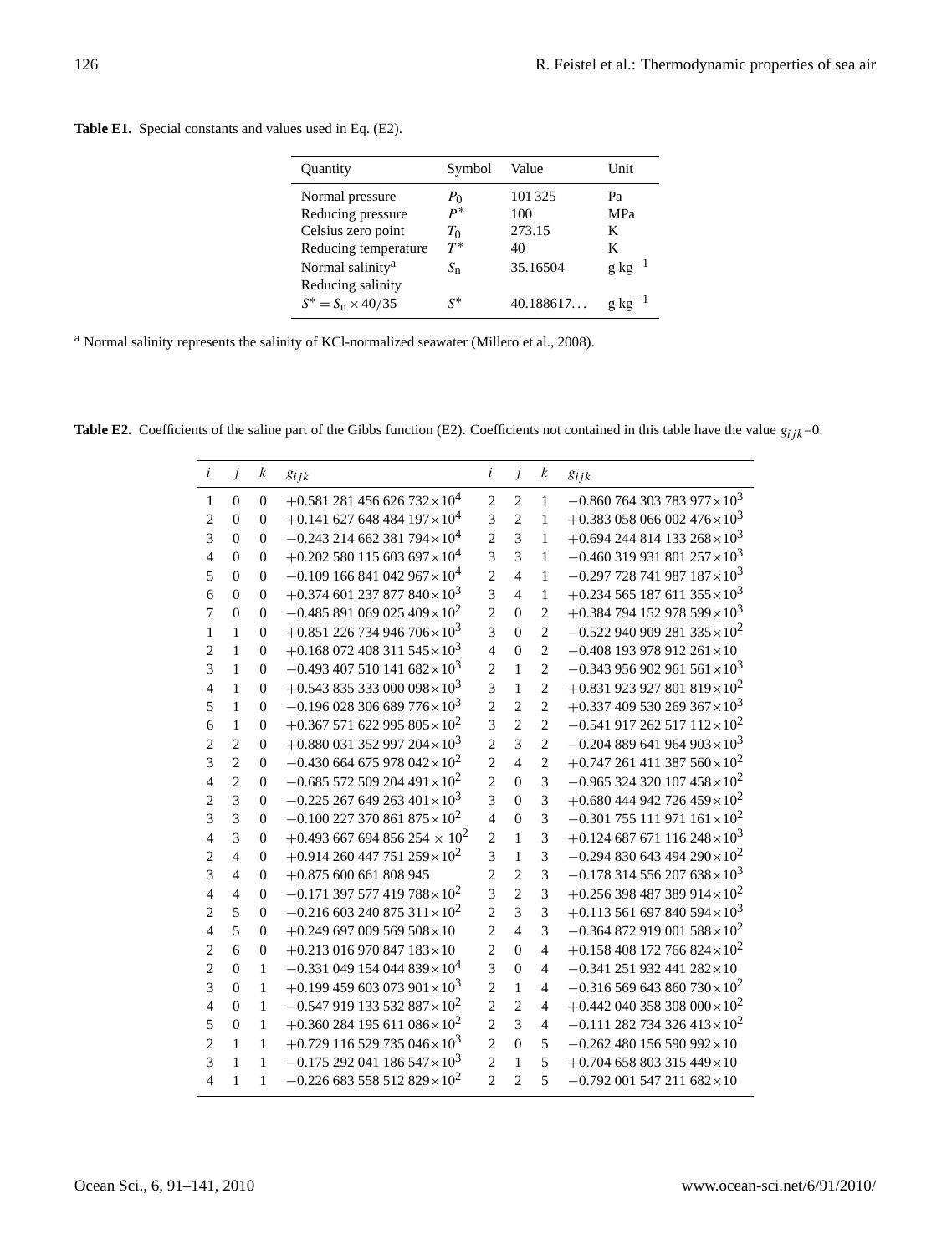| Quantity                     | Symbol      | Value     | Unit        |
|------------------------------|-------------|-----------|-------------|
| Normal pressure              | $P_{\rm 0}$ | 101325    | Pa          |
| Reducing pressure            | $P^*$       | 100       | MPa         |
| Celsius zero point           | $T_{0}$     | 273.15    | K           |
| Reducing temperature         | $T^*$       | 40        | K           |
| Normal salinity <sup>a</sup> | $S_n$       | 35.16504  | $g kg^{-1}$ |
| Reducing salinity            |             |           |             |
| $S^* = S_n \times 40/35$     | $S^*$       | 40.188617 | g kg        |
|                              |             |           |             |

**Table E1.** Special constants and values used in Eq. (E2).

<sup>a</sup> Normal salinity represents the salinity of KCl-normalized seawater (Millero et al., 2008).

**Table E2.** Coefficients of the saline part of the Gibbs function (E2). Coefficients not contained in this table have the value  $g_{ijk}=0$ .

| $\dot{i}$      | $\dot{J}$      | k              | $g_{ijk}$                                         | i              | $\dot{J}$      | $\boldsymbol{k}$ | $g_{ijk}$                                         |
|----------------|----------------|----------------|---------------------------------------------------|----------------|----------------|------------------|---------------------------------------------------|
| $\mathbf{1}$   | $\Omega$       | $\Omega$       | $+0.581281456626732\times10^{4}$                  | $\overline{c}$ | $\overline{2}$ | $\mathbf{1}$     | $-0.860$ 764 303 783 977 $\times 10^3$            |
| $\overline{2}$ | $\overline{0}$ | $\overline{0}$ | $+0.141$ 627 648 484 197 $\times$ 10 <sup>4</sup> | 3              | $\overline{2}$ | 1                | $+0.383$ 058 066 002 476 × 10 <sup>3</sup>        |
| 3              | $\overline{0}$ | $\overline{0}$ | $-0.243$ 214 662 381 794 $\times$ 10 <sup>4</sup> | $\overline{c}$ | $\overline{3}$ | 1                | $+0.694244814133268\times10^{3}$                  |
| $\overline{4}$ | $\theta$       | $\overline{0}$ | $+0.202$ 580 115 603 697 $\times$ 10 <sup>4</sup> | $\overline{3}$ | $\overline{3}$ | 1                | $-0.460$ 319 931 801 257 $\times$ 10 <sup>3</sup> |
| 5              | $\theta$       | $\overline{0}$ | $-0.109166841042967\times10^{4}$                  | $\overline{c}$ | $\overline{4}$ | 1                | $-0.297$ 728 741 987 187 $\times$ 10 <sup>3</sup> |
| 6              | $\Omega$       | $\overline{0}$ | $+0.374$ 601 237 877 840 × 10 <sup>3</sup>        | $\overline{3}$ | $\overline{4}$ | 1                | $+0.234565187611355\times10^{3}$                  |
| $\overline{7}$ | $\theta$       | $\overline{0}$ | $-0.485891069025409\times10^{2}$                  | $\overline{c}$ | $\theta$       | $\overline{c}$   | $+0.384$ 794 152 978 599 × 10 <sup>3</sup>        |
| 1              | 1              | $\theta$       | $+0.851$ 226 734 946 706 $\times$ 10 <sup>3</sup> | $\overline{3}$ | $\theta$       | $\overline{2}$   | $-0.522$ 940 909 281 335 $\times$ 10 <sup>2</sup> |
| $\overline{c}$ | 1              | $\theta$       | $+0.168$ 072 408 311 545 $\times$ 10 <sup>3</sup> | $\overline{4}$ | $\theta$       | $\overline{c}$   | $-0.408$ 193 978 912 261 × 10                     |
| 3              | 1              | $\theta$       | $-0.493$ 407 510 141 682 $\times$ 10 <sup>3</sup> | $\overline{2}$ | 1              | $\overline{2}$   | $-0.343956902961561\times10^{3}$                  |
| $\overline{4}$ | 1              | 0              | $+0.54383533000098\times10^{3}$                   | 3              | $\mathbf{1}$   | $\overline{2}$   | $+0.831$ 923 927 801 819 $\times$ 10 <sup>2</sup> |
| 5              | 1              | $\theta$       | $-0.196028306689776\times10^{3}$                  | $\overline{c}$ | $\overline{c}$ | $\overline{2}$   | $+0.337409530269367\times10^{3}$                  |
| 6              | 1              | $\theta$       | $+0.367571622995805\times10^{2}$                  | 3              | $\overline{c}$ | $\overline{2}$   | $-0.541917262517112\times10^{2}$                  |
| $\overline{c}$ | $\overline{2}$ | $\Omega$       | $+0.880$ 031 352 997 204 $\times$ 10 <sup>3</sup> | $\overline{c}$ | $\overline{3}$ | $\overline{c}$   | $-0.204889641964903\times10^{3}$                  |
| 3              | $\overline{2}$ | $\overline{0}$ | $-0.430$ 664 675 978 042 × 10 <sup>2</sup>        | $\overline{c}$ | $\overline{4}$ | $\overline{2}$   | $+0.747261411387560\times10^{2}$                  |
| $\overline{4}$ | $\overline{2}$ | $\mathbf{0}$   | $-0.685$ 572 509 204 491 $\times$ 10 <sup>2</sup> | $\overline{2}$ | $\theta$       | 3                | $-0.965$ 324 320 107 458 $\times$ 10 <sup>2</sup> |
| $\overline{2}$ | 3              | $\overline{0}$ | $-0.225$ 267 649 263 401 $\times$ 10 <sup>3</sup> | $\overline{3}$ | $\theta$       | $\overline{3}$   | $+0.680444942726459\times10^{2}$                  |
| 3              | 3              | $\overline{0}$ | $-0.100$ 227 370 861 875 $\times$ 10 <sup>2</sup> | $\overline{4}$ | $\theta$       | 3                | $-0.301$ 755 111 971 161 $\times$ 10 <sup>2</sup> |
| $\overline{4}$ | 3              | $\Omega$       | $+0.493$ 667 694 856 254 $\times$ 10 <sup>2</sup> | $\overline{c}$ | $\mathbf{1}$   | $\overline{3}$   | $+0.124$ 687 671 116 248 × 10 <sup>3</sup>        |
| $\overline{c}$ | $\overline{4}$ | $\theta$       | $+0.914260447751259\times10^{2}$                  | 3              | $\mathbf{1}$   | 3                | $-0.294830643494290\times10^{2}$                  |
| 3              | $\overline{4}$ | $\theta$       | $+0.875$ 600 661 808 945                          | $\overline{2}$ | $\overline{2}$ | 3                | $-0.178314556207638\times10^{3}$                  |
| $\overline{4}$ | $\overline{4}$ | $\theta$       | $-0.171$ 397 577 419 788 $\times$ 10 <sup>2</sup> | $\overline{3}$ | $\overline{c}$ | $\overline{3}$   | $+0.256$ 398 487 389 914 $\times$ 10 <sup>2</sup> |
| $\overline{c}$ | 5              | $\theta$       | $-0.216\ 603\ 240\ 875\ 311\times10^{2}$          | $\overline{c}$ | $\overline{3}$ | 3                | $+0.113561697840594\times10^{3}$                  |
| $\overline{4}$ | 5              | 0              | $+0.249697009569508\times10$                      | $\overline{c}$ | $\overline{4}$ | 3                | $-0.364872919001588\times10^{2}$                  |
| $\overline{2}$ | 6              | 0              | $+0.213$ 016 970 847 183 × 10                     | $\overline{2}$ | $\theta$       | $\overline{4}$   | $+0.158408172766824\times10^{2}$                  |
| $\overline{2}$ | $\Omega$       | $\mathbf{1}$   | $-0.331$ 049 154 044 839 × 10 <sup>4</sup>        | 3              | $\theta$       | $\overline{4}$   | $-0.341$ 251 932 441 282 × 10                     |
| 3              | $\theta$       | 1              | $+0.199459603073901\times10^{3}$                  | $\overline{2}$ | $\mathbf{1}$   | $\overline{4}$   | $-0.316$ 569 643 860 730 $\times 10^2$            |
| $\overline{4}$ | $\theta$       | $\mathbf{1}$   | $-0.547919133532887\times10^{2}$                  | $\overline{c}$ | $\overline{c}$ | $\overline{4}$   | $+0.442$ 040 358 308 000 $\times$ 10 <sup>2</sup> |
| 5              | $\overline{0}$ | 1              | $+0.360284195611086\times10^{2}$                  | $\overline{c}$ | $\overline{3}$ | $\overline{4}$   | $-0.111$ 282 734 326 413 × 10 <sup>2</sup>        |
| $\overline{c}$ | 1              | 1              | $+0.729$ 116 529 735 046 × 10 <sup>3</sup>        | $\overline{c}$ | $\theta$       | 5                | $-0.262480156590992\times10$                      |
| 3              | 1              | 1              | $-0.175292041186547\times10^{3}$                  | $\overline{2}$ | 1              | 5                | $+0.704$ 658 803 315 449 × 10                     |
| $\overline{4}$ | 1              | 1              | $-0.226683558512829\times10^{2}$                  | $\overline{2}$ | $\overline{c}$ | 5                | $-0.792$ 001 547 211 682×10                       |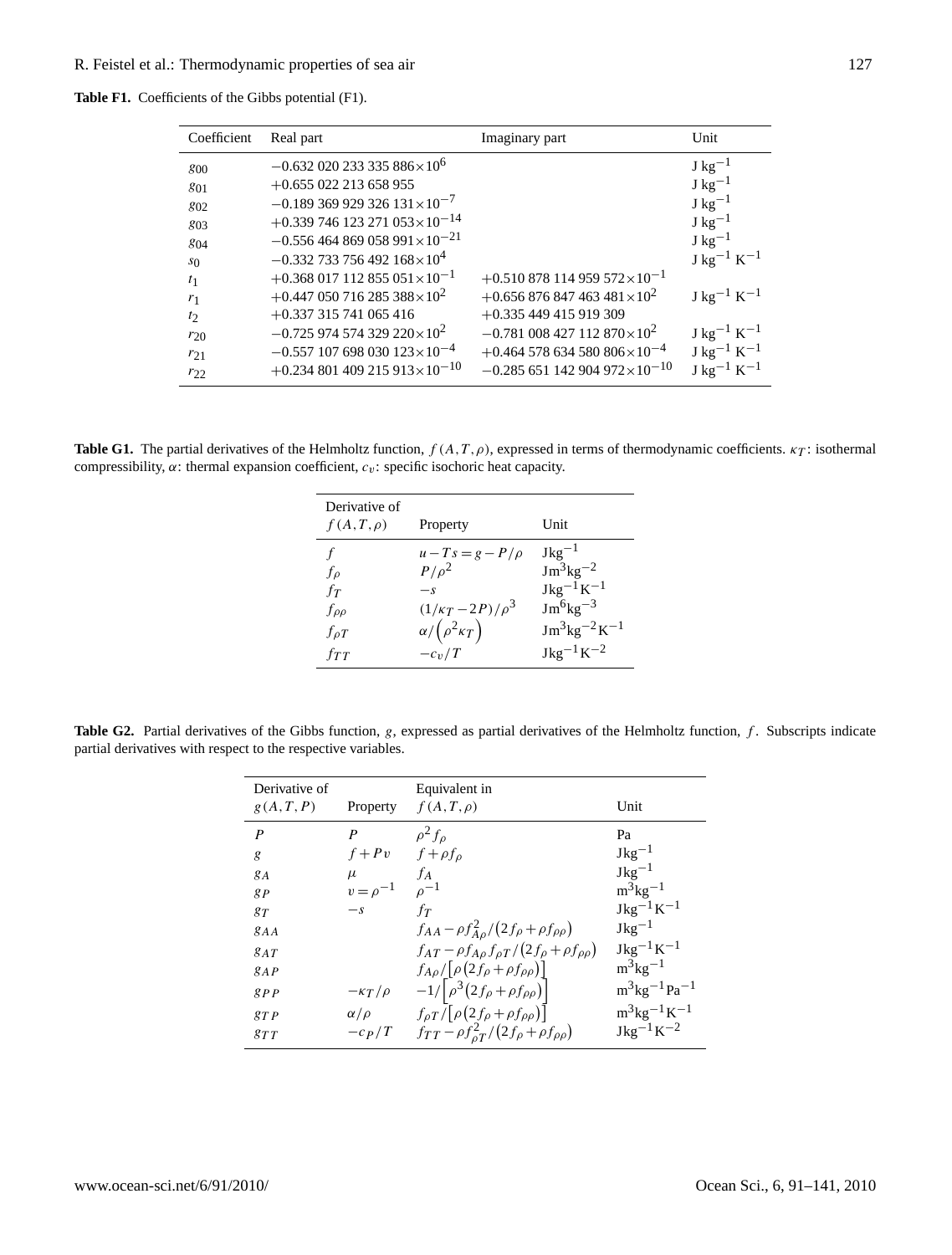| <b>Table F1.</b> Coefficients of the Gibbs potential (F1). |
|------------------------------------------------------------|
|                                                            |

| Coefficient    | Real part                                          | Imaginary part                                      | Unit                               |
|----------------|----------------------------------------------------|-----------------------------------------------------|------------------------------------|
| 800            | $-0.632020233335886\times10^{6}$                   |                                                     | $J \text{ kg}^{-1}$                |
| 801            | $+0.655022213658955$                               |                                                     | $J \text{ kg}^{-1}$                |
| 802            | $-0.189369929326131\times10^{-7}$                  |                                                     | $J \text{ kg}^{-1}$                |
| 803            | $+0.339746123271053\times10^{-14}$                 |                                                     | $J \text{ kg}^{-1}$                |
| 804            | $-0.556464869058991\times10^{-21}$                 |                                                     | $J \text{ kg}^{-1}$                |
| s <sub>0</sub> | $-0.332$ 733 756 492 168 $\times$ 10 <sup>4</sup>  |                                                     | $J \text{ kg}^{-1} \text{ K}^{-1}$ |
| t <sub>1</sub> | $+0.368$ 017 112 855 051 $\times$ 10 <sup>-1</sup> | $+0.510878114959572\times10^{-1}$                   |                                    |
| $r_1$          | $+0.447$ 050 716 285 388 × 10 <sup>2</sup>         | $+0.656876847463481\times10^{2}$                    | $J \text{ kg}^{-1} \text{ K}^{-1}$ |
| $t_2$          | $+0.337315741065416$                               | $+0.335449415919309$                                |                                    |
| $r_{20}$       | $-0.725974574329220\times10^{2}$                   | $-0.781\ 008\ 427\ 112\ 870\times10^{2}$            | $J \text{ kg}^{-1} \text{ K}^{-1}$ |
| $r_{21}$       | $-0.557$ 107 698 030 123 $\times$ 10 <sup>-4</sup> | $+0.464$ 578 634 580 806 $\times$ 10 <sup>-4</sup>  | $J kg^{-1} K^{-1}$                 |
| $r_{22}$       | $+0.234801409215913\times10^{-10}$                 | $-0.285$ 651 142 904 972 $\times$ 10 <sup>-10</sup> | $J kg^{-1} K^{-1}$                 |

**Table G1.** The partial derivatives of the Helmholtz function,  $f(A, T, \rho)$ , expressed in terms of thermodynamic coefficients.  $\kappa_T$ : isothermal compressibility,  $\alpha$ : thermal expansion coefficient,  $c_v$ : specific isochoric heat capacity.

| Derivative of<br>$f(A,T,\rho)$ | Property                                                   | Unit                                 |
|--------------------------------|------------------------------------------------------------|--------------------------------------|
| f                              | $u-Ts=g-P/\rho$<br>$P/\rho^2$                              | $Jkg^{-1}$<br>$Jm^3kg^{-2}$          |
| $f_{\rho}$<br>$f_T$            | $-s$                                                       | $Jkg^{-1}K^{-1}$                     |
| $f_{\rho\rho}$<br>$f_{\rho T}$ | $(1/\kappa_T - 2P)/\rho^3$<br>$\alpha / (\rho^2 \kappa_T)$ | $Jm^6kg^{-3}$<br>$Jm^3kg^{-2}K^{-1}$ |
| $f_{TT}$                       | $-c_v/T$                                                   | $Jkg^{-1}K^{-2}$                     |

**Table G2.** Partial derivatives of the Gibbs function, g, expressed as partial derivatives of the Helmholtz function,  $f$ . Subscripts indicate partial derivatives with respect to the respective variables.

| Derivative of   |                  | Equivalent in                                                        |                                         |
|-----------------|------------------|----------------------------------------------------------------------|-----------------------------------------|
| g(A, T, P)      | Property         | $f(A,T,\rho)$                                                        | Unit                                    |
| P               | P                | $\rho^2 f_\rho$                                                      | Pa                                      |
| g               | $f+Pv$           | $f + \rho f_{\rho}$                                                  | $Jkg^{-1}$                              |
| $g_A$           | $\mu$            | $f_A$                                                                | $Jkg^{-1}$                              |
| $g_{P}$         | $v = \rho^{-1}$  | $\rho^{-1}$                                                          | $m^3$ kg <sup>-1</sup>                  |
| $g_T$           | $-s$             | $f_T$                                                                | $Jkg^{-1}K^{-1}$                        |
| $g_{AA}$        |                  | $f_{AA} - \rho f_{A\rho}^2/(2f_{\rho} + \rho f_{\rho\rho})$          | $Jkg^{-1}$                              |
| $g_{AT}$        |                  | $f_{AT} - \rho f_{A\rho} f_{\rho T}/(2f_{\rho} + \rho f_{\rho\rho})$ | $\rm Jkg^{-1}K^{-1}$                    |
| $\mathcal{B}AP$ |                  | $f_{A\rho}/[\rho(2f_{\rho}+\rho f_{\rho\rho})]$                      | $m^3$ kg <sup>-1</sup>                  |
| 8PP             | $-\kappa_T/\rho$ | $-1/(\rho^3(2f_{\rho}+\rho f_{\rho\rho}))$                           | $m^3$ kg <sup>-1</sup> Pa <sup>-1</sup> |
| 8TP             | $\alpha/\rho$    | $f_{\rho T}/[\rho(2f_{\rho}+\rho f_{\rho\rho})]$                     | $m^3kg^{-1}K^{-1}$                      |
| 8TT             | $-c_P/T$         | $f_{TT} - \rho f_{\rho T}^2/(2f_{\rho} + \rho f_{\rho \rho})$        | $Jkg^{-1}K^{-2}$                        |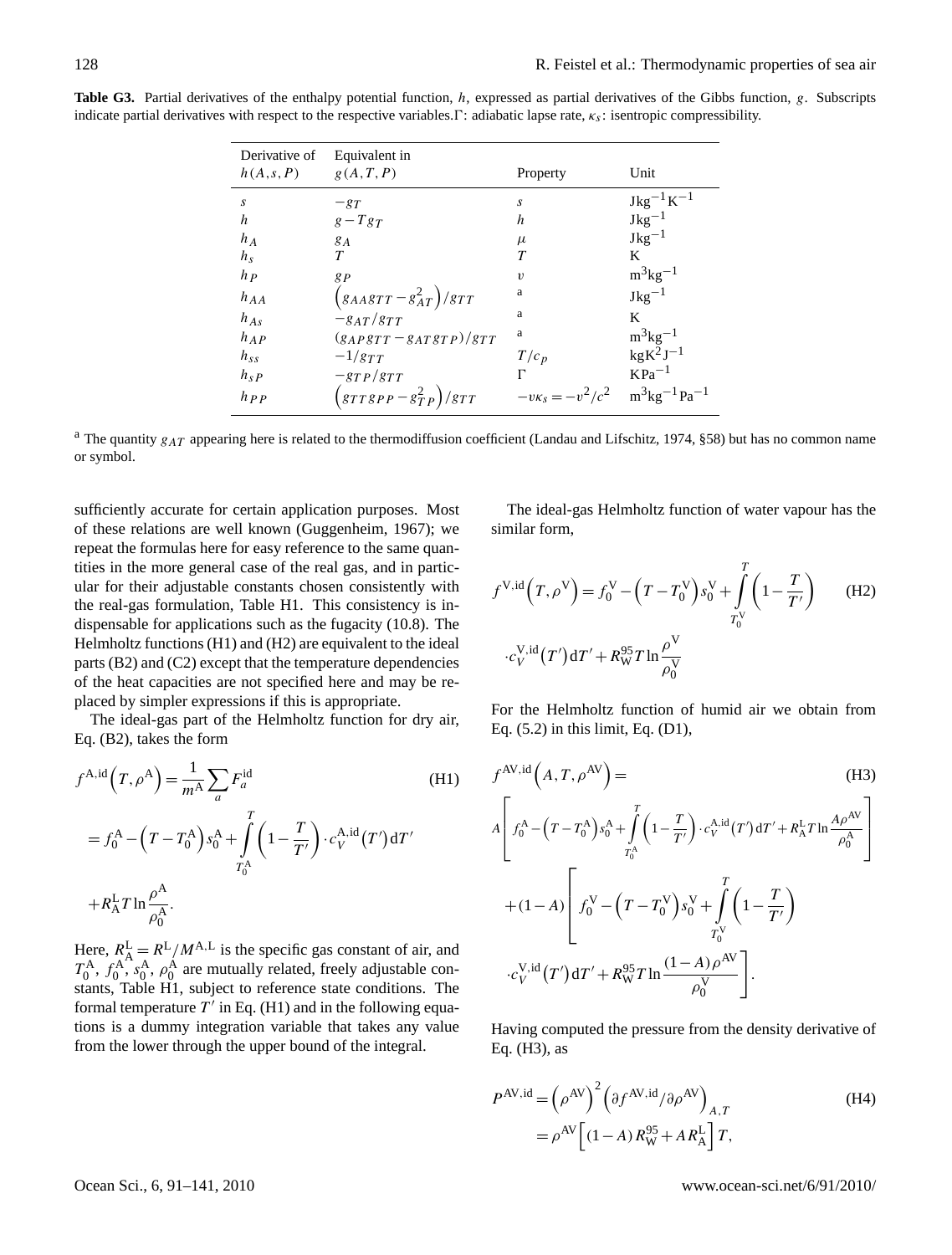| Derivative of | Equivalent in                            |                         |                                                                    |
|---------------|------------------------------------------|-------------------------|--------------------------------------------------------------------|
| h(A,s,P)      | g(A, T, P)                               | Property                | Unit                                                               |
| s             | $-g_T$                                   | S                       |                                                                    |
| h             | $g-Tg_T$                                 | h                       | $\begin{array}{l} \rm{Jkg^{-1}K^{-1}}\\ \rm{Jkg^{-1}} \end{array}$ |
| $h_A$         | $g_A$                                    | $\mu$                   | $Jkg^{-1}$                                                         |
| $h_{\rm s}$   | T                                        | T                       | K                                                                  |
| $h_P$         | gp                                       | $\boldsymbol{v}$        | $m^3$ kg <sup>-1</sup>                                             |
| $h_{AA}$      | $(s_{AA}g_{TT}-s_{AT}^2)/g_{TT}$         | a                       | $Jkg^{-1}$                                                         |
| $h_{As}$      | $-g_{AT}/g_{TT}$                         | a                       | K                                                                  |
| $h_{AP}$      | $(g_{APSTT}-g_{ATSTP})/g_{TT}$           | a                       | $m^3$ kg <sup>-1</sup>                                             |
| $h_{ss}$      | $-1/g_{TT}$                              | $T/c_p$                 | $kgK^2J^{-1}$                                                      |
| $h_{sP}$      | $-gTP/gTT$                               | г                       | $KPa^{-1}$                                                         |
| $h_{PP}$      | $\left(\frac{grTgPP}{grP}\right)/g_{TT}$ | $-v\kappa_s = -v^2/c^2$ | $m^3$ kg <sup>-1</sup> Pa <sup>-1</sup>                            |

**Table G3.** Partial derivatives of the enthalpy potential function, h, expressed as partial derivatives of the Gibbs function, g. Subscripts indicate partial derivatives with respect to the respective variables.  $\Gamma$ : adiabatic lapse rate,  $\kappa_s$ : isentropic compressibility.

<sup>a</sup> The quantity  $g_{AT}$  appearing here is related to the thermodiffusion coefficient (Landau and Lifschitz, 1974, §58) but has no common name or symbol.

sufficiently accurate for certain application purposes. Most of these relations are well known (Guggenheim, 1967); we repeat the formulas here for easy reference to the same quantities in the more general case of the real gas, and in particular for their adjustable constants chosen consistently with the real-gas formulation, Table H1. This consistency is indispensable for applications such as the fugacity (10.8). The Helmholtz functions (H1) and (H2) are equivalent to the ideal parts (B2) and (C2) except that the temperature dependencies of the heat capacities are not specified here and may be replaced by simpler expressions if this is appropriate.

The ideal-gas part of the Helmholtz function for dry air, Eq. (B2), takes the form

$$
f^{\text{A},\text{id}}(T,\rho^{\text{A}}) = \frac{1}{m^{\text{A}}} \sum_{a} F_{a}^{\text{id}}
$$
(H1)  

$$
= f_{0}^{\text{A}} - (T - T_{0}^{\text{A}}) s_{0}^{\text{A}} + \int_{T_{0}^{\text{A}}}^{T} \left(1 - \frac{T}{T'}\right) \cdot c_{V}^{\text{A},\text{id}}(T') dT'
$$

$$
+ R_{A}^{L} T \ln \frac{\rho^{\text{A}}}{\rho_{0}^{\text{A}}}.
$$

Here,  $R_{\rm A}^{\rm L} = R^{\rm L}/M^{\rm A,L}$  is the specific gas constant of air, and  $T_0^{\text{A}}, f_0^{\text{A}}, s_0^{\text{A}}, \rho_0^{\text{A}}$  are mutually related, freely adjustable constants, Table H1, subject to reference state conditions. The formal temperature  $T'$  in Eq. (H1) and in the following equations is a dummy integration variable that takes any value from the lower through the upper bound of the integral.

The ideal-gas Helmholtz function of water vapour has the similar form,

$$
f^{V,id}(T,\rho^V) = f_0^V - (T - T_0^V)s_0^V + \int_{T_0^V}^{T} (1 - \frac{T}{T'})
$$
 (H2)  

$$
\cdot c_V^{V,id}(T')dT' + R_W^{95}T \ln \frac{\rho^V}{\rho_0^V}
$$

For the Helmholtz function of humid air we obtain from Eq. (5.2) in this limit, Eq. (D1),

$$
f^{AV,id}(A, T, \rho^{AV}) =
$$
\n
$$
A \left[ f_0^A - (T - T_0^A) s_0^A + \int_{T_0^A}^T \left( 1 - \frac{T}{T'} \right) \cdot c_V^{A,id}(T') dT' + R_A^L T \ln \frac{A \rho^{AV}}{\rho_0^A} \right]
$$
\n
$$
+ (1 - A) \left[ f_0^V - (T - T_0^V) s_0^V + \int_{T_0^V}^T \left( 1 - \frac{T}{T'} \right)
$$
\n
$$
\cdot c_V^{V,id}(T') dT' + R_W^{95} T \ln \frac{(1 - A) \rho^{AV}}{\rho_0^V} \right].
$$
\n(B3)

Having computed the pressure from the density derivative of Eq. (H3), as

$$
P^{\text{AV},\text{id}} = \left(\rho^{\text{AV}}\right)^2 \left(\partial f^{\text{AV},\text{id}} / \partial \rho^{\text{AV}}\right)_{A,T}
$$
\n
$$
= \rho^{\text{AV}} \left[ (1-A) R^{\text{95}}_{\text{W}} + AR^{\text{L}}_{\text{A}} \right] T,
$$
\n(H4)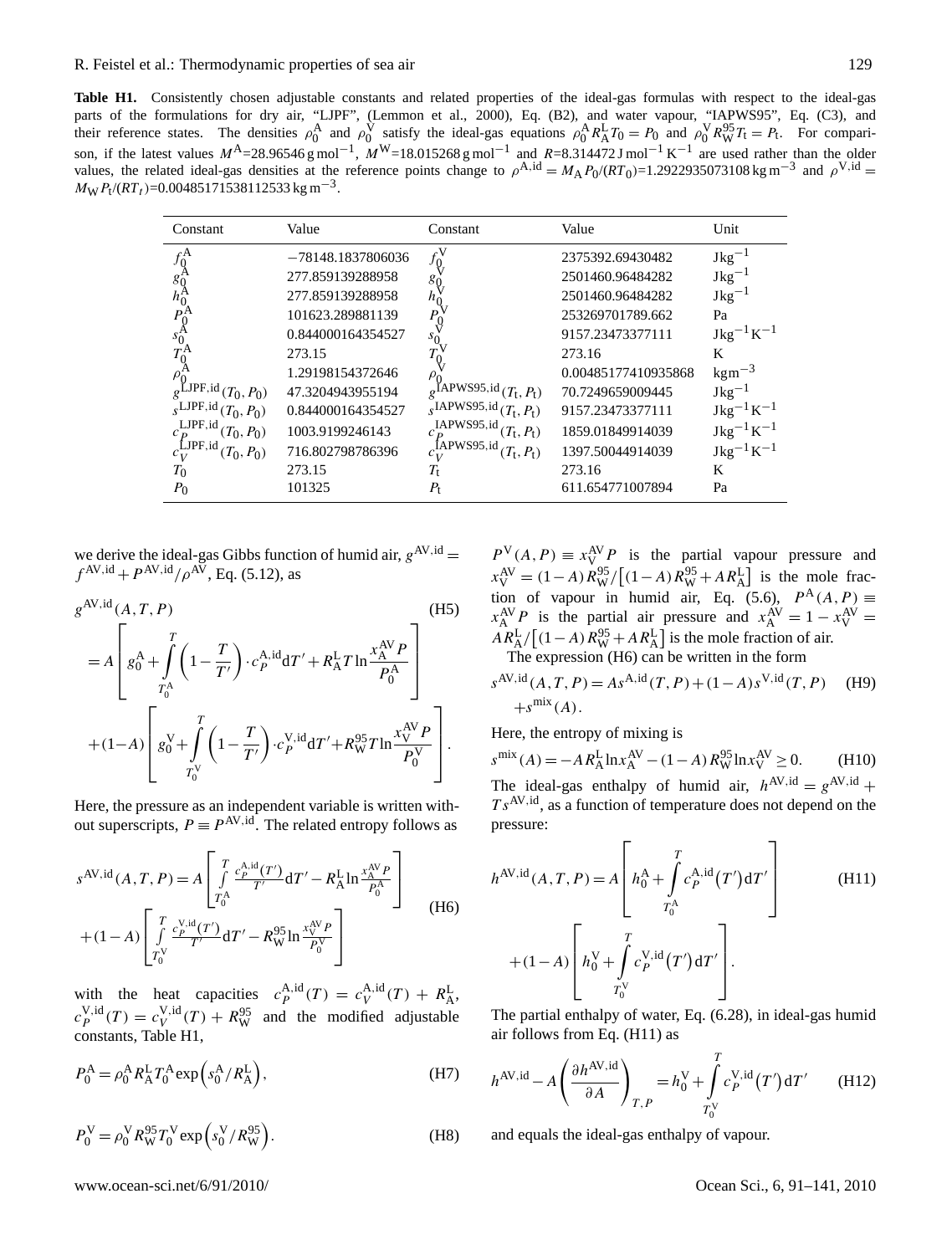Table H1. Consistently chosen adjustable constants and related properties of the ideal-gas formulas with respect to the ideal-gas parts of the formulations for dry air, "LJPF", (Lemmon et al., 2000), Eq. (B2), and water vapour, "IAPWS95", Eq. (C3), and their reference states. The densities  $\rho_0^{\mathbf{A}}$  and  $\rho_0^{\mathbf{V}}$  satisfy the ideal-gas equations  $\rho_0^{\mathbf{A}} R_{\mathbf{A}}^{\mathbf{L}} T_0 = P_0$  and  $\rho_0^{\mathbf{V}} R_{\mathbf{W}}^{95} T_t = P_t$ . For comparison, if the latest values  $M^A = 28.96546 \text{ g mol}^{-1}$ ,  $M^W = 18.015268 \text{ g mol}^{-1}$  and  $R = 8.314472 \text{ J mol}^{-1} \text{ K}^{-1}$  are used rather than the older values, the related ideal-gas densities at the reference points change to  $\rho^{A, id} = M_A P_0/(RT_0) = 1.2922935073108 \text{ kg m}^{-3}$  and  $\rho^{V, id} =$  $M_{\rm W} P_{\rm t} / (RT_t)$ =0.00485171538112533 kg m<sup>-3</sup>.

| Constant                         | Value             | Constant                                    | Value               | Unit              |
|----------------------------------|-------------------|---------------------------------------------|---------------------|-------------------|
| $f_0^{\rm A}$                    | -78148.1837806036 | $f_0^{\rm V}$                               | 2375392.69430482    | $Jkg^{-1}$        |
| $g_0^A$                          | 277.859139288958  | g                                           | 2501460.96484282    | $Jkg^{-1}$        |
| $h_0^{\rm A}$                    | 277.859139288958  |                                             | 2501460.96484282    | $Jkg^{-1}$        |
| $P_0^{\rm A}$                    | 101623.289881139  |                                             | 253269701789.662    | Pa                |
| $s_0^A$                          | 0.844000164354527 |                                             | 9157.23473377111    | $Jkg^{-1}K^{-1}$  |
|                                  | 273.15            |                                             | 273.16              | K                 |
| $\rho_0^A$                       | 1.29198154372646  |                                             | 0.00485177410935868 | $\text{kgm}^{-3}$ |
| JPF,id<br>$(T_0, P_0)$           | 47.3204943955194  | $g^{\text{IAPWS95,id}}$<br>$(T_{t}, P_{t})$ | 70.7249659009445    | $Jkg^{-1}$        |
| $\sqrt{s}$ LJPF, id $(T_0, P_0)$ | 0.844000164354527 | $_{s}$ IAPWS95,id $(T_{t}, P_{t})$          | 9157.23473377111    | $Jkg^{-1}K^{-1}$  |
| LJPF, id<br>$(T_0, P_0)$         | 1003.9199246143   | IAPWS95,id<br>$(T_t, P_t)$                  | 1859.01849914039    | $Jkg^{-1}K^{-1}$  |
| LJPF,id<br>$(T_0, P_0)$          | 716.802798786396  | fAPWS95,id<br>$(T_{t}, P_{t})$<br>$c_{V}$   | 1397.50044914039    | $Jkg^{-1}K^{-1}$  |
| $T_{\rm 0}$                      | 273.15            | T,                                          | 273.16              | K                 |
| $P_{0}$                          | 101325            | $P_{t}$                                     | 611.654771007894    | Pa                |

we derive the ideal-gas Gibbs function of humid air,  $g^{AV,id} =$  $f^{\text{AV}, \text{id}} + P^{\text{AV}, \text{id}} / \rho^{\text{AV}},$  Eq. (5.12), as

$$
g^{\text{AV},\text{id}}(A, T, P)
$$
\n
$$
= A \left[ g_0^{\text{A}} + \int_{T_0^{\text{A}}}^{T} \left( 1 - \frac{T}{T'} \right) \cdot c_P^{\text{A},\text{id}} \, dT' + R_A^{\text{L}} T \ln \frac{x_A^{\text{AV}} P}{P_0^{\text{A}}} \right]
$$
\n
$$
+ (1-A) \left[ g_0^{\text{V}} + \int_{T_0^{\text{V}}}^{T} \left( 1 - \frac{T}{T'} \right) \cdot c_P^{\text{V},\text{id}} \, dT' + R_W^{95} T \ln \frac{x_V^{\text{AV}} P}{P_0^{\text{V}}} \right].
$$
\n(B5)

Here, the pressure as an independent variable is written without superscripts,  $P \equiv P^{AV,id}$ . The related entropy follows as

$$
s^{\text{AV},\text{id}}(A, T, P) = A \left[ \int_{T_0^{\text{A}}}^{T} \frac{c_{P}^{\text{A},\text{id}}(T')}{T'} dT' - R_{\text{A}}^{\text{L}} \ln \frac{x_{\text{A}}^{\text{AV}} P}{P_0^{\text{A}}} \right] + (1 - A) \left[ \int_{T_0^{\text{V}}}^{T} \frac{c_{P}^{\text{V},\text{id}}(T')}{T'} dT' - R_{\text{W}}^{95} \ln \frac{x_{\text{V}}^{\text{AV}} P}{P_0^{\text{V}}} \right]
$$
(H6)

with the heat capacities  $c_P^{\text{A,id}}(T) = c_V^{\text{A,id}}(T) + R_A^{\text{L}}$ ,  $c_P^{V, id}(T) = c_V^{V, id}(T) + R_W^{95}$  and the modified adjustable constants, Table H1,

$$
P_0^{\mathcal{A}} = \rho_0^{\mathcal{A}} R_{\mathcal{A}}^{\mathcal{L}} T_0^{\mathcal{A}} \exp\left(s_0^{\mathcal{A}} / R_{\mathcal{A}}^{\mathcal{L}}\right),\tag{H7}
$$

$$
P_0^{\text{V}} = \rho_0^{\text{V}} R_{\text{W}}^{95} T_0^{\text{V}} \exp\left(s_0^{\text{V}} / R_{\text{W}}^{95}\right). \tag{H8}
$$

 $P^{V}(A, P) \equiv x_{V}^{AV} P$  is the partial vapour pressure and  $x_V^{\text{AV}} = (1 - A) R_W^{95} / [(1 - A) R_W^{95} + AR_A^{\text{L}}]$  is the mole fraction of vapour in humid air, Eq. (5.6),  $P^{\mathcal{A}}(A, P) \equiv$  $x_A^{AV}P$  is the partial air pressure and  $x_A^{AV} = 1 - x_V^{AV} =$  $AR_{A}^{L}/[(1-A)R_{W}^{95}+AR_{A}^{L}]$  is the mole fraction of air. The expression (H6) can be written in the form

$$
s^{\text{AV},\text{id}}(A, T, P) = As^{\text{A},\text{id}}(T, P) + (1 - A)s^{\text{V},\text{id}}(T, P) \quad (H9) + s^{\text{mix}}(A).
$$

Here, the entropy of mixing is

$$
s^{\text{mix}}(A) = -AR_A^{\text{L}} \ln x_A^{\text{AV}} - (1 - A) R_W^{95} \ln x_V^{\text{AV}} \ge 0.
$$
 (H10)  
The ideal-gas enthalpy of humid air,  $h^{\text{AV},\text{id}} = g^{\text{AV},\text{id}} + Ts^{\text{AV},\text{id}},$  as a function of temperature does not depend on the pressure:

$$
h^{\text{AV},\text{id}}(A,T,P) = A \left[ h_0^{\text{A}} + \int_{T_0^{\text{A}}}^{T} c_P^{\text{A},\text{id}}(T') dT' \right]
$$
(H11)  
+ (1-A) 
$$
\left[ h_0^{\text{V}} + \int_{T_0^{\text{V}}}^{T} c_P^{\text{V},\text{id}}(T') dT' \right].
$$

The partial enthalpy of water, Eq. (6.28), in ideal-gas humid air follows from Eq. (H11) as

$$
h^{\text{AV},\text{id}} - A \left( \frac{\partial h^{\text{AV},\text{id}}}{\partial A} \right)_{T,P} = h_0^{\text{V}} + \int_{T_0^{\text{V}}}^{T} c_P^{\text{V},\text{id}}(T') dT' \qquad (H12)
$$

and equals the ideal-gas enthalpy of vapour.

www.ocean-sci.net/6/91/2010/ Ocean Sci., 6, 91[–141,](#page-0-1) 2010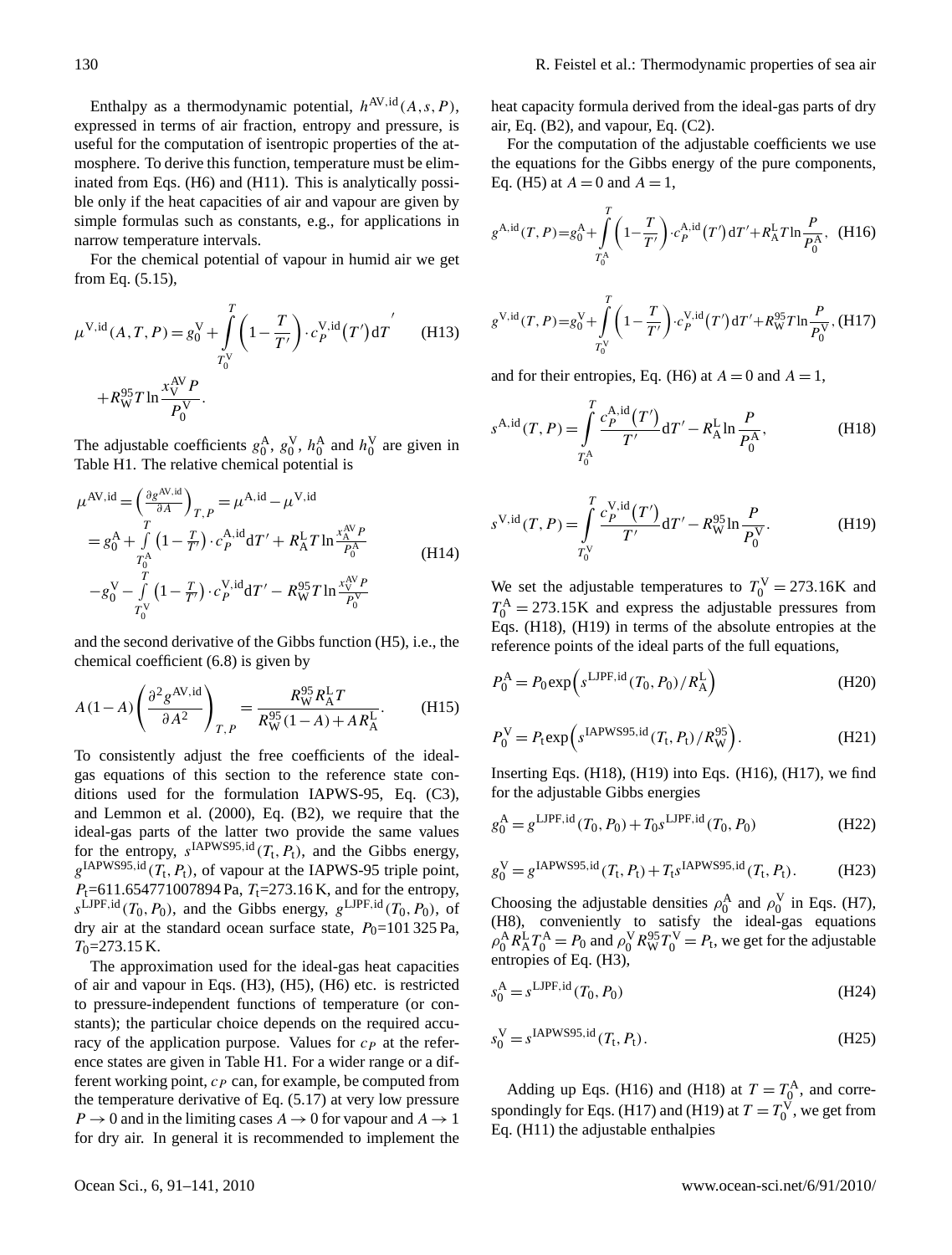Enthalpy as a thermodynamic potential,  $h^{AV,id}(A,s,P)$ , expressed in terms of air fraction, entropy and pressure, is useful for the computation of isentropic properties of the atmosphere. To derive this function, temperature must be eliminated from Eqs. (H6) and (H11). This is analytically possible only if the heat capacities of air and vapour are given by simple formulas such as constants, e.g., for applications in narrow temperature intervals.

For the chemical potential of vapour in humid air we get from Eq. (5.15),

$$
\mu^{V,id}(A, T, P) = g_0^V + \int_{T_0^V}^{T} \left(1 - \frac{T}{T'}\right) \cdot c_P^{V,id}(T') dT' \quad (H13)
$$
  
+  $R_W^{95} T \ln \frac{x_V^{AV} P}{P_0^V}.$ 

The adjustable coefficients  $g_0^A$ ,  $g_0^V$ ,  $h_0^A$  and  $h_0^V$  are given in Table H1. The relative chemical potential is

$$
\mu^{\text{AV},\text{id}} = \left(\frac{\partial g^{\text{AV},\text{id}}}{\partial A}\right)_{T,P} = \mu^{\text{A},\text{id}} - \mu^{\text{V},\text{id}}
$$
  
=  $g_0^{\text{A}} + \int_{T_0^{\text{A}}} \left(1 - \frac{T}{T'}\right) \cdot c_P^{\text{A},\text{id}} dT' + R_A^{\text{L}} T \ln \frac{x_A^{\text{AV}} P}{P_0^{\text{A}}}$   
-  $g_0^{\text{V}} - \int_{T_0}^{T} \left(1 - \frac{T}{T'}\right) \cdot c_P^{\text{V},\text{id}} dT' - R_W^{95} T \ln \frac{x_V^{\text{AV}} P}{P_0^{\text{V}}}$  (H14)

and the second derivative of the Gibbs function (H5), i.e., the chemical coefficient (6.8) is given by

$$
A(1-A)\left(\frac{\partial^2 g^{AV,id}}{\partial A^2}\right)_{T,P} = \frac{R_W^{95} R_A^L T}{R_W^{95} (1-A) + AR_A^L}.
$$
 (H15)

To consistently adjust the free coefficients of the idealgas equations of this section to the reference state conditions used for the formulation IAPWS-95, Eq. (C3), and Lemmon et al. (2000), Eq. (B2), we require that the ideal-gas parts of the latter two provide the same values for the entropy,  $s^{IAPWS95,id}(T_t, P_t)$ , and the Gibbs energy,  $g^{\text{IAPWS95,id}}(T_{\text{t}}, P_{\text{t}})$ , of vapour at the IAPWS-95 triple point,  $P_1$ =611.654771007894 Pa,  $T_1$ =273.16 K, and for the entropy,  $s^{\text{LJPF},\text{id}}(T_0, P_0)$ , and the Gibbs energy,  $g^{\text{LJPF},\text{id}}(T_0, P_0)$ , of dry air at the standard ocean surface state,  $P_0$ =101 325 Pa,  $T_0$ =273.15 K.

The approximation used for the ideal-gas heat capacities of air and vapour in Eqs. (H3), (H5), (H6) etc. is restricted to pressure-independent functions of temperature (or constants); the particular choice depends on the required accuracy of the application purpose. Values for  $c<sub>P</sub>$  at the reference states are given in Table H1. For a wider range or a different working point,  $c_P$  can, for example, be computed from the temperature derivative of Eq. (5.17) at very low pressure  $P \to 0$  and in the limiting cases  $A \to 0$  for vapour and  $A \to 1$ for dry air. In general it is recommended to implement the heat capacity formula derived from the ideal-gas parts of dry air, Eq. (B2), and vapour, Eq. (C2).

For the computation of the adjustable coefficients we use the equations for the Gibbs energy of the pure components, Eq. (H5) at  $A = 0$  and  $A = 1$ ,

$$
g^{\text{A,id}}(T,P) = g_0^{\text{A}} + \int_{T_0^{\text{A}}}^{T} \left(1 - \frac{T}{T'}\right) \cdot c_P^{\text{A,id}}(T') dT' + R_A^{\text{L}} T \ln \frac{P}{P_0^{\text{A}}}, \quad \text{(H16)}
$$

$$
g^{\text{V},\text{id}}(T,P) = g_0^{\text{V}} + \int_{T_0^{\text{V}}}^{T} \left(1 - \frac{T}{T'}\right) \cdot c_P^{\text{V},\text{id}}(T') dT' + R_{\text{W}}^{95} T \ln \frac{P}{P_0^{\text{V}}}, \text{(H17)}
$$

and for their entropies, Eq. (H6) at  $A = 0$  and  $A = 1$ ,

$$
s^{\text{A},\text{id}}(T,P) = \int_{T_0^{\text{A}}}^{T} \frac{c_P^{\text{A},\text{id}}(T')}{T'} dT' - R_{\text{A}}^{\text{L}} \ln \frac{P}{P_0^{\text{A}}},
$$
(H18)

$$
s^{\text{V},\text{id}}(T,P) = \int_{T_0^{\text{V}}}^{T} \frac{c_P^{\text{V},\text{id}}(T')}{T'} dT' - R_{\text{W}}^{95} \ln \frac{P}{P_0^{\text{V}}}.
$$
 (H19)

We set the adjustable temperatures to  $T_0^V = 273.16$ K and  $T_0^{\rm A} = 273.15$ K and express the adjustable pressures from Eqs. (H18), (H19) in terms of the absolute entropies at the reference points of the ideal parts of the full equations,

$$
P_0^{\text{A}} = P_0 \exp\left(s^{\text{LIPF},\text{id}}(T_0, P_0) / R_{\text{A}}^{\text{L}}\right)
$$
(H20)

$$
P_0^{\text{V}} = P_t \exp\left(s^{\text{IAPWS95,id}}(T_t, P_t) / R_{\text{W}}^{95}\right). \tag{H21}
$$

Inserting Eqs.  $(H18)$ ,  $(H19)$  into Eqs.  $(H16)$ ,  $(H17)$ , we find for the adjustable Gibbs energies

$$
g_0^{\text{A}} = g^{\text{LIPF},\text{id}}(T_0, P_0) + T_0 s^{\text{LIPF},\text{id}}(T_0, P_0)
$$
 (H22)

$$
g_0^{\text{V}} = g^{\text{IAPWS95,id}}(T_t, P_t) + T_t s^{\text{IAPWS95,id}}(T_t, P_t). \tag{H23}
$$

Choosing the adjustable densities  $\rho_0^{\text{A}}$  and  $\rho_0^{\text{V}}$  in Eqs. (H7), (H8), conveniently to satisfy the ideal-gas equations  $\rho_0^{\text{A}} R_{\text{A}}^{\text{L}} T_0^{\text{A}} = P_0$  and  $\rho_0^{\text{V}} R_{\text{W}}^{95} T_0^{\text{V}} = P_t$ , we get for the adjustable entropies of Eq. (H3),

$$
s_0^{\mathbf{A}} = s^{\text{LJPF},\text{id}}(T_0, P_0) \tag{H24}
$$

$$
s_0^{\text{V}} = s^{\text{IAPWS95},\text{id}}(T_{\text{t}}, P_{\text{t}}).
$$
 (H25)

Adding up Eqs. (H16) and (H18) at  $T = T_0^{\text{A}}$ , and correspondingly for Eqs. (H17) and (H19) at  $T = T_0^V$ , we get from Eq. (H11) the adjustable enthalpies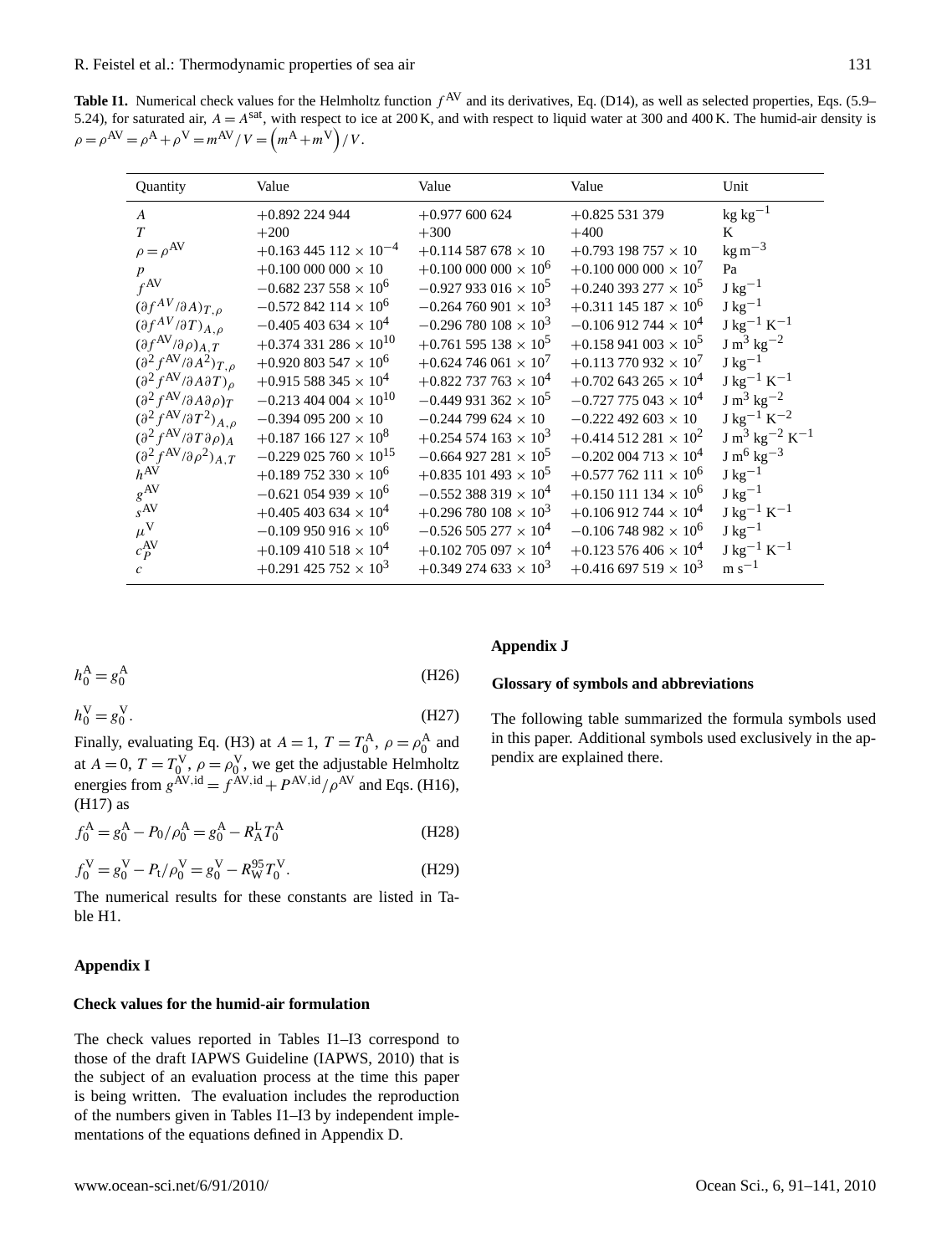**Table I1.** Numerical check values for the Helmholtz function  $f^{AV}$  and its derivatives, Eq. (D14), as well as selected properties, Eqs. (5.9– 5.24), for saturated air,  $A = A^{sat}$ , with respect to ice at 200 K, and with respect to liquid water at 300 and 400 K. The humid-air density is  $\rho = \rho^{AV} = \rho^{A} + \rho^{V} = m^{AV} / V = (m^{A} + m^{V}) / V.$ 

| Quantity                                                      | Value                                     | Value                                     | Value                                     | Unit                |
|---------------------------------------------------------------|-------------------------------------------|-------------------------------------------|-------------------------------------------|---------------------|
| $\overline{A}$                                                | $+0.892$ 224 944                          | $+0.977$ 600 624                          | $+0.825531379$                            | $kg\ kg^{-1}$       |
| $\tau$                                                        | $+200$                                    | $+300$                                    | $+400$                                    | K                   |
| $\rho=\rho^{\rm AV}$                                          | $+0.163445112 \times 10^{-4}$             | $+0.114$ 587 678 $\times$ 10              | $+0.793$ 198 757 $\times$ 10              | $\text{kg m}^{-3}$  |
| $\boldsymbol{p}$                                              | $+0.100\,000\,000\times 10$               | $+0.100\,000\,000\times 10^6$             | $+0.100\,000\,000\times 10^7$             | Pa                  |
| $f^{AV}$                                                      | $-0.682$ 237 558 $\times$ 10 <sup>6</sup> | $-0.927933016 \times 10^{5}$              | $+0.240$ 393 277 $\times$ 10 <sup>5</sup> | $J \text{ kg}^{-1}$ |
| $(\partial f^{AV}/\partial A)_{T,\rho}$                       | $-0.572842114 \times 10^{6}$              | $-0.264760901 \times 10^{3}$              | $+0.311$ 145 187 $\times$ 10 <sup>6</sup> | $J \text{ kg}^{-1}$ |
| $(\partial f^{AV}/\partial T)_{A,\rho}$                       | $-0.405403634 \times 10^{4}$              | $-0.296780108 \times 10^{3}$              | $-0.106912744 \times 10^{4}$              | $J kg^{-1} K^{-1}$  |
| $(\partial f^{\rm AV}/\partial \rho)_{A,T}$                   | $+0.374331286 \times 10^{10}$             | $+0.761595138 \times 10^5$                | $+0.158941003 \times 10^5$                | $J m3 kg-2$         |
| $\left(\partial^2 f^{AV}/\partial A^2\right)_{T,\rho}$        | $+0.920803547 \times 10^6$                | $+0.624746061 \times 10^{7}$              | $+0.113\,770\,932\times 10^7$             | $\rm J~kg^{-1}$     |
| $\left(\partial^2 f^{AV}/\partial A \partial T\right)_{\rho}$ | $+0.915588345 \times 10^{4}$              | $+0.822$ 737 763 $\times$ 10 <sup>4</sup> | $+0.702$ 643 265 $\times$ 10 <sup>4</sup> | $J kg^{-1} K^{-1}$  |
| $(\partial^2 f^{AV}/\partial A \partial \rho)_T$              | $-0.213404004 \times 10^{10}$             | $-0.449931362 \times 10^{5}$              | $-0.727$ 775 043 $\times$ 10 <sup>4</sup> | $J m3 kg-2$         |
| $(\partial^2 f^{AV}/\partial T^2)_{A,\rho}$                   | $-0.394$ 095 200 $\times$ 10              | $-0.244$ 799 624 $\times$ 10              | $-0.222492603 \times 10$                  | $J kg^{-1} K^{-2}$  |
| $\left(\partial^2 f^{AV}/\partial T \partial \rho\right)_A$   | $+0.187166127 \times 10^{8}$              | $+0.254574163 \times 10^{3}$              | $+0.414512281 \times 10^{2}$              | $J m3 kg-2 K-1$     |
| $(\partial^2 f^{AV}/\partial \rho^2)_{A,T}$                   | $-0.229025760 \times 10^{15}$             | $-0.664$ 927 281 $\times$ 10 <sup>5</sup> | $-0.202\ 004\ 713\times 10^{4}$           | $J m6 kg-3$         |
| $h^{\rm AV}$                                                  | $+0.189752330 \times 10^6$                | $+0.835101493 \times 10^{5}$              | $+0.577762111 \times 10^{6}$              | $J kg^{-1}$         |
| $g^{AV}$                                                      | $-0.621$ 054 939 $\times$ 10 <sup>6</sup> | $-0.552$ 388 319 $\times$ 10 <sup>4</sup> | $+0.150$ 111 134 $\times$ 10 <sup>6</sup> | $J \text{ kg}^{-1}$ |
| $s^{AV}$                                                      | $+0.405403634 \times 10^{4}$              | $+0.296780108 \times 10^{3}$              | $+0.106912744 \times 10^{4}$              | $J kg^{-1} K^{-1}$  |
| $\mu^{V}$                                                     | $-0.109950916 \times 10^{6}$              | $-0.526505277 \times 10^{4}$              | $-0.106748982 \times 10^6$                | $J kg^{-1}$         |
| $c_P^{AV}$                                                    | $+0.109410518 \times 10^{4}$              | $+0.102$ 705 097 $\times$ 10 <sup>4</sup> | $+0.123\,576\,406\times 10^4$             | $J kg^{-1} K^{-1}$  |
| $\mathcal{C}$                                                 | $+0.291$ 425 752 $\times$ 10 <sup>3</sup> | $+0.349274633 \times 10^{3}$              | $+0.416\,697\,519\times 10^3$             | $\rm m\ s^{-1}$     |

$$
h_0^{\mathbf{A}} = g_0^{\mathbf{A}} \tag{H26}
$$

 $h_0^{\rm V} = g_0^{\rm V}$ .  $(H27)$ 

Finally, evaluating Eq. (H3) at  $A = 1$ ,  $T = T_0^{\text{A}}$ ,  $\rho = \rho_0^{\text{A}}$  and at  $A = 0$ ,  $T = T_0^V$ ,  $\rho = \rho_0^V$ , we get the adjustable Helmholtz energies from  $g^{AV,id} = f^{AV,id} + P^{AV,id}/\rho^{AV}$  and Eqs. (H16), (H17) as

$$
f_0^{\text{A}} = g_0^{\text{A}} - P_0 / \rho_0^{\text{A}} = g_0^{\text{A}} - R_A^{\text{L}} T_0^{\text{A}}
$$
 (H28)

$$
f_0^V = g_0^V - P_t / \rho_0^V = g_0^V - R_W^{95} T_0^V.
$$
 (H29)

The numerical results for these constants are listed in Table H1.

# **Appendix I**

## **Check values for the humid-air formulation**

The check values reported in Tables I1–I3 correspond to those of the draft IAPWS Guideline (IAPWS, 2010) that is the subject of an evaluation process at the time this paper is being written. The evaluation includes the reproduction of the numbers given in Tables I1–I3 by independent implementations of the equations defined in Appendix D.

## **Appendix J**

## **Glossary of symbols and abbreviations**

The following table summarized the formula symbols used in this paper. Additional symbols used exclusively in the appendix are explained there.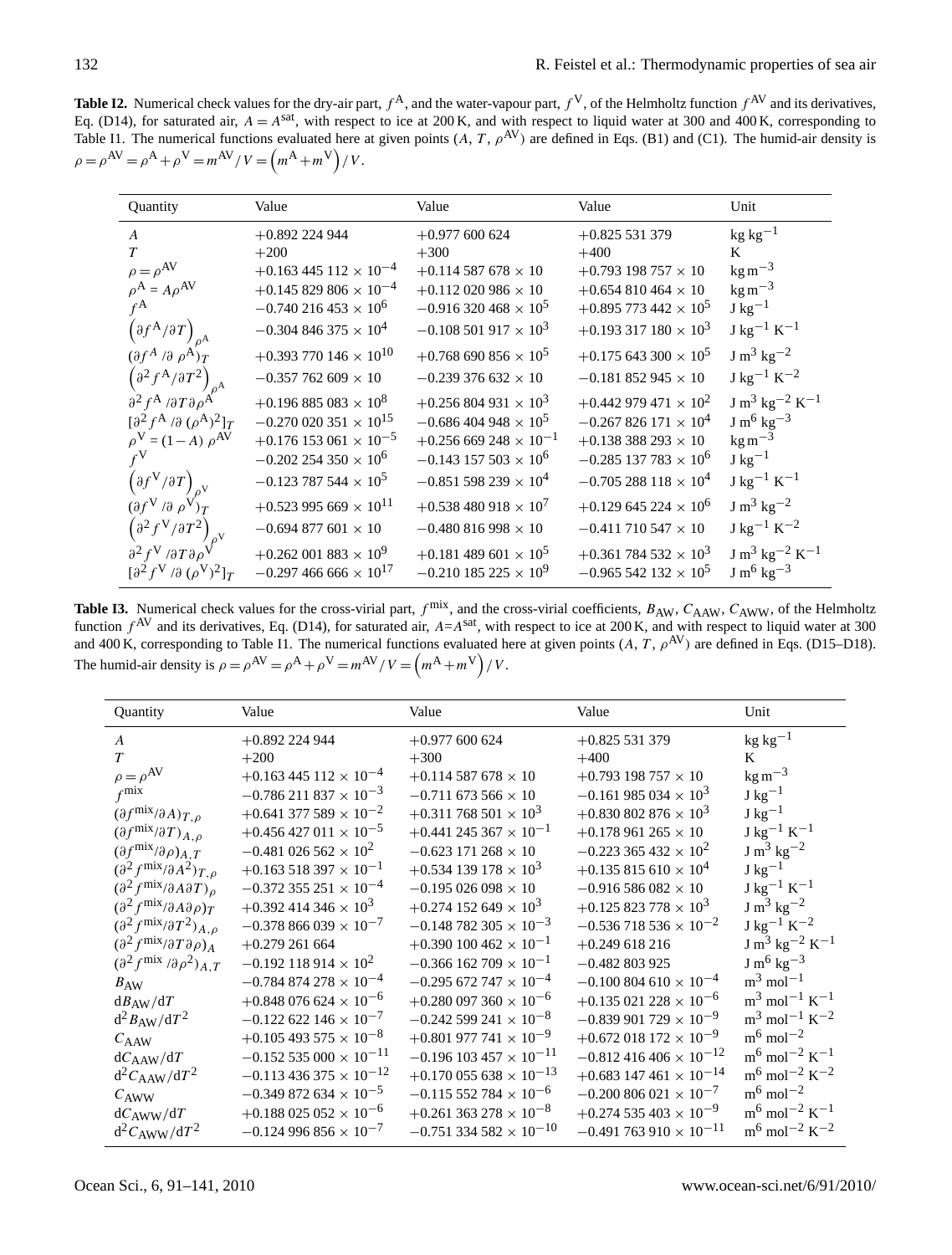**Table I2.** Numerical check values for the dry-air part,  $f^A$ , and the water-vapour part,  $f^V$ , of the Helmholtz function  $f^{AV}$  and its derivatives, Eq. (D14), for saturated air,  $A = A^{sat}$ , with respect to ice at 200 K, and with respect to liquid water at 300 and 400 K, corresponding to Table I1. The numerical functions evaluated here at given points  $(A, T, \rho^{AV})$  are defined in Eqs. (B1) and (C1). The humid-air density is  $\rho = \rho^{AV} = \rho^{A} + \rho^{V} = m^{AV} / V = (m^{A} + m^{V}) / V.$ 

| Quantity                                                                                                                      | Value                                                           | Value                                                        | Value                                                                     | Unit                                      |
|-------------------------------------------------------------------------------------------------------------------------------|-----------------------------------------------------------------|--------------------------------------------------------------|---------------------------------------------------------------------------|-------------------------------------------|
| $\boldsymbol{A}$                                                                                                              | $+0.892$ 224 944                                                | $+0.977$ 600 624                                             | $+0.825531379$                                                            | $kg kg^{-1}$                              |
| $\tau$                                                                                                                        | $+200$                                                          | $+300$                                                       | $+400$                                                                    | K                                         |
| $\rho = \rho^{AV}$                                                                                                            | $+0.163445112 \times 10^{-4}$                                   | $+0.114$ 587 678 $\times$ 10                                 | $+0.793$ 198 757 $\times$ 10                                              | $\text{kg m}^{-3}$                        |
| $\rho^{\rm A} = A \rho^{\rm AV}$                                                                                              | $+0.145829806 \times 10^{-4}$                                   | $+0.112$ 020 986 $\times$ 10                                 | $+0.654810464 \times 10$                                                  | $\text{kg m}^{-3}$                        |
| $f^{\mathbf{A}}$                                                                                                              | $-0.740216453 \times 10^{6}$                                    | $-0.916320468 \times 10^5$                                   | $+0.895$ 773 442 $\times$ 10 <sup>5</sup>                                 | $J \text{ kg}^{-1}$                       |
| $\left(\partial f^{\mathbf{A}}/\partial T\right)_{\rho^{\mathbf{A}}}$                                                         | $-0.304846375 \times 10^{4}$                                    | $-0.108$ 501 917 $\times$ 10 <sup>3</sup>                    | $+0.193317180 \times 10^{3}$                                              | $J kg^{-1} K^{-1}$                        |
| $(\partial f^A / \partial \rho^A)_T$                                                                                          | $+0.393\,770\,146\times 10^{10}$                                | $+0.768690856 \times 10^5$                                   | $+0.175643300 \times 10^5$                                                | $J m3 kg-2$                               |
| $\left(\partial^2 f^A/\partial T^2\right)$                                                                                    | $-0.357$ 762 609 $\times$ 10                                    | $-0.239376632 \times 10$                                     | $-0.181852945 \times 10$                                                  | $J kg^{-1} K^{-2}$                        |
| $\partial^2 f^A / \partial T \partial \rho^A$                                                                                 | $+0.196885083 \times 10^8$                                      | $+0.256804931 \times 10^{3}$                                 | $+0.442$ 979 471 $\times$ 10 <sup>2</sup>                                 | $J m3 kg-2 K-1$                           |
| $\left[\partial^2 f^A / \partial (\rho^A)^2\right]_T$                                                                         | $-0.270\,020\,351\times 10^{15}$                                | $-0.686404948 \times 10^5$                                   | $-0.267826171 \times 10^{4}$                                              | $J m6 kg-3$                               |
|                                                                                                                               | $+0.176$ 153 061 $\times$ 10 <sup>-5</sup>                      | $+0.256669248 \times 10^{-1}$                                | $+0.138388293 \times 10$                                                  |                                           |
|                                                                                                                               |                                                                 |                                                              |                                                                           |                                           |
|                                                                                                                               | $-0.123787544 \times 10^5$                                      | $-0.851$ 598 239 $\times$ 10 <sup>4</sup>                    | $-0.705288118 \times 10^{4}$                                              | $J \text{ kg}^{-1} \text{ K}^{-1}$        |
| $(\partial f^V / \partial \rho^V)_T$                                                                                          | $+0.523995669 \times 10^{11}$                                   | $+0.538480918 \times 10^{7}$                                 | $+0.129645224 \times 10^{6}$                                              | $J m3 kg-2$                               |
|                                                                                                                               | $-0.694$ 877 601 $\times$ 10                                    | $-0.480816998 \times 10$                                     | $-0.411$ 710 547 $\times$ 10                                              | $J \text{ kg}^{-1} \text{ K}^{-2}$        |
| $\partial^2 f^V / \partial T \partial \rho$<br>$\left[\partial^2 f^V / \partial (\rho^V)^2\right]_T$                          | $+0.262\,001\,883\times10^{9}$<br>$-0.297466666 \times 10^{17}$ | $+0.181489601 \times 10^{5}$<br>$-0.210185225 \times 10^{9}$ | $+0.361$ 784 532 $\times$ 10 <sup>3</sup><br>$-0.965542132 \times 10^{5}$ | $\rm J~m^3~kg^{-2}~K^{-1}$<br>$J m6 kg-3$ |
| $\rho^V = (1 - A) \rho^{AV}$<br>$\left(\partial f^V/\partial T\right)_{\rho^V}$<br>$\left(\partial^2 f^V/\partial T^2\right)$ | $-0.202254350 \times 10^{6}$                                    | $-0.143$ 157 503 $\times$ 10 <sup>6</sup>                    | $-0.285$ 137 783 $\times$ 10 <sup>6</sup>                                 | $\text{kg m}^{-3}$<br>$J \text{ kg}^{-1}$ |

**Table I3.** Numerical check values for the cross-virial part,  $f^{\text{mix}}$ , and the cross-virial coefficients,  $B_{AW}$ ,  $C_{AAW}$ ,  $C_{AWW}$ , of the Helmholtz function  $f^{AV}$  and its derivatives, Eq. (D14), for saturated air,  $A=A^{sat}$ , with respect to ice at 200 K, and with respect to liquid water at 300 and 400 K, corresponding to Table I1. The numerical functions evaluated here at given points  $(A, T, \rho^{AV})$  are defined in Eqs. (D15–D18). The humid-air density is  $\rho = \rho^{AV} = \rho^{A} + \rho^{V} = m^{AV}/V = (m^{A} + m^{V})/V$ .

| Quantity                                                                | Value                                      | Value                                       | Value                                       | Unit                                             |
|-------------------------------------------------------------------------|--------------------------------------------|---------------------------------------------|---------------------------------------------|--------------------------------------------------|
| $\overline{A}$                                                          | $+0.892$ 224 944                           | $+0.977600624$                              | $+0.825531379$                              | $kg kg^{-1}$                                     |
| $\tau$                                                                  | $+200$                                     | $+300$                                      | $+400$                                      | K                                                |
| $\rho = \rho^{AV}$                                                      | $+0.163445112 \times 10^{-4}$              | $+0.114$ 587 678 $\times$ 10                | $+0.793$ 198 757 $\times$ 10                | $\text{kg m}^{-3}$                               |
| $f^{\text{mix}}$                                                        | $-0.786211837 \times 10^{-3}$              | $-0.711$ 673 566 $\times$ 10                | $-0.161$ 985 034 $\times$ 10 <sup>3</sup>   | $J \text{ kg}^{-1}$                              |
| $(\partial f^{\text{mix}}/\partial A)_{T,\rho}$                         | $+0.641377589 \times 10^{-2}$              | $+0.311$ 768 501 $\times$ 10 <sup>3</sup>   | $+0.830\,802\,876\times10^{3}$              | $J \text{ kg}^{-1}$                              |
| $(\partial f^{\text{mix}}/\partial T)_{A,\rho}$                         | $+0.456427011 \times 10^{-5}$              | $+0.441$ 245 367 $\times$ 10 <sup>-1</sup>  | $+0.178961265 \times 10$                    | $\rm J~kg^{-1}~K^{-1}$                           |
| $(\partial f^{\text{mix}}/\partial \rho)_{A,T}$                         | $-0.481$ 026 562 $\times$ 10 <sup>2</sup>  | $-0.623$ 171 268 $\times$ 10                | $-0.223365432 \times 10^{2}$                | $J m3 kg-2$                                      |
| $\left(\partial^2 f^{\text{mix}} / \partial A^2\right)_{T,\rho}$        | $+0.163518397 \times 10^{-1}$              | $+0.534$ 139 178 $\times$ 10 <sup>3</sup>   | $+0.135815610 \times 10^{4}$                | $J \text{ kg}^{-1}$                              |
| $\left(\partial^2 f^{\text{mix}} / \partial A \partial T\right)_{\rho}$ | $-0.372$ 355 251 $\times$ 10 <sup>-4</sup> | $-0.195026098 \times 10$                    | $-0.916586082 \times 10$                    | $\rm J~kg^{-1}~K^{-1}$                           |
| $\left(\partial^2 f^{\text{mix}} / \partial A \partial \rho\right)_T$   | $+0.392414346 \times 10^3$                 | $+0.274$ 152 649 $\times$ 10 <sup>3</sup>   | $+0.125823778 \times 10^3$                  | $J m3 kg-2$                                      |
| $\left(\partial^2 f^{\text{mix}} / \partial T^2\right)_{A,\rho}$        | $-0.378866039 \times 10^{-7}$              | $-0.148$ 782 305 $\times$ 10 <sup>-3</sup>  | $-0.536718536 \times 10^{-2}$               | $J kg^{-1} K^{-2}$                               |
| $\left(\partial^2 f^{\text{mix}} / \partial T \partial \rho\right)_A$   | $+0.279261664$                             | $+0.390100462 \times 10^{-1}$               | $+0.249618216$                              | $J m3 kg-2 K-1$                                  |
| $(\partial^2 f^{\text{mix}} / \partial \rho^2)_{A,T}$                   | $-0.192$ 118 914 $\times$ 10 <sup>2</sup>  | $-0.366$ 162 709 $\times$ 10 <sup>-1</sup>  | $-0.482803925$                              | $J m^6 kg^{-3}$                                  |
| $B_{\rm AW}$                                                            | $-0.784874278\times 10^{-4}$               | $-0.295$ 672 747 $\times$ 10 <sup>-4</sup>  | $-0.100804610 \times 10^{-4}$               | $m^3$ mol <sup>-1</sup>                          |
| $dB_{AW}/dT$                                                            | $+0.848$ 076 624 $\times$ 10 <sup>-6</sup> | $+0.280$ 097 360 $\times$ 10 <sup>-6</sup>  | $+0.135$ 021 228 $\times$ 10 <sup>-6</sup>  | $\mathrm{m}^3 \mathrm{mol}^{-1} \mathrm{K}^{-1}$ |
| $d^2 B_{AW}/dT^2$                                                       | $-0.122622146 \times 10^{-7}$              | $-0.242$ 599 241 $\times$ 10 <sup>-8</sup>  | $-0.839901729 \times 10^{-9}$               | $\rm m^3$ mol <sup>-1</sup> K <sup>-2</sup>      |
| $C_{\rm AAW}$                                                           | $+0.105493575 \times 10^{-8}$              | $+0.801$ 977 741 $\times$ 10 <sup>-9</sup>  | $+0.672$ 018 172 $\times$ 10 <sup>-9</sup>  | $\mathrm{m}^6 \,\mathrm{mol}^{-2}$               |
| $dC_{\rm AAW}/dT$                                                       | $-0.152535000 \times 10^{-11}$             | $-0.196$ 103 457 $\times$ 10 <sup>-11</sup> | $-0.812416406 \times 10^{-12}$              | $\rm m^6$ mol <sup>-2</sup> K <sup>-1</sup>      |
| $d^2C_{\rm AAW}/dT^2$                                                   | $-0.113436375 \times 10^{-12}$             | $+0.170\,055\,638\times10^{-13}$            | $+0.683$ 147 461 $\times$ 10 <sup>-14</sup> | $\rm m^6$ mol <sup>-2</sup> K <sup>-2</sup>      |
| $C_{\rm AWW}$                                                           | $-0.349872634 \times 10^{-5}$              | $-0.115$ 552 784 $\times$ 10 <sup>-6</sup>  | $-0.200806021 \times 10^{-7}$               | $\mathrm{m}^6 \,\mathrm{mol}^{-2}$               |
| $dC_{\rm AWW}/dT$                                                       | $+0.188$ 025 052 $\times$ 10 <sup>-6</sup> | $+0.261$ 363 278 $\times$ 10 <sup>-8</sup>  | $+0.274535403 \times 10^{-9}$               | $\rm m^6$ mol <sup>-2</sup> K <sup>-1</sup>      |
| $d^2C_{\text{AWW}}/dT^2$                                                | $-0.124996856 \times 10^{-7}$              | $-0.751334582 \times 10^{-10}$              | $-0.491763910 \times 10^{-11}$              | $\rm m^6\, \rm mol^{-2}\, K^{-2}$                |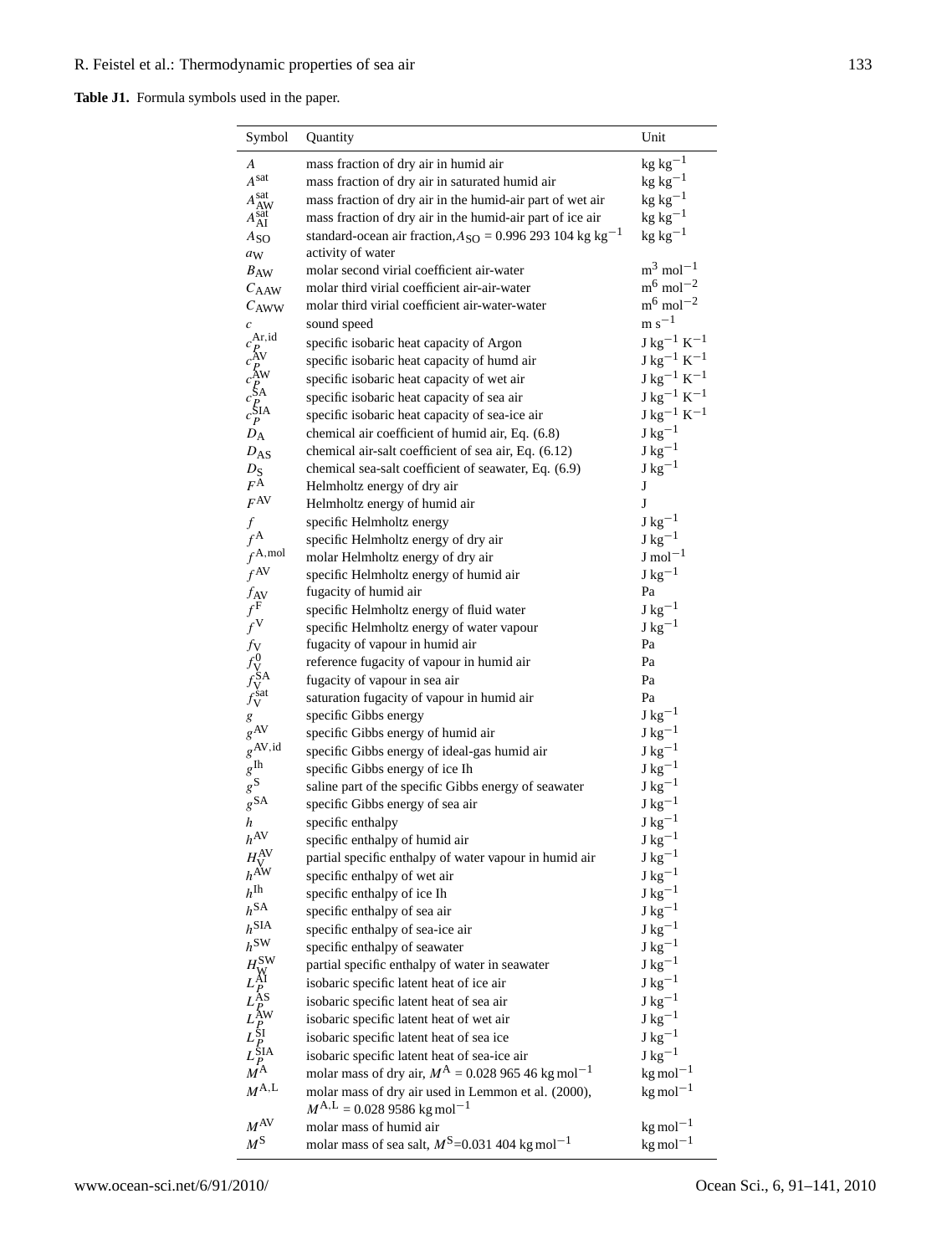# **Table J1.** Formula symbols used in the paper.

| Symbol                                                                                                                                    | Quantity                                                                             | Unit                                       |
|-------------------------------------------------------------------------------------------------------------------------------------------|--------------------------------------------------------------------------------------|--------------------------------------------|
| А                                                                                                                                         | mass fraction of dry air in humid air                                                | $kg kg^{-1}$                               |
| Asat                                                                                                                                      | mass fraction of dry air in saturated humid air                                      | $kg kg^{-1}$                               |
|                                                                                                                                           | mass fraction of dry air in the humid-air part of wet air                            | $\rm kg~kg^{-1}$                           |
| $A_{\text{AW}}^{\text{sat}}\\A_{\text{AI}}^{\text{sat}}$                                                                                  | mass fraction of dry air in the humid-air part of ice air                            | $kg kg^{-1}$                               |
| $A_{SO}$                                                                                                                                  | standard-ocean air fraction, $A_{SO} = 0.996293104$ kg kg <sup>-1</sup>              | $kg$ kg <sup>-1</sup>                      |
| aw                                                                                                                                        | activity of water                                                                    |                                            |
| $B_{AW}$                                                                                                                                  | molar second virial coefficient air-water                                            | $m^3$ mol <sup>-1</sup>                    |
| $C_{\rm AAW}$                                                                                                                             | molar third virial coefficient air-air-water                                         | $\mathrm{m}^6$ mol <sup>-2</sup>           |
| $C_{\rm AWW}$                                                                                                                             | molar third virial coefficient air-water-water                                       | $m^6$ mol <sup>-2</sup>                    |
| $\boldsymbol{c}$                                                                                                                          | sound speed                                                                          | $m s^{-1}$                                 |
|                                                                                                                                           | specific isobaric heat capacity of Argon                                             | ${\rm J\ kg^{-1}\ K^{-1}}$                 |
|                                                                                                                                           | specific isobaric heat capacity of humd air                                          | $J kg^{-1} K^{-1}$                         |
|                                                                                                                                           | specific isobaric heat capacity of wet air                                           | $\rm J~kg^{-1}~K^{-1}$                     |
|                                                                                                                                           | specific isobaric heat capacity of sea air                                           | $\rm J~kg^{-1}~K^{-1}$                     |
|                                                                                                                                           | specific isobaric heat capacity of sea-ice air                                       | $J kg^{-1} K^{-1}$                         |
| $D_{\rm A}$                                                                                                                               | chemical air coefficient of humid air, Eq. (6.8)                                     | $J \text{ kg}^{-1}$                        |
| $D_{AS}$                                                                                                                                  | chemical air-salt coefficient of sea air, Eq. (6.12)                                 | $J kg^{-1}$                                |
| $D_{S}$                                                                                                                                   | chemical sea-salt coefficient of seawater, Eq. (6.9)                                 | $J \text{ kg}^{-1}$                        |
| $F^{\overline{A}}$                                                                                                                        | Helmholtz energy of dry air                                                          | J                                          |
| $F^{\rm AV}$                                                                                                                              | Helmholtz energy of humid air                                                        | J                                          |
| $\boldsymbol{f}$                                                                                                                          | specific Helmholtz energy                                                            | $J kg^{-1}$                                |
| $f^{\mathbf{A}}$                                                                                                                          | specific Helmholtz energy of dry air                                                 | $J kg^{-1}$                                |
| $f^{\text{A},\text{mol}}$                                                                                                                 | molar Helmholtz energy of dry air                                                    | $J \text{ mol}^{-1}$                       |
| $f^{\rm AV}$                                                                                                                              | specific Helmholtz energy of humid air                                               | $J \text{ kg}^{-1}$                        |
|                                                                                                                                           | fugacity of humid air                                                                | Pa<br>$J \text{ kg}^{-1}$                  |
|                                                                                                                                           | specific Helmholtz energy of fluid water                                             | $J \text{ kg}^{-1}$                        |
|                                                                                                                                           | specific Helmholtz energy of water vapour<br>fugacity of vapour in humid air         | Pa                                         |
| $\begin{array}{c} f_{\rm AV} \\ f^{\rm F} \\ f^{\rm V} \\ f_{\rm V}^0 \\ f_{\rm V}^{\rm SA} \\ f_{\rm V}^{\rm sat} \end{array}$           | reference fugacity of vapour in humid air                                            | Pa                                         |
|                                                                                                                                           | fugacity of vapour in sea air                                                        | Pa                                         |
|                                                                                                                                           | saturation fugacity of vapour in humid air                                           | Pa                                         |
| $\boldsymbol{g}$                                                                                                                          | specific Gibbs energy                                                                | $J kg^{-1}$                                |
| $g^{\rm AV}$                                                                                                                              | specific Gibbs energy of humid air                                                   | $J kg^{-1}$                                |
| $g^{\rm AV,id}$                                                                                                                           | specific Gibbs energy of ideal-gas humid air                                         | $J kg^{-1}$                                |
| $g^{\rm Ih}$                                                                                                                              | specific Gibbs energy of ice Ih                                                      | ${\rm J\ kg^{-1}}$                         |
| $g^{\mathbb{S}}$                                                                                                                          | saline part of the specific Gibbs energy of seawater                                 | ${\rm J\ kg^{-1}}$                         |
| $g^{\text{SA}}$                                                                                                                           | specific Gibbs energy of sea air                                                     | $J \text{ kg}^{-1}$                        |
| h                                                                                                                                         | specific enthalpy                                                                    | $J kg^{-1}$                                |
| $h^{\text{AV}}$                                                                                                                           | specific enthalpy of humid air                                                       | $J \text{ kg}^{-1}$                        |
| $H_V^{\rm AV}$                                                                                                                            | partial specific enthalpy of water vapour in humid air                               | $J kg^{-1}$                                |
| $h^{\mbox{\footnotesize\mbox{A\footnotesize\sc W}}}$                                                                                      | specific enthalpy of wet air                                                         | $J kg^{-1}$                                |
| $h^{\text{Ih}}$                                                                                                                           | specific enthalpy of ice Ih                                                          | ${\rm J\,kg^{-1}}$                         |
| $h^{\text{SA}}$                                                                                                                           | specific enthalpy of sea air                                                         | $\rm J~kg^{-1}$                            |
| $h^{\text{SIA}}$<br>$h^{\text{SW}}$                                                                                                       | specific enthalpy of sea-ice air                                                     | $\rm J~kg^{-1}$                            |
|                                                                                                                                           | specific enthalpy of seawater                                                        | $\rm J~kg^{-1}$                            |
|                                                                                                                                           | partial specific enthalpy of water in seawater                                       | $J \text{ kg}^{-1}$<br>$J \text{ kg}^{-1}$ |
|                                                                                                                                           | isobaric specific latent heat of ice air                                             |                                            |
| $H^{\text{SW}}_{\text{W}}$<br>$L^{\text{AI}}_{P}$<br>$L^{\text{AS}}_{P}$<br>$L^{\text{SW}}_{P}$<br>$L^{\text{SIA}}_{P}$<br>$M^{\text{A}}$ | isobaric specific latent heat of sea air                                             | $J kg^{-1}$<br>$J kg^{-1}$                 |
|                                                                                                                                           | isobaric specific latent heat of wet air<br>isobaric specific latent heat of sea ice | $J kg^{-1}$                                |
|                                                                                                                                           | isobaric specific latent heat of sea-ice air                                         | $J kg^{-1}$                                |
|                                                                                                                                           | molar mass of dry air, $M^{A} = 0.02896546$ kg mol <sup>-1</sup>                     | $kg$ mol <sup>-1</sup>                     |
| $M^{\rm A,L}$                                                                                                                             | molar mass of dry air used in Lemmon et al. (2000),                                  | $kg$ mol <sup>-1</sup>                     |
|                                                                                                                                           | $M^{A,L} = 0.0289586$ kg mol <sup>-1</sup>                                           |                                            |
| $M^{\rm AV}$                                                                                                                              | molar mass of humid air                                                              | $kg$ mol <sup>-1</sup>                     |
| $M^{\mathrm{S}}$                                                                                                                          | molar mass of sea salt, $M^{\text{S}}$ =0.031 404 kg mol <sup>-1</sup>               | $kg$ mol <sup><math>-1</math></sup>        |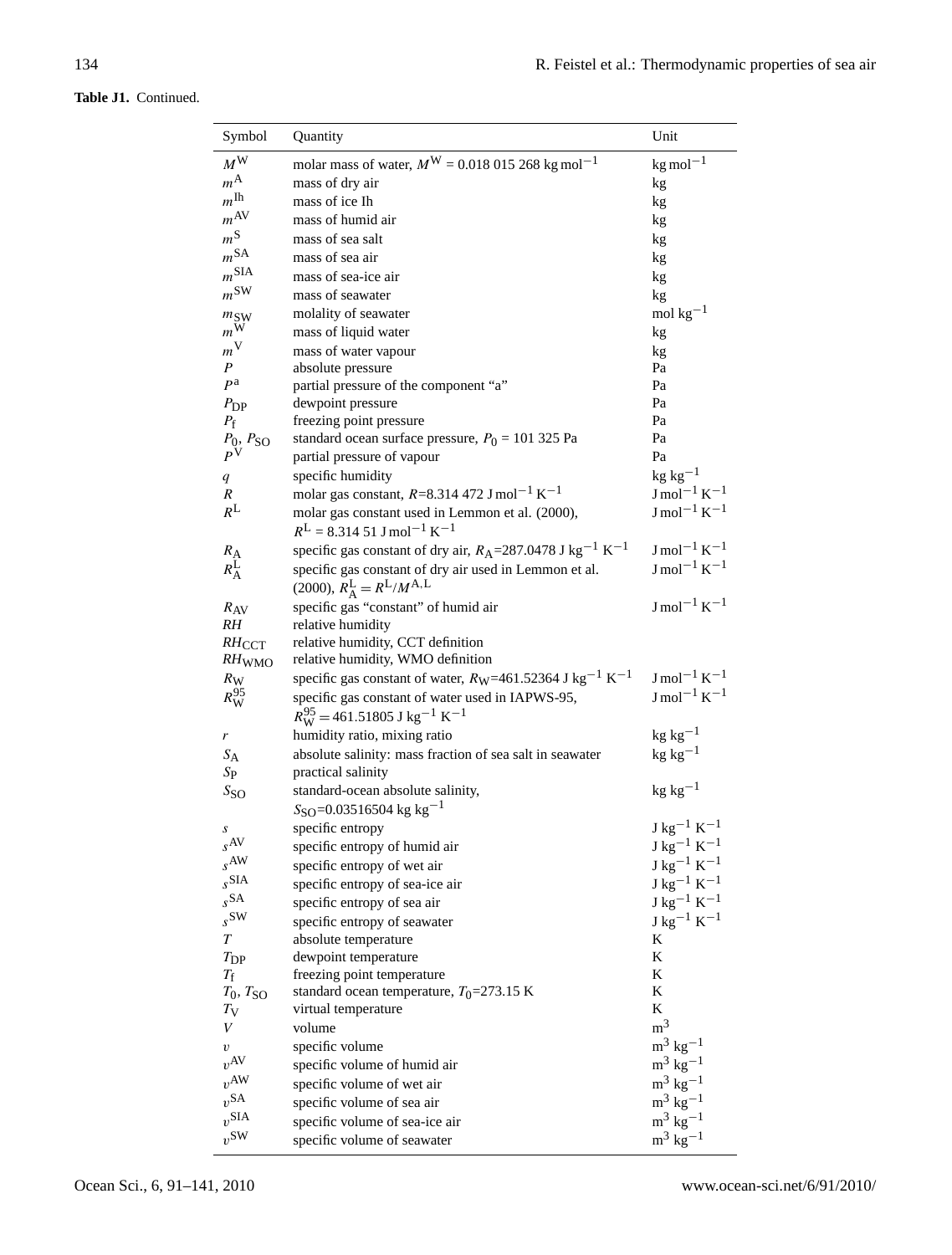| Symbol                                           | Quantity                                                                                                       | Unit                        |
|--------------------------------------------------|----------------------------------------------------------------------------------------------------------------|-----------------------------|
|                                                  |                                                                                                                |                             |
| $M^{\rm W}$                                      | molar mass of water, $M^{W} = 0.018 015 268 kg mol^{-1}$                                                       | $kg$ mol <sup>-1</sup>      |
| $m^{\rm A}$                                      | mass of dry air                                                                                                | kg                          |
| $m^{\mbox{I}\hbox{h}}$                           | mass of ice Ih                                                                                                 | kg                          |
| $m^{\rm AV}$                                     | mass of humid air                                                                                              | kg                          |
| $m^{\rm S}$                                      | mass of sea salt                                                                                               | kg                          |
| m <sup>SA</sup>                                  | mass of sea air                                                                                                | kg                          |
| m <sup>SIA</sup>                                 | mass of sea-ice air                                                                                            | kg                          |
| $m^{\text{SW}}$                                  | mass of seawater                                                                                               | kg                          |
| $m_{\text{SW}}$                                  | molality of seawater                                                                                           | mol $kg-1$                  |
| $m^{\rm W}$                                      | mass of liquid water                                                                                           | kg                          |
| $m^{\rm V}$                                      | mass of water vapour                                                                                           | kg                          |
| P                                                | absolute pressure                                                                                              | Pa                          |
| $P^{\hspace{0.02cm} \mathbf{a}}$                 | partial pressure of the component "a"                                                                          | Pa                          |
| $P_{\rm DP}$                                     | dewpoint pressure                                                                                              | Pa                          |
| $P_{\rm f}$                                      | freezing point pressure                                                                                        | Pa                          |
| $\frac{P_0}{P^{\rm V}}$ . $\frac{P_{\rm SO}}{P}$ | standard ocean surface pressure, $P_0 = 101325$ Pa                                                             | Pa<br>Pa                    |
|                                                  | partial pressure of vapour<br>specific humidity                                                                | $kg kg^{-1}$                |
| q                                                |                                                                                                                | $J \text{ mol}^{-1} K^{-1}$ |
| R<br>$R^{\rm L}$                                 | molar gas constant, $R = 8.314\,472\,$ J mol <sup>-1</sup> K <sup>-1</sup>                                     | $J \text{ mol}^{-1} K^{-1}$ |
|                                                  | molar gas constant used in Lemmon et al. (2000),<br>$R^L = 8.31451$ J mol <sup>-1</sup> K <sup>-1</sup>        |                             |
|                                                  | specific gas constant of dry air, $R_A = 287.0478$ J kg <sup>-1</sup> K <sup>-1</sup>                          | $J \text{ mol}^{-1} K^{-1}$ |
| $R_{\rm A}$<br>$R_{\rm A}^{\rm L}$               | specific gas constant of dry air used in Lemmon et al.<br>$(2000), R_{\rm A}^{\rm L} = R^{\rm L}/M^{\rm A, L}$ | $J \text{ mol}^{-1} K^{-1}$ |
| $R_{\rm AV}$                                     | specific gas "constant" of humid air                                                                           | $J \text{ mol}^{-1} K^{-1}$ |
| RH                                               | relative humidity                                                                                              |                             |
| $RH$ <sub>CCT</sub>                              | relative humidity, CCT definition                                                                              |                             |
| $RH$ WMO                                         | relative humidity, WMO definition                                                                              |                             |
| $R_{\rm W}$                                      | specific gas constant of water, $R_W$ =461.52364 J kg <sup>-1</sup> K <sup>-1</sup>                            | $J \text{ mol}^{-1} K^{-1}$ |
| $R_{\rm W}^{95}$                                 | specific gas constant of water used in IAPWS-95,                                                               | $\rm J\,mol^{-1}\,K^{-1}$   |
|                                                  | $R_{\rm W}^{95}$ = 461.51805 J kg <sup>-1</sup> K <sup>-1</sup>                                                |                             |
| r                                                | humidity ratio, mixing ratio                                                                                   | $kg kg^{-1}$                |
| $S_{\rm A}$                                      | absolute salinity: mass fraction of sea salt in seawater                                                       | $kg\ kg^{-1}$               |
| $S_{\rm P}$                                      | practical salinity                                                                                             |                             |
| $S_{SO}$                                         | standard-ocean absolute salinity,                                                                              | $kg\ kg^{-1}$               |
|                                                  | $S_{\text{SO}}=0.03516504 \text{ kg kg}^{-1}$                                                                  |                             |
| S<br>$s^{AV}$                                    | specific entropy                                                                                               | $\rm J~kg^{-1}~K^{-1}$      |
| $s^{AW}$                                         | specific entropy of humid air                                                                                  | $\rm J~kg^{-1}~K^{-1}$      |
| $_{S}$ SIA                                       | specific entropy of wet air                                                                                    | $\rm J~kg^{-1}~K^{-1}$      |
| $_{S}$ SA                                        | specific entropy of sea-ice air                                                                                | $\rm J~kg^{-1}~K^{-1}$      |
| $s^{\text{SW}}$                                  | specific entropy of sea air                                                                                    | $\rm J~kg^{-1}~K^{-1}$      |
|                                                  | specific entropy of seawater                                                                                   | $J kg^{-1} K^{-1}$          |
| $\boldsymbol{T}$                                 | absolute temperature                                                                                           | K<br>K                      |
| $T_{\rm DP}$                                     | dewpoint temperature<br>freezing point temperature                                                             | K                           |
| $T_{\rm f}$<br>$T_0$ , $T_{SO}$                  | standard ocean temperature, $T_0$ =273.15 K                                                                    | K                           |
| $T_{\rm V}$                                      | virtual temperature                                                                                            | K                           |
| V                                                | volume                                                                                                         | m <sup>3</sup>              |
| υ                                                | specific volume                                                                                                | $m^3$ kg <sup>-1</sup>      |
| $v^{AV}$                                         | specific volume of humid air                                                                                   | $m^3$ kg <sup>-1</sup>      |
| $v^{\text{AW}}$                                  | specific volume of wet air                                                                                     | $m^3$ kg <sup>-1</sup>      |
| $v^{\text{SA}}$                                  | specific volume of sea air                                                                                     | $m^3$ kg <sup>-1</sup>      |
| $v^{\text{SIA}}$                                 | specific volume of sea-ice air                                                                                 | $m^3$ kg <sup>-1</sup>      |
| $v^{\text{SW}}$                                  | specific volume of seawater                                                                                    | $m^3$ kg <sup>-1</sup>      |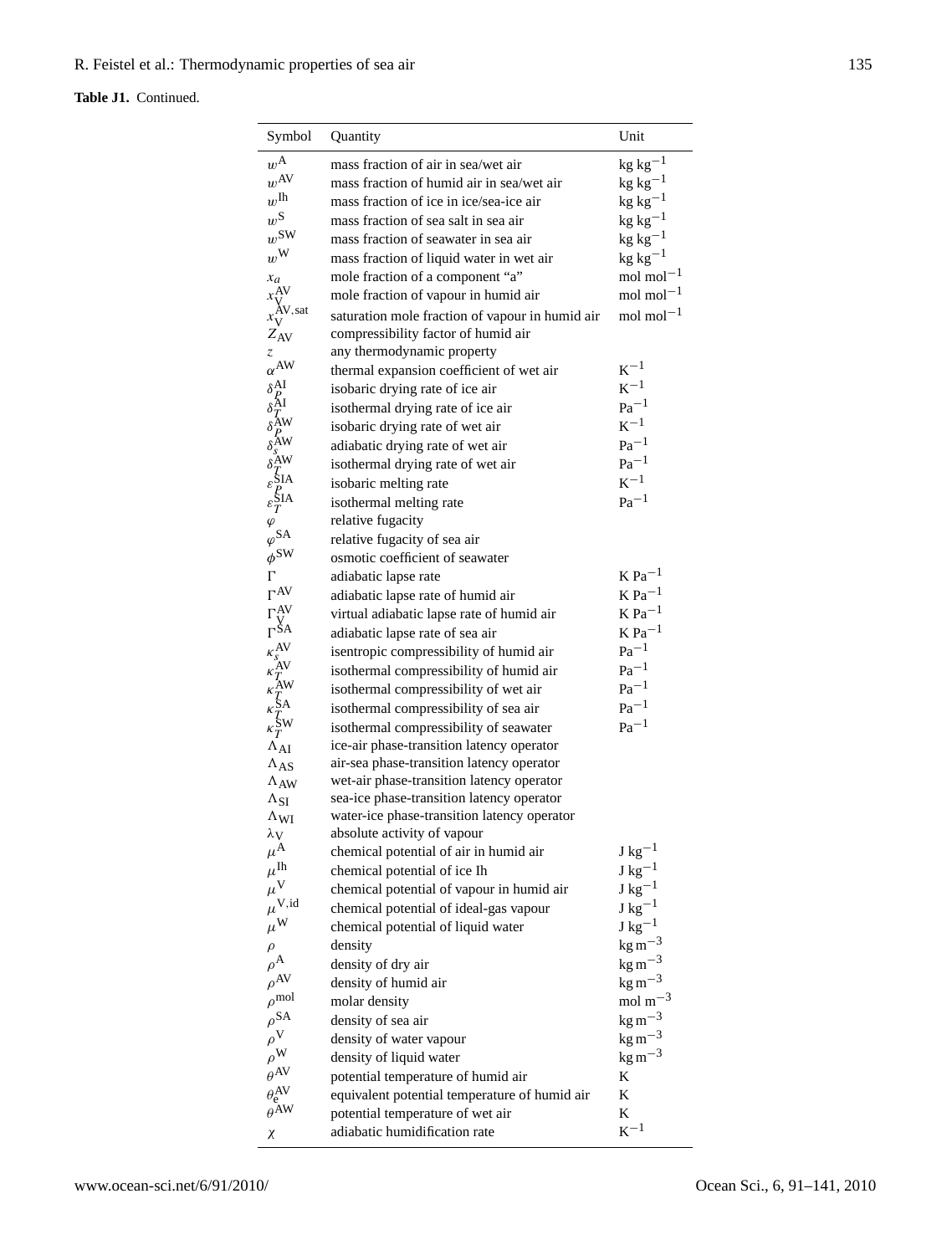# **Table J1.** Continued.

| Symbol                                                                                                                                                                                                          | Quantity                                        | Unit                              |
|-----------------------------------------------------------------------------------------------------------------------------------------------------------------------------------------------------------------|-------------------------------------------------|-----------------------------------|
| $w^{\mathbf{A}}$                                                                                                                                                                                                | mass fraction of air in sea/wet air             | $kg kg-1$                         |
| $w^{AV}$                                                                                                                                                                                                        | mass fraction of humid air in sea/wet air       | $kg kg^{-1}$                      |
| $w^{\rm{Ih}}$                                                                                                                                                                                                   | mass fraction of ice in ice/sea-ice air         | $kg kg^{-1}$                      |
| $w^{\mathrm{S}}$                                                                                                                                                                                                | mass fraction of sea salt in sea air            | $kg kg^{-1}$                      |
| $w^{\text{SW}}$                                                                                                                                                                                                 | mass fraction of seawater in sea air            | $\rm kg~kg^{-1}$                  |
| $w^{\mathrm{W}}$                                                                                                                                                                                                | mass fraction of liquid water in wet air        | $kg kg-1$                         |
| $x_a$                                                                                                                                                                                                           | mole fraction of a component "a"                | mol mol $^{-1}$                   |
| $x_{\mathrm{V}}^{\mathrm{AV}}$                                                                                                                                                                                  | mole fraction of vapour in humid air            | $mol$ mol $^{-1}$                 |
| $x_V^{\text{XV},\text{sat}}$                                                                                                                                                                                    | saturation mole fraction of vapour in humid air | mol mol $^{-1}$                   |
| $Z_{\rm AV}$                                                                                                                                                                                                    | compressibility factor of humid air             |                                   |
| Z.                                                                                                                                                                                                              | any thermodynamic property                      |                                   |
| $\alpha^{AW}$                                                                                                                                                                                                   | thermal expansion coefficient of wet air        | $K^{-1}$                          |
|                                                                                                                                                                                                                 | isobaric drying rate of ice air                 | $K^{-1}$                          |
|                                                                                                                                                                                                                 | isothermal drying rate of ice air               | $Pa^{-1}$                         |
|                                                                                                                                                                                                                 | isobaric drying rate of wet air                 | $K^{-1}$                          |
|                                                                                                                                                                                                                 | adiabatic drying rate of wet air                | $Pa^{-1}$                         |
|                                                                                                                                                                                                                 | isothermal drying rate of wet air               | $Pa^{-1}$                         |
|                                                                                                                                                                                                                 | isobaric melting rate                           | $K^{-1}$                          |
| $\begin{array}{l} \delta_P^{\rm AI} \\ \delta_I^{\rm AI} \\ \delta_P^{\rm AU} \\ \delta_s^{\rm AW} \\ \delta_s^{\rm AW} \\ \delta_I^{\rm SM} \\ \varepsilon_I^{\rm SIA} \\ \varepsilon_I^{\rm SIA} \end{array}$ | isothermal melting rate                         | $Pa^{-1}$                         |
| $\varphi$                                                                                                                                                                                                       | relative fugacity                               |                                   |
| $\varphi$ SA                                                                                                                                                                                                    | relative fugacity of sea air                    |                                   |
| $\phi^{\text{SW}}$                                                                                                                                                                                              | osmotic coefficient of seawater                 |                                   |
| Г                                                                                                                                                                                                               | adiabatic lapse rate                            | $K$ Pa <sup><math>-1</math></sup> |
| $\Gamma^{\text{AV}}$                                                                                                                                                                                            | adiabatic lapse rate of humid air               | $K$ Pa <sup><math>-1</math></sup> |
|                                                                                                                                                                                                                 | virtual adiabatic lapse rate of humid air       | $\rm K~Pa^{-1}$                   |
| $\Gamma_{\rm{YA}}^{\rm{AV}}$ $\Gamma_{\rm{SA}}^{\rm{AV}}$                                                                                                                                                       | adiabatic lapse rate of sea air                 | $\rm K~Pa^{-1}$                   |
|                                                                                                                                                                                                                 | isentropic compressibility of humid air         | $\rm{Pa}^{-1}$                    |
| $\begin{array}{l} \kappa_S^{\rm AV} \\ \kappa_T^{\rm AV} \\ \kappa_T^{\rm AW} \\ \kappa_T^{\rm SM} \\ \kappa_T^{\rm SM} \\ \kappa_T^{\rm SW} \end{array}$                                                       | isothermal compressibility of humid air         | $\rm Pa^{-1}$                     |
|                                                                                                                                                                                                                 | isothermal compressibility of wet air           | $\rm{Pa}^{-1}$                    |
|                                                                                                                                                                                                                 | isothermal compressibility of sea air           | $\rm{Pa}^{-1}$                    |
|                                                                                                                                                                                                                 | isothermal compressibility of seawater          | $\rm Pa^{-1}$                     |
| $\Lambda_{AI}$                                                                                                                                                                                                  | ice-air phase-transition latency operator       |                                   |
| $\Lambda_{AS}$                                                                                                                                                                                                  | air-sea phase-transition latency operator       |                                   |
| $\Lambda_{AW}$                                                                                                                                                                                                  | wet-air phase-transition latency operator       |                                   |
| $\Lambda_{SI}$                                                                                                                                                                                                  | sea-ice phase-transition latency operator       |                                   |
| $\Lambda_{WI}$                                                                                                                                                                                                  | water-ice phase-transition latency operator     |                                   |
| $\lambda_{\rm V}$                                                                                                                                                                                               | absolute activity of vapour                     |                                   |
| $\mu^\mathrm{A}$                                                                                                                                                                                                | chemical potential of air in humid air          | ${\rm J\ kg^{-1}}$                |
| $\mu^{\mathrm{Ih}}$                                                                                                                                                                                             | chemical potential of ice Ih                    | ${\rm J\ kg^{-1}}$                |
| $\mu^\mathrm{V}$                                                                                                                                                                                                | chemical potential of vapour in humid air       | ${\rm J\ kg^{-1}}$                |
| $\mu^{\rm V,id}$                                                                                                                                                                                                | chemical potential of ideal-gas vapour          | ${\rm J\ kg^{-1}}$                |
| $\mu^{\rm W}$                                                                                                                                                                                                   | chemical potential of liquid water              | $\rm J~kg^{-1}$                   |
| $\rho$                                                                                                                                                                                                          | density                                         | $\mathrm{kg\,m^{-3}}$             |
| $\rho^{\rm A}$                                                                                                                                                                                                  | density of dry air                              | $\text{kg}\,\text{m}^{-3}$        |
| $\rho^{\rm AV}$                                                                                                                                                                                                 | density of humid air                            | $\text{kg m}^{-3}$                |
| $\rho^{\rm mol}$                                                                                                                                                                                                | molar density                                   | mol $m^{-3}$                      |
| $\rho$ SA                                                                                                                                                                                                       | density of sea air                              | $\mathrm{kg\,m^{-3}}$             |
| $\rho^\mathrm{V}$                                                                                                                                                                                               | density of water vapour                         | $\mathrm{kg\,m^{-3}}$             |
| $\rho^{\rm W}$                                                                                                                                                                                                  | density of liquid water                         | $\text{kg m}^{-3}$                |
| $\theta^{AV}$                                                                                                                                                                                                   | potential temperature of humid air              | K                                 |
| $\theta_{\rm e}^{\rm AV}$                                                                                                                                                                                       | equivalent potential temperature of humid air   | K                                 |
| $\overline{\theta}$ AW                                                                                                                                                                                          | potential temperature of wet air                | K                                 |
| χ                                                                                                                                                                                                               | adiabatic humidification rate                   | $K^{-1}$                          |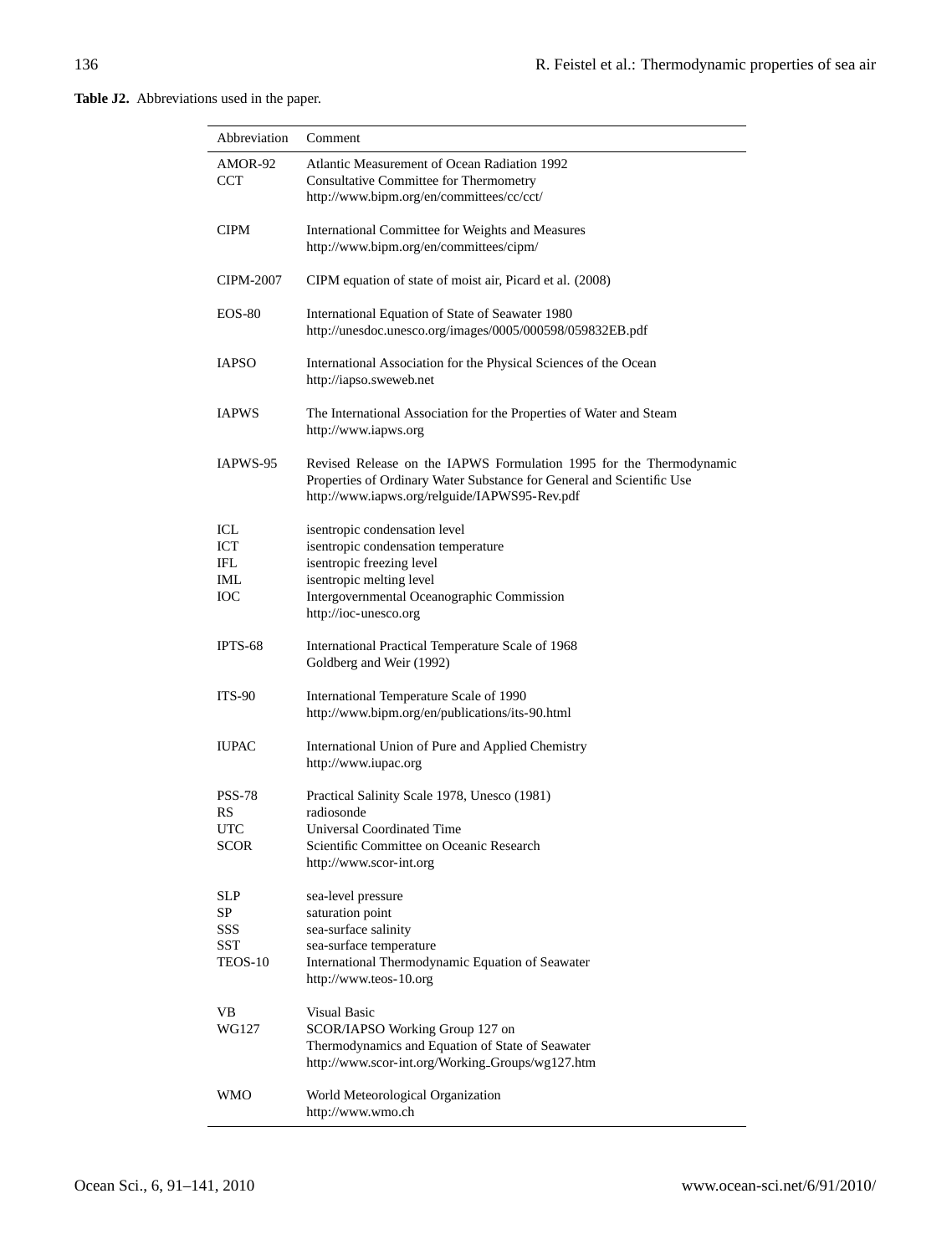**Table J2.** Abbreviations used in the paper.

| Abbreviation                              | Comment                                                                                                                                                                                              |
|-------------------------------------------|------------------------------------------------------------------------------------------------------------------------------------------------------------------------------------------------------|
| AMOR-92<br>CCT                            | <b>Atlantic Measurement of Ocean Radiation 1992</b><br>Consultative Committee for Thermometry<br>http://www.bipm.org/en/committees/cc/cct/                                                           |
| <b>CIPM</b>                               | International Committee for Weights and Measures<br>http://www.bipm.org/en/committees/cipm/                                                                                                          |
| CIPM-2007                                 | CIPM equation of state of moist air, Picard et al. (2008)                                                                                                                                            |
| $EOS-80$                                  | International Equation of State of Seawater 1980<br>http://unesdoc.unesco.org/images/0005/000598/059832EB.pdf                                                                                        |
| <b>IAPSO</b>                              | International Association for the Physical Sciences of the Ocean<br>http://iapso.sweweb.net                                                                                                          |
| <b>IAPWS</b>                              | The International Association for the Properties of Water and Steam<br>http://www.iapws.org                                                                                                          |
| IAPWS-95                                  | Revised Release on the IAPWS Formulation 1995 for the Thermodynamic<br>Properties of Ordinary Water Substance for General and Scientific Use<br>http://www.iapws.org/relguide/IAPWS95-Rev.pdf        |
| ICL<br>ICT<br>IFL<br>IML<br>ЮC            | isentropic condensation level<br>isentropic condensation temperature<br>isentropic freezing level<br>isentropic melting level<br>Intergovernmental Oceanographic Commission<br>http://ioc-unesco.org |
| IPTS-68                                   | International Practical Temperature Scale of 1968<br>Goldberg and Weir (1992)                                                                                                                        |
| <b>ITS-90</b>                             | International Temperature Scale of 1990<br>http://www.bipm.org/en/publications/its-90.html                                                                                                           |
| <b>IUPAC</b>                              | International Union of Pure and Applied Chemistry<br>http://www.iupac.org                                                                                                                            |
| <b>PSS-78</b><br>RS<br>UTC<br>SCOR        | Practical Salinity Scale 1978, Unesco (1981)<br>radiosonde<br>Universal Coordinated Time<br>Scientific Committee on Oceanic Research<br>http://www.scor-int.org                                      |
| SLP<br>SP<br>SSS<br><b>SST</b><br>TEOS-10 | sea-level pressure<br>saturation point<br>sea-surface salinity<br>sea-surface temperature<br>International Thermodynamic Equation of Seawater<br>http://www.teos-10.org                              |
| VB<br>WG127                               | Visual Basic<br>SCOR/IAPSO Working Group 127 on<br>Thermodynamics and Equation of State of Seawater<br>http://www.scor-int.org/Working_Groups/wg127.htm                                              |
| WMO                                       | World Meteorological Organization<br>http://www.wmo.ch                                                                                                                                               |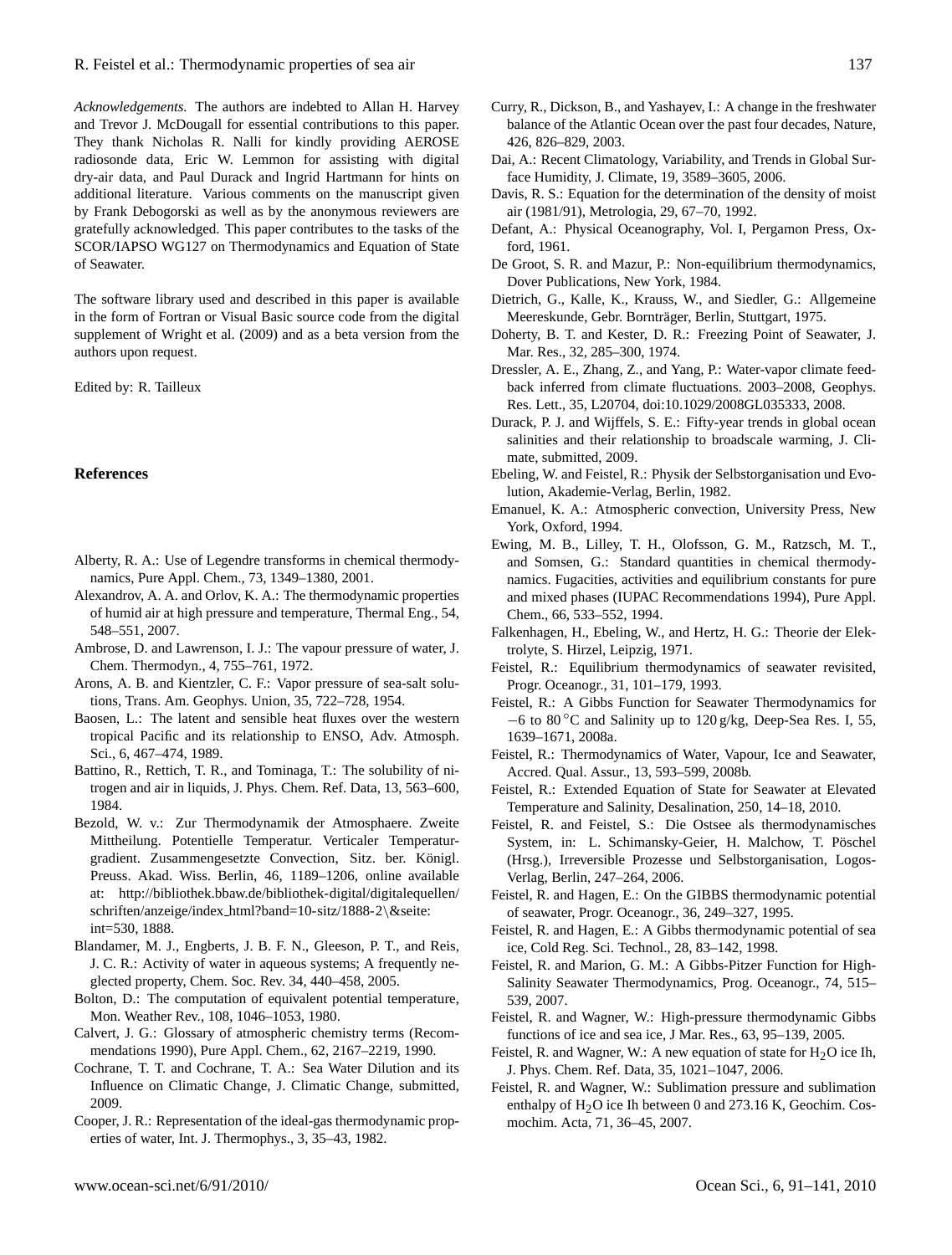*Acknowledgements.* The authors are indebted to Allan H. Harvey and Trevor J. McDougall for essential contributions to this paper. They thank Nicholas R. Nalli for kindly providing AEROSE radiosonde data, Eric W. Lemmon for assisting with digital dry-air data, and Paul Durack and Ingrid Hartmann for hints on additional literature. Various comments on the manuscript given by Frank Debogorski as well as by the anonymous reviewers are gratefully acknowledged. This paper contributes to the tasks of the SCOR/IAPSO WG127 on Thermodynamics and Equation of State of Seawater.

The software library used and described in this paper is available in the form of Fortran or Visual Basic source code from the digital supplement of Wright et al. (2009) and as a beta version from the authors upon request.

Edited by: R. Tailleux

# **References**

- Alberty, R. A.: Use of Legendre transforms in chemical thermodynamics, Pure Appl. Chem., 73, 1349–1380, 2001.
- Alexandrov, A. A. and Orlov, K. A.: The thermodynamic properties of humid air at high pressure and temperature, Thermal Eng., 54, 548–551, 2007.
- Ambrose, D. and Lawrenson, I. J.: The vapour pressure of water, J. Chem. Thermodyn., 4, 755–761, 1972.
- Arons, A. B. and Kientzler, C. F.: Vapor pressure of sea-salt solutions, Trans. Am. Geophys. Union, 35, 722–728, 1954.
- Baosen, L.: The latent and sensible heat fluxes over the western tropical Pacific and its relationship to ENSO, Adv. Atmosph. Sci., 6, 467–474, 1989.
- Battino, R., Rettich, T. R., and Tominaga, T.: The solubility of nitrogen and air in liquids, J. Phys. Chem. Ref. Data, 13, 563–600, 1984.
- Bezold, W. v.: Zur Thermodynamik der Atmosphaere. Zweite Mittheilung. Potentielle Temperatur. Verticaler Temperaturgradient. Zusammengesetzte Convection, Sitz. ber. Königl. Preuss. Akad. Wiss. Berlin, 46, 1189–1206, online available at: [http://bibliothek.bbaw.de/bibliothek-digital/digitalequellen/](http://bibliothek.bbaw.de/bibliothek-digital/digitalequellen/schriften/anzeige/index_html?band=10-sitz/1888-2&seite:int=530) schriften/anzeige/index [html?band=10-sitz/1888-2](http://bibliothek.bbaw.de/bibliothek-digital/digitalequellen/schriften/anzeige/index_html?band=10-sitz/1888-2&seite:int=530)\&seite: [int=530,](http://bibliothek.bbaw.de/bibliothek-digital/digitalequellen/schriften/anzeige/index_html?band=10-sitz/1888-2&seite:int=530) 1888.
- Blandamer, M. J., Engberts, J. B. F. N., Gleeson, P. T., and Reis, J. C. R.: Activity of water in aqueous systems; A frequently neglected property, Chem. Soc. Rev. 34, 440–458, 2005.
- Bolton, D.: The computation of equivalent potential temperature, Mon. Weather Rev., 108, 1046–1053, 1980.
- Calvert, J. G.: Glossary of atmospheric chemistry terms (Recommendations 1990), Pure Appl. Chem., 62, 2167–2219, 1990.
- Cochrane, T. T. and Cochrane, T. A.: Sea Water Dilution and its Influence on Climatic Change, J. Climatic Change, submitted, 2009.
- Cooper, J. R.: Representation of the ideal-gas thermodynamic properties of water, Int. J. Thermophys., 3, 35–43, 1982.
- Curry, R., Dickson, B., and Yashayev, I.: A change in the freshwater balance of the Atlantic Ocean over the past four decades, Nature, 426, 826–829, 2003.
- Dai, A.: Recent Climatology, Variability, and Trends in Global Surface Humidity, J. Climate, 19, 3589–3605, 2006.
- Davis, R. S.: Equation for the determination of the density of moist air (1981/91), Metrologia, 29, 67–70, 1992.
- Defant, A.: Physical Oceanography, Vol. I, Pergamon Press, Oxford, 1961.
- De Groot, S. R. and Mazur, P.: Non-equilibrium thermodynamics, Dover Publications, New York, 1984.
- Dietrich, G., Kalle, K., Krauss, W., and Siedler, G.: Allgemeine Meereskunde, Gebr. Borntrager, Berlin, Stuttgart, 1975. ¨
- Doherty, B. T. and Kester, D. R.: Freezing Point of Seawater, J. Mar. Res., 32, 285–300, 1974.
- Dressler, A. E., Zhang, Z., and Yang, P.: Water-vapor climate feedback inferred from climate fluctuations. 2003–2008, Geophys. Res. Lett., 35, L20704, doi:10.1029/2008GL035333, 2008.
- Durack, P. J. and Wijffels, S. E.: Fifty-year trends in global ocean salinities and their relationship to broadscale warming, J. Climate, submitted, 2009.
- Ebeling, W. and Feistel, R.: Physik der Selbstorganisation und Evolution, Akademie-Verlag, Berlin, 1982.
- Emanuel, K. A.: Atmospheric convection, University Press, New York, Oxford, 1994.
- Ewing, M. B., Lilley, T. H., Olofsson, G. M., Ratzsch, M. T., and Somsen, G.: Standard quantities in chemical thermodynamics. Fugacities, activities and equilibrium constants for pure and mixed phases (IUPAC Recommendations 1994), Pure Appl. Chem., 66, 533–552, 1994.
- Falkenhagen, H., Ebeling, W., and Hertz, H. G.: Theorie der Elektrolyte, S. Hirzel, Leipzig, 1971.
- Feistel, R.: Equilibrium thermodynamics of seawater revisited, Progr. Oceanogr., 31, 101–179, 1993.
- Feistel, R.: A Gibbs Function for Seawater Thermodynamics for −6 to 80 ◦C and Salinity up to 120 g/kg, Deep-Sea Res. I, 55, 1639–1671, 2008a.
- Feistel, R.: Thermodynamics of Water, Vapour, Ice and Seawater, Accred. Qual. Assur., 13, 593–599, 2008b.
- Feistel, R.: Extended Equation of State for Seawater at Elevated Temperature and Salinity, Desalination, 250, 14–18, 2010.
- Feistel, R. and Feistel, S.: Die Ostsee als thermodynamisches System, in: L. Schimansky-Geier, H. Malchow, T. Pöschel (Hrsg.), Irreversible Prozesse und Selbstorganisation, Logos-Verlag, Berlin, 247–264, 2006.
- Feistel, R. and Hagen, E.: On the GIBBS thermodynamic potential of seawater, Progr. Oceanogr., 36, 249–327, 1995.
- Feistel, R. and Hagen, E.: A Gibbs thermodynamic potential of sea ice, Cold Reg. Sci. Technol., 28, 83–142, 1998.
- Feistel, R. and Marion, G. M.: A Gibbs-Pitzer Function for High-Salinity Seawater Thermodynamics, Prog. Oceanogr., 74, 515– 539, 2007.
- Feistel, R. and Wagner, W.: High-pressure thermodynamic Gibbs functions of ice and sea ice, J Mar. Res., 63, 95–139, 2005.
- Feistel, R. and Wagner, W.: A new equation of state for  $H_2O$  ice Ih, J. Phys. Chem. Ref. Data, 35, 1021–1047, 2006.
- Feistel, R. and Wagner, W.: Sublimation pressure and sublimation enthalpy of  $H<sub>2</sub>O$  ice Ih between 0 and 273.16 K, Geochim. Cosmochim. Acta, 71, 36–45, 2007.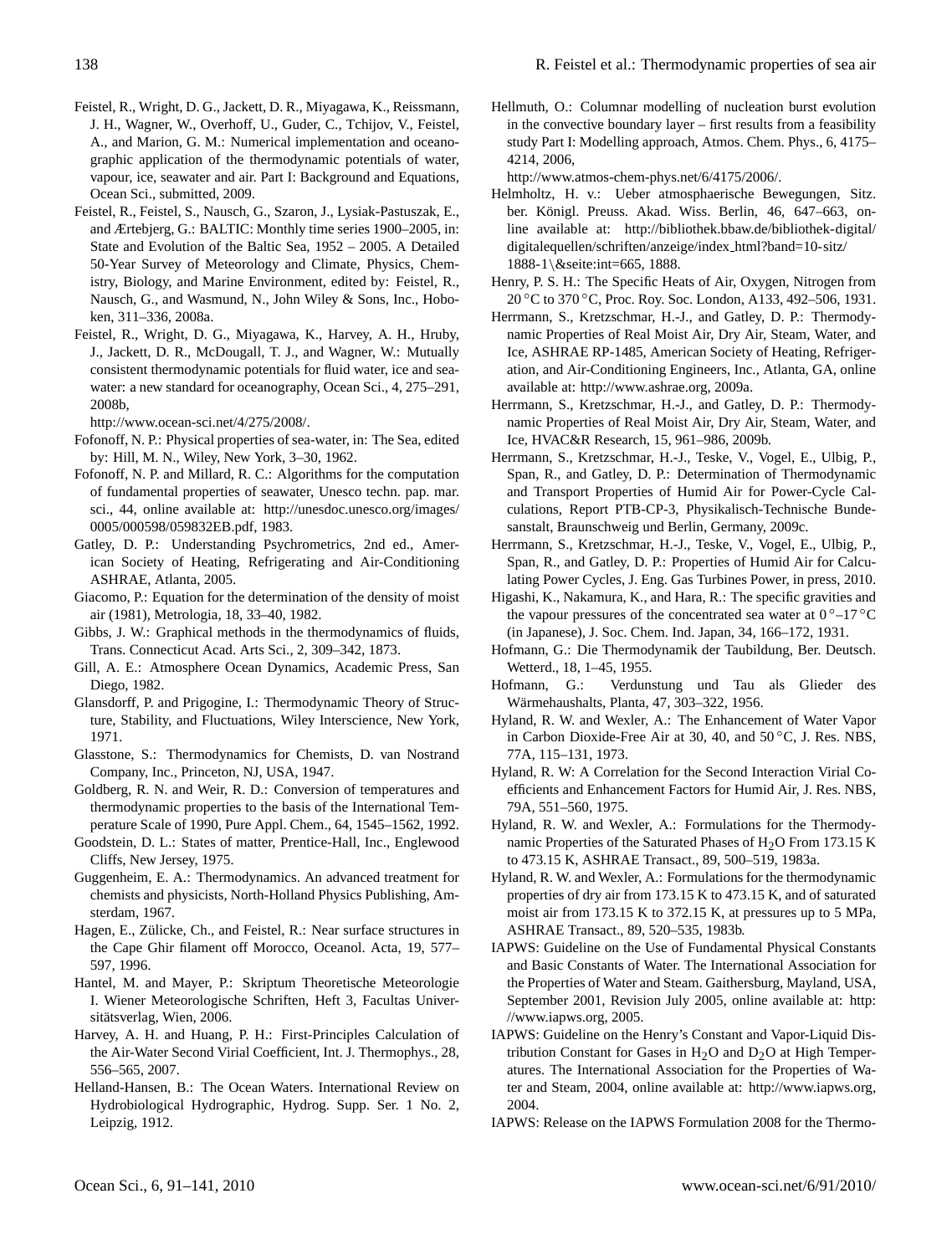- Feistel, R., Wright, D. G., Jackett, D. R., Miyagawa, K., Reissmann, J. H., Wagner, W., Overhoff, U., Guder, C., Tchijov, V., Feistel, A., and Marion, G. M.: Numerical implementation and oceanographic application of the thermodynamic potentials of water, vapour, ice, seawater and air. Part I: Background and Equations, Ocean Sci., submitted, 2009.
- Feistel, R., Feistel, S., Nausch, G., Szaron, J., Lysiak-Pastuszak, E., and Ærtebjerg, G.: BALTIC: Monthly time series 1900–2005, in: State and Evolution of the Baltic Sea, 1952 – 2005. A Detailed 50-Year Survey of Meteorology and Climate, Physics, Chemistry, Biology, and Marine Environment, edited by: Feistel, R., Nausch, G., and Wasmund, N., John Wiley & Sons, Inc., Hoboken, 311–336, 2008a.
- Feistel, R., Wright, D. G., Miyagawa, K., Harvey, A. H., Hruby, J., Jackett, D. R., McDougall, T. J., and Wagner, W.: Mutually consistent thermodynamic potentials for fluid water, ice and seawater: a new standard for oceanography, Ocean Sci., 4, 275–291, 2008b,

[http://www.ocean-sci.net/4/275/2008/.](http://www.ocean-sci.net/4/275/2008/)

- Fofonoff, N. P.: Physical properties of sea-water, in: The Sea, edited by: Hill, M. N., Wiley, New York, 3–30, 1962.
- Fofonoff, N. P. and Millard, R. C.: Algorithms for the computation of fundamental properties of seawater, Unesco techn. pap. mar. sci., 44, online available at: [http://unesdoc.unesco.org/images/](http://unesdoc.unesco.org/images/0005/000598/059832EB.pdf) [0005/000598/059832EB.pdf,](http://unesdoc.unesco.org/images/0005/000598/059832EB.pdf) 1983.
- Gatley, D. P.: Understanding Psychrometrics, 2nd ed., American Society of Heating, Refrigerating and Air-Conditioning ASHRAE, Atlanta, 2005.
- Giacomo, P.: Equation for the determination of the density of moist air (1981), Metrologia, 18, 33–40, 1982.
- Gibbs, J. W.: Graphical methods in the thermodynamics of fluids, Trans. Connecticut Acad. Arts Sci., 2, 309–342, 1873.
- Gill, A. E.: Atmosphere Ocean Dynamics, Academic Press, San Diego, 1982.
- Glansdorff, P. and Prigogine, I.: Thermodynamic Theory of Structure, Stability, and Fluctuations, Wiley Interscience, New York, 1971.
- Glasstone, S.: Thermodynamics for Chemists, D. van Nostrand Company, Inc., Princeton, NJ, USA, 1947.
- Goldberg, R. N. and Weir, R. D.: Conversion of temperatures and thermodynamic properties to the basis of the International Temperature Scale of 1990, Pure Appl. Chem., 64, 1545–1562, 1992.
- Goodstein, D. L.: States of matter, Prentice-Hall, Inc., Englewood Cliffs, New Jersey, 1975.
- Guggenheim, E. A.: Thermodynamics. An advanced treatment for chemists and physicists, North-Holland Physics Publishing, Amsterdam, 1967.
- Hagen, E., Zülicke, Ch., and Feistel, R.: Near surface structures in the Cape Ghir filament off Morocco, Oceanol. Acta, 19, 577– 597, 1996.
- Hantel, M. and Mayer, P.: Skriptum Theoretische Meteorologie I. Wiener Meteorologische Schriften, Heft 3, Facultas Universitätsverlag, Wien, 2006.
- Harvey, A. H. and Huang, P. H.: First-Principles Calculation of the Air-Water Second Virial Coefficient, Int. J. Thermophys., 28, 556–565, 2007.
- Helland-Hansen, B.: The Ocean Waters. International Review on Hydrobiological Hydrographic, Hydrog. Supp. Ser. 1 No. 2, Leipzig, 1912.

Hellmuth, O.: Columnar modelling of nucleation burst evolution in the convective boundary layer – first results from a feasibility study Part I: Modelling approach, Atmos. Chem. Phys., 6, 4175– 4214, 2006,

[http://www.atmos-chem-phys.net/6/4175/2006/.](http://www.atmos-chem-phys.net/6/4175/2006/)

- Helmholtz, H. v.: Ueber atmosphaerische Bewegungen, Sitz. ber. Königl. Preuss. Akad. Wiss. Berlin, 46, 647–663, online available at: [http://bibliothek.bbaw.de/bibliothek-digital/](http://bibliothek.bbaw.de/bibliothek-digital/digitalequellen/schriften/anzeige/index_html?band=10-sitz/1888-1&seite:int=665) [digitalequellen/schriften/anzeige/index](http://bibliothek.bbaw.de/bibliothek-digital/digitalequellen/schriften/anzeige/index_html?band=10-sitz/1888-1&seite:int=665) html?band=10-sitz/ 1888-1\[&seite:int=665,](http://bibliothek.bbaw.de/bibliothek-digital/digitalequellen/schriften/anzeige/index_html?band=10-sitz/1888-1&seite:int=665) 1888.
- Henry, P. S. H.: The Specific Heats of Air, Oxygen, Nitrogen from 20 ◦C to 370 ◦C, Proc. Roy. Soc. London, A133, 492–506, 1931.
- Herrmann, S., Kretzschmar, H.-J., and Gatley, D. P.: Thermodynamic Properties of Real Moist Air, Dry Air, Steam, Water, and Ice, ASHRAE RP-1485, American Society of Heating, Refrigeration, and Air-Conditioning Engineers, Inc., Atlanta, GA, online available at: [http://www.ashrae.org,](http://www.ashrae.org) 2009a.
- Herrmann, S., Kretzschmar, H.-J., and Gatley, D. P.: Thermodynamic Properties of Real Moist Air, Dry Air, Steam, Water, and Ice, HVAC&R Research, 15, 961–986, 2009b.
- Herrmann, S., Kretzschmar, H.-J., Teske, V., Vogel, E., Ulbig, P., Span, R., and Gatley, D. P.: Determination of Thermodynamic and Transport Properties of Humid Air for Power-Cycle Calculations, Report PTB-CP-3, Physikalisch-Technische Bundesanstalt, Braunschweig und Berlin, Germany, 2009c.
- Herrmann, S., Kretzschmar, H.-J., Teske, V., Vogel, E., Ulbig, P., Span, R., and Gatley, D. P.: Properties of Humid Air for Calculating Power Cycles, J. Eng. Gas Turbines Power, in press, 2010.
- Higashi, K., Nakamura, K., and Hara, R.: The specific gravities and the vapour pressures of the concentrated sea water at  $0^\circ$ –17 °C (in Japanese), J. Soc. Chem. Ind. Japan, 34, 166–172, 1931.
- Hofmann, G.: Die Thermodynamik der Taubildung, Ber. Deutsch. Wetterd., 18, 1–45, 1955.
- Hofmann, G.: Verdunstung und Tau als Glieder des Wärmehaushalts, Planta, 47, 303–322, 1956.
- Hyland, R. W. and Wexler, A.: The Enhancement of Water Vapor in Carbon Dioxide-Free Air at 30, 40, and 50 ◦C, J. Res. NBS, 77A, 115–131, 1973.
- Hyland, R. W: A Correlation for the Second Interaction Virial Coefficients and Enhancement Factors for Humid Air, J. Res. NBS, 79A, 551–560, 1975.
- Hyland, R. W. and Wexler, A.: Formulations for the Thermodynamic Properties of the Saturated Phases of H<sub>2</sub>O From 173.15 K to 473.15 K, ASHRAE Transact., 89, 500–519, 1983a.
- Hyland, R. W. and Wexler, A.: Formulations for the thermodynamic properties of dry air from 173.15 K to 473.15 K, and of saturated moist air from 173.15 K to 372.15 K, at pressures up to 5 MPa, ASHRAE Transact., 89, 520–535, 1983b.
- IAPWS: Guideline on the Use of Fundamental Physical Constants and Basic Constants of Water. The International Association for the Properties of Water and Steam. Gaithersburg, Mayland, USA, September 2001, Revision July 2005, online available at: [http:](http://www.iapws.org) [//www.iapws.org,](http://www.iapws.org) 2005.
- IAPWS: Guideline on the Henry's Constant and Vapor-Liquid Distribution Constant for Gases in  $H_2O$  and  $D_2O$  at High Temperatures. The International Association for the Properties of Water and Steam, 2004, online available at: [http://www.iapws.org,](http://www.iapws.org) 2004.
- IAPWS: Release on the IAPWS Formulation 2008 for the Thermo-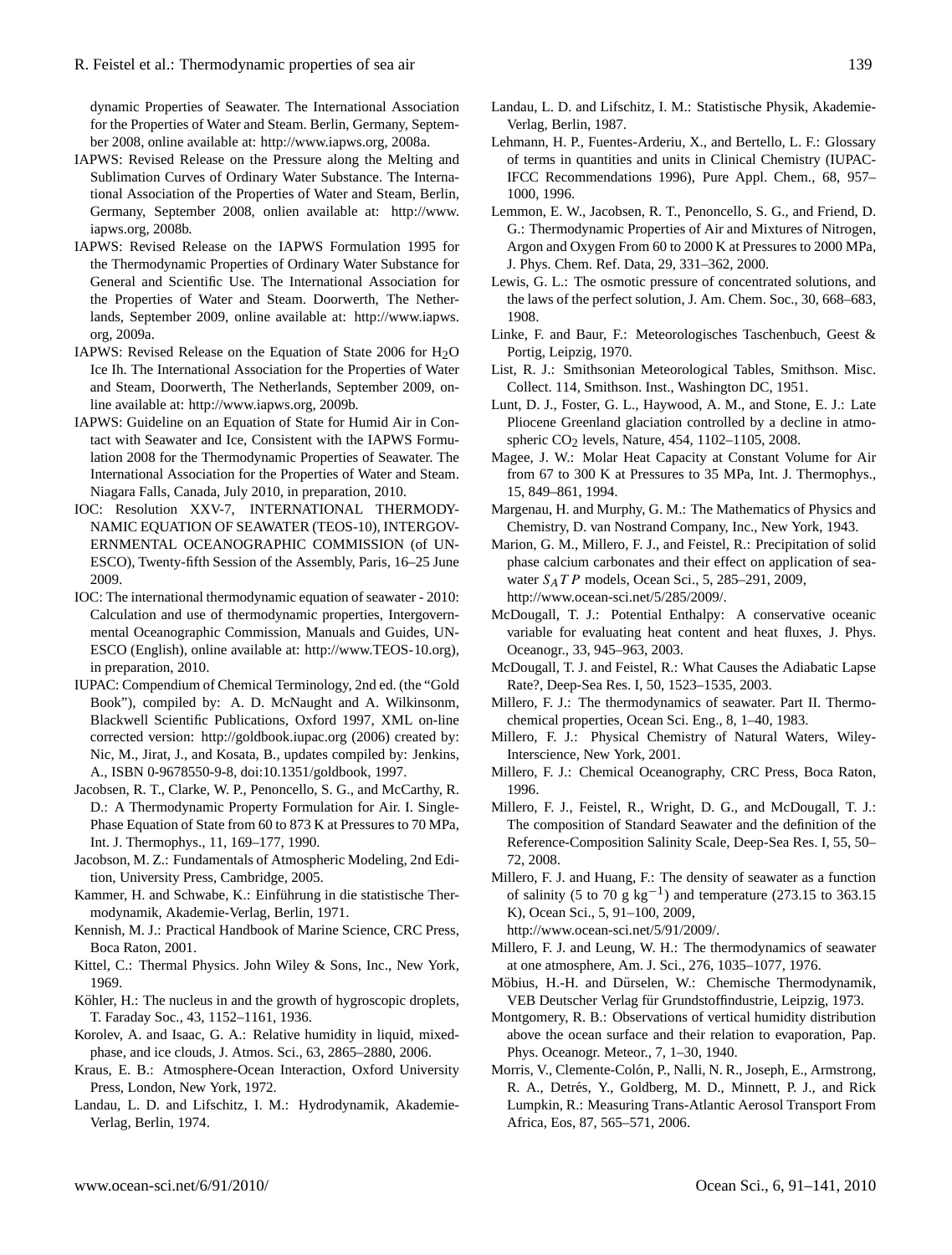dynamic Properties of Seawater. The International Association for the Properties of Water and Steam. Berlin, Germany, September 2008, online available at: [http://www.iapws.org,](http://www.iapws.org) 2008a.

- IAPWS: Revised Release on the Pressure along the Melting and Sublimation Curves of Ordinary Water Substance. The International Association of the Properties of Water and Steam, Berlin, Germany, September 2008, onlien available at: [http://www.](http://www.iapws.org) [iapws.org,](http://www.iapws.org) 2008b.
- IAPWS: Revised Release on the IAPWS Formulation 1995 for the Thermodynamic Properties of Ordinary Water Substance for General and Scientific Use. The International Association for the Properties of Water and Steam. Doorwerth, The Netherlands, September 2009, online available at: [http://www.iapws.](http://www.iapws.org) [org,](http://www.iapws.org) 2009a.
- IAPWS: Revised Release on the Equation of State 2006 for H2O Ice Ih. The International Association for the Properties of Water and Steam, Doorwerth, The Netherlands, September 2009, online available at: [http://www.iapws.org,](http://www.iapws.org) 2009b.
- IAPWS: Guideline on an Equation of State for Humid Air in Contact with Seawater and Ice, Consistent with the IAPWS Formulation 2008 for the Thermodynamic Properties of Seawater. The International Association for the Properties of Water and Steam. Niagara Falls, Canada, July 2010, in preparation, 2010.
- IOC: Resolution XXV-7, INTERNATIONAL THERMODY-NAMIC EQUATION OF SEAWATER (TEOS-10), INTERGOV-ERNMENTAL OCEANOGRAPHIC COMMISSION (of UN-ESCO), Twenty-fifth Session of the Assembly, Paris, 16–25 June 2009.
- IOC: The international thermodynamic equation of seawater 2010: Calculation and use of thermodynamic properties, Intergovernmental Oceanographic Commission, Manuals and Guides, UN-ESCO (English), online available at: [http://www.TEOS-10.org\)](http://www.TEOS-10.org), in preparation, 2010.
- IUPAC: Compendium of Chemical Terminology, 2nd ed. (the "Gold Book"), compiled by: A. D. McNaught and A. Wilkinsonm, Blackwell Scientific Publications, Oxford 1997, XML on-line corrected version: <http://goldbook.iupac.org> (2006) created by: Nic, M., Jirat, J., and Kosata, B., updates compiled by: Jenkins, A., ISBN 0-9678550-9-8, doi:10.1351/goldbook, 1997.
- Jacobsen, R. T., Clarke, W. P., Penoncello, S. G., and McCarthy, R. D.: A Thermodynamic Property Formulation for Air. I. Single-Phase Equation of State from 60 to 873 K at Pressures to 70 MPa, Int. J. Thermophys., 11, 169–177, 1990.
- Jacobson, M. Z.: Fundamentals of Atmospheric Modeling, 2nd Edition, University Press, Cambridge, 2005.
- Kammer, H. and Schwabe, K.: Einführung in die statistische Thermodynamik, Akademie-Verlag, Berlin, 1971.
- Kennish, M. J.: Practical Handbook of Marine Science, CRC Press, Boca Raton, 2001.
- Kittel, C.: Thermal Physics. John Wiley & Sons, Inc., New York, 1969.
- Köhler, H.: The nucleus in and the growth of hygroscopic droplets, T. Faraday Soc., 43, 1152–1161, 1936.
- Korolev, A. and Isaac, G. A.: Relative humidity in liquid, mixedphase, and ice clouds, J. Atmos. Sci., 63, 2865–2880, 2006.
- Kraus, E. B.: Atmosphere-Ocean Interaction, Oxford University Press, London, New York, 1972.
- Landau, L. D. and Lifschitz, I. M.: Hydrodynamik, Akademie-Verlag, Berlin, 1974.
- Landau, L. D. and Lifschitz, I. M.: Statistische Physik, Akademie-Verlag, Berlin, 1987.
- Lehmann, H. P., Fuentes-Arderiu, X., and Bertello, L. F.: Glossary of terms in quantities and units in Clinical Chemistry (IUPAC-IFCC Recommendations 1996), Pure Appl. Chem., 68, 957– 1000, 1996.
- Lemmon, E. W., Jacobsen, R. T., Penoncello, S. G., and Friend, D. G.: Thermodynamic Properties of Air and Mixtures of Nitrogen, Argon and Oxygen From 60 to 2000 K at Pressures to 2000 MPa, J. Phys. Chem. Ref. Data, 29, 331–362, 2000.
- Lewis, G. L.: The osmotic pressure of concentrated solutions, and the laws of the perfect solution, J. Am. Chem. Soc., 30, 668–683, 1908.
- Linke, F. and Baur, F.: Meteorologisches Taschenbuch, Geest & Portig, Leipzig, 1970.
- List, R. J.: Smithsonian Meteorological Tables, Smithson. Misc. Collect. 114, Smithson. Inst., Washington DC, 1951.
- Lunt, D. J., Foster, G. L., Haywood, A. M., and Stone, E. J.: Late Pliocene Greenland glaciation controlled by a decline in atmospheric CO<sub>2</sub> levels, Nature, 454, 1102–1105, 2008.
- Magee, J. W.: Molar Heat Capacity at Constant Volume for Air from 67 to 300 K at Pressures to 35 MPa, Int. J. Thermophys., 15, 849–861, 1994.
- Margenau, H. and Murphy, G. M.: The Mathematics of Physics and Chemistry, D. van Nostrand Company, Inc., New York, 1943.
- Marion, G. M., Millero, F. J., and Feistel, R.: Precipitation of solid phase calcium carbonates and their effect on application of seawater  $S_A T P$  models, Ocean Sci., 5, 285–291, 2009, [http://www.ocean-sci.net/5/285/2009/.](http://www.ocean-sci.net/5/285/2009/)
- McDougall, T. J.: Potential Enthalpy: A conservative oceanic variable for evaluating heat content and heat fluxes, J. Phys. Oceanogr., 33, 945–963, 2003.
- McDougall, T. J. and Feistel, R.: What Causes the Adiabatic Lapse Rate?, Deep-Sea Res. I, 50, 1523–1535, 2003.
- Millero, F. J.: The thermodynamics of seawater. Part II. Thermochemical properties, Ocean Sci. Eng., 8, 1–40, 1983.
- Millero, F. J.: Physical Chemistry of Natural Waters, Wiley-Interscience, New York, 2001.
- Millero, F. J.: Chemical Oceanography, CRC Press, Boca Raton, 1996.
- Millero, F. J., Feistel, R., Wright, D. G., and McDougall, T. J.: The composition of Standard Seawater and the definition of the Reference-Composition Salinity Scale, Deep-Sea Res. I, 55, 50– 72, 2008.
- Millero, F. J. and Huang, F.: The density of seawater as a function of salinity (5 to 70 g kg<sup>-1</sup>) and temperature (273.15 to 363.15 K), Ocean Sci., 5, 91–100, 2009,
	- [http://www.ocean-sci.net/5/91/2009/.](http://www.ocean-sci.net/5/91/2009/)
- Millero, F. J. and Leung, W. H.: The thermodynamics of seawater at one atmosphere, Am. J. Sci., 276, 1035–1077, 1976.
- Möbius, H.-H. and Dürselen, W.: Chemische Thermodynamik, VEB Deutscher Verlag für Grundstoffindustrie, Leipzig, 1973.
- Montgomery, R. B.: Observations of vertical humidity distribution above the ocean surface and their relation to evaporation, Pap. Phys. Oceanogr. Meteor., 7, 1–30, 1940.
- Morris, V., Clemente-Colón, P., Nalli, N. R., Joseph, E., Armstrong, R. A., Detrés, Y., Goldberg, M. D., Minnett, P. J., and Rick Lumpkin, R.: Measuring Trans-Atlantic Aerosol Transport From Africa, Eos, 87, 565–571, 2006.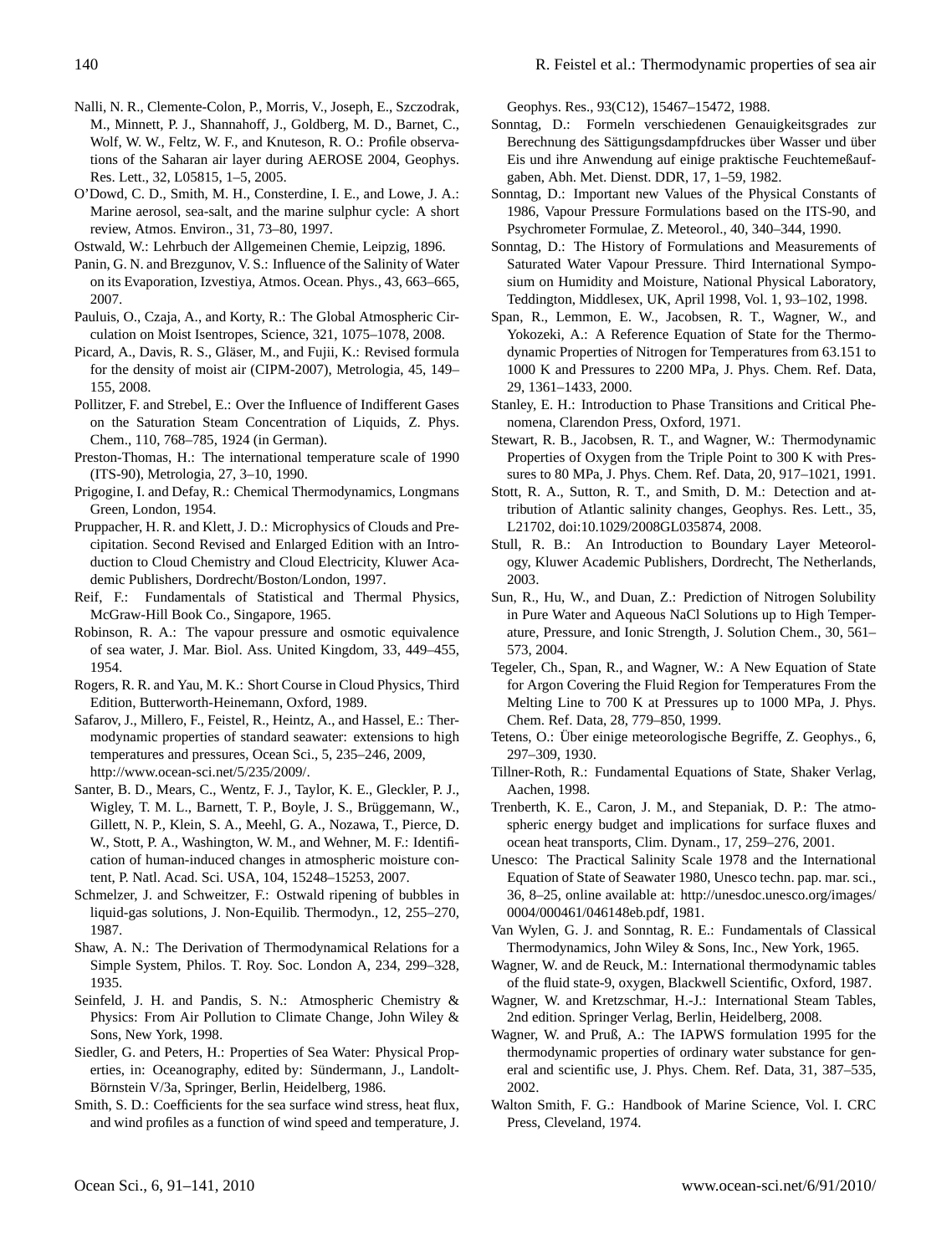- Nalli, N. R., Clemente-Colon, P., Morris, V., Joseph, E., Szczodrak, M., Minnett, P. J., Shannahoff, J., Goldberg, M. D., Barnet, C., Wolf, W. W., Feltz, W. F., and Knuteson, R. O.: Profile observations of the Saharan air layer during AEROSE 2004, Geophys. Res. Lett., 32, L05815, 1–5, 2005.
- O'Dowd, C. D., Smith, M. H., Consterdine, I. E., and Lowe, J. A.: Marine aerosol, sea-salt, and the marine sulphur cycle: A short review, Atmos. Environ., 31, 73–80, 1997.
- Ostwald, W.: Lehrbuch der Allgemeinen Chemie, Leipzig, 1896.
- Panin, G. N. and Brezgunov, V. S.: Influence of the Salinity of Water on its Evaporation, Izvestiya, Atmos. Ocean. Phys., 43, 663–665, 2007.
- Pauluis, O., Czaja, A., and Korty, R.: The Global Atmospheric Circulation on Moist Isentropes, Science, 321, 1075–1078, 2008.
- Picard, A., Davis, R. S., Gläser, M., and Fujii, K.: Revised formula for the density of moist air (CIPM-2007), Metrologia, 45, 149– 155, 2008.
- Pollitzer, F. and Strebel, E.: Over the Influence of Indifferent Gases on the Saturation Steam Concentration of Liquids, Z. Phys. Chem., 110, 768–785, 1924 (in German).
- Preston-Thomas, H.: The international temperature scale of 1990 (ITS-90), Metrologia, 27, 3–10, 1990.
- Prigogine, I. and Defay, R.: Chemical Thermodynamics, Longmans Green, London, 1954.
- Pruppacher, H. R. and Klett, J. D.: Microphysics of Clouds and Precipitation. Second Revised and Enlarged Edition with an Introduction to Cloud Chemistry and Cloud Electricity, Kluwer Academic Publishers, Dordrecht/Boston/London, 1997.
- Reif, F.: Fundamentals of Statistical and Thermal Physics, McGraw-Hill Book Co., Singapore, 1965.
- Robinson, R. A.: The vapour pressure and osmotic equivalence of sea water, J. Mar. Biol. Ass. United Kingdom, 33, 449–455, 1954.
- Rogers, R. R. and Yau, M. K.: Short Course in Cloud Physics, Third Edition, Butterworth-Heinemann, Oxford, 1989.
- Safarov, J., Millero, F., Feistel, R., Heintz, A., and Hassel, E.: Thermodynamic properties of standard seawater: extensions to high temperatures and pressures, Ocean Sci., 5, 235–246, 2009, [http://www.ocean-sci.net/5/235/2009/.](http://www.ocean-sci.net/5/235/2009/)
- Santer, B. D., Mears, C., Wentz, F. J., Taylor, K. E., Gleckler, P. J., Wigley, T. M. L., Barnett, T. P., Boyle, J. S., Brüggemann, W., Gillett, N. P., Klein, S. A., Meehl, G. A., Nozawa, T., Pierce, D. W., Stott, P. A., Washington, W. M., and Wehner, M. F.: Identification of human-induced changes in atmospheric moisture content, P. Natl. Acad. Sci. USA, 104, 15248–15253, 2007.
- Schmelzer, J. and Schweitzer, F.: Ostwald ripening of bubbles in liquid-gas solutions, J. Non-Equilib. Thermodyn., 12, 255–270, 1987.
- Shaw, A. N.: The Derivation of Thermodynamical Relations for a Simple System, Philos. T. Roy. Soc. London A, 234, 299–328, 1935.
- Seinfeld, J. H. and Pandis, S. N.: Atmospheric Chemistry & Physics: From Air Pollution to Climate Change, John Wiley & Sons, New York, 1998.
- Siedler, G. and Peters, H.: Properties of Sea Water: Physical Properties, in: Oceanography, edited by: Sündermann, J., Landolt-Börnstein V/3a, Springer, Berlin, Heidelberg, 1986.
- Smith, S. D.: Coefficients for the sea surface wind stress, heat flux, and wind profiles as a function of wind speed and temperature, J.

Geophys. Res., 93(C12), 15467–15472, 1988.

- Sonntag, D.: Formeln verschiedenen Genauigkeitsgrades zur Berechnung des Sättigungsdampfdruckes über Wasser und über Eis und ihre Anwendung auf einige praktische Feuchtemeßaufgaben, Abh. Met. Dienst. DDR, 17, 1–59, 1982.
- Sonntag, D.: Important new Values of the Physical Constants of 1986, Vapour Pressure Formulations based on the ITS-90, and Psychrometer Formulae, Z. Meteorol., 40, 340–344, 1990.
- Sonntag, D.: The History of Formulations and Measurements of Saturated Water Vapour Pressure. Third International Symposium on Humidity and Moisture, National Physical Laboratory, Teddington, Middlesex, UK, April 1998, Vol. 1, 93–102, 1998.
- Span, R., Lemmon, E. W., Jacobsen, R. T., Wagner, W., and Yokozeki, A.: A Reference Equation of State for the Thermodynamic Properties of Nitrogen for Temperatures from 63.151 to 1000 K and Pressures to 2200 MPa, J. Phys. Chem. Ref. Data, 29, 1361–1433, 2000.
- Stanley, E. H.: Introduction to Phase Transitions and Critical Phenomena, Clarendon Press, Oxford, 1971.
- Stewart, R. B., Jacobsen, R. T., and Wagner, W.: Thermodynamic Properties of Oxygen from the Triple Point to 300 K with Pressures to 80 MPa, J. Phys. Chem. Ref. Data, 20, 917–1021, 1991.
- Stott, R. A., Sutton, R. T., and Smith, D. M.: Detection and attribution of Atlantic salinity changes, Geophys. Res. Lett., 35, L21702, doi:10.1029/2008GL035874, 2008.
- Stull, R. B.: An Introduction to Boundary Layer Meteorology, Kluwer Academic Publishers, Dordrecht, The Netherlands, 2003.
- Sun, R., Hu, W., and Duan, Z.: Prediction of Nitrogen Solubility in Pure Water and Aqueous NaCl Solutions up to High Temperature, Pressure, and Ionic Strength, J. Solution Chem., 30, 561– 573, 2004.
- Tegeler, Ch., Span, R., and Wagner, W.: A New Equation of State for Argon Covering the Fluid Region for Temperatures From the Melting Line to 700 K at Pressures up to 1000 MPa, J. Phys. Chem. Ref. Data, 28, 779–850, 1999.
- Tetens, O.: Über einige meteorologische Begriffe, Z. Geophys., 6, 297–309, 1930.
- Tillner-Roth, R.: Fundamental Equations of State, Shaker Verlag, Aachen, 1998.
- Trenberth, K. E., Caron, J. M., and Stepaniak, D. P.: The atmospheric energy budget and implications for surface fluxes and ocean heat transports, Clim. Dynam., 17, 259–276, 2001.
- Unesco: The Practical Salinity Scale 1978 and the International Equation of State of Seawater 1980, Unesco techn. pap. mar. sci., 36, 8–25, online available at: [http://unesdoc.unesco.org/images/](http://unesdoc.unesco.org/images/0004/000461/046148eb.pdf) [0004/000461/046148eb.pdf,](http://unesdoc.unesco.org/images/0004/000461/046148eb.pdf) 1981.
- Van Wylen, G. J. and Sonntag, R. E.: Fundamentals of Classical Thermodynamics, John Wiley & Sons, Inc., New York, 1965.
- Wagner, W. and de Reuck, M.: International thermodynamic tables of the fluid state-9, oxygen, Blackwell Scientific, Oxford, 1987.
- Wagner, W. and Kretzschmar, H.-J.: International Steam Tables, 2nd edition. Springer Verlag, Berlin, Heidelberg, 2008.
- Wagner, W. and Pruß, A.: The IAPWS formulation 1995 for the thermodynamic properties of ordinary water substance for general and scientific use, J. Phys. Chem. Ref. Data, 31, 387–535, 2002.
- Walton Smith, F. G.: Handbook of Marine Science, Vol. I. CRC Press, Cleveland, 1974.